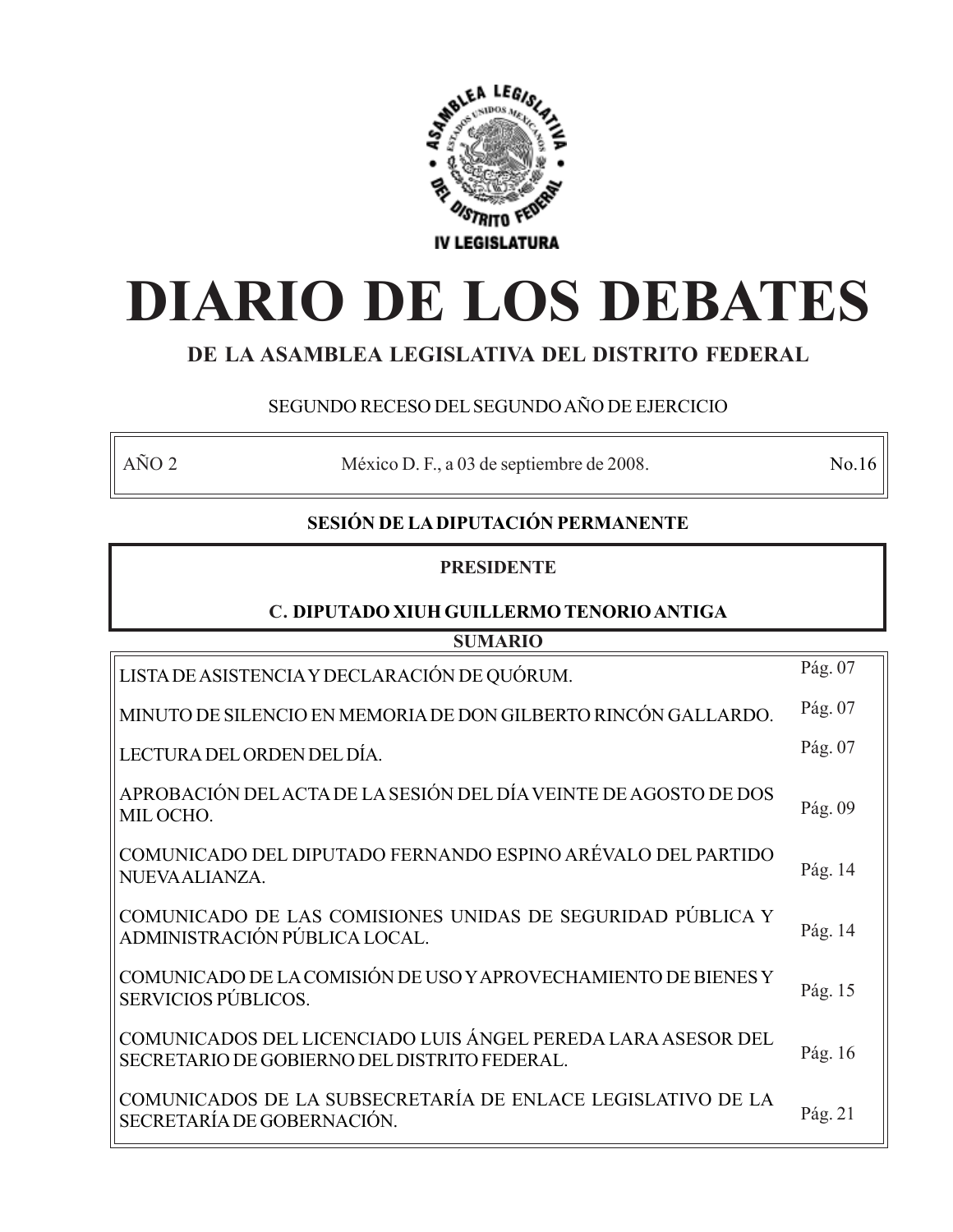

# **DIARIO DE LOS DEBATES**

# **DE LA ASAMBLEA LEGISLATIVA DEL DISTRITO FEDERAL**

# SEGUNDO RECESO DEL SEGUNDO AÑO DE EJERCICIO

AÑO 2 México D. F., a 03 de septiembre de 2008. No.16

# **SESIÓN DE LA DIPUTACIÓN PERMANENTE**

## **PRESIDENTE**

# **C. DIPUTADO XIUH GUILLERMO TENORIO ANTIGA**

| <b>SUMARIO</b>                                                                                               |         |  |
|--------------------------------------------------------------------------------------------------------------|---------|--|
| LISTA DE ASISTENCIA Y DECLARACIÓN DE QUÓRUM.                                                                 | Pág. 07 |  |
| MINUTO DE SILENCIO EN MEMORIA DE DON GILBERTO RINCÓN GALLARDO.                                               | Pág. 07 |  |
| LECTURA DEL ORDEN DEL DÍA.                                                                                   | Pág. 07 |  |
| APROBACIÓN DEL ACTA DE LA SESIÓN DEL DÍA VEINTE DE AGOSTO DE DOS<br>MIL OCHO.                                | Pág. 09 |  |
| COMUNICADO DEL DIPUTADO FERNANDO ESPINO ARÉVALO DEL PARTIDO<br>NUEVAALIANZA.                                 | Pág. 14 |  |
| COMUNICADO DE LAS COMISIONES UNIDAS DE SEGURIDAD PÚBLICA Y<br>ADMINISTRACIÓN PÚBLICA LOCAL.                  | Pág. 14 |  |
| COMUNICADO DE LA COMISIÓN DE USO Y APROVECHAMIENTO DE BIENES Y<br>SERVICIOS PÚBLICOS.                        | Pág. 15 |  |
| COMUNICADOS DEL LICENCIADO LUIS ÁNGEL PEREDA LARA ASESOR DEL<br>SECRETARIO DE GOBIERNO DEL DISTRITO FEDERAL. | Pág. 16 |  |
| COMUNICADOS DE LA SUBSECRETARÍA DE ENLACE LEGISLATIVO DE LA<br>SECRETARÍA DE GOBERNACIÓN.                    | Pág. 21 |  |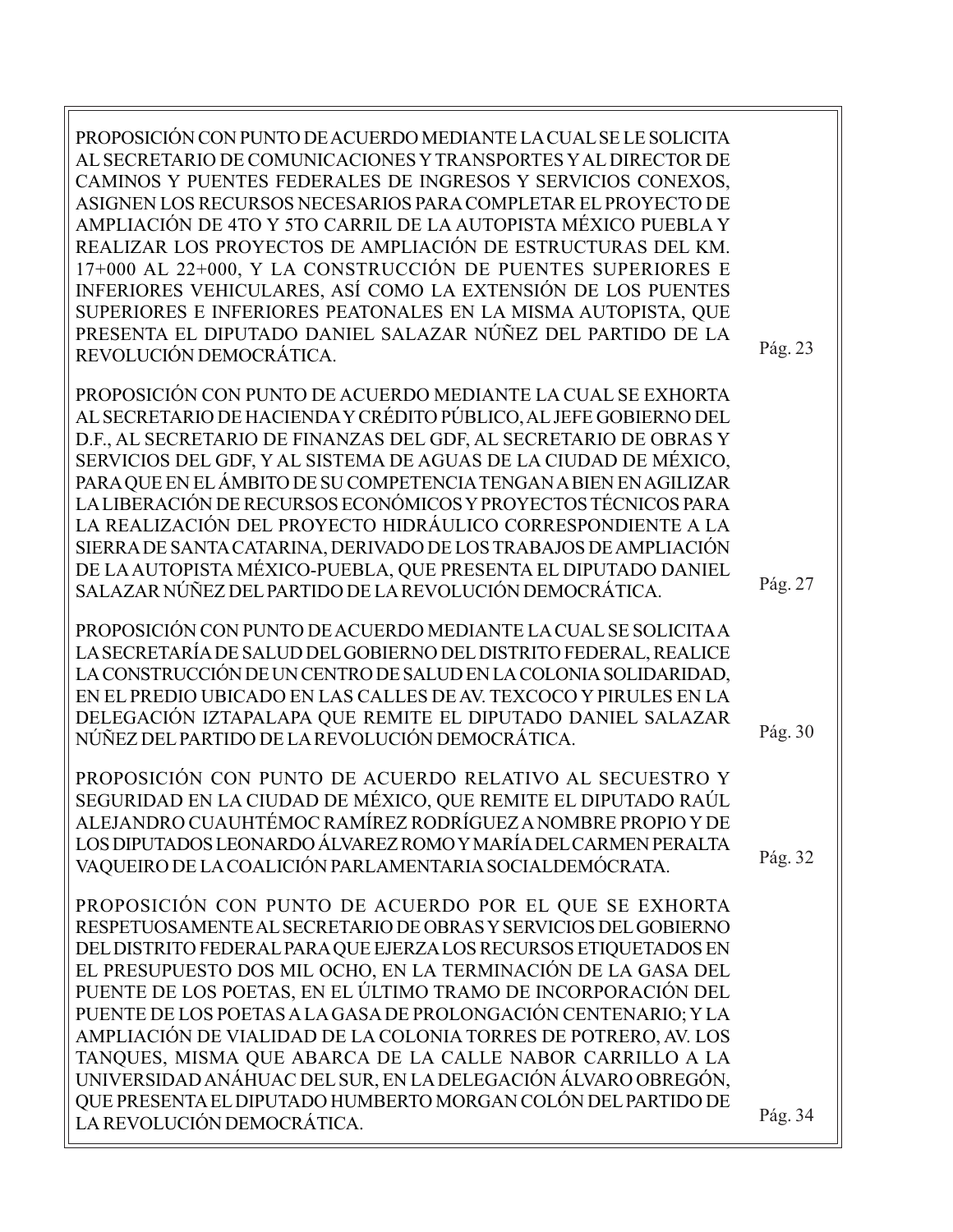PROPOSICIÓN CON PUNTO DE ACUERDO MEDIANTE LA CUAL SE LE SOLICITA AL SECRETARIO DE COMUNICACIONES Y TRANSPORTES Y AL DIRECTOR DE CAMINOS Y PUENTES FEDERALES DE INGRESOS Y SERVICIOS CONEXOS, ASIGNEN LOS RECURSOS NECESARIOS PARA COMPLETAR EL PROYECTO DE AMPLIACIÓN DE 4TO Y 5TO CARRIL DE LA AUTOPISTA MÉXICO PUEBLA Y REALIZAR LOS PROYECTOS DE AMPLIACIÓN DE ESTRUCTURAS DEL KM. 17+000 AL 22+000, Y LA CONSTRUCCIÓN DE PUENTES SUPERIORES E INFERIORES VEHICULARES, ASÍ COMO LA EXTENSIÓN DE LOS PUENTES SUPERIORES E INFERIORES PEATONALES EN LA MISMA AUTOPISTA, QUE PRESENTA EL DIPUTADO DANIEL SALAZAR NÚÑEZ DEL PARTIDO DE LA REVOLUCIÓN DEMOCRÁTICA.

PROPOSICIÓN CON PUNTO DE ACUERDO MEDIANTE LA CUAL SE EXHORTA AL SECRETARIO DE HACIENDA Y CRÉDITO PÚBLICO, AL JEFE GOBIERNO DEL D.F., AL SECRETARIO DE FINANZAS DEL GDF, AL SECRETARIO DE OBRAS Y SERVICIOS DEL GDF, Y AL SISTEMA DE AGUAS DE LA CIUDAD DE MÉXICO, PARA QUE EN EL ÁMBITO DE SU COMPETENCIA TENGAN A BIEN EN AGILIZAR LA LIBERACIÓN DE RECURSOS ECONÓMICOS Y PROYECTOS TÉCNICOS PARA LA REALIZACIÓN DEL PROYECTO HIDRÁULICO CORRESPONDIENTE A LA SIERRA DE SANTA CATARINA, DERIVADO DE LOS TRABAJOS DE AMPLIACIÓN DE LA AUTOPISTA MÉXICO-PUEBLA, QUE PRESENTA EL DIPUTADO DANIEL SALAZAR NÚÑEZ DEL PARTIDO DE LA REVOLUCIÓN DEMOCRÁTICA.

PROPOSICIÓN CON PUNTO DE ACUERDO MEDIANTE LA CUAL SE SOLICITA A LA SECRETARÍA DE SALUD DEL GOBIERNO DEL DISTRITO FEDERAL, REALICE LA CONSTRUCCIÓN DE UN CENTRO DE SALUD EN LA COLONIA SOLIDARIDAD, EN EL PREDIO UBICADO EN LAS CALLES DE AV. TEXCOCO Y PIRULES EN LA DELEGACIÓN IZTAPALAPA QUE REMITE EL DIPUTADO DANIEL SALAZAR NÚÑEZ DEL PARTIDO DE LA REVOLUCIÓN DEMOCRÁTICA.

PROPOSICIÓN CON PUNTO DE ACUERDO RELATIVO AL SECUESTRO Y SEGURIDAD EN LA CIUDAD DE MÉXICO, QUE REMITE EL DIPUTADO RAÚL ALEJANDRO CUAUHTÉMOC RAMÍREZ RODRÍGUEZ A NOMBRE PROPIO Y DE LOS DIPUTADOS LEONARDO ÁLVAREZ ROMO Y MARÍA DEL CARMEN PERALTA VAQUEIRO DE LA COALICIÓN PARLAMENTARIA SOCIALDEMÓCRATA.

PROPOSICIÓN CON PUNTO DE ACUERDO POR EL QUE SE EXHORTA RESPETUOSAMENTE AL SECRETARIO DE OBRAS Y SERVICIOS DEL GOBIERNO DEL DISTRITO FEDERAL PARA QUE EJERZA LOS RECURSOS ETIQUETADOS EN EL PRESUPUESTO DOS MIL OCHO, EN LA TERMINACIÓN DE LA GASA DEL PUENTE DE LOS POETAS, EN EL ÚLTIMO TRAMO DE INCORPORACIÓN DEL PUENTE DE LOS POETAS A LA GASA DE PROLONGACIÓN CENTENARIO; Y LA AMPLIACIÓN DE VIALIDAD DE LA COLONIA TORRES DE POTRERO, AV. LOS TANQUES, MISMA QUE ABARCA DE LA CALLE NABOR CARRILLO A LA UNIVERSIDAD ANÁHUAC DEL SUR, EN LA DELEGACIÓN ÁLVARO OBREGÓN, QUE PRESENTA EL DIPUTADO HUMBERTO MORGAN COLÓN DEL PARTIDO DE LA REVOLUCIÓN DEMOCRÁTICA.

Pág. 30

Pág. 27

Pág. 23

Pág. 32

Pág. 34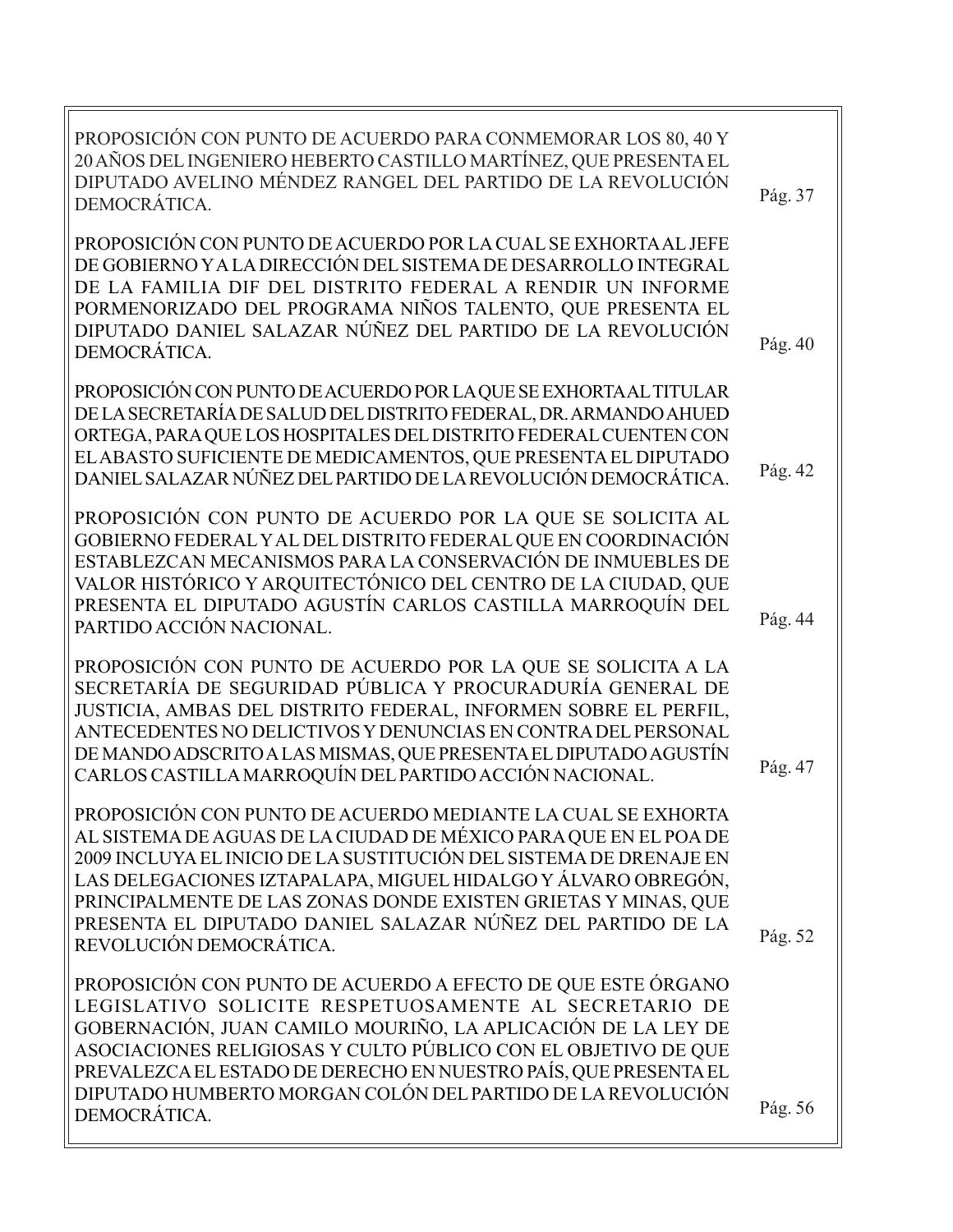| PROPOSICIÓN CON PUNTO DE ACUERDO PARA CONMEMORAR LOS 80, 40 Y<br>20 AÑOS DEL INGENIERO HEBERTO CASTILLO MARTÍNEZ, QUE PRESENTA EL<br>DIPUTADO AVELINO MÉNDEZ RANGEL DEL PARTIDO DE LA REVOLUCIÓN<br>Pág. 37<br>DEMOCRÁTICA.<br>PROPOSICIÓN CON PUNTO DE ACUERDO POR LA CUAL SE EXHORTA AL JEFE<br>DE GOBIERNO Y A LA DIRECCIÓN DEL SISTEMA DE DESARROLLO INTEGRAL<br>DE LA FAMILIA DIF DEL DISTRITO FEDERAL A RENDIR UN INFORME<br>PORMENORIZADO DEL PROGRAMA NIÑOS TALENTO, QUE PRESENTA EL<br>DIPUTADO DANIEL SALAZAR NÚÑEZ DEL PARTIDO DE LA REVOLUCIÓN<br>Pág. 40<br>DEMOCRÁTICA.<br>PROPOSICIÓN CON PUNTO DE ACUERDO POR LA QUE SE EXHORTA AL TITULAR<br>DE LA SECRETARÍA DE SALUD DEL DISTRITO FEDERAL, DR. ARMANDO AHUED<br>ORTEGA, PARA QUE LOS HOSPITALES DEL DISTRITO FEDERAL CUENTEN CON<br>EL ABASTO SUFICIENTE DE MEDICAMENTOS, QUE PRESENTA EL DIPUTADO<br>Pág. 42<br>DANIEL SALAZAR NÚÑEZ DEL PARTIDO DE LA REVOLUCIÓN DEMOCRÁTICA.<br>PROPOSICIÓN CON PUNTO DE ACUERDO POR LA QUE SE SOLICITA AL<br>GOBIERNO FEDERAL Y AL DEL DISTRITO FEDERAL QUE EN COORDINACIÓN<br>ESTABLEZCAN MECANISMOS PARA LA CONSERVACIÓN DE INMUEBLES DE<br>VALOR HISTÓRICO Y ARQUITECTÓNICO DEL CENTRO DE LA CIUDAD, QUE<br>PRESENTA EL DIPUTADO AGUSTÍN CARLOS CASTILLA MARROQUÍN DEL<br>Pág. 44<br>PARTIDO ACCIÓN NACIONAL.<br>PROPOSICIÓN CON PUNTO DE ACUERDO POR LA QUE SE SOLICITA A LA<br>SECRETARÍA DE SEGURIDAD PÚBLICA Y PROCURADURÍA GENERAL DE<br>JUSTICIA, AMBAS DEL DISTRITO FEDERAL, INFORMEN SOBRE EL PERFIL,<br>ANTECEDENTES NO DELICTIVOS Y DENUNCIAS EN CONTRA DEL PERSONAL<br>DE MANDO ADSCRITO A LAS MISMAS, QUE PRESENTA EL DIPUTADO AGUSTÍN<br>Pág. 47<br>CARLOS CASTILLA MARROQUÍN DEL PARTIDO ACCIÓN NACIONAL.<br>PROPOSICIÓN CON PUNTO DE ACUERDO MEDIANTE LA CUAL SE EXHORTA<br>AL SISTEMA DE AGUAS DE LA CIUDAD DE MÉXICO PARA QUE EN EL POA DE<br>2009 INCLUYA EL INICIO DE LA SUSTITUCIÓN DEL SISTEMA DE DRENAJE EN<br>LAS DELEGACIONES IZTAPALAPA, MIGUEL HIDALGO Y ÁLVARO OBREGÓN,<br>PRINCIPALMENTE DE LAS ZONAS DONDE EXISTEN GRIETAS Y MINAS, QUE<br>PRESENTA EL DIPUTADO DANIEL SALAZAR NÚÑEZ DEL PARTIDO DE LA<br>Pág. 52<br>REVOLUCIÓN DEMOCRÁTICA.<br>PROPOSICIÓN CON PUNTO DE ACUERDO A EFECTO DE QUE ESTE ÓRGANO<br>LEGISLATIVO SOLICITE RESPETUOSAMENTE AL SECRETARIO DE<br>GOBERNACIÓN, JUAN CAMILO MOURIÑO, LA APLICACIÓN DE LA LEY DE<br>ASOCIACIONES RELIGIOSAS Y CULTO PÚBLICO CON EL OBJETIVO DE QUE<br>PREVALEZCA EL ESTADO DE DERECHO EN NUESTRO PAÍS, QUE PRESENTA EL<br>DIPUTADO HUMBERTO MORGAN COLÓN DEL PARTIDO DE LA REVOLUCIÓN<br>Pág. 56<br>DEMOCRÁTICA. |  |
|--------------------------------------------------------------------------------------------------------------------------------------------------------------------------------------------------------------------------------------------------------------------------------------------------------------------------------------------------------------------------------------------------------------------------------------------------------------------------------------------------------------------------------------------------------------------------------------------------------------------------------------------------------------------------------------------------------------------------------------------------------------------------------------------------------------------------------------------------------------------------------------------------------------------------------------------------------------------------------------------------------------------------------------------------------------------------------------------------------------------------------------------------------------------------------------------------------------------------------------------------------------------------------------------------------------------------------------------------------------------------------------------------------------------------------------------------------------------------------------------------------------------------------------------------------------------------------------------------------------------------------------------------------------------------------------------------------------------------------------------------------------------------------------------------------------------------------------------------------------------------------------------------------------------------------------------------------------------------------------------------------------------------------------------------------------------------------------------------------------------------------------------------------------------------------------------------------------------------------------------------------------------------------------------------------------------------------------------------------------------------------------------------------------------------------------------------------------------------------------------------------------------------------------------------------------------------------------------------------------|--|
|                                                                                                                                                                                                                                                                                                                                                                                                                                                                                                                                                                                                                                                                                                                                                                                                                                                                                                                                                                                                                                                                                                                                                                                                                                                                                                                                                                                                                                                                                                                                                                                                                                                                                                                                                                                                                                                                                                                                                                                                                                                                                                                                                                                                                                                                                                                                                                                                                                                                                                                                                                                                              |  |
|                                                                                                                                                                                                                                                                                                                                                                                                                                                                                                                                                                                                                                                                                                                                                                                                                                                                                                                                                                                                                                                                                                                                                                                                                                                                                                                                                                                                                                                                                                                                                                                                                                                                                                                                                                                                                                                                                                                                                                                                                                                                                                                                                                                                                                                                                                                                                                                                                                                                                                                                                                                                              |  |
|                                                                                                                                                                                                                                                                                                                                                                                                                                                                                                                                                                                                                                                                                                                                                                                                                                                                                                                                                                                                                                                                                                                                                                                                                                                                                                                                                                                                                                                                                                                                                                                                                                                                                                                                                                                                                                                                                                                                                                                                                                                                                                                                                                                                                                                                                                                                                                                                                                                                                                                                                                                                              |  |
|                                                                                                                                                                                                                                                                                                                                                                                                                                                                                                                                                                                                                                                                                                                                                                                                                                                                                                                                                                                                                                                                                                                                                                                                                                                                                                                                                                                                                                                                                                                                                                                                                                                                                                                                                                                                                                                                                                                                                                                                                                                                                                                                                                                                                                                                                                                                                                                                                                                                                                                                                                                                              |  |
|                                                                                                                                                                                                                                                                                                                                                                                                                                                                                                                                                                                                                                                                                                                                                                                                                                                                                                                                                                                                                                                                                                                                                                                                                                                                                                                                                                                                                                                                                                                                                                                                                                                                                                                                                                                                                                                                                                                                                                                                                                                                                                                                                                                                                                                                                                                                                                                                                                                                                                                                                                                                              |  |
|                                                                                                                                                                                                                                                                                                                                                                                                                                                                                                                                                                                                                                                                                                                                                                                                                                                                                                                                                                                                                                                                                                                                                                                                                                                                                                                                                                                                                                                                                                                                                                                                                                                                                                                                                                                                                                                                                                                                                                                                                                                                                                                                                                                                                                                                                                                                                                                                                                                                                                                                                                                                              |  |
|                                                                                                                                                                                                                                                                                                                                                                                                                                                                                                                                                                                                                                                                                                                                                                                                                                                                                                                                                                                                                                                                                                                                                                                                                                                                                                                                                                                                                                                                                                                                                                                                                                                                                                                                                                                                                                                                                                                                                                                                                                                                                                                                                                                                                                                                                                                                                                                                                                                                                                                                                                                                              |  |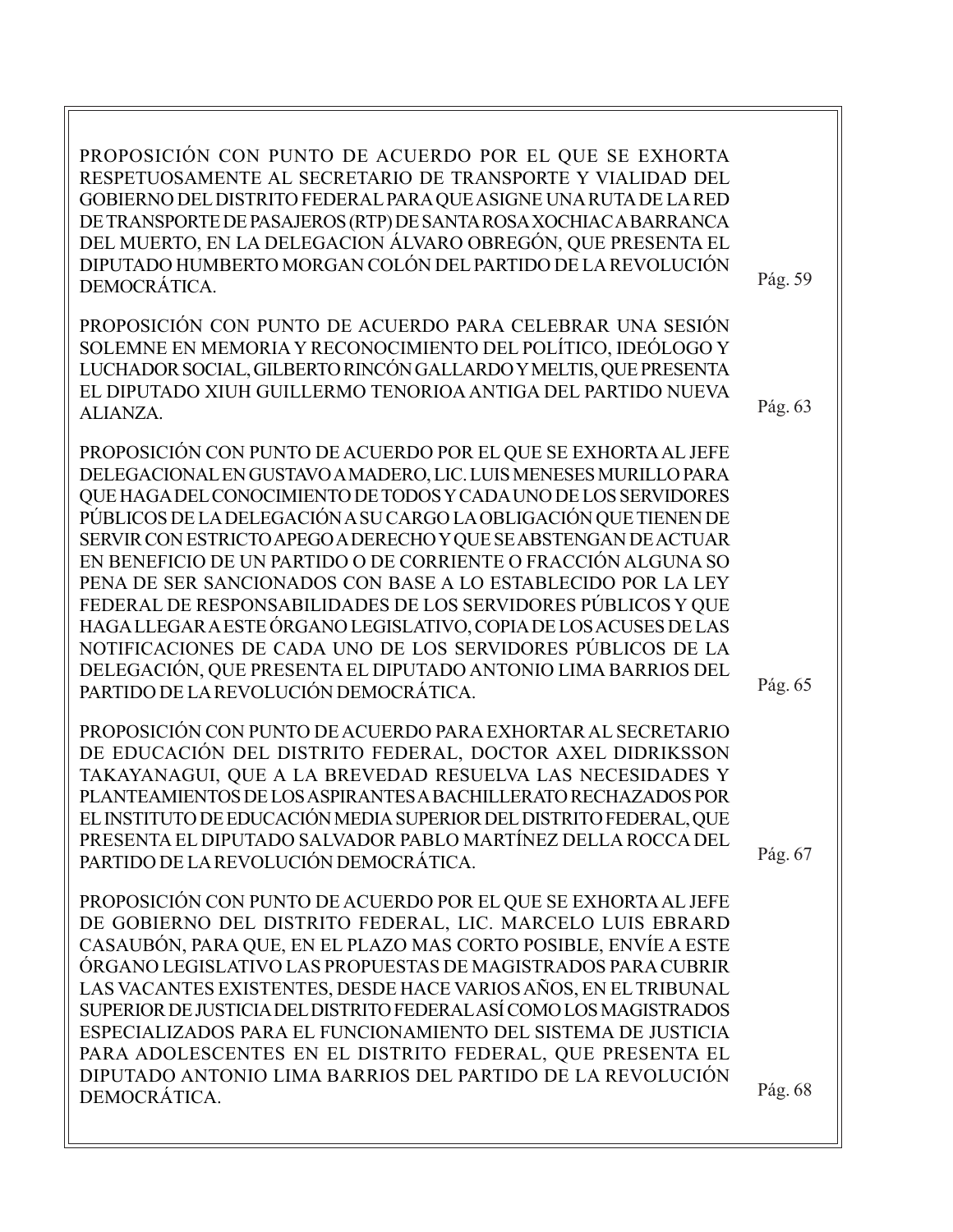| PROPOSICIÓN CON PUNTO DE ACUERDO POR EL QUE SE EXHORTA<br>RESPETUOSAMENTE AL SECRETARIO DE TRANSPORTE Y VIALIDAD DEL<br>GOBIERNO DEL DISTRITO FEDERAL PARA QUE ASIGNE UNA RUTA DE LA RED<br>DE TRANSPORTE DE PASAJEROS (RTP) DE SANTA ROSA XOCHIAC A BARRANCA<br>DEL MUERTO, EN LA DELEGACION ÁLVARO OBREGÓN, QUE PRESENTA EL<br>DIPUTADO HUMBERTO MORGAN COLÓN DEL PARTIDO DE LA REVOLUCIÓN<br>DEMOCRÁTICA.                                                                                                                                                                                                                                                                                                                                                                                   | Pág. 59 |
|------------------------------------------------------------------------------------------------------------------------------------------------------------------------------------------------------------------------------------------------------------------------------------------------------------------------------------------------------------------------------------------------------------------------------------------------------------------------------------------------------------------------------------------------------------------------------------------------------------------------------------------------------------------------------------------------------------------------------------------------------------------------------------------------|---------|
| PROPOSICIÓN CON PUNTO DE ACUERDO PARA CELEBRAR UNA SESIÓN<br>SOLEMNE EN MEMORIA Y RECONOCIMIENTO DEL POLÍTICO, IDEÓLOGO Y<br>LUCHADOR SOCIAL, GILBERTO RINCÓN GALLARDO Y MELTIS, QUE PRESENTA<br>EL DIPUTADO XIUH GUILLERMO TENORIOA ANTIGA DEL PARTIDO NUEVA<br>ALIANZA.                                                                                                                                                                                                                                                                                                                                                                                                                                                                                                                      | Pág. 63 |
| PROPOSICIÓN CON PUNTO DE ACUERDO POR EL QUE SE EXHORTA AL JEFE<br>DELEGACIONAL EN GUSTAVO A MADERO, LIC. LUIS MENESES MURILLO PARA<br>QUE HAGA DEL CONOCIMIENTO DE TODOS Y CADA UNO DE LOS SERVIDORES<br>PÚBLICOS DE LA DELEGACIÓN A SU CARGO LA OBLIGACIÓN QUE TIENEN DE<br>SERVIR CON ESTRICTO APEGO A DERECHO Y QUE SE ABSTENGAN DE ACTUAR<br>EN BENEFICIO DE UN PARTIDO O DE CORRIENTE O FRACCIÓN ALGUNA SO<br>PENA DE SER SANCIONADOS CON BASE A LO ESTABLECIDO POR LA LEY<br>FEDERAL DE RESPONSABILIDADES DE LOS SERVIDORES PÚBLICOS Y QUE<br>HAGA LLEGAR A ESTE ÓRGANO LEGISLATIVO, COPIA DE LOS ACUSES DE LAS<br>NOTIFICACIONES DE CADA UNO DE LOS SERVIDORES PÚBLICOS DE LA<br>DELEGACIÓN, QUE PRESENTA EL DIPUTADO ANTONIO LIMA BARRIOS DEL<br>PARTIDO DE LA REVOLUCIÓN DEMOCRÁTICA. | Pág. 65 |
| PROPOSICIÓN CON PUNTO DE ACUERDO PARA EXHORTAR AL SECRETARIO<br>DE EDUCACIÓN DEL DISTRITO FEDERAL, DOCTOR AXEL DIDRIKSSON<br>TAKAYANAGUI, QUE A LA BREVEDAD RESUELVA LAS NECESIDADES Y<br>PLANTEAMIENTOS DE LOS ASPIRANTES A BACHILLERATO RECHAZADOS POR<br>EL INSTITUTO DE EDUCACIÓN MEDIA SUPERIOR DEL DISTRITO FEDERAL, QUE<br>PRESENTA EL DIPUTADO SALVADOR PABLO MARTÍNEZ DELLA ROCCA DEL<br>PARTIDO DE LA REVOLUCIÓN DEMOCRÁTICA.                                                                                                                                                                                                                                                                                                                                                        | Pág. 67 |
| PROPOSICIÓN CON PUNTO DE ACUERDO POR EL QUE SE EXHORTA AL JEFE<br>DE GOBIERNO DEL DISTRITO FEDERAL, LIC. MARCELO LUIS EBRARD<br>CASAUBÓN, PARA QUE, EN EL PLAZO MAS CORTO POSIBLE, ENVÍE A ESTE<br>ÓRGANO LEGISLATIVO LAS PROPUESTAS DE MAGISTRADOS PARA CUBRIR<br>LAS VACANTES EXISTENTES, DESDE HACE VARIOS AÑOS, EN EL TRIBUNAL<br>SUPERIOR DE JUSTICIA DEL DISTRITO FEDERAL ASÍ COMO LOS MAGISTRADOS<br>ESPECIALIZADOS PARA EL FUNCIONAMIENTO DEL SISTEMA DE JUSTICIA<br>PARA ADOLESCENTES EN EL DISTRITO FEDERAL, QUE PRESENTA EL<br>DIPUTADO ANTONIO LIMA BARRIOS DEL PARTIDO DE LA REVOLUCIÓN<br>DEMOCRÁTICA.                                                                                                                                                                           | Pág. 68 |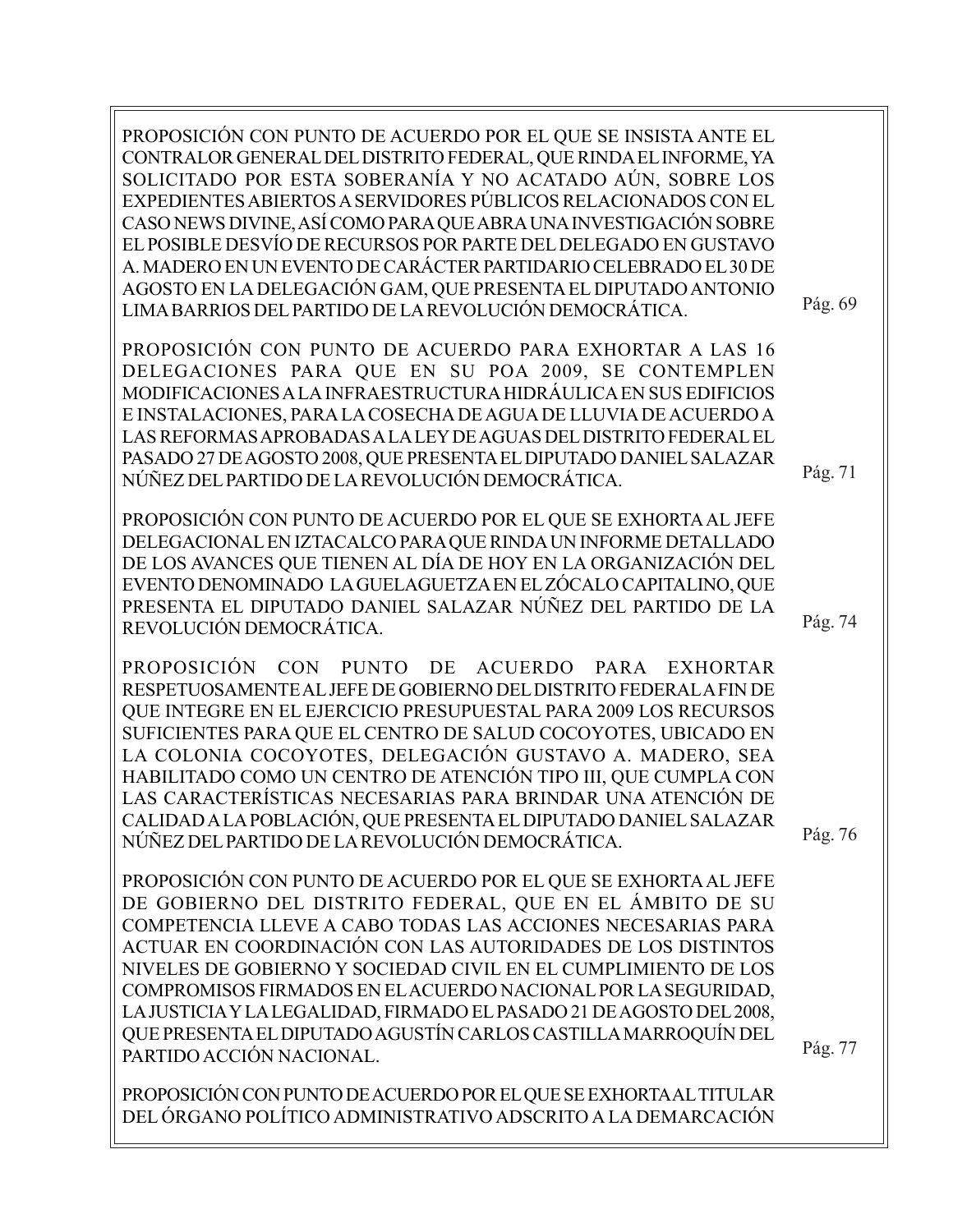PROPOSICIÓN CON PUNTO DE ACUERDO POR EL QUE SE INSISTA ANTE EL CONTRALOR GENERAL DEL DISTRITO FEDERAL, QUE RINDA EL INFORME, YA SOLICITADO POR ESTA SOBERANÍA Y NO ACATADO AÚN, SOBRE LOS EXPEDIENTES ABIERTOS A SERVIDORES PÚBLICOS RELACIONADOS CON EL CASO NEWS DIVINE, ASÍ COMO PARA QUE ABRA UNA INVESTIGACIÓN SOBRE EL POSIBLE DESVÍO DE RECURSOS POR PARTE DEL DELEGADO EN GUSTAVO A. MADERO EN UN EVENTO DE CARÁCTER PARTIDARIO CELEBRADO EL 30 DE AGOSTO EN LA DELEGACIÓN GAM, QUE PRESENTA EL DIPUTADO ANTONIO LIMA BARRIOS DEL PARTIDO DE LA REVOLUCIÓN DEMOCRÁTICA. Pág. 69

PROPOSICIÓN CON PUNTO DE ACUERDO PARA EXHORTAR A LAS 16 DELEGACIONES PARA QUE EN SU POA 2009, SE CONTEMPLEN MODIFICACIONES A LA INFRAESTRUCTURA HIDRÁULICA EN SUS EDIFICIOS E INSTALACIONES, PARA LA COSECHA DE AGUA DE LLUVIA DE ACUERDO A LAS REFORMAS APROBADAS A LA LEY DE AGUAS DEL DISTRITO FEDERAL EL PASADO 27 DE AGOSTO 2008, QUE PRESENTA EL DIPUTADO DANIEL SALAZAR NÚÑEZ DEL PARTIDO DE LA REVOLUCIÓN DEMOCRÁTICA.

PROPOSICIÓN CON PUNTO DE ACUERDO POR EL QUE SE EXHORTA AL JEFE DELEGACIONAL EN IZTACALCO PARA QUE RINDA UN INFORME DETALLADO DE LOS AVANCES QUE TIENEN AL DÍA DE HOY EN LA ORGANIZACIÓN DEL EVENTO DENOMINADO LA GUELAGUETZA EN EL ZÓCALO CAPITALINO, QUE PRESENTA EL DIPUTADO DANIEL SALAZAR NÚÑEZ DEL PARTIDO DE LA REVOLUCIÓN DEMOCRÁTICA.

PROPOSICIÓN CON PUNTO DE ACUERDO PARA EXHORTAR RESPETUOSAMENTE AL JEFE DE GOBIERNO DEL DISTRITO FEDERAL A FIN DE QUE INTEGRE EN EL EJERCICIO PRESUPUESTAL PARA 2009 LOS RECURSOS SUFICIENTES PARA QUE EL CENTRO DE SALUD COCOYOTES, UBICADO EN LA COLONIA COCOYOTES, DELEGACIÓN GUSTAVO A. MADERO, SEA HABILITADO COMO UN CENTRO DE ATENCIÓN TIPO III, QUE CUMPLA CON LAS CARACTERÍSTICAS NECESARIAS PARA BRINDAR UNA ATENCIÓN DE CALIDAD A LA POBLACIÓN, QUE PRESENTA EL DIPUTADO DANIEL SALAZAR NÚÑEZ DEL PARTIDO DE LA REVOLUCIÓN DEMOCRÁTICA.

PROPOSICIÓN CON PUNTO DE ACUERDO POR EL QUE SE EXHORTA AL JEFE DE GOBIERNO DEL DISTRITO FEDERAL, QUE EN EL ÁMBITO DE SU COMPETENCIA LLEVE A CABO TODAS LAS ACCIONES NECESARIAS PARA ACTUAR EN COORDINACIÓN CON LAS AUTORIDADES DE LOS DISTINTOS NIVELES DE GOBIERNO Y SOCIEDAD CIVIL EN EL CUMPLIMIENTO DE LOS COMPROMISOS FIRMADOS EN EL ACUERDO NACIONAL POR LA SEGURIDAD, LA JUSTICIA Y LA LEGALIDAD, FIRMADO EL PASADO 21 DE AGOSTO DEL 2008, QUE PRESENTA EL DIPUTADO AGUSTÍN CARLOS CASTILLA MARROQUÍN DEL PARTIDO ACCIÓN NACIONAL.

PROPOSICIÓN CON PUNTO DE ACUERDO POR EL QUE SE EXHORTA AL TITULAR DEL ÓRGANO POLÍTICO ADMINISTRATIVO ADSCRITO A LA DEMARCACIÓN

Pág. 76

Pág. 77

Pág. 71

Pág. 74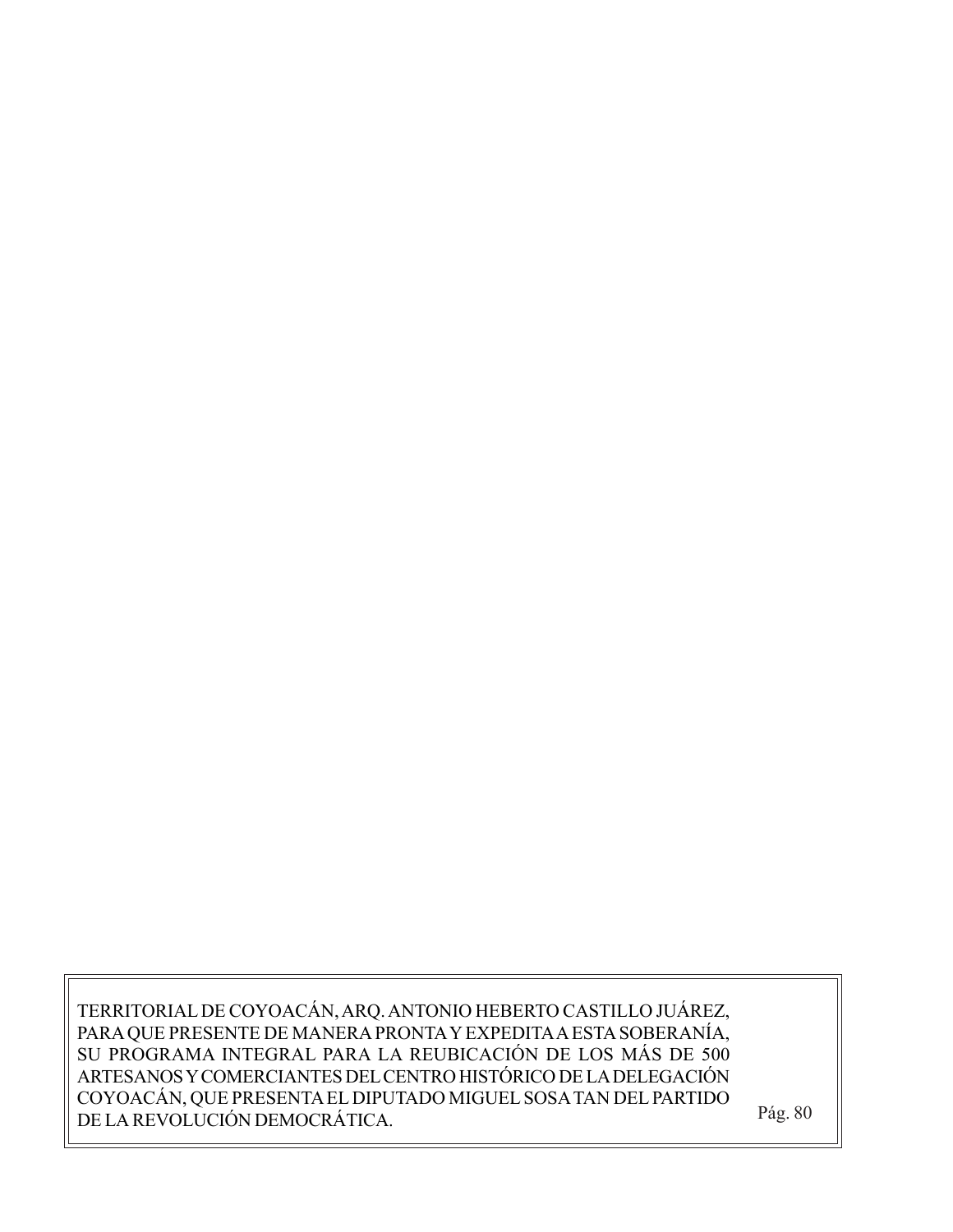TERRITORIAL DE COYOACÁN, ARQ. ANTONIO HEBERTO CASTILLO JUÁREZ, PARA QUE PRESENTE DE MANERA PRONTA Y EXPEDITA A ESTA SOBERANÍA, SU PROGRAMA INTEGRAL PARA LA REUBICACIÓN DE LOS MÁS DE 500 ARTESANOS Y COMERCIANTES DEL CENTRO HISTÓRICO DE LA DELEGACIÓN COYOACÁN, QUE PRESENTA EL DIPUTADO MIGUEL SOSA TAN DEL PARTIDO DE LA REVOLUCIÓN DEMOCRÁTICA. Pág. 80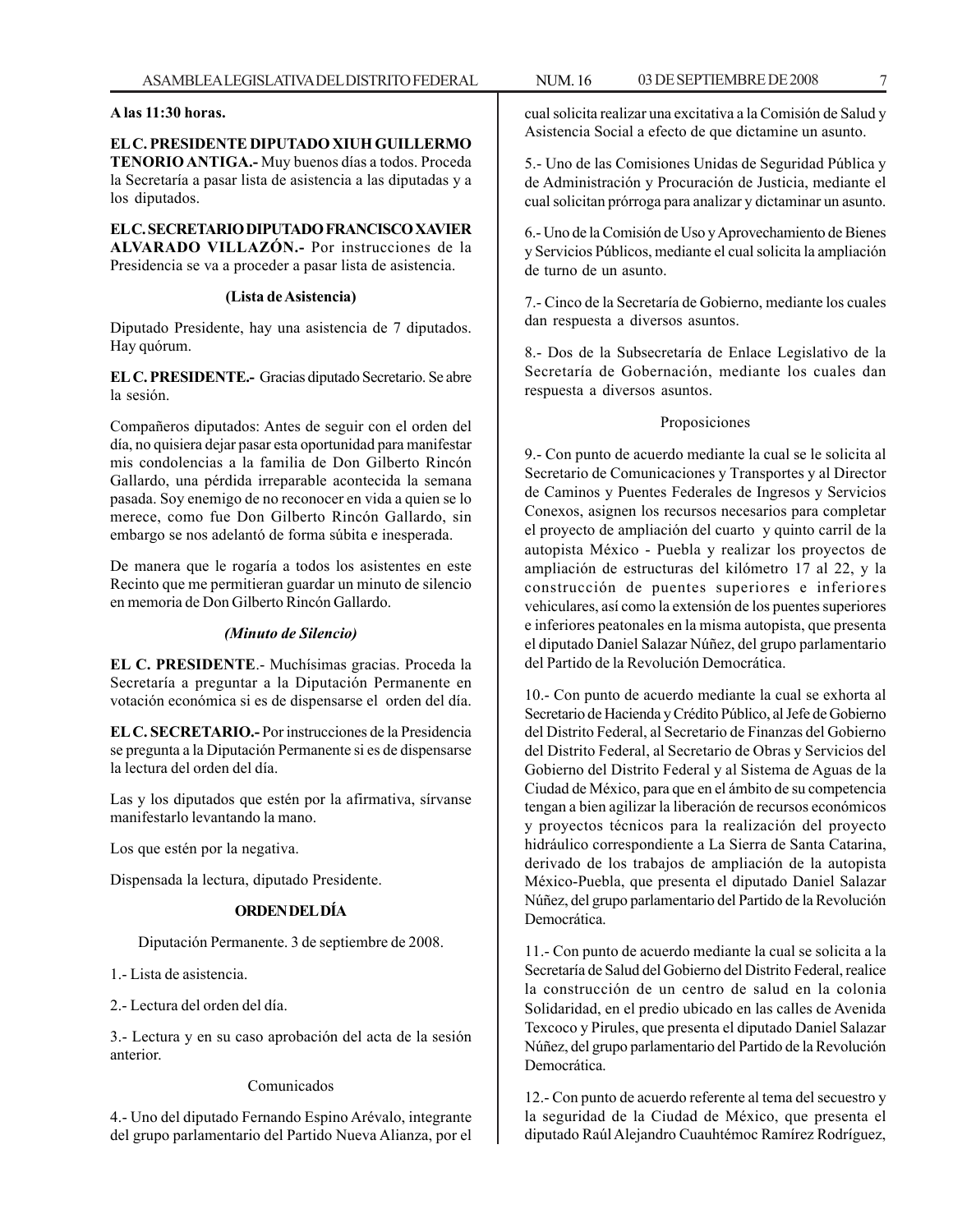#### **A las 11:30 horas.**

**EL C. PRESIDENTE DIPUTADO XIUH GUILLERMO TENORIO ANTIGA.-** Muy buenos días a todos. Proceda la Secretaría a pasar lista de asistencia a las diputadas y a los diputados.

**EL C. SECRETARIO DIPUTADO FRANCISCO XAVIER ALVARADO VILLAZÓN.-** Por instrucciones de la Presidencia se va a proceder a pasar lista de asistencia.

#### **(Lista de Asistencia)**

Diputado Presidente, hay una asistencia de 7 diputados. Hay quórum.

**EL C. PRESIDENTE.-** Gracias diputado Secretario. Se abre la sesión.

Compañeros diputados: Antes de seguir con el orden del día, no quisiera dejar pasar esta oportunidad para manifestar mis condolencias a la familia de Don Gilberto Rincón Gallardo, una pérdida irreparable acontecida la semana pasada. Soy enemigo de no reconocer en vida a quien se lo merece, como fue Don Gilberto Rincón Gallardo, sin embargo se nos adelantó de forma súbita e inesperada.

De manera que le rogaría a todos los asistentes en este Recinto que me permitieran guardar un minuto de silencio en memoria de Don Gilberto Rincón Gallardo.

#### *(Minuto de Silencio)*

**EL C. PRESIDENTE**.- Muchísimas gracias. Proceda la Secretaría a preguntar a la Diputación Permanente en votación económica si es de dispensarse el orden del día.

**EL C. SECRETARIO.-** Por instrucciones de la Presidencia se pregunta a la Diputación Permanente si es de dispensarse la lectura del orden del día.

Las y los diputados que estén por la afirmativa, sírvanse manifestarlo levantando la mano.

Los que estén por la negativa.

Dispensada la lectura, diputado Presidente.

#### **ORDEN DEL DÍA**

Diputación Permanente. 3 de septiembre de 2008.

1.- Lista de asistencia.

2.- Lectura del orden del día.

3.- Lectura y en su caso aprobación del acta de la sesión anterior.

#### Comunicados

4.- Uno del diputado Fernando Espino Arévalo, integrante del grupo parlamentario del Partido Nueva Alianza, por el cual solicita realizar una excitativa a la Comisión de Salud y Asistencia Social a efecto de que dictamine un asunto.

5.- Uno de las Comisiones Unidas de Seguridad Pública y de Administración y Procuración de Justicia, mediante el cual solicitan prórroga para analizar y dictaminar un asunto.

6.- Uno de la Comisión de Uso y Aprovechamiento de Bienes y Servicios Públicos, mediante el cual solicita la ampliación de turno de un asunto.

7.- Cinco de la Secretaría de Gobierno, mediante los cuales dan respuesta a diversos asuntos.

8.- Dos de la Subsecretaría de Enlace Legislativo de la Secretaría de Gobernación, mediante los cuales dan respuesta a diversos asuntos.

#### Proposiciones

9.- Con punto de acuerdo mediante la cual se le solicita al Secretario de Comunicaciones y Transportes y al Director de Caminos y Puentes Federales de Ingresos y Servicios Conexos, asignen los recursos necesarios para completar el proyecto de ampliación del cuarto y quinto carril de la autopista México - Puebla y realizar los proyectos de ampliación de estructuras del kilómetro 17 al 22, y la construcción de puentes superiores e inferiores vehiculares, así como la extensión de los puentes superiores e inferiores peatonales en la misma autopista, que presenta el diputado Daniel Salazar Núñez, del grupo parlamentario del Partido de la Revolución Democrática.

10.- Con punto de acuerdo mediante la cual se exhorta al Secretario de Hacienda y Crédito Público, al Jefe de Gobierno del Distrito Federal, al Secretario de Finanzas del Gobierno del Distrito Federal, al Secretario de Obras y Servicios del Gobierno del Distrito Federal y al Sistema de Aguas de la Ciudad de México, para que en el ámbito de su competencia tengan a bien agilizar la liberación de recursos económicos y proyectos técnicos para la realización del proyecto hidráulico correspondiente a La Sierra de Santa Catarina, derivado de los trabajos de ampliación de la autopista México-Puebla, que presenta el diputado Daniel Salazar Núñez, del grupo parlamentario del Partido de la Revolución Democrática.

11.- Con punto de acuerdo mediante la cual se solicita a la Secretaría de Salud del Gobierno del Distrito Federal, realice la construcción de un centro de salud en la colonia Solidaridad, en el predio ubicado en las calles de Avenida Texcoco y Pirules, que presenta el diputado Daniel Salazar Núñez, del grupo parlamentario del Partido de la Revolución Democrática.

12.- Con punto de acuerdo referente al tema del secuestro y la seguridad de la Ciudad de México, que presenta el diputado Raúl Alejandro Cuauhtémoc Ramírez Rodríguez,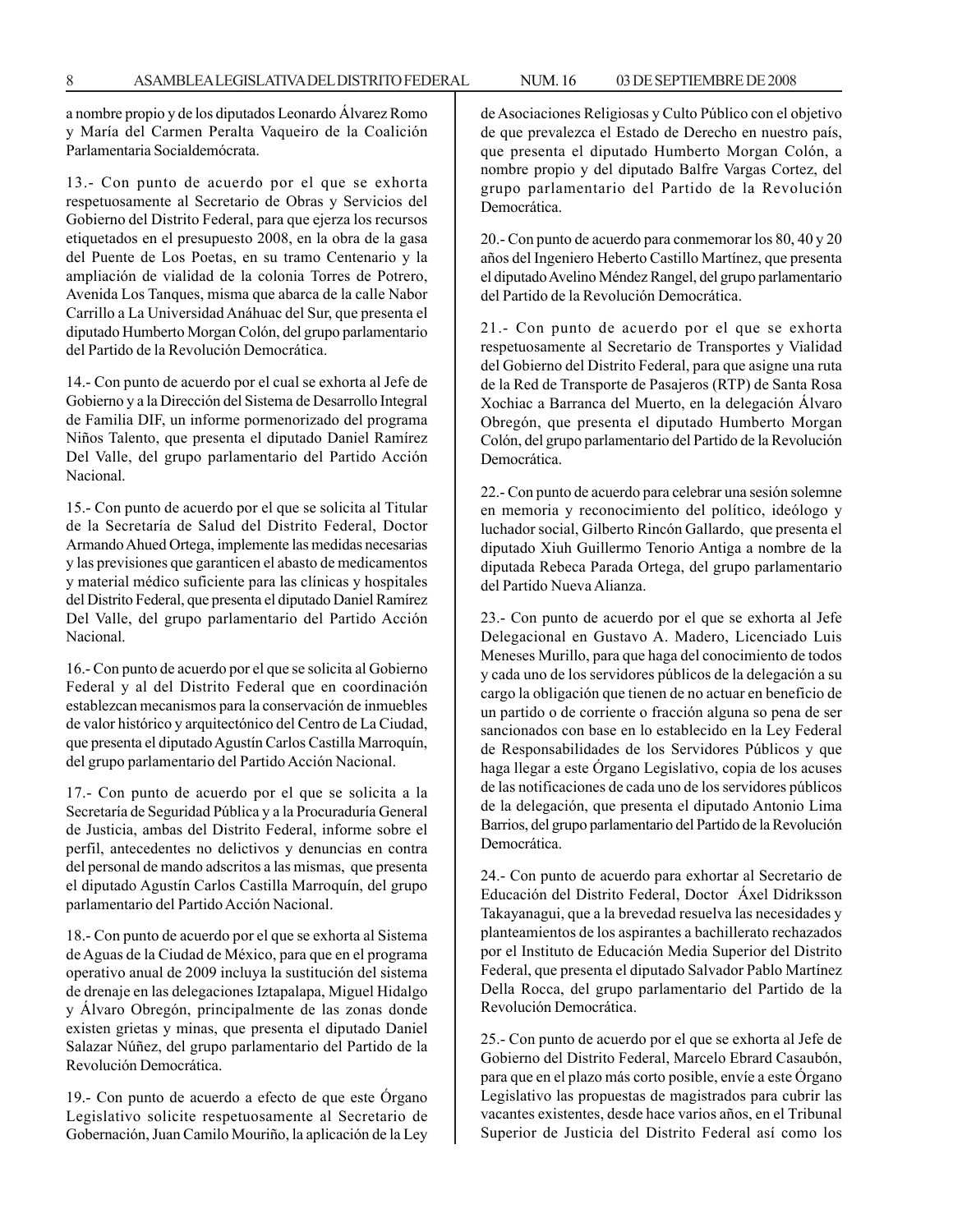a nombre propio y de los diputados Leonardo Álvarez Romo y María del Carmen Peralta Vaqueiro de la Coalición Parlamentaria Socialdemócrata.

13.- Con punto de acuerdo por el que se exhorta respetuosamente al Secretario de Obras y Servicios del Gobierno del Distrito Federal, para que ejerza los recursos etiquetados en el presupuesto 2008, en la obra de la gasa del Puente de Los Poetas, en su tramo Centenario y la ampliación de vialidad de la colonia Torres de Potrero, Avenida Los Tanques, misma que abarca de la calle Nabor Carrillo a La Universidad Anáhuac del Sur, que presenta el diputado Humberto Morgan Colón, del grupo parlamentario del Partido de la Revolución Democrática.

14.- Con punto de acuerdo por el cual se exhorta al Jefe de Gobierno y a la Dirección del Sistema de Desarrollo Integral de Familia DIF, un informe pormenorizado del programa Niños Talento, que presenta el diputado Daniel Ramírez Del Valle, del grupo parlamentario del Partido Acción Nacional.

15.- Con punto de acuerdo por el que se solicita al Titular de la Secretaría de Salud del Distrito Federal, Doctor Armando Ahued Ortega, implemente las medidas necesarias y las previsiones que garanticen el abasto de medicamentos y material médico suficiente para las clínicas y hospitales del Distrito Federal, que presenta el diputado Daniel Ramírez Del Valle, del grupo parlamentario del Partido Acción Nacional.

16.- Con punto de acuerdo por el que se solicita al Gobierno Federal y al del Distrito Federal que en coordinación establezcan mecanismos para la conservación de inmuebles de valor histórico y arquitectónico del Centro de La Ciudad, que presenta el diputado Agustín Carlos Castilla Marroquín, del grupo parlamentario del Partido Acción Nacional.

17.- Con punto de acuerdo por el que se solicita a la Secretaría de Seguridad Pública y a la Procuraduría General de Justicia, ambas del Distrito Federal, informe sobre el perfil, antecedentes no delictivos y denuncias en contra del personal de mando adscritos a las mismas, que presenta el diputado Agustín Carlos Castilla Marroquín, del grupo parlamentario del Partido Acción Nacional.

18.- Con punto de acuerdo por el que se exhorta al Sistema de Aguas de la Ciudad de México, para que en el programa operativo anual de 2009 incluya la sustitución del sistema de drenaje en las delegaciones Iztapalapa, Miguel Hidalgo y Álvaro Obregón, principalmente de las zonas donde existen grietas y minas, que presenta el diputado Daniel Salazar Núñez, del grupo parlamentario del Partido de la Revolución Democrática.

19.- Con punto de acuerdo a efecto de que este Órgano Legislativo solicite respetuosamente al Secretario de Gobernación, Juan Camilo Mouriño, la aplicación de la Ley de Asociaciones Religiosas y Culto Público con el objetivo de que prevalezca el Estado de Derecho en nuestro país, que presenta el diputado Humberto Morgan Colón, a nombre propio y del diputado Balfre Vargas Cortez, del grupo parlamentario del Partido de la Revolución Democrática.

20.- Con punto de acuerdo para conmemorar los 80, 40 y 20 años del Ingeniero Heberto Castillo Martínez, que presenta el diputado Avelino Méndez Rangel, del grupo parlamentario del Partido de la Revolución Democrática.

21.- Con punto de acuerdo por el que se exhorta respetuosamente al Secretario de Transportes y Vialidad del Gobierno del Distrito Federal, para que asigne una ruta de la Red de Transporte de Pasajeros (RTP) de Santa Rosa Xochiac a Barranca del Muerto, en la delegación Álvaro Obregón, que presenta el diputado Humberto Morgan Colón, del grupo parlamentario del Partido de la Revolución Democrática.

22.- Con punto de acuerdo para celebrar una sesión solemne en memoria y reconocimiento del político, ideólogo y luchador social, Gilberto Rincón Gallardo, que presenta el diputado Xiuh Guillermo Tenorio Antiga a nombre de la diputada Rebeca Parada Ortega, del grupo parlamentario del Partido Nueva Alianza.

23.- Con punto de acuerdo por el que se exhorta al Jefe Delegacional en Gustavo A. Madero, Licenciado Luis Meneses Murillo, para que haga del conocimiento de todos y cada uno de los servidores públicos de la delegación a su cargo la obligación que tienen de no actuar en beneficio de un partido o de corriente o fracción alguna so pena de ser sancionados con base en lo establecido en la Ley Federal de Responsabilidades de los Servidores Públicos y que haga llegar a este Órgano Legislativo, copia de los acuses de las notificaciones de cada uno de los servidores públicos de la delegación, que presenta el diputado Antonio Lima Barrios, del grupo parlamentario del Partido de la Revolución Democrática.

24.- Con punto de acuerdo para exhortar al Secretario de Educación del Distrito Federal, Doctor Áxel Didriksson Takayanagui, que a la brevedad resuelva las necesidades y planteamientos de los aspirantes a bachillerato rechazados por el Instituto de Educación Media Superior del Distrito Federal, que presenta el diputado Salvador Pablo Martínez Della Rocca, del grupo parlamentario del Partido de la Revolución Democrática.

25.- Con punto de acuerdo por el que se exhorta al Jefe de Gobierno del Distrito Federal, Marcelo Ebrard Casaubón, para que en el plazo más corto posible, envíe a este Órgano Legislativo las propuestas de magistrados para cubrir las vacantes existentes, desde hace varios años, en el Tribunal Superior de Justicia del Distrito Federal así como los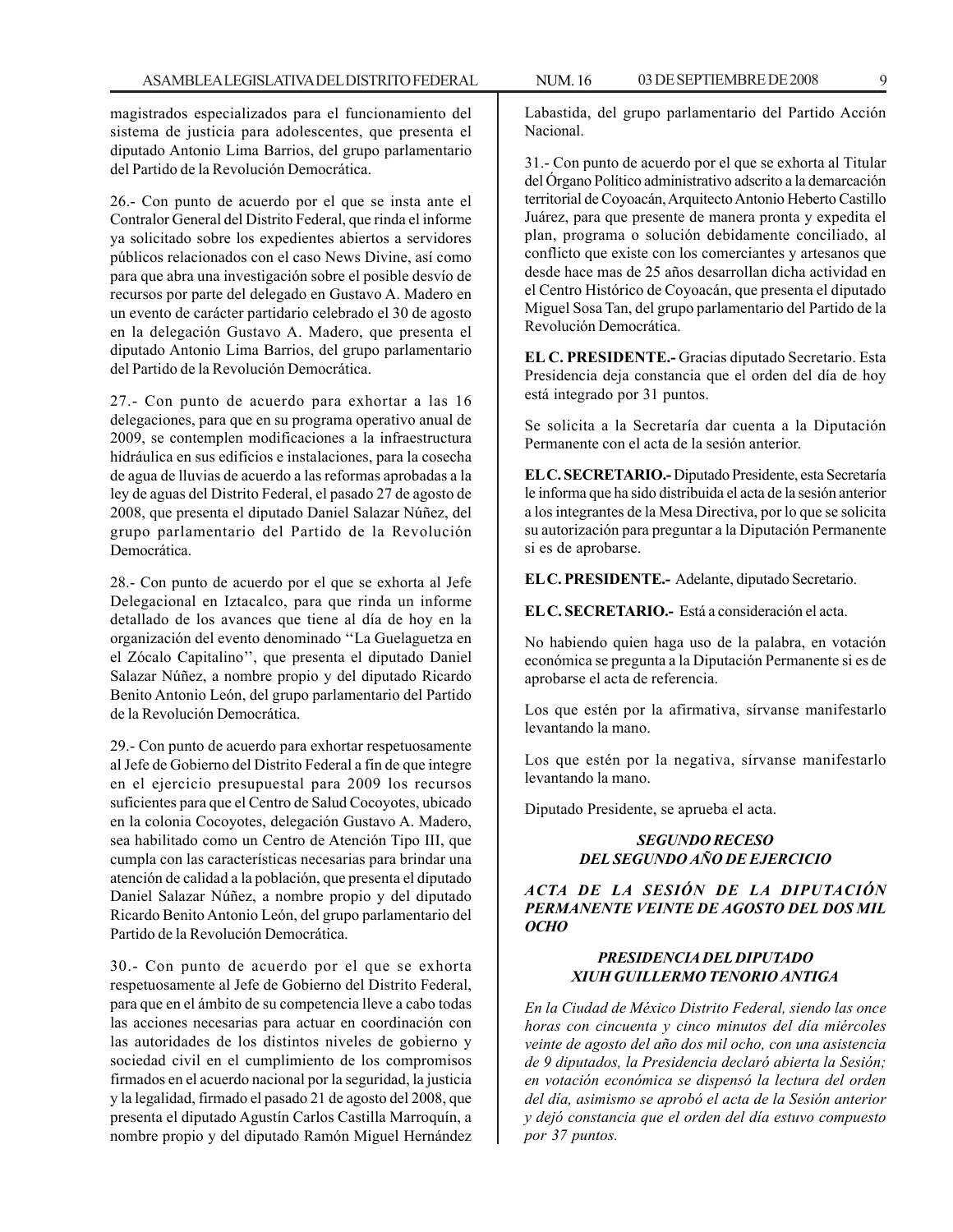magistrados especializados para el funcionamiento del sistema de justicia para adolescentes, que presenta el diputado Antonio Lima Barrios, del grupo parlamentario del Partido de la Revolución Democrática.

26.- Con punto de acuerdo por el que se insta ante el Contralor General del Distrito Federal, que rinda el informe ya solicitado sobre los expedientes abiertos a servidores públicos relacionados con el caso News Divine, así como para que abra una investigación sobre el posible desvío de recursos por parte del delegado en Gustavo A. Madero en un evento de carácter partidario celebrado el 30 de agosto en la delegación Gustavo A. Madero, que presenta el diputado Antonio Lima Barrios, del grupo parlamentario del Partido de la Revolución Democrática.

27.- Con punto de acuerdo para exhortar a las 16 delegaciones, para que en su programa operativo anual de 2009, se contemplen modificaciones a la infraestructura hidráulica en sus edificios e instalaciones, para la cosecha de agua de lluvias de acuerdo a las reformas aprobadas a la ley de aguas del Distrito Federal, el pasado 27 de agosto de 2008, que presenta el diputado Daniel Salazar Núñez, del grupo parlamentario del Partido de la Revolución Democrática.

28.- Con punto de acuerdo por el que se exhorta al Jefe Delegacional en Iztacalco, para que rinda un informe detallado de los avances que tiene al día de hoy en la organización del evento denominado ''La Guelaguetza en el Zócalo Capitalino'', que presenta el diputado Daniel Salazar Núñez, a nombre propio y del diputado Ricardo Benito Antonio León, del grupo parlamentario del Partido de la Revolución Democrática.

29.- Con punto de acuerdo para exhortar respetuosamente al Jefe de Gobierno del Distrito Federal a fin de que integre en el ejercicio presupuestal para 2009 los recursos suficientes para que el Centro de Salud Cocoyotes, ubicado en la colonia Cocoyotes, delegación Gustavo A. Madero, sea habilitado como un Centro de Atención Tipo III, que cumpla con las características necesarias para brindar una atención de calidad a la población, que presenta el diputado Daniel Salazar Núñez, a nombre propio y del diputado Ricardo Benito Antonio León, del grupo parlamentario del Partido de la Revolución Democrática.

30.- Con punto de acuerdo por el que se exhorta respetuosamente al Jefe de Gobierno del Distrito Federal, para que en el ámbito de su competencia lleve a cabo todas las acciones necesarias para actuar en coordinación con las autoridades de los distintos niveles de gobierno y sociedad civil en el cumplimiento de los compromisos firmados en el acuerdo nacional por la seguridad, la justicia y la legalidad, firmado el pasado 21 de agosto del 2008, que presenta el diputado Agustín Carlos Castilla Marroquín, a nombre propio y del diputado Ramón Miguel Hernández

Labastida, del grupo parlamentario del Partido Acción Nacional.

31.- Con punto de acuerdo por el que se exhorta al Titular del Órgano Político administrativo adscrito a la demarcación territorial de Coyoacán, Arquitecto Antonio Heberto Castillo Juárez, para que presente de manera pronta y expedita el plan, programa o solución debidamente conciliado, al conflicto que existe con los comerciantes y artesanos que desde hace mas de 25 años desarrollan dicha actividad en el Centro Histórico de Coyoacán, que presenta el diputado Miguel Sosa Tan, del grupo parlamentario del Partido de la Revolución Democrática.

**EL C. PRESIDENTE.-** Gracias diputado Secretario. Esta Presidencia deja constancia que el orden del día de hoy está integrado por 31 puntos.

Se solicita a la Secretaría dar cuenta a la Diputación Permanente con el acta de la sesión anterior.

**EL C. SECRETARIO.-** Diputado Presidente, esta Secretaría le informa que ha sido distribuida el acta de la sesión anterior a los integrantes de la Mesa Directiva, por lo que se solicita su autorización para preguntar a la Diputación Permanente si es de aprobarse.

**EL C. PRESIDENTE.-** Adelante, diputado Secretario.

**EL C. SECRETARIO.-** Está a consideración el acta.

No habiendo quien haga uso de la palabra, en votación económica se pregunta a la Diputación Permanente si es de aprobarse el acta de referencia.

Los que estén por la afirmativa, sírvanse manifestarlo levantando la mano.

Los que estén por la negativa, sírvanse manifestarlo levantando la mano.

Diputado Presidente, se aprueba el acta.

#### *SEGUNDO RECESO DEL SEGUNDO AÑO DE EJERCICIO*

*ACTA DE LA SESIÓN DE LA DIPUTACIÓN PERMANENTE VEINTE DE AGOSTO DEL DOS MIL OCHO*

#### *PRESIDENCIA DEL DIPUTADO XIUH GUILLERMO TENORIO ANTIGA*

*En la Ciudad de México Distrito Federal, siendo las once horas con cincuenta y cinco minutos del día miércoles veinte de agosto del año dos mil ocho, con una asistencia de 9 diputados, la Presidencia declaró abierta la Sesión; en votación económica se dispensó la lectura del orden del día, asimismo se aprobó el acta de la Sesión anterior y dejó constancia que el orden del día estuvo compuesto por 37 puntos.*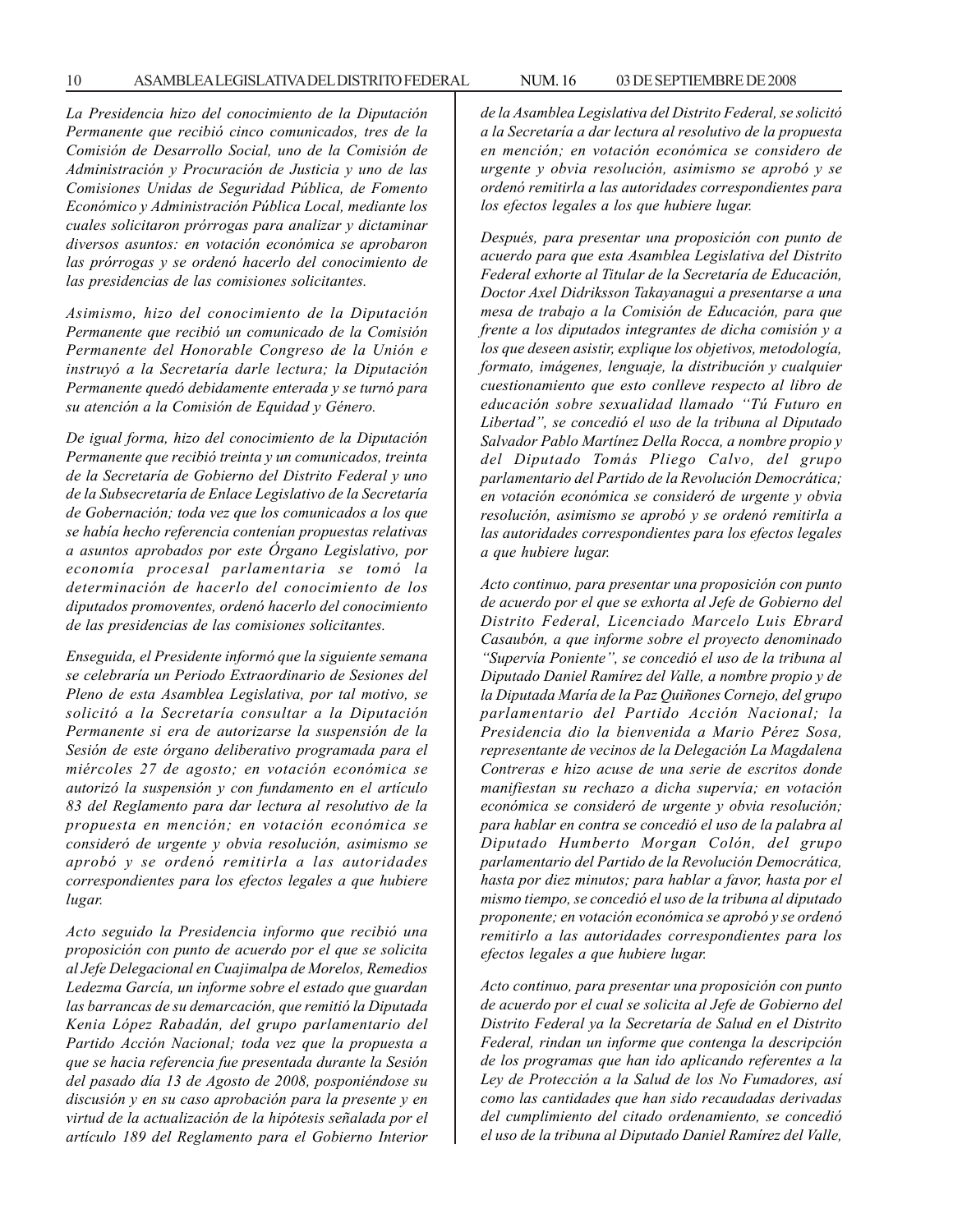*La Presidencia hizo del conocimiento de la Diputación Permanente que recibió cinco comunicados, tres de la Comisión de Desarrollo Social, uno de la Comisión de Administración y Procuración de Justicia y uno de las Comisiones Unidas de Seguridad Pública, de Fomento Económico y Administración Pública Local, mediante los cuales solicitaron prórrogas para analizar y dictaminar diversos asuntos: en votación económica se aprobaron las prórrogas y se ordenó hacerlo del conocimiento de las presidencias de las comisiones solicitantes.*

*Asimismo, hizo del conocimiento de la Diputación Permanente que recibió un comunicado de la Comisión Permanente del Honorable Congreso de la Unión e instruyó a la Secretaría darle lectura; la Diputación Permanente quedó debidamente enterada y se turnó para su atención a la Comisión de Equidad y Género.*

*De igual forma, hizo del conocimiento de la Diputación Permanente que recibió treinta y un comunicados, treinta de la Secretaría de Gobierno del Distrito Federal y uno de la Subsecretaría de Enlace Legislativo de la Secretaría de Gobernación; toda vez que los comunicados a los que se había hecho referencia contenían propuestas relativas a asuntos aprobados por este Órgano Legislativo, por economía procesal parlamentaria se tomó la determinación de hacerlo del conocimiento de los diputados promoventes, ordenó hacerlo del conocimiento de las presidencias de las comisiones solicitantes.*

*Enseguida, el Presidente informó que la siguiente semana se celebraría un Periodo Extraordinario de Sesiones del Pleno de esta Asamblea Legislativa, por tal motivo, se solicitó a la Secretaría consultar a la Diputación Permanente si era de autorizarse la suspensión de la Sesión de este órgano deliberativo programada para el miércoles 27 de agosto; en votación económica se autorizó la suspensión y con fundamento en el artículo 83 del Reglamento para dar lectura al resolutivo de la propuesta en mención; en votación económica se consideró de urgente y obvia resolución, asimismo se aprobó y se ordenó remitirla a las autoridades correspondientes para los efectos legales a que hubiere lugar.*

*Acto seguido la Presidencia informo que recibió una proposición con punto de acuerdo por el que se solicita al Jefe Delegacional en Cuajimalpa de Morelos, Remedios Ledezma García, un informe sobre el estado que guardan las barrancas de su demarcación, que remitió la Diputada Kenia López Rabadán, del grupo parlamentario del Partido Acción Nacional; toda vez que la propuesta a que se hacia referencia fue presentada durante la Sesión del pasado día 13 de Agosto de 2008, posponiéndose su discusión y en su caso aprobación para la presente y en virtud de la actualización de la hipótesis señalada por el artículo 189 del Reglamento para el Gobierno Interior* *de la Asamblea Legislativa del Distrito Federal, se solicitó a la Secretaría a dar lectura al resolutivo de la propuesta en mención; en votación económica se considero de urgente y obvia resolución, asimismo se aprobó y se ordenó remitirla a las autoridades correspondientes para los efectos legales a los que hubiere lugar.*

*Después, para presentar una proposición con punto de acuerdo para que esta Asamblea Legislativa del Distrito Federal exhorte al Titular de la Secretaría de Educación, Doctor Axel Didriksson Takayanagui a presentarse a una mesa de trabajo a la Comisión de Educación, para que frente a los diputados integrantes de dicha comisión y a los que deseen asistir, explique los objetivos, metodología, formato, imágenes, lenguaje, la distribución y cualquier cuestionamiento que esto conlleve respecto al libro de educación sobre sexualidad llamado ''Tú Futuro en Libertad'', se concedió el uso de la tribuna al Diputado Salvador Pablo Martínez Della Rocca, a nombre propio y del Diputado Tomás Pliego Calvo, del grupo parlamentario del Partido de la Revolución Democrática; en votación económica se consideró de urgente y obvia resolución, asimismo se aprobó y se ordenó remitirla a las autoridades correspondientes para los efectos legales a que hubiere lugar.*

*Acto continuo, para presentar una proposición con punto de acuerdo por el que se exhorta al Jefe de Gobierno del Distrito Federal, Licenciado Marcelo Luis Ebrard Casaubón, a que informe sobre el proyecto denominado ''Supervía Poniente'', se concedió el uso de la tribuna al Diputado Daniel Ramírez del Valle, a nombre propio y de la Diputada María de la Paz Quiñones Cornejo, del grupo parlamentario del Partido Acción Nacional; la Presidencia dio la bienvenida a Mario Pérez Sosa, representante de vecinos de la Delegación La Magdalena Contreras e hizo acuse de una serie de escritos donde manifiestan su rechazo a dicha supervía; en votación económica se consideró de urgente y obvia resolución; para hablar en contra se concedió el uso de la palabra al Diputado Humberto Morgan Colón, del grupo parlamentario del Partido de la Revolución Democrática, hasta por diez minutos; para hablar a favor, hasta por el mismo tiempo, se concedió el uso de la tribuna al diputado proponente; en votación económica se aprobó y se ordenó remitirlo a las autoridades correspondientes para los efectos legales a que hubiere lugar.*

*Acto continuo, para presentar una proposición con punto de acuerdo por el cual se solicita al Jefe de Gobierno del Distrito Federal ya la Secretaría de Salud en el Distrito Federal, rindan un informe que contenga la descripción de los programas que han ido aplicando referentes a la Ley de Protección a la Salud de los No Fumadores, así como las cantidades que han sido recaudadas derivadas del cumplimiento del citado ordenamiento, se concedió el uso de la tribuna al Diputado Daniel Ramírez del Valle,*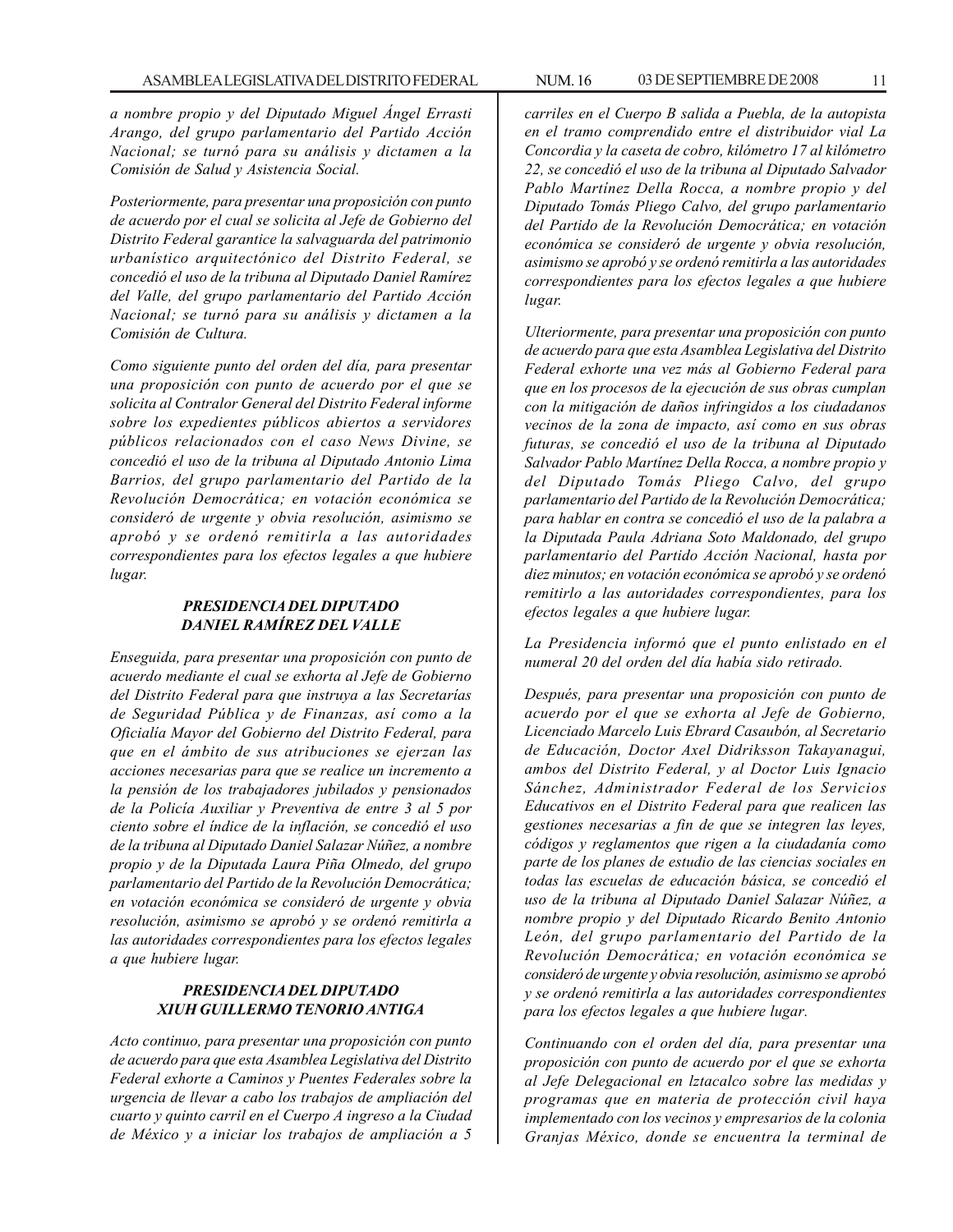*a nombre propio y del Diputado Miguel Ángel Errasti Arango, del grupo parlamentario del Partido Acción Nacional; se turnó para su análisis y dictamen a la Comisión de Salud y Asistencia Social.*

*Posteriormente, para presentar una proposición con punto de acuerdo por el cual se solicita al Jefe de Gobierno del Distrito Federal garantice la salvaguarda del patrimonio urbanístico arquitectónico del Distrito Federal, se concedió el uso de la tribuna al Diputado Daniel Ramírez del Valle, del grupo parlamentario del Partido Acción Nacional; se turnó para su análisis y dictamen a la Comisión de Cultura.*

*Como siguiente punto del orden del día, para presentar una proposición con punto de acuerdo por el que se solicita al Contralor General del Distrito Federal informe sobre los expedientes públicos abiertos a servidores públicos relacionados con el caso News Divine, se concedió el uso de la tribuna al Diputado Antonio Lima Barrios, del grupo parlamentario del Partido de la Revolución Democrática; en votación económica se consideró de urgente y obvia resolución, asimismo se aprobó y se ordenó remitirla a las autoridades correspondientes para los efectos legales a que hubiere lugar.*

#### *PRESIDENCIA DEL DIPUTADO DANIEL RAMÍREZ DEL VALLE*

*Enseguida, para presentar una proposición con punto de acuerdo mediante el cual se exhorta al Jefe de Gobierno del Distrito Federal para que instruya a las Secretarías de Seguridad Pública y de Finanzas, así como a la Oficialía Mayor del Gobierno del Distrito Federal, para que en el ámbito de sus atribuciones se ejerzan las acciones necesarias para que se realice un incremento a la pensión de los trabajadores jubilados y pensionados de la Policía Auxiliar y Preventiva de entre 3 al 5 por ciento sobre el índice de la inflación, se concedió el uso de la tribuna al Diputado Daniel Salazar Núñez, a nombre propio y de la Diputada Laura Piña Olmedo, del grupo parlamentario del Partido de la Revolución Democrática; en votación económica se consideró de urgente y obvia resolución, asimismo se aprobó y se ordenó remitirla a las autoridades correspondientes para los efectos legales a que hubiere lugar.*

#### *PRESIDENCIA DEL DIPUTADO XIUH GUILLERMO TENORIO ANTIGA*

*Acto continuo, para presentar una proposición con punto de acuerdo para que esta Asamblea Legislativa del Distrito Federal exhorte a Caminos y Puentes Federales sobre la urgencia de llevar a cabo los trabajos de ampliación del cuarto y quinto carril en el Cuerpo A ingreso a la Ciudad de México y a iniciar los trabajos de ampliación a 5*

*carriles en el Cuerpo B salida a Puebla, de la autopista en el tramo comprendido entre el distribuidor vial La Concordia y la caseta de cobro, kilómetro 17 al kilómetro 22, se concedió el uso de la tribuna al Diputado Salvador Pablo Martínez Della Rocca, a nombre propio y del Diputado Tomás Pliego Calvo, del grupo parlamentario del Partido de la Revolución Democrática; en votación económica se consideró de urgente y obvia resolución, asimismo se aprobó y se ordenó remitirla a las autoridades correspondientes para los efectos legales a que hubiere lugar.*

*Ulteriormente, para presentar una proposición con punto de acuerdo para que esta Asamblea Legislativa del Distrito Federal exhorte una vez más al Gobierno Federal para que en los procesos de la ejecución de sus obras cumplan con la mitigación de daños infringidos a los ciudadanos vecinos de la zona de impacto, así como en sus obras futuras, se concedió el uso de la tribuna al Diputado Salvador Pablo Martínez Della Rocca, a nombre propio y del Diputado Tomás Pliego Calvo, del grupo parlamentario del Partido de la Revolución Democrática; para hablar en contra se concedió el uso de la palabra a la Diputada Paula Adriana Soto Maldonado, del grupo parlamentario del Partido Acción Nacional, hasta por diez minutos; en votación económica se aprobó y se ordenó remitirlo a las autoridades correspondientes, para los efectos legales a que hubiere lugar.*

*La Presidencia informó que el punto enlistado en el numeral 20 del orden del día había sido retirado.*

*Después, para presentar una proposición con punto de acuerdo por el que se exhorta al Jefe de Gobierno, Licenciado Marcelo Luis Ebrard Casaubón, al Secretario de Educación, Doctor Axel Didriksson Takayanagui, ambos del Distrito Federal, y al Doctor Luis Ignacio Sánchez, Administrador Federal de los Servicios Educativos en el Distrito Federal para que realicen las gestiones necesarias a fin de que se integren las leyes, códigos y reglamentos que rigen a la ciudadanía como parte de los planes de estudio de las ciencias sociales en todas las escuelas de educación básica, se concedió el uso de la tribuna al Diputado Daniel Salazar Núñez, a nombre propio y del Diputado Ricardo Benito Antonio León, del grupo parlamentario del Partido de la Revolución Democrática; en votación económica se consideró de urgente y obvia resolución, asimismo se aprobó y se ordenó remitirla a las autoridades correspondientes para los efectos legales a que hubiere lugar.*

*Continuando con el orden del día, para presentar una proposición con punto de acuerdo por el que se exhorta al Jefe Delegacional en lztacalco sobre las medidas y programas que en materia de protección civil haya implementado con los vecinos y empresarios de la colonia Granjas México, donde se encuentra la terminal de*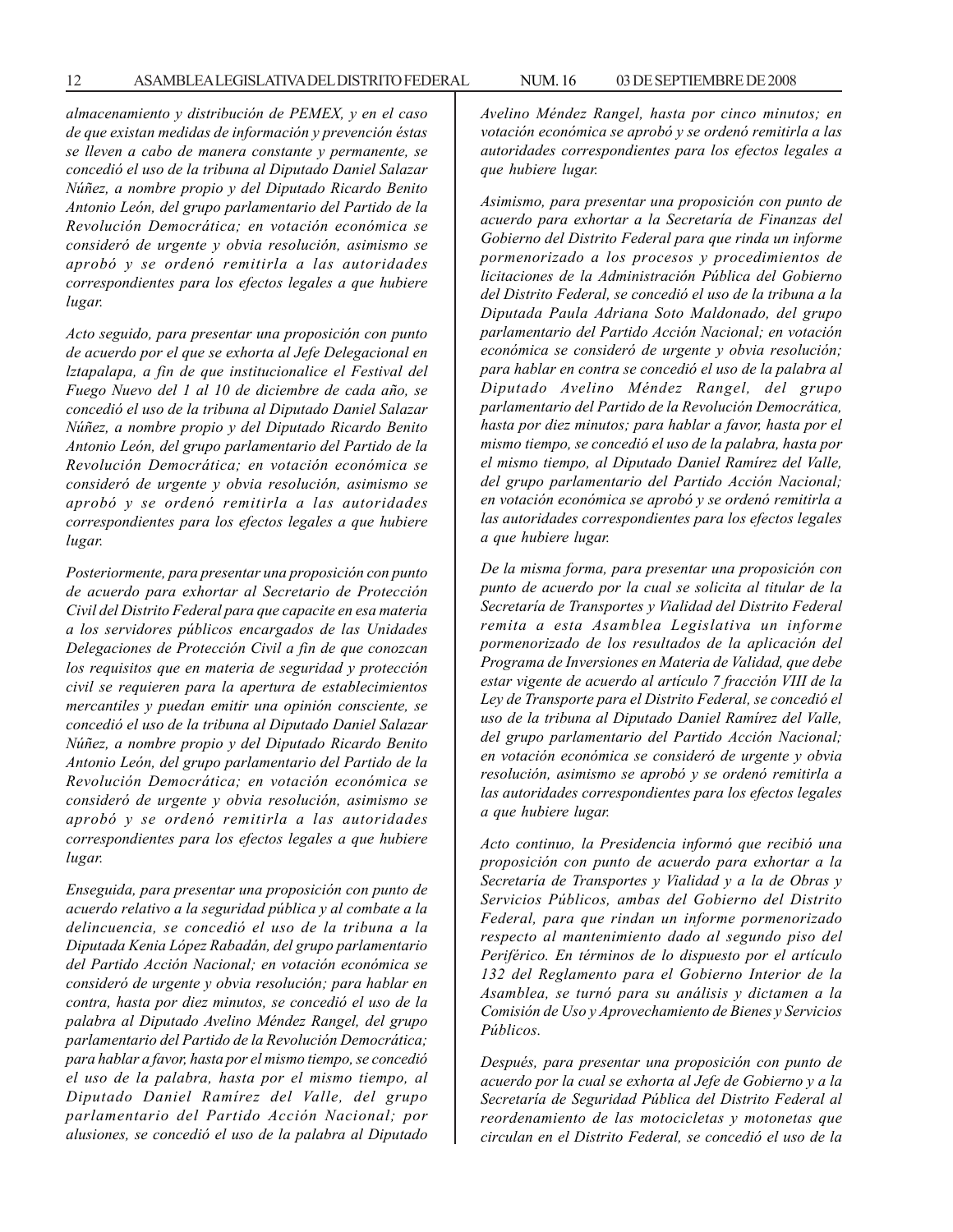*almacenamiento y distribución de PEMEX, y en el caso de que existan medidas de información y prevención éstas se lleven a cabo de manera constante y permanente, se concedió el uso de la tribuna al Diputado Daniel Salazar Núñez, a nombre propio y del Diputado Ricardo Benito Antonio León, del grupo parlamentario del Partido de la Revolución Democrática; en votación económica se consideró de urgente y obvia resolución, asimismo se aprobó y se ordenó remitirla a las autoridades correspondientes para los efectos legales a que hubiere lugar.*

*Acto seguido, para presentar una proposición con punto de acuerdo por el que se exhorta al Jefe Delegacional en lztapalapa, a fin de que institucionalice el Festival del Fuego Nuevo del 1 al 10 de diciembre de cada año, se concedió el uso de la tribuna al Diputado Daniel Salazar Núñez, a nombre propio y del Diputado Ricardo Benito Antonio León, del grupo parlamentario del Partido de la Revolución Democrática; en votación económica se consideró de urgente y obvia resolución, asimismo se aprobó y se ordenó remitirla a las autoridades correspondientes para los efectos legales a que hubiere lugar.*

*Posteriormente, para presentar una proposición con punto de acuerdo para exhortar al Secretario de Protección Civil del Distrito Federal para que capacite en esa materia a los servidores públicos encargados de las Unidades Delegaciones de Protección Civil a fin de que conozcan los requisitos que en materia de seguridad y protección civil se requieren para la apertura de establecimientos mercantiles y puedan emitir una opinión consciente, se concedió el uso de la tribuna al Diputado Daniel Salazar Núñez, a nombre propio y del Diputado Ricardo Benito Antonio León, del grupo parlamentario del Partido de la Revolución Democrática; en votación económica se consideró de urgente y obvia resolución, asimismo se aprobó y se ordenó remitirla a las autoridades correspondientes para los efectos legales a que hubiere lugar.*

*Enseguida, para presentar una proposición con punto de acuerdo relativo a la seguridad pública y al combate a la delincuencia, se concedió el uso de la tribuna a la Diputada Kenia López Rabadán, del grupo parlamentario del Partido Acción Nacional; en votación económica se consideró de urgente y obvia resolución; para hablar en contra, hasta por diez minutos, se concedió el uso de la palabra al Diputado Avelino Méndez Rangel, del grupo parlamentario del Partido de la Revolución Democrática; para hablar a favor, hasta por el mismo tiempo, se concedió el uso de la palabra, hasta por el mismo tiempo, al Diputado Daniel Ramírez del Valle, del grupo parlamentario del Partido Acción Nacional; por alusiones, se concedió el uso de la palabra al Diputado* *Avelino Méndez Rangel, hasta por cinco minutos; en votación económica se aprobó y se ordenó remitirla a las autoridades correspondientes para los efectos legales a que hubiere lugar.*

*Asimismo, para presentar una proposición con punto de acuerdo para exhortar a la Secretaría de Finanzas del Gobierno del Distrito Federal para que rinda un informe pormenorizado a los procesos y procedimientos de licitaciones de la Administración Pública del Gobierno del Distrito Federal, se concedió el uso de la tribuna a la Diputada Paula Adriana Soto Maldonado, del grupo parlamentario del Partido Acción Nacional; en votación económica se consideró de urgente y obvia resolución; para hablar en contra se concedió el uso de la palabra al Diputado Avelino Méndez Rangel, del grupo parlamentario del Partido de la Revolución Democrática, hasta por diez minutos; para hablar a favor, hasta por el mismo tiempo, se concedió el uso de la palabra, hasta por el mismo tiempo, al Diputado Daniel Ramírez del Valle, del grupo parlamentario del Partido Acción Nacional; en votación económica se aprobó y se ordenó remitirla a las autoridades correspondientes para los efectos legales a que hubiere lugar.*

*De la misma forma, para presentar una proposición con punto de acuerdo por la cual se solicita al titular de la Secretaría de Transportes y Vialidad del Distrito Federal remita a esta Asamblea Legislativa un informe pormenorizado de los resultados de la aplicación del Programa de Inversiones en Materia de Validad, que debe estar vigente de acuerdo al artículo 7 fracción VIII de la Ley de Transporte para el Distrito Federal, se concedió el uso de la tribuna al Diputado Daniel Ramírez del Valle, del grupo parlamentario del Partido Acción Nacional; en votación económica se consideró de urgente y obvia resolución, asimismo se aprobó y se ordenó remitirla a las autoridades correspondientes para los efectos legales a que hubiere lugar.*

*Acto continuo, la Presidencia informó que recibió una proposición con punto de acuerdo para exhortar a la Secretaría de Transportes y Vialidad y a la de Obras y Servicios Públicos, ambas del Gobierno del Distrito Federal, para que rindan un informe pormenorizado respecto al mantenimiento dado al segundo piso del Periférico. En términos de lo dispuesto por el artículo 132 del Reglamento para el Gobierno Interior de la Asamblea, se turnó para su análisis y dictamen a la Comisión de Uso y Aprovechamiento de Bienes y Servicios Públicos.*

*Después, para presentar una proposición con punto de acuerdo por la cual se exhorta al Jefe de Gobierno y a la Secretaría de Seguridad Pública del Distrito Federal al reordenamiento de las motocicletas y motonetas que circulan en el Distrito Federal, se concedió el uso de la*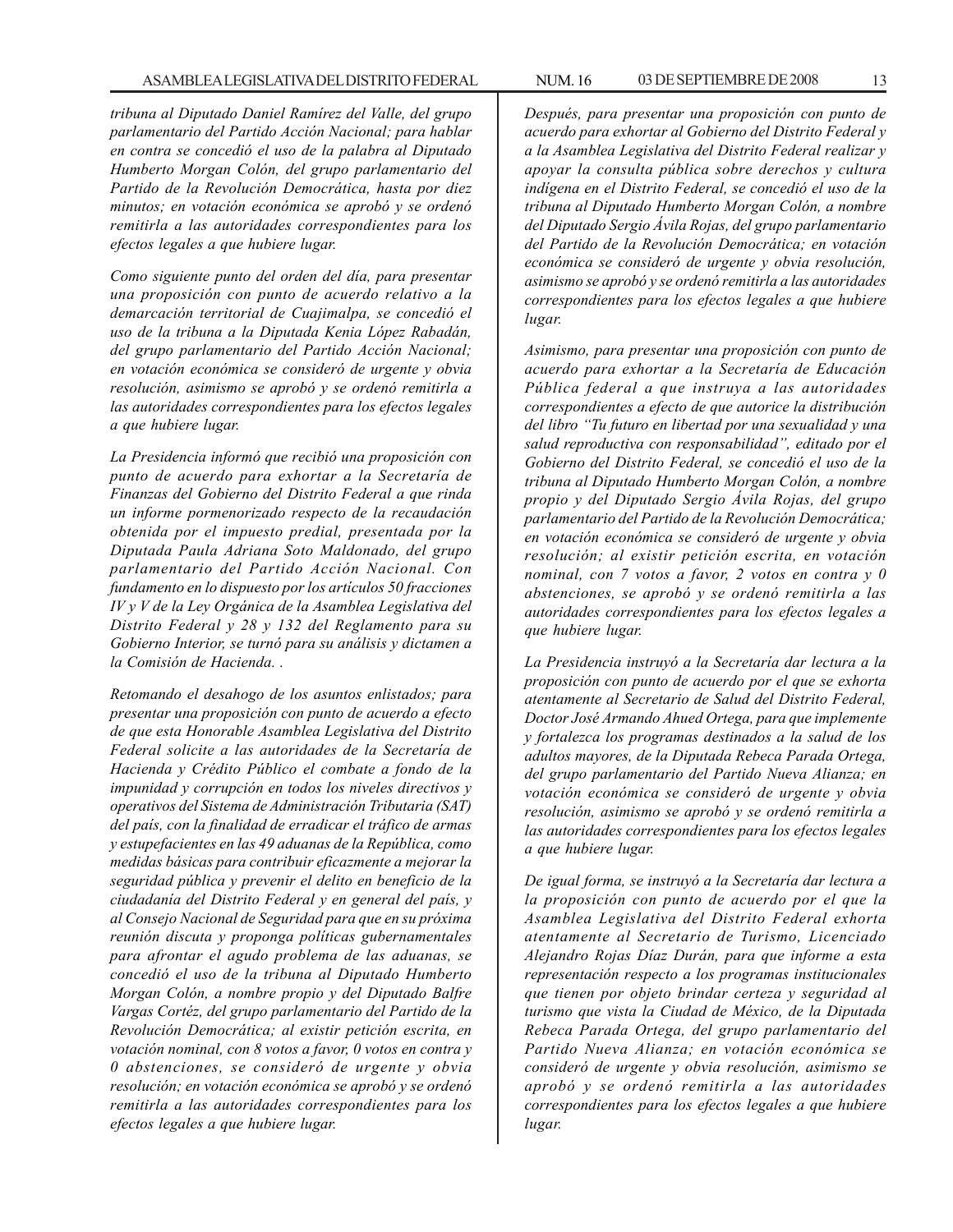*tribuna al Diputado Daniel Ramírez del Valle, del grupo parlamentario del Partido Acción Nacional; para hablar en contra se concedió el uso de la palabra al Diputado Humberto Morgan Colón, del grupo parlamentario del Partido de la Revolución Democrática, hasta por diez minutos; en votación económica se aprobó y se ordenó remitirla a las autoridades correspondientes para los efectos legales a que hubiere lugar.*

*Como siguiente punto del orden del día, para presentar una proposición con punto de acuerdo relativo a la demarcación territorial de Cuajimalpa, se concedió el uso de la tribuna a la Diputada Kenia López Rabadán, del grupo parlamentario del Partido Acción Nacional; en votación económica se consideró de urgente y obvia resolución, asimismo se aprobó y se ordenó remitirla a las autoridades correspondientes para los efectos legales a que hubiere lugar.*

*La Presidencia informó que recibió una proposición con punto de acuerdo para exhortar a la Secretaría de Finanzas del Gobierno del Distrito Federal a que rinda un informe pormenorizado respecto de la recaudación obtenida por el impuesto predial, presentada por la Diputada Paula Adriana Soto Maldonado, del grupo parlamentario del Partido Acción Nacional. Con fundamento en lo dispuesto por los artículos 50 fracciones IV y V de la Ley Orgánica de la Asamblea Legislativa del Distrito Federal y 28 y 132 del Reglamento para su Gobierno Interior, se turnó para su análisis y dictamen a la Comisión de Hacienda. .*

*Retomando el desahogo de los asuntos enlistados; para presentar una proposición con punto de acuerdo a efecto de que esta Honorable Asamblea Legislativa del Distrito Federal solicite a las autoridades de la Secretaría de Hacienda y Crédito Público el combate a fondo de la impunidad y corrupción en todos los niveles directivos y operativos del Sistema de Administración Tributaria (SAT) del país, con la finalidad de erradicar el tráfico de armas y estupefacientes en las 49 aduanas de la República, como medidas básicas para contribuir eficazmente a mejorar la seguridad pública y prevenir el delito en beneficio de la ciudadanía del Distrito Federal y en general del país, y al Consejo Nacional de Seguridad para que en su próxima reunión discuta y proponga políticas gubernamentales para afrontar el agudo problema de las aduanas, se concedió el uso de la tribuna al Diputado Humberto Morgan Colón, a nombre propio y del Diputado Balfre Vargas Cortéz, del grupo parlamentario del Partido de la Revolución Democrática; al existir petición escrita, en votación nominal, con 8 votos a favor, 0 votos en contra y 0 abstenciones, se consideró de urgente y obvia resolución; en votación económica se aprobó y se ordenó remitirla a las autoridades correspondientes para los efectos legales a que hubiere lugar.*

*Después, para presentar una proposición con punto de acuerdo para exhortar al Gobierno del Distrito Federal y a la Asamblea Legislativa del Distrito Federal realizar y apoyar la consulta pública sobre derechos y cultura indígena en el Distrito Federal, se concedió el uso de la tribuna al Diputado Humberto Morgan Colón, a nombre del Diputado Sergio Ávila Rojas, del grupo parlamentario del Partido de la Revolución Democrática; en votación económica se consideró de urgente y obvia resolución, asimismo se aprobó y se ordenó remitirla a las autoridades correspondientes para los efectos legales a que hubiere lugar.*

*Asimismo, para presentar una proposición con punto de acuerdo para exhortar a la Secretaría de Educación Pública federal a que instruya a las autoridades correspondientes a efecto de que autorice la distribución del libro ''Tu futuro en libertad por una sexualidad y una salud reproductiva con responsabilidad'', editado por el Gobierno del Distrito Federal, se concedió el uso de la tribuna al Diputado Humberto Morgan Colón, a nombre propio y del Diputado Sergio Ávila Rojas, del grupo parlamentario del Partido de la Revolución Democrática; en votación económica se consideró de urgente y obvia resolución; al existir petición escrita, en votación nominal, con 7 votos a favor, 2 votos en contra y 0 abstenciones, se aprobó y se ordenó remitirla a las autoridades correspondientes para los efectos legales a que hubiere lugar.*

*La Presidencia instruyó a la Secretaría dar lectura a la proposición con punto de acuerdo por el que se exhorta atentamente al Secretario de Salud del Distrito Federal, Doctor José Armando Ahued Ortega, para que implemente y fortalezca los programas destinados a la salud de los adultos mayores, de la Diputada Rebeca Parada Ortega, del grupo parlamentario del Partido Nueva Alianza; en votación económica se consideró de urgente y obvia resolución, asimismo se aprobó y se ordenó remitirla a las autoridades correspondientes para los efectos legales a que hubiere lugar.*

*De igual forma, se instruyó a la Secretaría dar lectura a la proposición con punto de acuerdo por el que la Asamblea Legislativa del Distrito Federal exhorta atentamente al Secretario de Turismo, Licenciado Alejandro Rojas Díaz Durán, para que informe a esta representación respecto a los programas institucionales que tienen por objeto brindar certeza y seguridad al turismo que vista la Ciudad de México, de la Diputada Rebeca Parada Ortega, del grupo parlamentario del Partido Nueva Alianza; en votación económica se consideró de urgente y obvia resolución, asimismo se aprobó y se ordenó remitirla a las autoridades correspondientes para los efectos legales a que hubiere lugar.*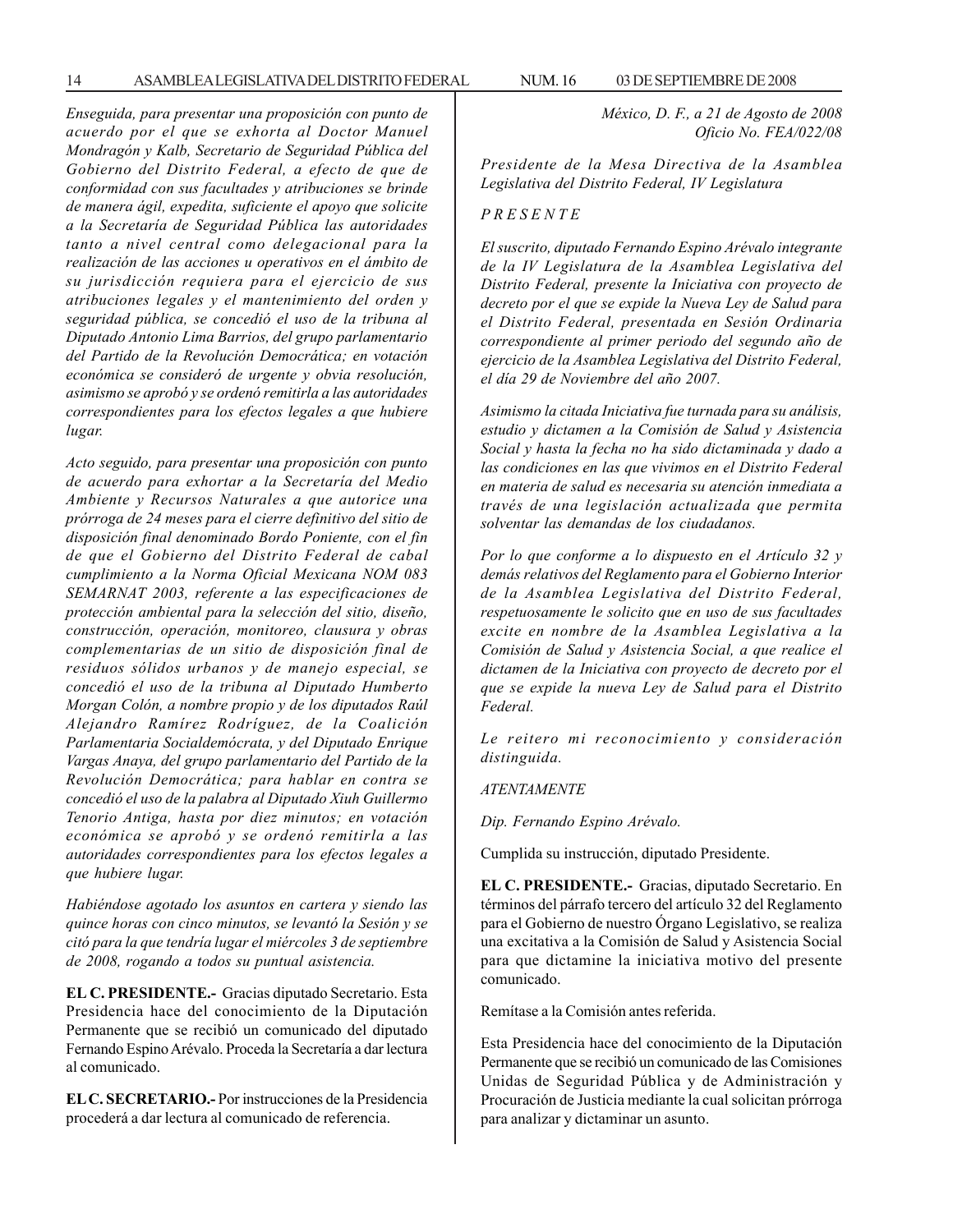*Enseguida, para presentar una proposición con punto de acuerdo por el que se exhorta al Doctor Manuel Mondragón y Kalb, Secretario de Seguridad Pública del Gobierno del Distrito Federal, a efecto de que de conformidad con sus facultades y atribuciones se brinde de manera ágil, expedita, suficiente el apoyo que solicite a la Secretaría de Seguridad Pública las autoridades tanto a nivel central como delegacional para la realización de las acciones u operativos en el ámbito de su jurisdicción requiera para el ejercicio de sus atribuciones legales y el mantenimiento del orden y seguridad pública, se concedió el uso de la tribuna al Diputado Antonio Lima Barrios, del grupo parlamentario del Partido de la Revolución Democrática; en votación económica se consideró de urgente y obvia resolución, asimismo se aprobó y se ordenó remitirla a las autoridades correspondientes para los efectos legales a que hubiere lugar.*

*Acto seguido, para presentar una proposición con punto de acuerdo para exhortar a la Secretaría del Medio Ambiente y Recursos Naturales a que autorice una prórroga de 24 meses para el cierre definitivo del sitio de disposición final denominado Bordo Poniente, con el fin de que el Gobierno del Distrito Federal de cabal cumplimiento a la Norma Oficial Mexicana NOM 083 SEMARNAT 2003, referente a las especificaciones de protección ambiental para la selección del sitio, diseño, construcción, operación, monitoreo, clausura y obras complementarias de un sitio de disposición final de residuos sólidos urbanos y de manejo especial, se concedió el uso de la tribuna al Diputado Humberto Morgan Colón, a nombre propio y de los diputados Raúl Alejandro Ramírez Rodríguez, de la Coalición Parlamentaria Socialdemócrata, y del Diputado Enrique Vargas Anaya, del grupo parlamentario del Partido de la Revolución Democrática; para hablar en contra se concedió el uso de la palabra al Diputado Xiuh Guillermo Tenorio Antiga, hasta por diez minutos; en votación económica se aprobó y se ordenó remitirla a las autoridades correspondientes para los efectos legales a que hubiere lugar.*

*Habiéndose agotado los asuntos en cartera y siendo las quince horas con cinco minutos, se levantó la Sesión y se citó para la que tendría lugar el miércoles 3 de septiembre de 2008, rogando a todos su puntual asistencia.*

**EL C. PRESIDENTE.-** Gracias diputado Secretario. Esta Presidencia hace del conocimiento de la Diputación Permanente que se recibió un comunicado del diputado Fernando Espino Arévalo. Proceda la Secretaría a dar lectura al comunicado.

**EL C. SECRETARIO.-** Por instrucciones de la Presidencia procederá a dar lectura al comunicado de referencia.

*México, D. F., a 21 de Agosto de 2008 Oficio No. FEA/022/08*

*Presidente de la Mesa Directiva de la Asamblea Legislativa del Distrito Federal, IV Legislatura*

#### *P R E S E N T E*

*El suscrito, diputado Fernando Espino Arévalo integrante de la IV Legislatura de la Asamblea Legislativa del Distrito Federal, presente la Iniciativa con proyecto de decreto por el que se expide la Nueva Ley de Salud para el Distrito Federal, presentada en Sesión Ordinaria correspondiente al primer periodo del segundo año de ejercicio de la Asamblea Legislativa del Distrito Federal, el día 29 de Noviembre del año 2007.*

*Asimismo la citada Iniciativa fue turnada para su análisis, estudio y dictamen a la Comisión de Salud y Asistencia Social y hasta la fecha no ha sido dictaminada y dado a las condiciones en las que vivimos en el Distrito Federal en materia de salud es necesaria su atención inmediata a través de una legislación actualizada que permita solventar las demandas de los ciudadanos.*

*Por lo que conforme a lo dispuesto en el Artículo 32 y demás relativos del Reglamento para el Gobierno Interior de la Asamblea Legislativa del Distrito Federal, respetuosamente le solicito que en uso de sus facultades excite en nombre de la Asamblea Legislativa a la Comisión de Salud y Asistencia Social, a que realice el dictamen de la Iniciativa con proyecto de decreto por el que se expide la nueva Ley de Salud para el Distrito Federal.*

*Le reitero mi reconocimiento y consideración distinguida.*

#### *ATENTAMENTE*

*Dip. Fernando Espino Arévalo.*

Cumplida su instrucción, diputado Presidente.

**EL C. PRESIDENTE.-** Gracias, diputado Secretario. En términos del párrafo tercero del artículo 32 del Reglamento para el Gobierno de nuestro Órgano Legislativo, se realiza una excitativa a la Comisión de Salud y Asistencia Social para que dictamine la iniciativa motivo del presente comunicado.

Remítase a la Comisión antes referida.

Esta Presidencia hace del conocimiento de la Diputación Permanente que se recibió un comunicado de las Comisiones Unidas de Seguridad Pública y de Administración y Procuración de Justicia mediante la cual solicitan prórroga para analizar y dictaminar un asunto.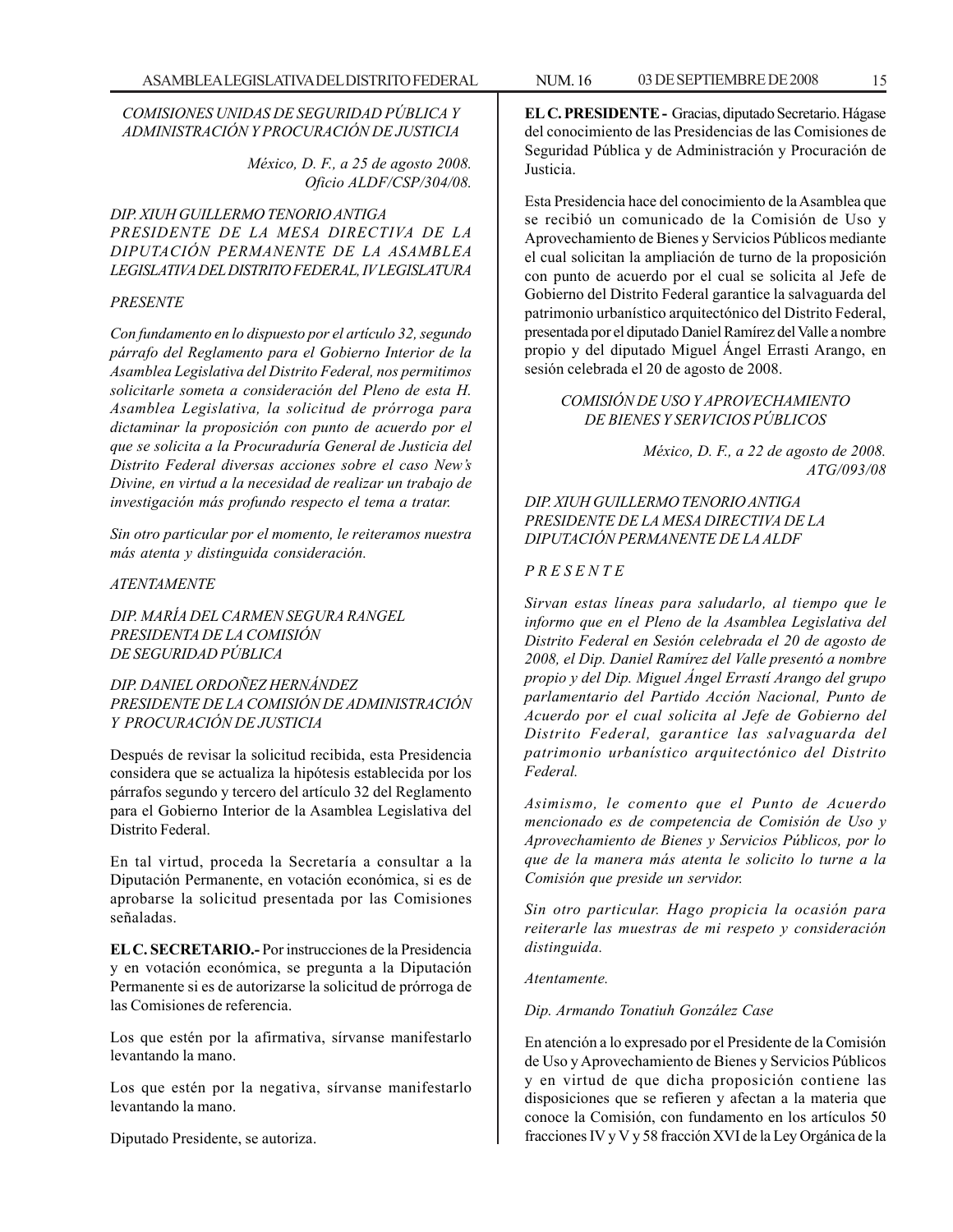#### *COMISIONES UNIDAS DE SEGURIDAD PÚBLICA Y ADMINISTRACIÓN Y PROCURACIÓN DE JUSTICIA*

*México, D. F., a 25 de agosto 2008. Oficio ALDF/CSP/304/08.*

*DIP. XIUH GUILLERMO TENORIO ANTIGA PRESIDENTE DE LA MESA DIRECTIVA DE LA DIPUTACIÓN PERMANENTE DE LA ASAMBLEA LEGISLATIVA DEL DISTRITO FEDERAL, IV LEGISLATURA*

#### *PRESENTE*

*Con fundamento en lo dispuesto por el artículo 32, segundo párrafo del Reglamento para el Gobierno Interior de la Asamblea Legislativa del Distrito Federal, nos permitimos solicitarle someta a consideración del Pleno de esta H. Asamblea Legislativa, la solicitud de prórroga para dictaminar la proposición con punto de acuerdo por el que se solicita a la Procuraduría General de Justicia del Distrito Federal diversas acciones sobre el caso New's Divine, en virtud a la necesidad de realizar un trabajo de investigación más profundo respecto el tema a tratar.*

*Sin otro particular por el momento, le reiteramos nuestra más atenta y distinguida consideración.*

#### *ATENTAMENTE*

*DIP. MARÍA DEL CARMEN SEGURA RANGEL PRESIDENTA DE LA COMISIÓN DE SEGURIDAD PÚBLICA*

*DIP. DANIEL ORDOÑEZ HERNÁNDEZ PRESIDENTE DE LA COMISIÓN DE ADMINISTRACIÓN Y PROCURACIÓN DE JUSTICIA*

Después de revisar la solicitud recibida, esta Presidencia considera que se actualiza la hipótesis establecida por los párrafos segundo y tercero del artículo 32 del Reglamento para el Gobierno Interior de la Asamblea Legislativa del Distrito Federal.

En tal virtud, proceda la Secretaría a consultar a la Diputación Permanente, en votación económica, si es de aprobarse la solicitud presentada por las Comisiones señaladas.

**EL C. SECRETARIO.-** Por instrucciones de la Presidencia y en votación económica, se pregunta a la Diputación Permanente si es de autorizarse la solicitud de prórroga de las Comisiones de referencia.

Los que estén por la afirmativa, sírvanse manifestarlo levantando la mano.

Los que estén por la negativa, sírvanse manifestarlo levantando la mano.

Diputado Presidente, se autoriza.

**EL C. PRESIDENTE -** Gracias, diputado Secretario. Hágase del conocimiento de las Presidencias de las Comisiones de Seguridad Pública y de Administración y Procuración de Justicia.

Esta Presidencia hace del conocimiento de la Asamblea que se recibió un comunicado de la Comisión de Uso y Aprovechamiento de Bienes y Servicios Públicos mediante el cual solicitan la ampliación de turno de la proposición con punto de acuerdo por el cual se solicita al Jefe de Gobierno del Distrito Federal garantice la salvaguarda del patrimonio urbanístico arquitectónico del Distrito Federal, presentada por el diputado Daniel Ramírez del Valle a nombre propio y del diputado Miguel Ángel Errasti Arango, en sesión celebrada el 20 de agosto de 2008.

#### *COMISIÓN DE USO Y APROVECHAMIENTO DE BIENES Y SERVICIOS PÚBLICOS*

*México, D. F., a 22 de agosto de 2008. ATG/093/08*

#### *DIP. XIUH GUILLERMO TENORIO ANTIGA PRESIDENTE DE LA MESA DIRECTIVA DE LA DIPUTACIÓN PERMANENTE DE LA ALDF*

#### *P R E S E N T E*

*Sirvan estas líneas para saludarlo, al tiempo que le informo que en el Pleno de la Asamblea Legislativa del Distrito Federal en Sesión celebrada el 20 de agosto de 2008, el Dip. Daniel Ramírez del Valle presentó a nombre propio y del Dip. Miguel Ángel Errastí Arango del grupo parlamentario del Partido Acción Nacional, Punto de Acuerdo por el cual solicita al Jefe de Gobierno del Distrito Federal, garantice las salvaguarda del patrimonio urbanístico arquitectónico del Distrito Federal.*

*Asimismo, le comento que el Punto de Acuerdo mencionado es de competencia de Comisión de Uso y Aprovechamiento de Bienes y Servicios Públicos, por lo que de la manera más atenta le solicito lo turne a la Comisión que preside un servidor.*

*Sin otro particular. Hago propicia la ocasión para reiterarle las muestras de mi respeto y consideración distinguida.*

*Atentamente.*

*Dip. Armando Tonatiuh González Case*

En atención a lo expresado por el Presidente de la Comisión de Uso y Aprovechamiento de Bienes y Servicios Públicos y en virtud de que dicha proposición contiene las disposiciones que se refieren y afectan a la materia que conoce la Comisión, con fundamento en los artículos 50 fracciones IV y V y 58 fracción XVI de la Ley Orgánica de la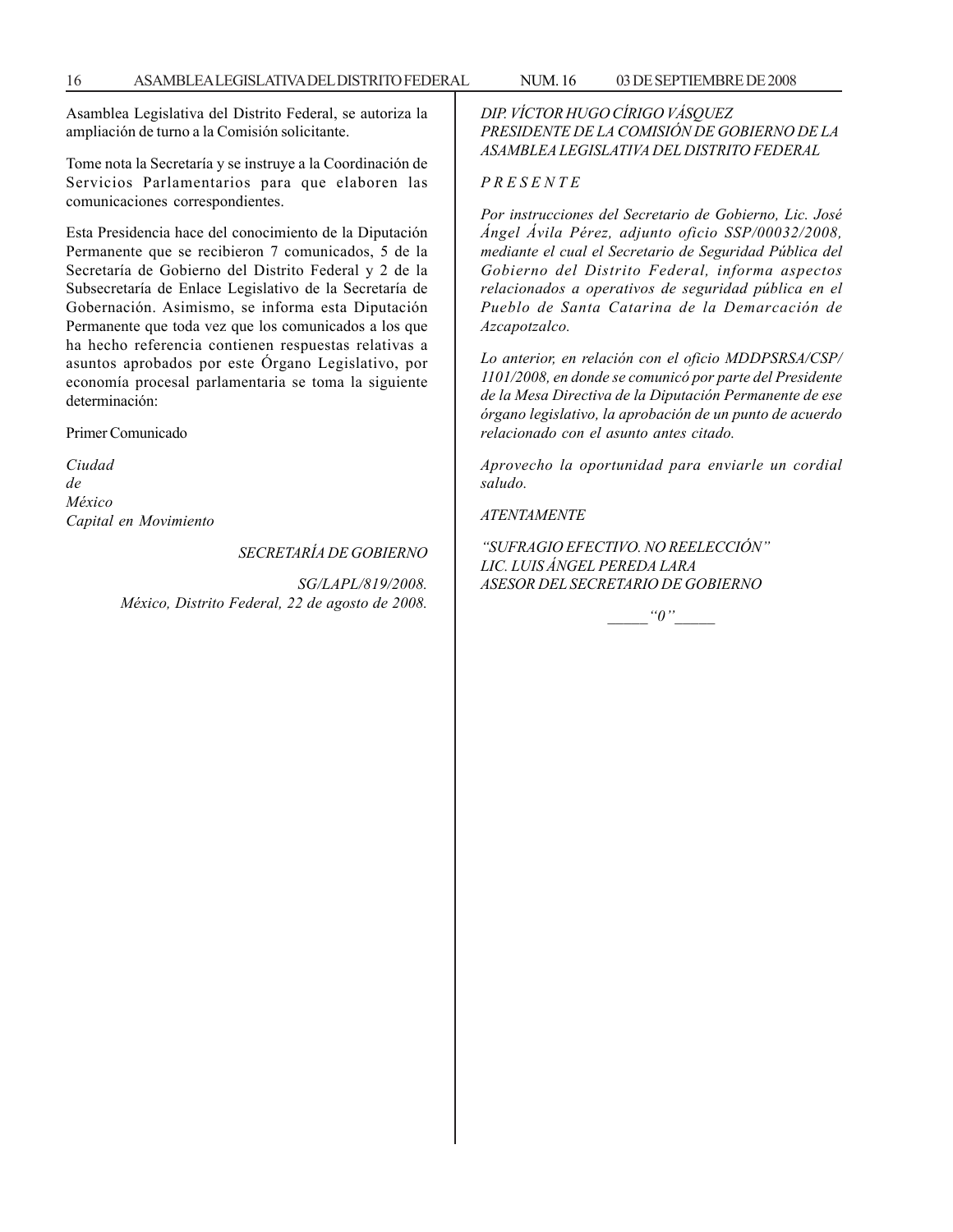Asamblea Legislativa del Distrito Federal, se autoriza la ampliación de turno a la Comisión solicitante.

Tome nota la Secretaría y se instruye a la Coordinación de Servicios Parlamentarios para que elaboren las comunicaciones correspondientes.

Esta Presidencia hace del conocimiento de la Diputación Permanente que se recibieron 7 comunicados, 5 de la Secretaría de Gobierno del Distrito Federal y 2 de la Subsecretaría de Enlace Legislativo de la Secretaría de Gobernación. Asimismo, se informa esta Diputación Permanente que toda vez que los comunicados a los que ha hecho referencia contienen respuestas relativas a asuntos aprobados por este Órgano Legislativo, por economía procesal parlamentaria se toma la siguiente determinación:

Primer Comunicado

*Ciudad de México Capital en Movimiento*

#### *SECRETARÍA DE GOBIERNO*

*SG/LAPL/819/2008. México, Distrito Federal, 22 de agosto de 2008.* *DIP. VÍCTOR HUGO CÍRIGO VÁSQUEZ PRESIDENTE DE LA COMISIÓN DE GOBIERNO DE LA ASAMBLEA LEGISLATIVA DEL DISTRITO FEDERAL*

#### *P R E S E N T E*

*Por instrucciones del Secretario de Gobierno, Lic. José Ángel Ávila Pérez, adjunto oficio SSP/00032/2008, mediante el cual el Secretario de Seguridad Pública del Gobierno del Distrito Federal, informa aspectos relacionados a operativos de seguridad pública en el Pueblo de Santa Catarina de la Demarcación de Azcapotzalco.*

*Lo anterior, en relación con el oficio MDDPSRSA/CSP/ 1101/2008, en donde se comunicó por parte del Presidente de la Mesa Directiva de la Diputación Permanente de ese órgano legislativo, la aprobación de un punto de acuerdo relacionado con el asunto antes citado.*

*Aprovecho la oportunidad para enviarle un cordial saludo.*

*ATENTAMENTE*

*''SUFRAGIO EFECTIVO. NO REELECCIÓN'' LIC. LUIS ÁNGEL PEREDA LARA ASESOR DEL SECRETARIO DE GOBIERNO*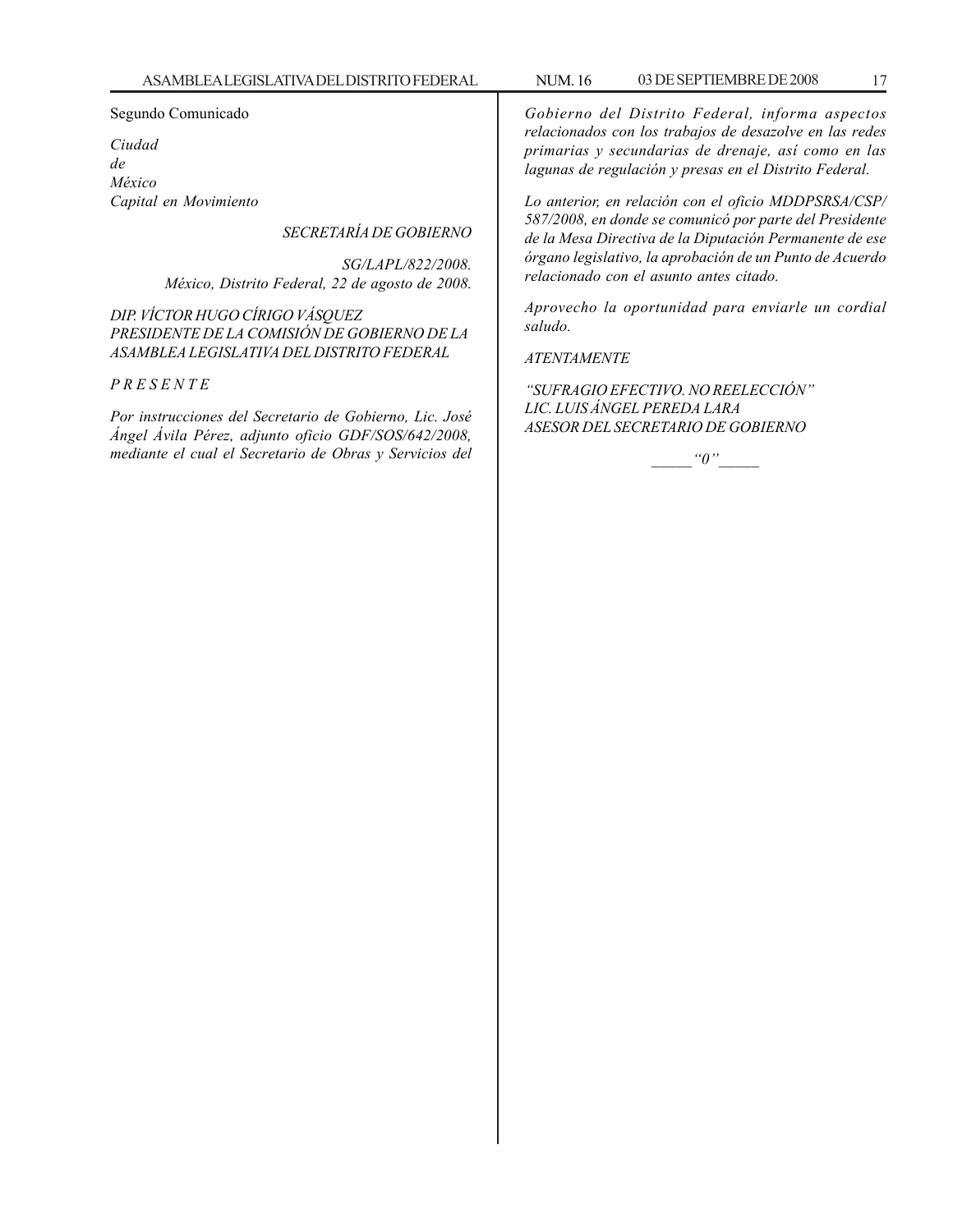#### Segundo Comunicado

*Ciudad de México Capital en Movimiento*

*SECRETARÍA DE GOBIERNO*

*SG/LAPL/822/2008. México, Distrito Federal, 22 de agosto de 2008.*

*DIP. VÍCTOR HUGO CÍRIGO VÁSQUEZ PRESIDENTE DE LA COMISIÓN DE GOBIERNO DE LA ASAMBLEA LEGISLATIVA DEL DISTRITO FEDERAL*

#### *P R E S E N T E*

*Por instrucciones del Secretario de Gobierno, Lic. José Ángel Ávila Pérez, adjunto oficio GDF/SOS/642/2008, mediante el cual el Secretario de Obras y Servicios del*

*Gobierno del Distrito Federal, informa aspectos relacionados con los trabajos de desazolve en las redes primarias y secundarias de drenaje, así como en las lagunas de regulación y presas en el Distrito Federal.*

*Lo anterior, en relación con el oficio MDDPSRSA/CSP/ 587/2008, en donde se comunicó por parte del Presidente de la Mesa Directiva de la Diputación Permanente de ese órgano legislativo, la aprobación de un Punto de Acuerdo relacionado con el asunto antes citado.*

*Aprovecho la oportunidad para enviarle un cordial saludo.*

#### *ATENTAMENTE*

*''SUFRAGIO EFECTIVO. NO REELECCIÓN'' LIC. LUIS ÁNGEL PEREDA LARA ASESOR DEL SECRETARIO DE GOBIERNO*

*\_\_\_\_\_''0''\_\_\_\_\_*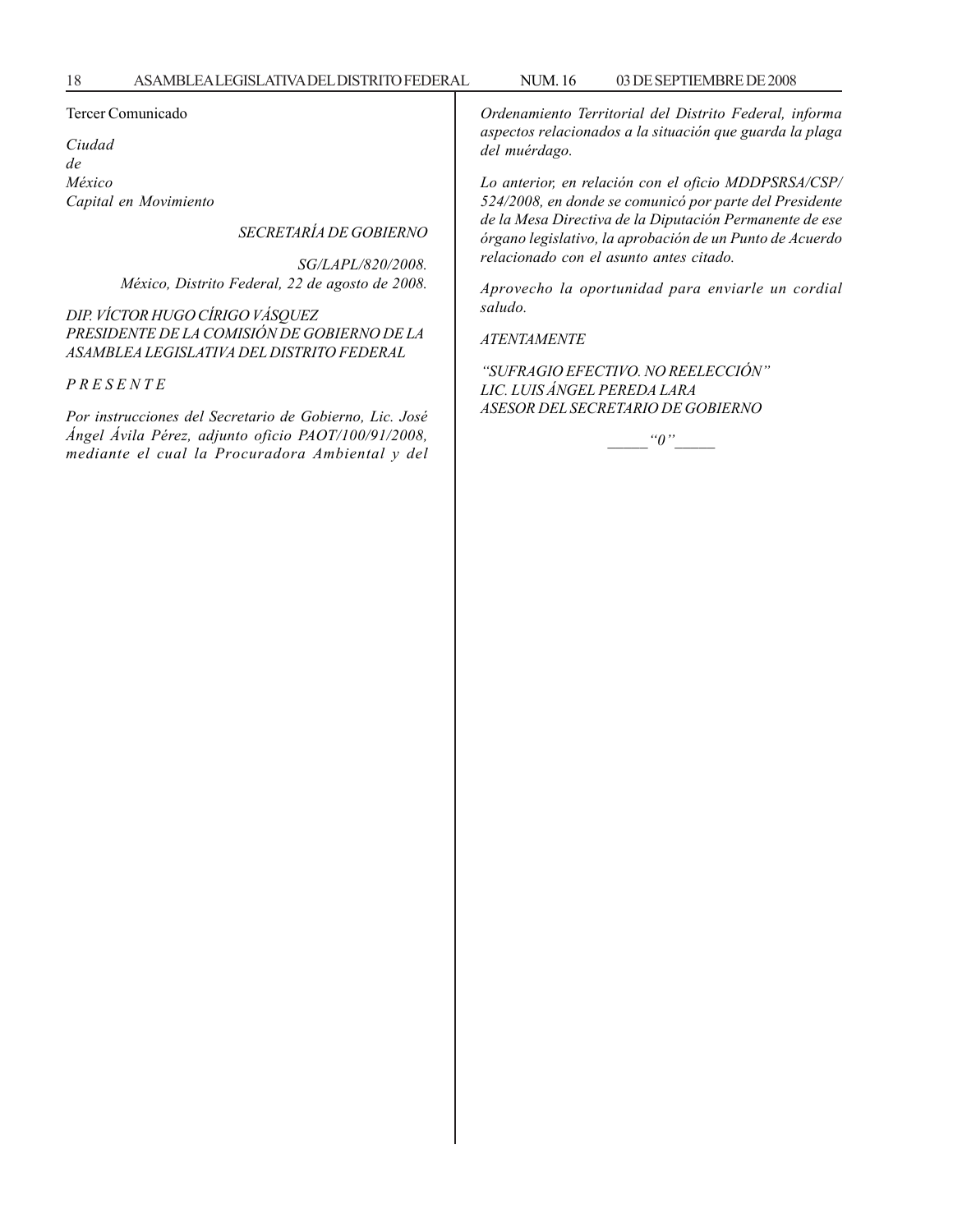#### Tercer Comunicado

*Ciudad de México Capital en Movimiento*

*SECRETARÍA DE GOBIERNO*

*SG/LAPL/820/2008. México, Distrito Federal, 22 de agosto de 2008.*

*DIP. VÍCTOR HUGO CÍRIGO VÁSQUEZ PRESIDENTE DE LA COMISIÓN DE GOBIERNO DE LA ASAMBLEA LEGISLATIVA DEL DISTRITO FEDERAL*

*P R E S E N T E*

*Por instrucciones del Secretario de Gobierno, Lic. José Ángel Ávila Pérez, adjunto oficio PAOT/100/91/2008, mediante el cual la Procuradora Ambiental y del* *Ordenamiento Territorial del Distrito Federal, informa aspectos relacionados a la situación que guarda la plaga del muérdago.*

*Lo anterior, en relación con el oficio MDDPSRSA/CSP/ 524/2008, en donde se comunicó por parte del Presidente de la Mesa Directiva de la Diputación Permanente de ese órgano legislativo, la aprobación de un Punto de Acuerdo relacionado con el asunto antes citado.*

*Aprovecho la oportunidad para enviarle un cordial saludo.*

*ATENTAMENTE*

*''SUFRAGIO EFECTIVO. NO REELECCIÓN'' LIC. LUIS ÁNGEL PEREDA LARA ASESOR DEL SECRETARIO DE GOBIERNO*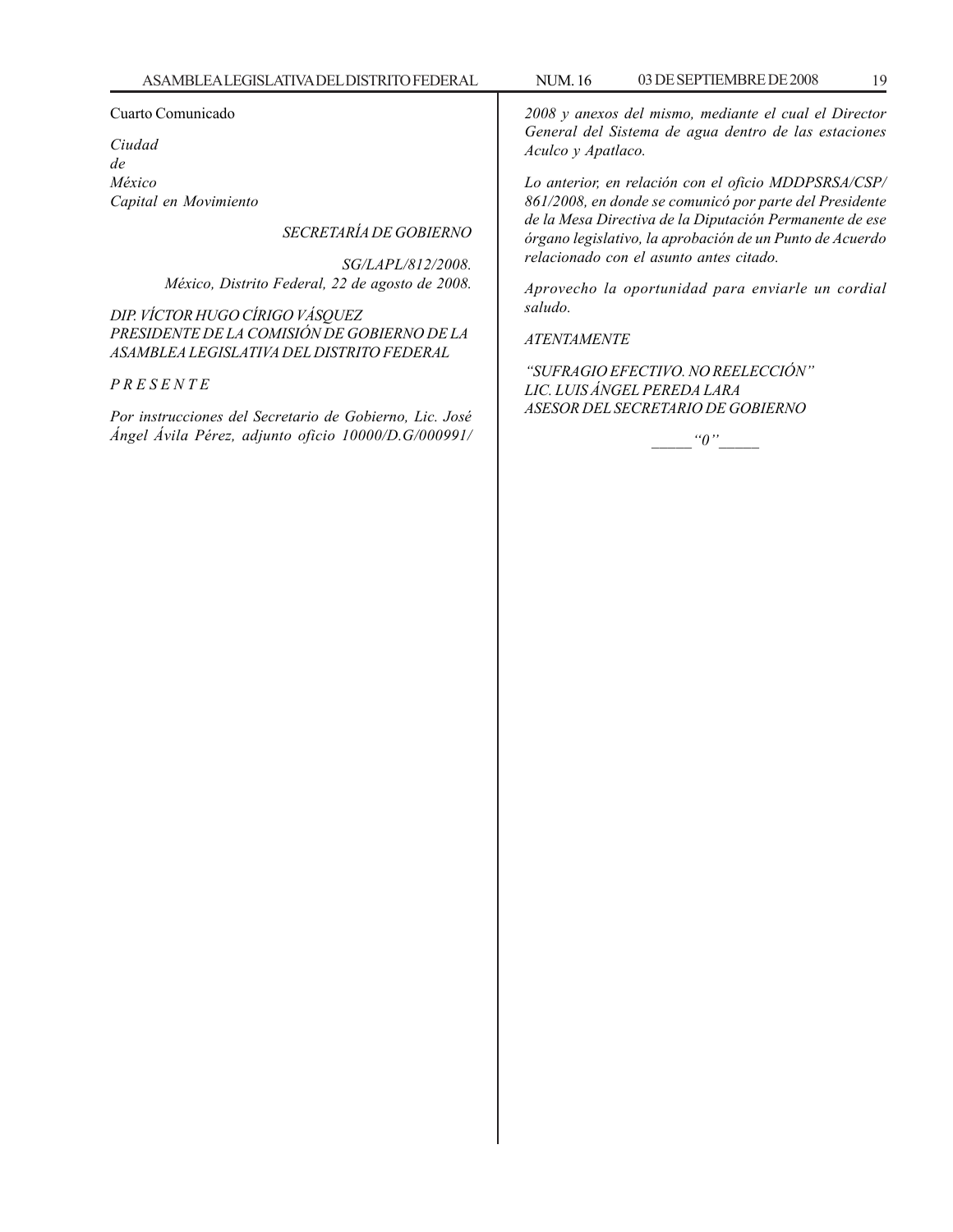#### Cuarto Comunicado

*Ciudad de México Capital en Movimiento*

#### *SECRETARÍA DE GOBIERNO*

*SG/LAPL/812/2008. México, Distrito Federal, 22 de agosto de 2008.*

*DIP. VÍCTOR HUGO CÍRIGO VÁSQUEZ PRESIDENTE DE LA COMISIÓN DE GOBIERNO DE LA ASAMBLEA LEGISLATIVA DEL DISTRITO FEDERAL*

#### *P R E S E N T E*

*Por instrucciones del Secretario de Gobierno, Lic. José Ángel Ávila Pérez, adjunto oficio 10000/D.G/000991/* *2008 y anexos del mismo, mediante el cual el Director General del Sistema de agua dentro de las estaciones Aculco y Apatlaco.*

*Lo anterior, en relación con el oficio MDDPSRSA/CSP/ 861/2008, en donde se comunicó por parte del Presidente de la Mesa Directiva de la Diputación Permanente de ese órgano legislativo, la aprobación de un Punto de Acuerdo relacionado con el asunto antes citado.*

*Aprovecho la oportunidad para enviarle un cordial saludo.*

#### *ATENTAMENTE*

*''SUFRAGIO EFECTIVO. NO REELECCIÓN'' LIC. LUIS ÁNGEL PEREDA LARA ASESOR DEL SECRETARIO DE GOBIERNO*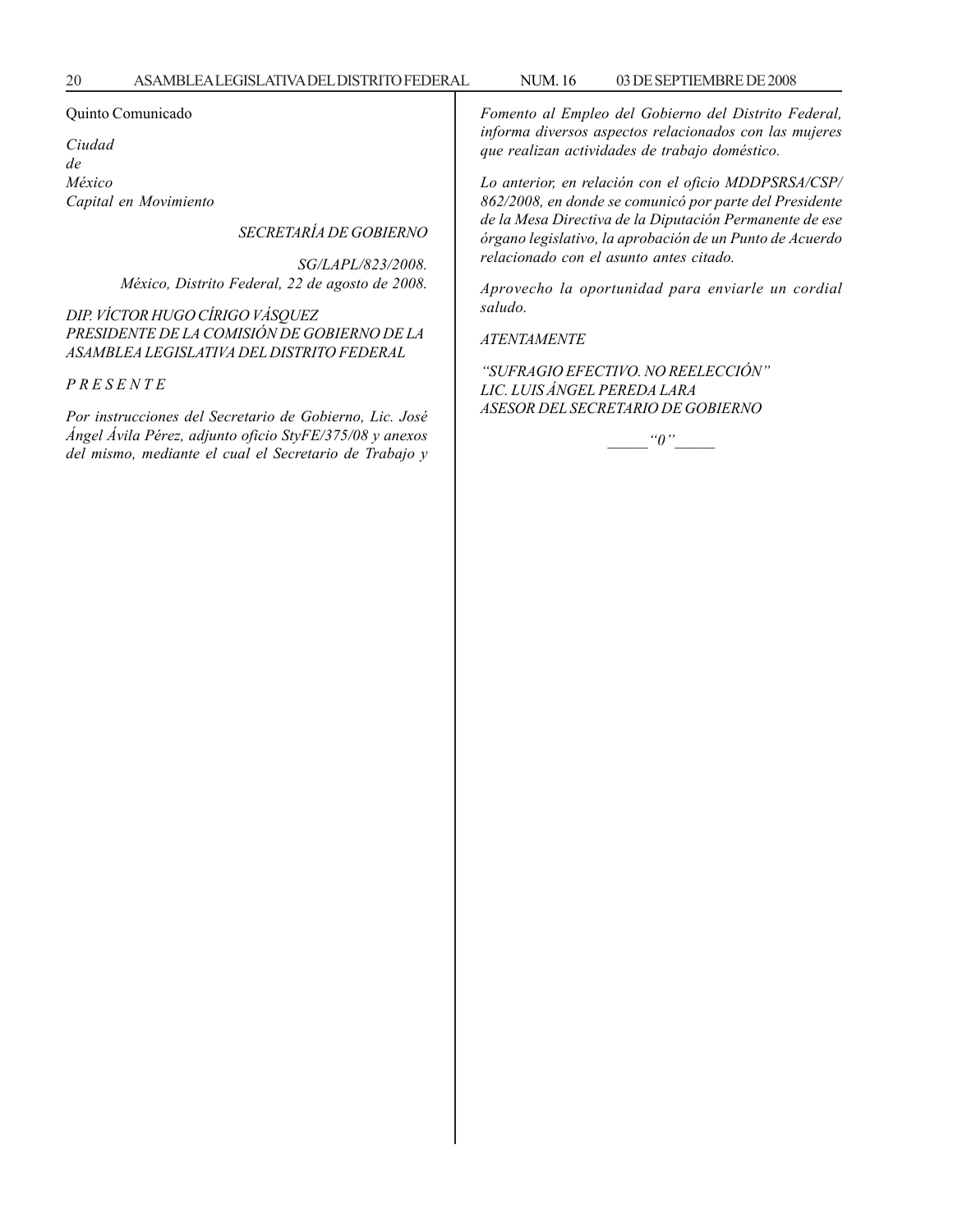#### Quinto Comunicado

*Ciudad de México Capital en Movimiento*

*SECRETARÍA DE GOBIERNO*

*SG/LAPL/823/2008. México, Distrito Federal, 22 de agosto de 2008.*

*DIP. VÍCTOR HUGO CÍRIGO VÁSQUEZ PRESIDENTE DE LA COMISIÓN DE GOBIERNO DE LA ASAMBLEA LEGISLATIVA DEL DISTRITO FEDERAL*

*P R E S E N T E*

*Por instrucciones del Secretario de Gobierno, Lic. José Ángel Ávila Pérez, adjunto oficio StyFE/375/08 y anexos del mismo, mediante el cual el Secretario de Trabajo y* *Fomento al Empleo del Gobierno del Distrito Federal, informa diversos aspectos relacionados con las mujeres que realizan actividades de trabajo doméstico.*

*Lo anterior, en relación con el oficio MDDPSRSA/CSP/ 862/2008, en donde se comunicó por parte del Presidente de la Mesa Directiva de la Diputación Permanente de ese órgano legislativo, la aprobación de un Punto de Acuerdo relacionado con el asunto antes citado.*

*Aprovecho la oportunidad para enviarle un cordial saludo.*

*ATENTAMENTE*

*''SUFRAGIO EFECTIVO. NO REELECCIÓN'' LIC. LUIS ÁNGEL PEREDA LARA ASESOR DEL SECRETARIO DE GOBIERNO*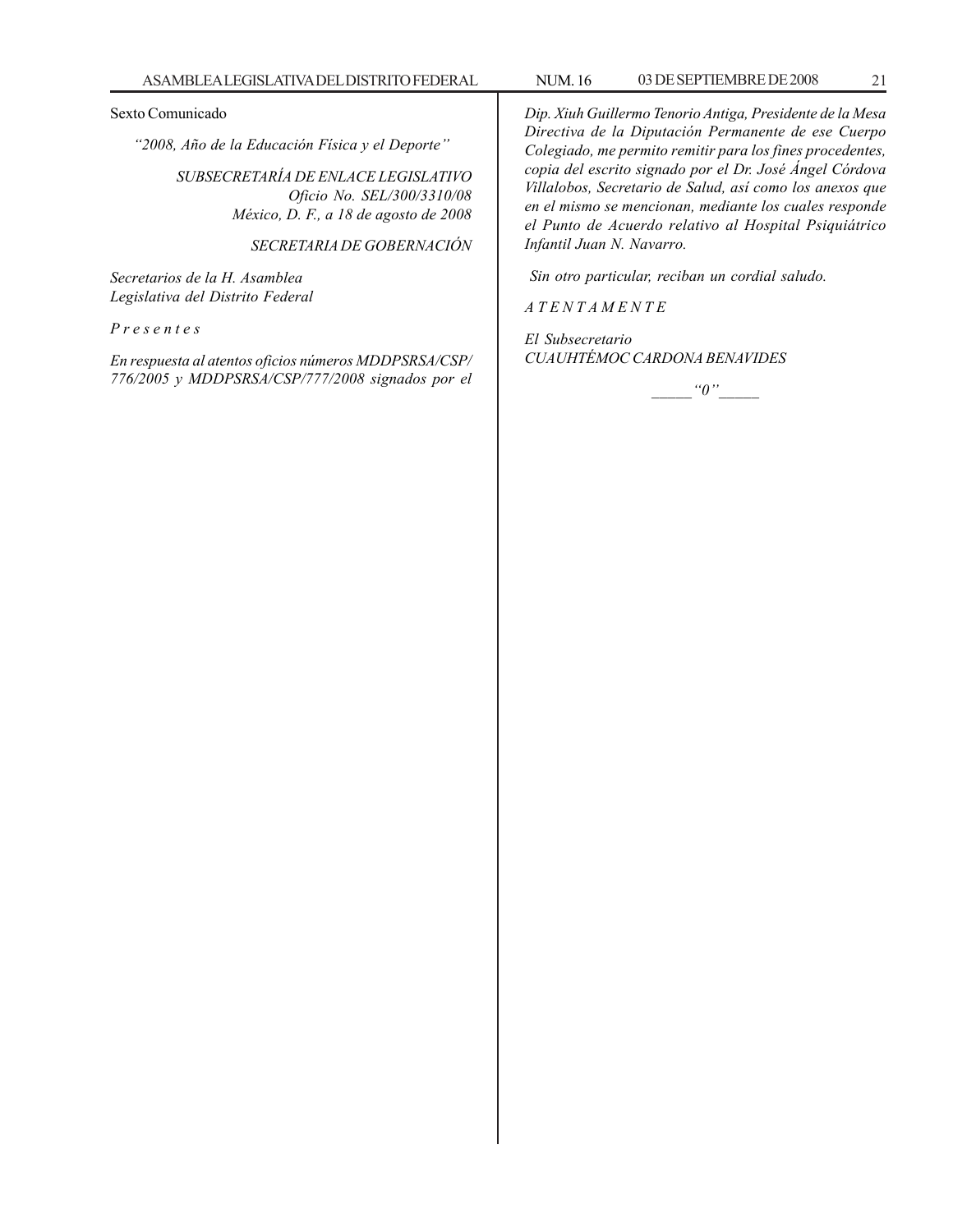#### Sexto Comunicado

*''2008, Año de la Educación Física y el Deporte''*

*SUBSECRETARÍA DE ENLACE LEGISLATIVO Oficio No. SEL/300/3310/08 México, D. F., a 18 de agosto de 2008*

*SECRETARIA DE GOBERNACIÓN*

*Secretarios de la H. Asamblea Legislativa del Distrito Federal*

*P r e s e n t e s*

*En respuesta al atentos oficios números MDDPSRSA/CSP/ 776/2005 y MDDPSRSA/CSP/777/2008 signados por el* *Dip. Xiuh Guillermo Tenorio Antiga, Presidente de la Mesa Directiva de la Diputación Permanente de ese Cuerpo Colegiado, me permito remitir para los fines procedentes, copia del escrito signado por el Dr. José Ángel Córdova Villalobos, Secretario de Salud, así como los anexos que en el mismo se mencionan, mediante los cuales responde el Punto de Acuerdo relativo al Hospital Psiquiátrico Infantil Juan N. Navarro.*

 *Sin otro particular, reciban un cordial saludo.*

*A T E N T A M E N T E*

*El Subsecretario CUAUHTÉMOC CARDONA BENAVIDES*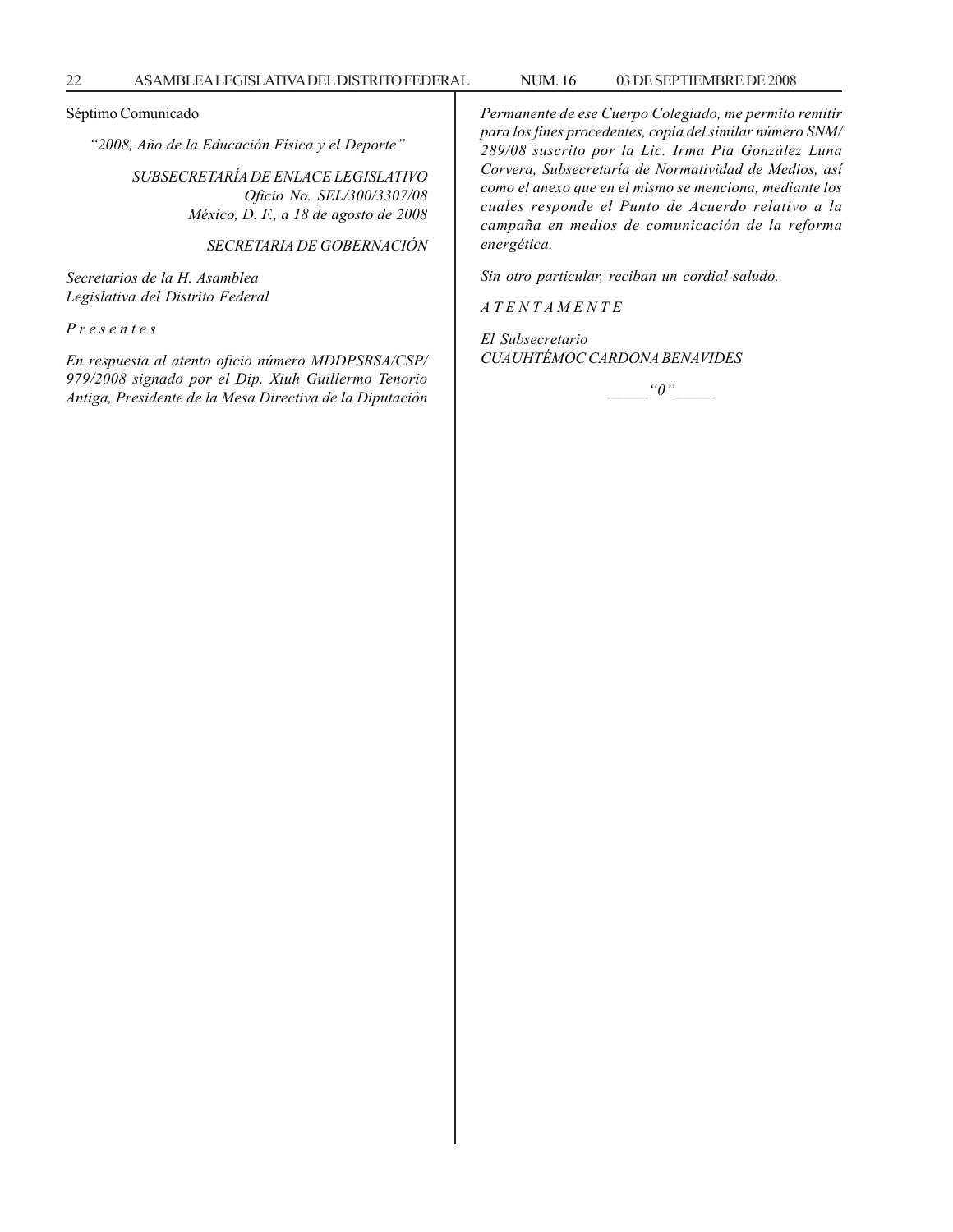Séptimo Comunicado

*''2008, Año de la Educación Física y el Deporte''*

*SUBSECRETARÍA DE ENLACE LEGISLATIVO Oficio No. SEL/300/3307/08 México, D. F., a 18 de agosto de 2008*

*SECRETARIA DE GOBERNACIÓN*

*Secretarios de la H. Asamblea Legislativa del Distrito Federal*

*P r e s e n t e s*

*En respuesta al atento oficio número MDDPSRSA/CSP/ 979/2008 signado por el Dip. Xiuh Guillermo Tenorio Antiga, Presidente de la Mesa Directiva de la Diputación*

*Permanente de ese Cuerpo Colegiado, me permito remitir para los fines procedentes, copia del similar número SNM/ 289/08 suscrito por la Lic. Irma Pía González Luna Corvera, Subsecretaría de Normatividad de Medios, así como el anexo que en el mismo se menciona, mediante los cuales responde el Punto de Acuerdo relativo a la campaña en medios de comunicación de la reforma energética.*

*Sin otro particular, reciban un cordial saludo.*

*A T E N T A M E N T E*

*El Subsecretario CUAUHTÉMOC CARDONA BENAVIDES*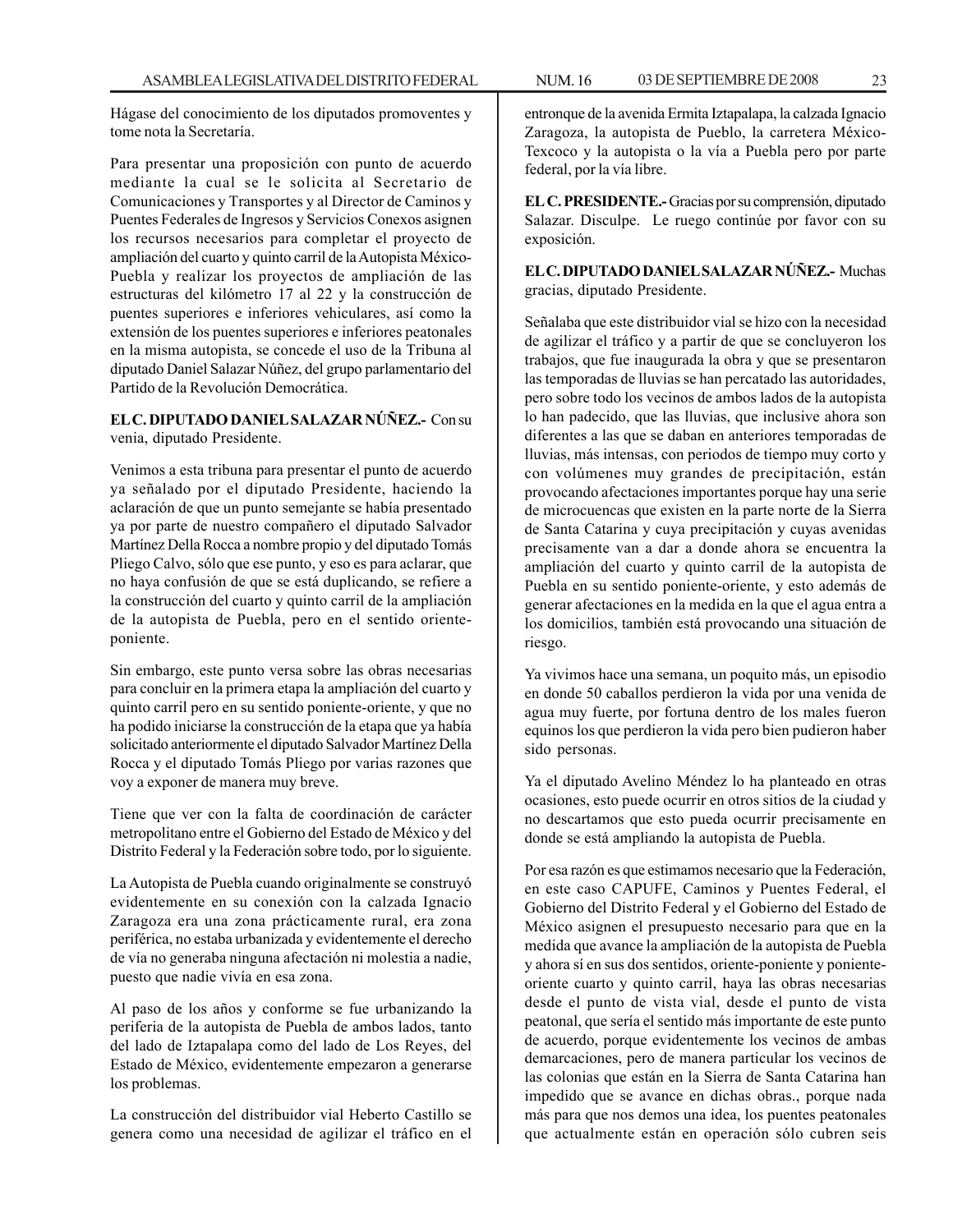Hágase del conocimiento de los diputados promoventes y tome nota la Secretaría.

Para presentar una proposición con punto de acuerdo mediante la cual se le solicita al Secretario de Comunicaciones y Transportes y al Director de Caminos y Puentes Federales de Ingresos y Servicios Conexos asignen los recursos necesarios para completar el proyecto de ampliación del cuarto y quinto carril de la Autopista México-Puebla y realizar los proyectos de ampliación de las estructuras del kilómetro 17 al 22 y la construcción de puentes superiores e inferiores vehiculares, así como la extensión de los puentes superiores e inferiores peatonales en la misma autopista, se concede el uso de la Tribuna al diputado Daniel Salazar Núñez, del grupo parlamentario del Partido de la Revolución Democrática.

#### **EL C. DIPUTADO DANIEL SALAZAR NÚÑEZ.-** Con su venia, diputado Presidente.

Venimos a esta tribuna para presentar el punto de acuerdo ya señalado por el diputado Presidente, haciendo la aclaración de que un punto semejante se había presentado ya por parte de nuestro compañero el diputado Salvador Martínez Della Rocca a nombre propio y del diputado Tomás Pliego Calvo, sólo que ese punto, y eso es para aclarar, que no haya confusión de que se está duplicando, se refiere a la construcción del cuarto y quinto carril de la ampliación de la autopista de Puebla, pero en el sentido orienteponiente.

Sin embargo, este punto versa sobre las obras necesarias para concluir en la primera etapa la ampliación del cuarto y quinto carril pero en su sentido poniente-oriente, y que no ha podido iniciarse la construcción de la etapa que ya había solicitado anteriormente el diputado Salvador Martínez Della Rocca y el diputado Tomás Pliego por varias razones que voy a exponer de manera muy breve.

Tiene que ver con la falta de coordinación de carácter metropolitano entre el Gobierno del Estado de México y del Distrito Federal y la Federación sobre todo, por lo siguiente.

La Autopista de Puebla cuando originalmente se construyó evidentemente en su conexión con la calzada Ignacio Zaragoza era una zona prácticamente rural, era zona periférica, no estaba urbanizada y evidentemente el derecho de vía no generaba ninguna afectación ni molestia a nadie, puesto que nadie vivía en esa zona.

Al paso de los años y conforme se fue urbanizando la periferia de la autopista de Puebla de ambos lados, tanto del lado de Iztapalapa como del lado de Los Reyes, del Estado de México, evidentemente empezaron a generarse los problemas.

La construcción del distribuidor vial Heberto Castillo se genera como una necesidad de agilizar el tráfico en el entronque de la avenida Ermita Iztapalapa, la calzada Ignacio Zaragoza, la autopista de Pueblo, la carretera México-Texcoco y la autopista o la vía a Puebla pero por parte federal, por la vía libre.

**EL C. PRESIDENTE.-** Gracias por su comprensión, diputado Salazar. Disculpe. Le ruego continúe por favor con su exposición.

**EL C. DIPUTADO DANIEL SALAZAR NÚÑEZ.-** Muchas gracias, diputado Presidente.

Señalaba que este distribuidor vial se hizo con la necesidad de agilizar el tráfico y a partir de que se concluyeron los trabajos, que fue inaugurada la obra y que se presentaron las temporadas de lluvias se han percatado las autoridades, pero sobre todo los vecinos de ambos lados de la autopista lo han padecido, que las lluvias, que inclusive ahora son diferentes a las que se daban en anteriores temporadas de lluvias, más intensas, con periodos de tiempo muy corto y con volúmenes muy grandes de precipitación, están provocando afectaciones importantes porque hay una serie de microcuencas que existen en la parte norte de la Sierra de Santa Catarina y cuya precipitación y cuyas avenidas precisamente van a dar a donde ahora se encuentra la ampliación del cuarto y quinto carril de la autopista de Puebla en su sentido poniente-oriente, y esto además de generar afectaciones en la medida en la que el agua entra a los domicilios, también está provocando una situación de riesgo.

Ya vivimos hace una semana, un poquito más, un episodio en donde 50 caballos perdieron la vida por una venida de agua muy fuerte, por fortuna dentro de los males fueron equinos los que perdieron la vida pero bien pudieron haber sido personas.

Ya el diputado Avelino Méndez lo ha planteado en otras ocasiones, esto puede ocurrir en otros sitios de la ciudad y no descartamos que esto pueda ocurrir precisamente en donde se está ampliando la autopista de Puebla.

Por esa razón es que estimamos necesario que la Federación, en este caso CAPUFE, Caminos y Puentes Federal, el Gobierno del Distrito Federal y el Gobierno del Estado de México asignen el presupuesto necesario para que en la medida que avance la ampliación de la autopista de Puebla y ahora sí en sus dos sentidos, oriente-poniente y ponienteoriente cuarto y quinto carril, haya las obras necesarias desde el punto de vista vial, desde el punto de vista peatonal, que sería el sentido más importante de este punto de acuerdo, porque evidentemente los vecinos de ambas demarcaciones, pero de manera particular los vecinos de las colonias que están en la Sierra de Santa Catarina han impedido que se avance en dichas obras., porque nada más para que nos demos una idea, los puentes peatonales que actualmente están en operación sólo cubren seis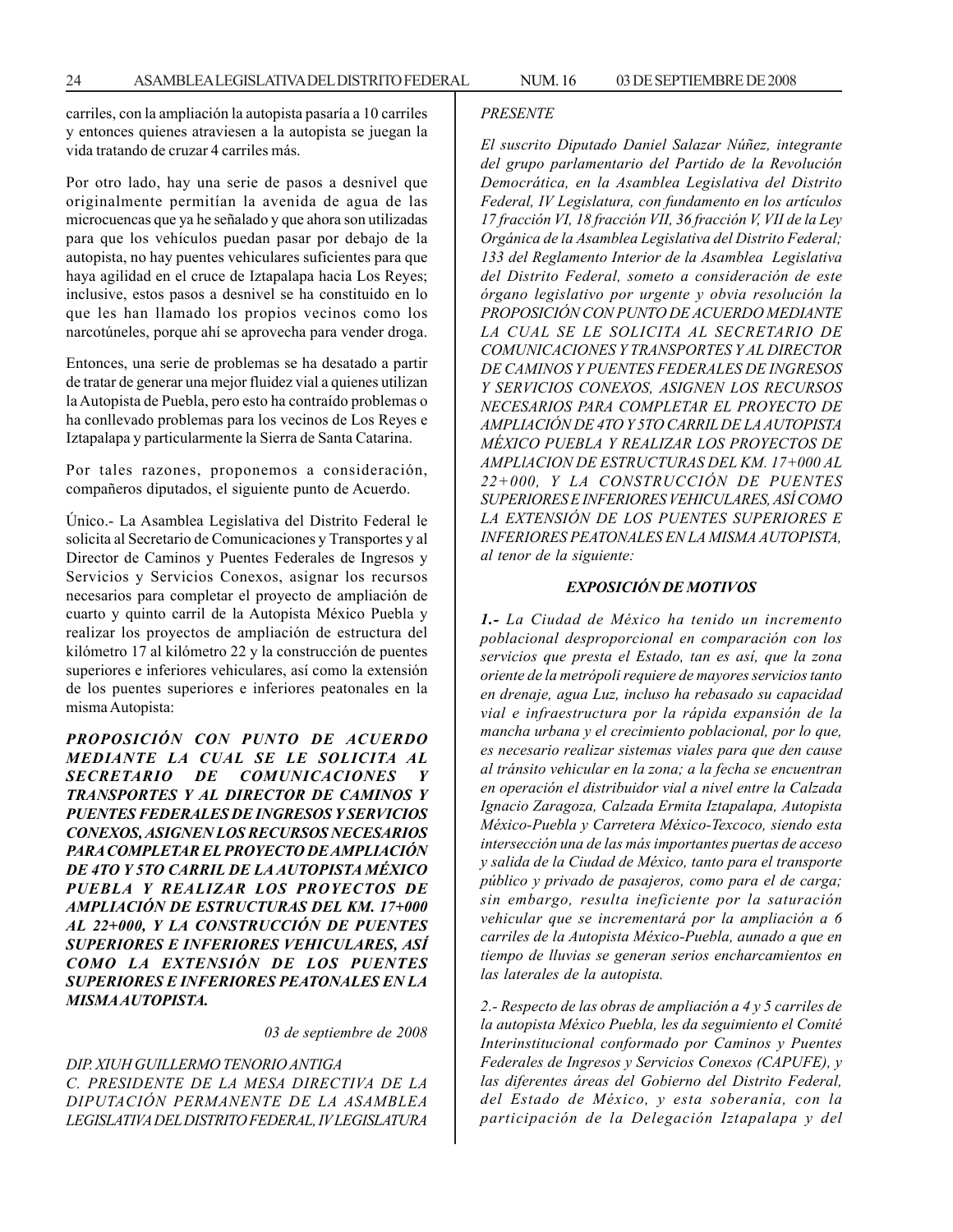carriles, con la ampliación la autopista pasaría a 10 carriles y entonces quienes atraviesen a la autopista se juegan la vida tratando de cruzar 4 carriles más.

Por otro lado, hay una serie de pasos a desnivel que originalmente permitían la avenida de agua de las microcuencas que ya he señalado y que ahora son utilizadas para que los vehículos puedan pasar por debajo de la autopista, no hay puentes vehiculares suficientes para que haya agilidad en el cruce de Iztapalapa hacia Los Reyes; inclusive, estos pasos a desnivel se ha constituido en lo que les han llamado los propios vecinos como los narcotúneles, porque ahí se aprovecha para vender droga.

Entonces, una serie de problemas se ha desatado a partir de tratar de generar una mejor fluidez vial a quienes utilizan la Autopista de Puebla, pero esto ha contraído problemas o ha conllevado problemas para los vecinos de Los Reyes e Iztapalapa y particularmente la Sierra de Santa Catarina.

Por tales razones, proponemos a consideración, compañeros diputados, el siguiente punto de Acuerdo.

Único.- La Asamblea Legislativa del Distrito Federal le solicita al Secretario de Comunicaciones y Transportes y al Director de Caminos y Puentes Federales de Ingresos y Servicios y Servicios Conexos, asignar los recursos necesarios para completar el proyecto de ampliación de cuarto y quinto carril de la Autopista México Puebla y realizar los proyectos de ampliación de estructura del kilómetro 17 al kilómetro 22 y la construcción de puentes superiores e inferiores vehiculares, así como la extensión de los puentes superiores e inferiores peatonales en la misma Autopista:

*PROPOSICIÓN CON PUNTO DE ACUERDO MEDIANTE LA CUAL SE LE SOLICITA AL* **SECRETARIO DE COMUNICACIONES** *TRANSPORTES Y AL DIRECTOR DE CAMINOS Y PUENTES FEDERALES DE INGRESOS Y SERVICIOS CONEXOS, ASIGNEN LOS RECURSOS NECESARIOS PARA COMPLETAR EL PROYECTO DE AMPLIACIÓN DE 4TO Y 5TO CARRIL DE LA AUTOPISTA MÉXICO PUEBLA Y REALIZAR LOS PROYECTOS DE AMPLIACIÓN DE ESTRUCTURAS DEL KM. 17+000 AL 22+000, Y LA CONSTRUCCIÓN DE PUENTES SUPERIORES E INFERIORES VEHICULARES, ASÍ COMO LA EXTENSIÓN DE LOS PUENTES SUPERIORES E INFERIORES PEATONALES EN LA MISMA AUTOPISTA.*

*03 de septiembre de 2008*

#### *DIP. XIUH GUILLERMO TENORIO ANTIGA C. PRESIDENTE DE LA MESA DIRECTIVA DE LA DIPUTACIÓN PERMANENTE DE LA ASAMBLEA LEGISLATIVA DEL DISTRITO FEDERAL, IV LEGISLATURA*

#### *PRESENTE*

*El suscrito Diputado Daniel Salazar Núñez, integrante del grupo parlamentario del Partido de la Revolución Democrática, en la Asamblea Legislativa del Distrito Federal, IV Legislatura, con fundamento en los artículos 17 fracción VI, 18 fracción VII, 36 fracción V, VII de la Ley Orgánica de la Asamblea Legislativa del Distrito Federal; 133 del Reglamento Interior de la Asamblea Legislativa del Distrito Federal, someto a consideración de este órgano legislativo por urgente y obvia resolución la PROPOSICIÓN CON PUNTO DE ACUERDO MEDIANTE LA CUAL SE LE SOLICITA AL SECRETARIO DE COMUNICACIONES Y TRANSPORTES Y AL DIRECTOR DE CAMINOS Y PUENTES FEDERALES DE INGRESOS Y SERVICIOS CONEXOS, ASIGNEN LOS RECURSOS NECESARIOS PARA COMPLETAR EL PROYECTO DE AMPLIACIÓN DE 4TO Y 5TO CARRIL DE LA AUTOPISTA MÉXICO PUEBLA Y REALIZAR LOS PROYECTOS DE AMPLlACION DE ESTRUCTURAS DEL KM. 17+000 AL 22+000, Y LA CONSTRUCCIÓN DE PUENTES SUPERIORES E INFERIORES VEHICULARES, ASÍ COMO LA EXTENSIÓN DE LOS PUENTES SUPERIORES E INFERIORES PEATONALES EN LA MISMA AUTOPISTA, al tenor de la siguiente:*

#### *EXPOSICIÓN DE MOTIVOS*

*1.- La Ciudad de México ha tenido un incremento poblacional desproporcional en comparación con los servicios que presta el Estado, tan es así, que la zona oriente de la metrópoli requiere de mayores servicios tanto en drenaje, agua Luz, incluso ha rebasado su capacidad vial e infraestructura por la rápida expansión de la mancha urbana y el crecimiento poblacional, por lo que, es necesario realizar sistemas viales para que den cause al tránsito vehicular en la zona; a la fecha se encuentran en operación el distribuidor vial a nivel entre la Calzada Ignacio Zaragoza, Calzada Ermita Iztapalapa, Autopista México-Puebla y Carretera México-Texcoco, siendo esta intersección una de las más importantes puertas de acceso y salida de la Ciudad de México, tanto para el transporte público y privado de pasajeros, como para el de carga; sin embargo, resulta ineficiente por la saturación vehicular que se incrementará por la ampliación a 6 carriles de la Autopista México-Puebla, aunado a que en tiempo de lluvias se generan serios encharcamientos en las laterales de la autopista.*

*2.- Respecto de las obras de ampliación a 4 y 5 carriles de la autopista México Puebla, les da seguimiento el Comité Interinstitucional conformado por Caminos y Puentes Federales de Ingresos y Servicios Conexos (CAPUFE), y las diferentes áreas del Gobierno del Distrito Federal, del Estado de México, y esta soberanía, con la participación de la Delegación Iztapalapa y del*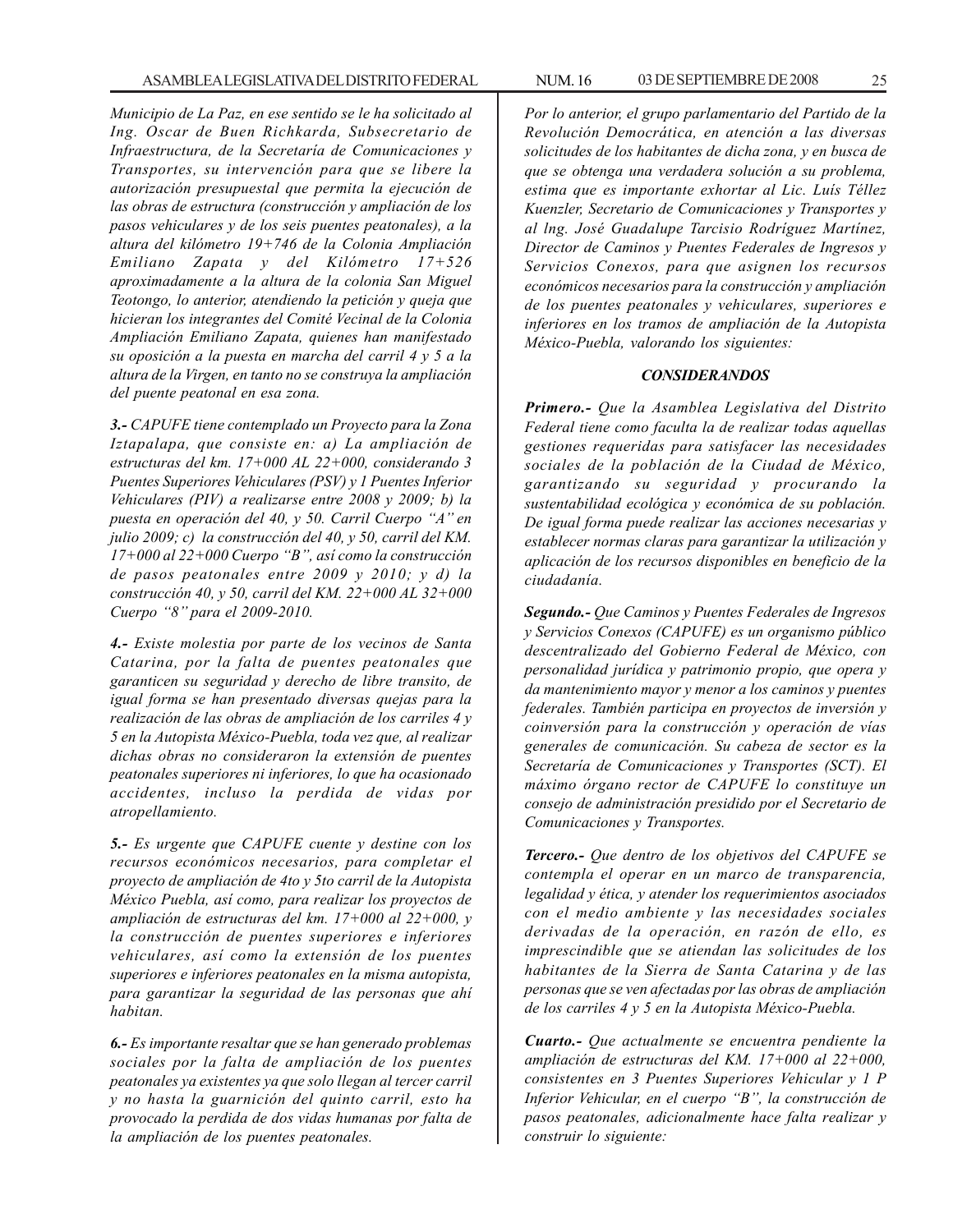*Municipio de La Paz, en ese sentido se le ha solicitado al Ing. Oscar de Buen Richkarda, Subsecretario de Infraestructura, de la Secretaría de Comunicaciones y Transportes, su intervención para que se libere la autorización presupuestal que permita la ejecución de las obras de estructura (construcción y ampliación de los pasos vehiculares y de los seis puentes peatonales), a la altura del kilómetro 19+746 de la Colonia Ampliación Emiliano Zapata y del Kilómetro 17+526 aproximadamente a la altura de la colonia San Miguel Teotongo, lo anterior, atendiendo la petición y queja que hicieran los integrantes del Comité Vecinal de la Colonia Ampliación Emiliano Zapata, quienes han manifestado su oposición a la puesta en marcha del carril 4 y 5 a la altura de la Virgen, en tanto no se construya la ampliación del puente peatonal en esa zona.*

*3.- CAPUFE tiene contemplado un Proyecto para la Zona Iztapalapa, que consiste en: a) La ampliación de estructuras del km. 17+000 AL 22+000, considerando 3 Puentes Superiores Vehiculares (PSV) y 1 Puentes Inferior Vehiculares (PIV) a realizarse entre 2008 y 2009; b) la puesta en operación del 40, y 50. Carril Cuerpo ''A'' en julio 2009; c) la construcción del 40, y 50, carril del KM. 17+000 al 22+000 Cuerpo ''B'', así como la construcción de pasos peatonales entre 2009 y 2010; y d) la construcción 40, y 50, carril del KM. 22+000 AL 32+000 Cuerpo ''8'' para el 2009-2010.*

*4.- Existe molestia por parte de los vecinos de Santa Catarina, por la falta de puentes peatonales que garanticen su seguridad y derecho de libre transito, de igual forma se han presentado diversas quejas para la realización de las obras de ampliación de los carriles 4 y 5 en la Autopista México-Puebla, toda vez que, al realizar dichas obras no consideraron la extensión de puentes peatonales superiores ni inferiores, lo que ha ocasionado accidentes, incluso la perdida de vidas por atropellamiento.*

*5.- Es urgente que CAPUFE cuente y destine con los recursos económicos necesarios, para completar el proyecto de ampliación de 4to y 5to carril de la Autopista México Puebla, así como, para realizar los proyectos de ampliación de estructuras del km. 17+000 al 22+000, y la construcción de puentes superiores e inferiores vehiculares, así como la extensión de los puentes superiores e inferiores peatonales en la misma autopista, para garantizar la seguridad de las personas que ahí habitan.*

*6.- Es importante resaltar que se han generado problemas sociales por la falta de ampliación de los puentes peatonales ya existentes ya que solo llegan al tercer carril y no hasta la guarnición del quinto carril, esto ha provocado la perdida de dos vidas humanas por falta de la ampliación de los puentes peatonales.*

*Por lo anterior, el grupo parlamentario del Partido de la Revolución Democrática, en atención a las diversas solicitudes de los habitantes de dicha zona, y en busca de que se obtenga una verdadera solución a su problema, estima que es importante exhortar al Lic. Luís Téllez Kuenzler, Secretario de Comunicaciones y Transportes y al lng. José Guadalupe Tarcisio Rodríguez Martínez, Director de Caminos y Puentes Federales de Ingresos y Servicios Conexos, para que asignen los recursos económicos necesarios para la construcción y ampliación de los puentes peatonales y vehiculares, superiores e inferiores en los tramos de ampliación de la Autopista México-Puebla, valorando los siguientes:*

#### *CONSIDERANDOS*

*Primero.- Que la Asamblea Legislativa del Distrito Federal tiene como faculta la de realizar todas aquellas gestiones requeridas para satisfacer las necesidades sociales de la población de la Ciudad de México, garantizando su seguridad y procurando la sustentabilidad ecológica y económica de su población. De igual forma puede realizar las acciones necesarias y establecer normas claras para garantizar la utilización y aplicación de los recursos disponibles en beneficio de la ciudadanía.*

*Segundo.- Que Caminos y Puentes Federales de Ingresos y Servicios Conexos (CAPUFE) es un organismo público descentralizado del Gobierno Federal de México, con personalidad jurídica y patrimonio propio, que opera y da mantenimiento mayor y menor a los caminos y puentes federales. También participa en proyectos de inversión y coinversión para la construcción y operación de vías generales de comunicación. Su cabeza de sector es la Secretaría de Comunicaciones y Transportes (SCT). El máximo órgano rector de CAPUFE lo constituye un consejo de administración presidido por el Secretario de Comunicaciones y Transportes.*

*Tercero.- Que dentro de los objetivos del CAPUFE se contempla el operar en un marco de transparencia, legalidad y ética, y atender los requerimientos asociados con el medio ambiente y las necesidades sociales derivadas de la operación, en razón de ello, es imprescindible que se atiendan las solicitudes de los habitantes de la Sierra de Santa Catarina y de las personas que se ven afectadas por las obras de ampliación de los carriles 4 y 5 en la Autopista México-Puebla.*

*Cuarto.- Que actualmente se encuentra pendiente la ampliación de estructuras del KM. 17+000 al 22+000, consistentes en 3 Puentes Superiores Vehicular y 1 P Inferior Vehicular, en el cuerpo ''B'', la construcción de pasos peatonales, adicionalmente hace falta realizar y construir lo siguiente:*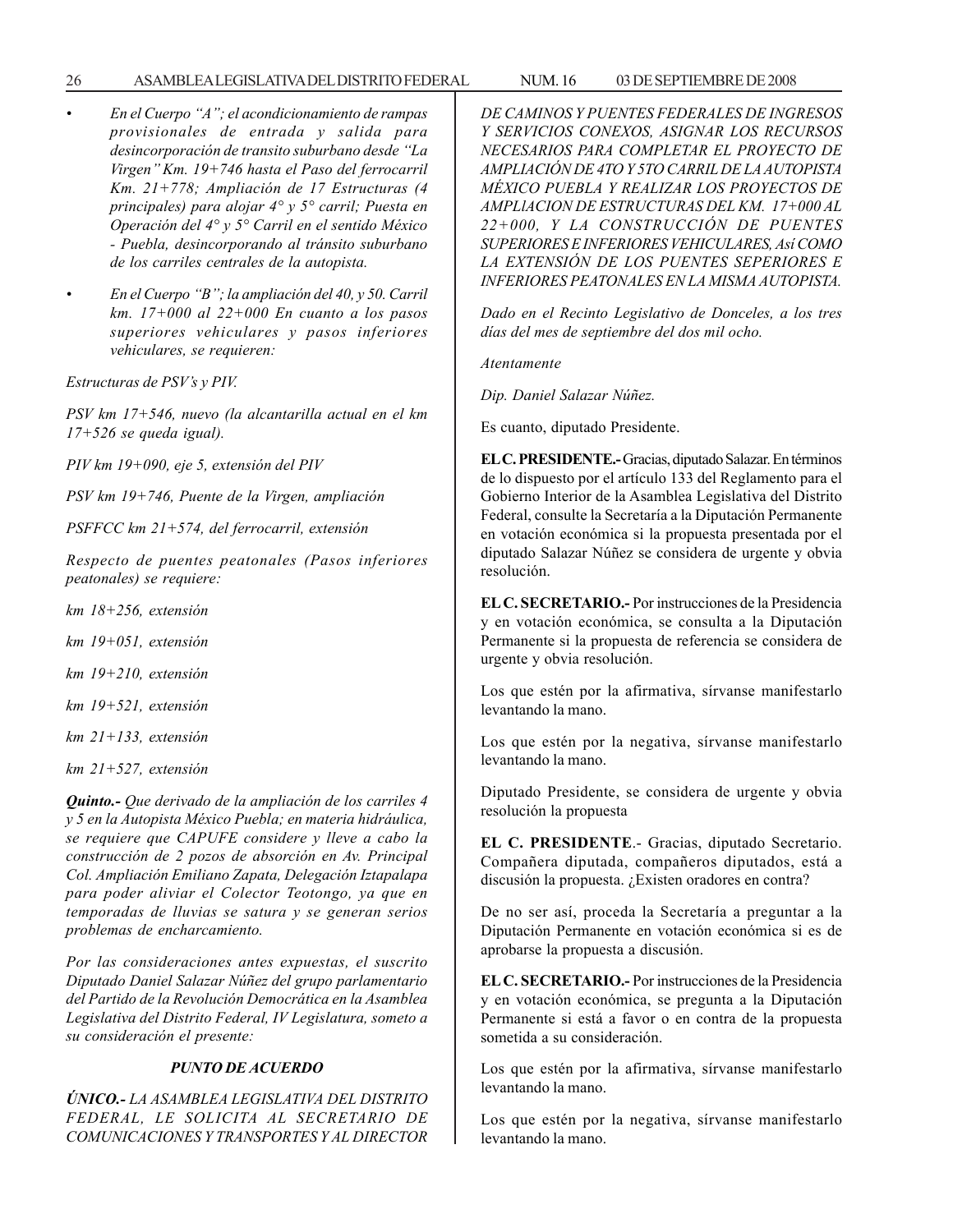#### 26 ASAMBLEA LEGISLATIVA DEL DISTRITO FEDERAL NUM. 16 03 DE SEPTIEMBRE DE 2008

- *En el Cuerpo ''A''; el acondicionamiento de rampas provisionales de entrada y salida para desincorporación de transito suburbano desde ''La Virgen'' Km. 19+746 hasta el Paso del ferrocarril Km. 21+778; Ampliación de 17 Estructuras (4 principales) para alojar 4° y 5° carril; Puesta en Operación del 4° y 5° Carril en el sentido México - Puebla, desincorporando al tránsito suburbano de los carriles centrales de la autopista.*
- *En el Cuerpo ''B''; la ampliación del 40, y 50. Carril km. 17+000 al 22+000 En cuanto a los pasos superiores vehiculares y pasos inferiores vehiculares, se requieren:*

*Estructuras de PSV's y PIV.*

*PSV km 17+546, nuevo (la alcantarilla actual en el km 17+526 se queda igual).*

*PIV km 19+090, eje 5, extensión del PIV*

*PSV km 19+746, Puente de la Virgen, ampliación*

*PSFFCC km 21+574, del ferrocarril, extensión*

*Respecto de puentes peatonales (Pasos inferiores peatonales) se requiere:*

*km 18+256, extensión*

*km 19+051, extensión*

*km 19+210, extensión*

*km 19+521, extensión*

*km 21+133, extensión*

*km 21+527, extensión*

*Quinto.- Que derivado de la ampliación de los carriles 4 y 5 en la Autopista México Puebla; en materia hidráulica, se requiere que CAPUFE considere y lleve a cabo la construcción de 2 pozos de absorción en Av. Principal Col. Ampliación Emiliano Zapata, Delegación Iztapalapa para poder aliviar el Colector Teotongo, ya que en temporadas de lluvias se satura y se generan serios problemas de encharcamiento.*

*Por las consideraciones antes expuestas, el suscrito Diputado Daniel Salazar Núñez del grupo parlamentario del Partido de la Revolución Democrática en la Asamblea Legislativa del Distrito Federal, IV Legislatura, someto a su consideración el presente:*

### *PUNTO DE ACUERDO*

*ÚNICO.- LA ASAMBLEA LEGISLATIVA DEL DISTRITO FEDERAL, LE SOLICITA AL SECRETARIO DE COMUNICACIONES Y TRANSPORTES Y AL DIRECTOR* *DE CAMINOS Y PUENTES FEDERALES DE INGRESOS Y SERVICIOS CONEXOS, ASIGNAR LOS RECURSOS NECESARIOS PARA COMPLETAR EL PROYECTO DE AMPLIACIÓN DE 4TO Y 5TO CARRIL DE LA AUTOPISTA MÉXICO PUEBLA Y REALIZAR LOS PROYECTOS DE AMPLlACION DE ESTRUCTURAS DEL KM. 17+000 AL 22+000, Y LA CONSTRUCCIÓN DE PUENTES SUPERIORES E INFERIORES VEHICULARES, Así COMO LA EXTENSIÓN DE LOS PUENTES SEPERIORES E INFERIORES PEATONALES EN LA MISMA AUTOPISTA.*

*Dado en el Recinto Legislativo de Donceles, a los tres días del mes de septiembre del dos mil ocho.*

*Atentamente*

*Dip. Daniel Salazar Núñez.*

Es cuanto, diputado Presidente.

**EL C. PRESIDENTE.-** Gracias, diputado Salazar. En términos de lo dispuesto por el artículo 133 del Reglamento para el Gobierno Interior de la Asamblea Legislativa del Distrito Federal, consulte la Secretaría a la Diputación Permanente en votación económica si la propuesta presentada por el diputado Salazar Núñez se considera de urgente y obvia resolución.

**EL C. SECRETARIO.-** Por instrucciones de la Presidencia y en votación económica, se consulta a la Diputación Permanente si la propuesta de referencia se considera de urgente y obvia resolución.

Los que estén por la afirmativa, sírvanse manifestarlo levantando la mano.

Los que estén por la negativa, sírvanse manifestarlo levantando la mano.

Diputado Presidente, se considera de urgente y obvia resolución la propuesta

**EL C. PRESIDENTE**.- Gracias, diputado Secretario. Compañera diputada, compañeros diputados, está a discusión la propuesta. ¿Existen oradores en contra?

De no ser así, proceda la Secretaría a preguntar a la Diputación Permanente en votación económica si es de aprobarse la propuesta a discusión.

**EL C. SECRETARIO.-** Por instrucciones de la Presidencia y en votación económica, se pregunta a la Diputación Permanente si está a favor o en contra de la propuesta sometida a su consideración.

Los que estén por la afirmativa, sírvanse manifestarlo levantando la mano.

Los que estén por la negativa, sírvanse manifestarlo levantando la mano.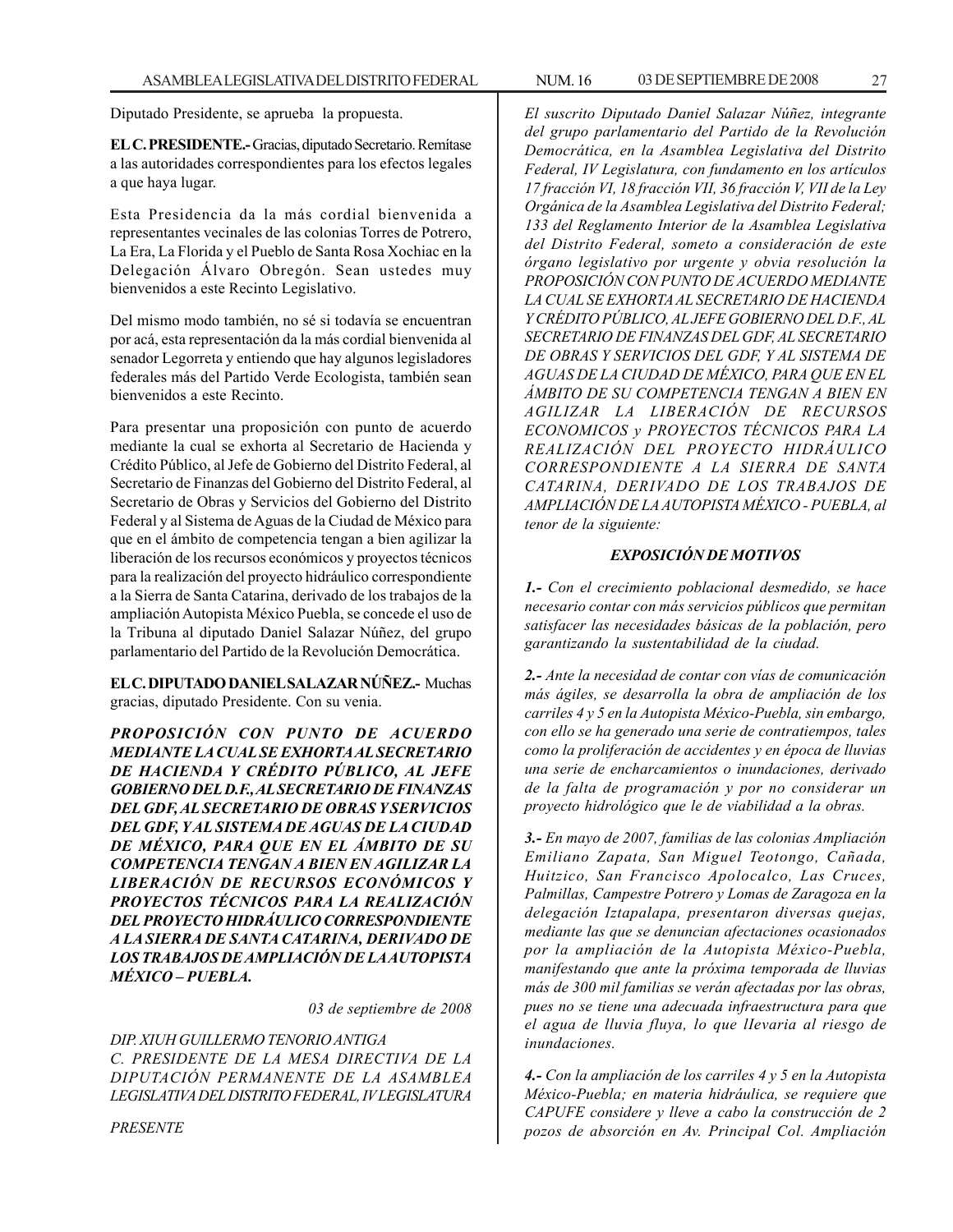Diputado Presidente, se aprueba la propuesta.

**EL C. PRESIDENTE.-** Gracias, diputado Secretario. Remítase a las autoridades correspondientes para los efectos legales a que haya lugar.

Esta Presidencia da la más cordial bienvenida a representantes vecinales de las colonias Torres de Potrero, La Era, La Florida y el Pueblo de Santa Rosa Xochiac en la Delegación Álvaro Obregón. Sean ustedes muy bienvenidos a este Recinto Legislativo.

Del mismo modo también, no sé si todavía se encuentran por acá, esta representación da la más cordial bienvenida al senador Legorreta y entiendo que hay algunos legisladores federales más del Partido Verde Ecologista, también sean bienvenidos a este Recinto.

Para presentar una proposición con punto de acuerdo mediante la cual se exhorta al Secretario de Hacienda y Crédito Público, al Jefe de Gobierno del Distrito Federal, al Secretario de Finanzas del Gobierno del Distrito Federal, al Secretario de Obras y Servicios del Gobierno del Distrito Federal y al Sistema de Aguas de la Ciudad de México para que en el ámbito de competencia tengan a bien agilizar la liberación de los recursos económicos y proyectos técnicos para la realización del proyecto hidráulico correspondiente a la Sierra de Santa Catarina, derivado de los trabajos de la ampliación Autopista México Puebla, se concede el uso de la Tribuna al diputado Daniel Salazar Núñez, del grupo parlamentario del Partido de la Revolución Democrática.

**EL C. DIPUTADO DANIEL SALAZAR NÚÑEZ.-** Muchas gracias, diputado Presidente. Con su venia.

*PROPOSICIÓN CON PUNTO DE ACUERDO MEDIANTE LA CUAL SE EXHORTA AL SECRETARIO DE HACIENDA Y CRÉDITO PÚBLICO, AL JEFE GOBIERNO DEL D.F., AL SECRETARIO DE FINANZAS DEL GDF, AL SECRETARIO DE OBRAS Y SERVICIOS DEL GDF, Y AL SISTEMA DE AGUAS DE LA CIUDAD DE MÉXICO, PARA QUE EN EL ÁMBITO DE SU COMPETENCIA TENGAN A BIEN EN AGILIZAR LA LIBERACIÓN DE RECURSOS ECONÓMICOS Y PROYECTOS TÉCNICOS PARA LA REALIZACIÓN DEL PROYECTO HIDRÁULICO CORRESPONDIENTE A LA SIERRA DE SANTA CATARINA, DERIVADO DE LOS TRABAJOS DE AMPLIACIÓN DE LA AUTOPISTA MÉXICO – PUEBLA.*

*03 de septiembre de 2008*

*DIP. XIUH GUILLERMO TENORIO ANTIGA C. PRESIDENTE DE LA MESA DIRECTIVA DE LA DIPUTACIÓN PERMANENTE DE LA ASAMBLEA LEGISLATIVA DEL DISTRITO FEDERAL, IV LEGISLATURA*

*PRESENTE*

*El suscrito Diputado Daniel Salazar Núñez, integrante del grupo parlamentario del Partido de la Revolución Democrática, en la Asamblea Legislativa del Distrito Federal, IV Legislatura, con fundamento en los artículos 17 fracción VI, 18 fracción VII, 36 fracción V, VII de la Ley Orgánica de la Asamblea Legislativa del Distrito Federal; 133 del Reglamento Interior de la Asamblea Legislativa del Distrito Federal, someto a consideración de este órgano legislativo por urgente y obvia resolución la PROPOSICIÓN CON PUNTO DE ACUERDO MEDIANTE LA CUAL SE EXHORTA AL SECRETARIO DE HACIENDA Y CRÉDITO PÚBLICO, AL JEFE GOBIERNO DEL D.F., AL SECRETARIO DE FINANZAS DEL GDF, AL SECRETARIO DE OBRAS Y SERVICIOS DEL GDF, Y AL SISTEMA DE AGUAS DE LA CIUDAD DE MÉXICO, PARA QUE EN EL ÁMBITO DE SU COMPETENCIA TENGAN A BIEN EN AGILIZAR LA LIBERACIÓN DE RECURSOS ECONOMICOS y PROYECTOS TÉCNICOS PARA LA REALIZACIÓN DEL PROYECTO HIDRÁULICO CORRESPONDIENTE A LA SIERRA DE SANTA CATARINA, DERIVADO DE LOS TRABAJOS DE AMPLIACIÓN DE LA AUTOPISTA MÉXICO - PUEBLA, al tenor de la siguiente:*

#### *EXPOSICIÓN DE MOTIVOS*

*1.- Con el crecimiento poblacional desmedido, se hace necesario contar con más servicios públicos que permitan satisfacer las necesidades básicas de la población, pero garantizando la sustentabilidad de la ciudad.*

*2.- Ante la necesidad de contar con vías de comunicación más ágiles, se desarrolla la obra de ampliación de los carriles 4 y 5 en la Autopista México-Puebla, sin embargo, con ello se ha generado una serie de contratiempos, tales como la proliferación de accidentes y en época de lluvias una serie de encharcamientos o inundaciones, derivado de la falta de programación y por no considerar un proyecto hidrológico que le de viabilidad a la obras.*

*3.- En mayo de 2007, familias de las colonias Ampliación Emiliano Zapata, San Miguel Teotongo, Cañada, Huitzico, San Francisco Apolocalco, Las Cruces, Palmillas, Campestre Potrero y Lomas de Zaragoza en la delegación Iztapalapa, presentaron diversas quejas, mediante las que se denuncian afectaciones ocasionados por la ampliación de la Autopista México-Puebla, manifestando que ante la próxima temporada de lluvias más de 300 mil familias se verán afectadas por las obras, pues no se tiene una adecuada infraestructura para que el agua de lluvia fluya, lo que lIevaria al riesgo de inundaciones.*

*4.- Con la ampliación de los carriles 4 y 5 en la Autopista México-Puebla; en materia hidráulica, se requiere que CAPUFE considere y lleve a cabo la construcción de 2 pozos de absorción en Av. Principal Col. Ampliación*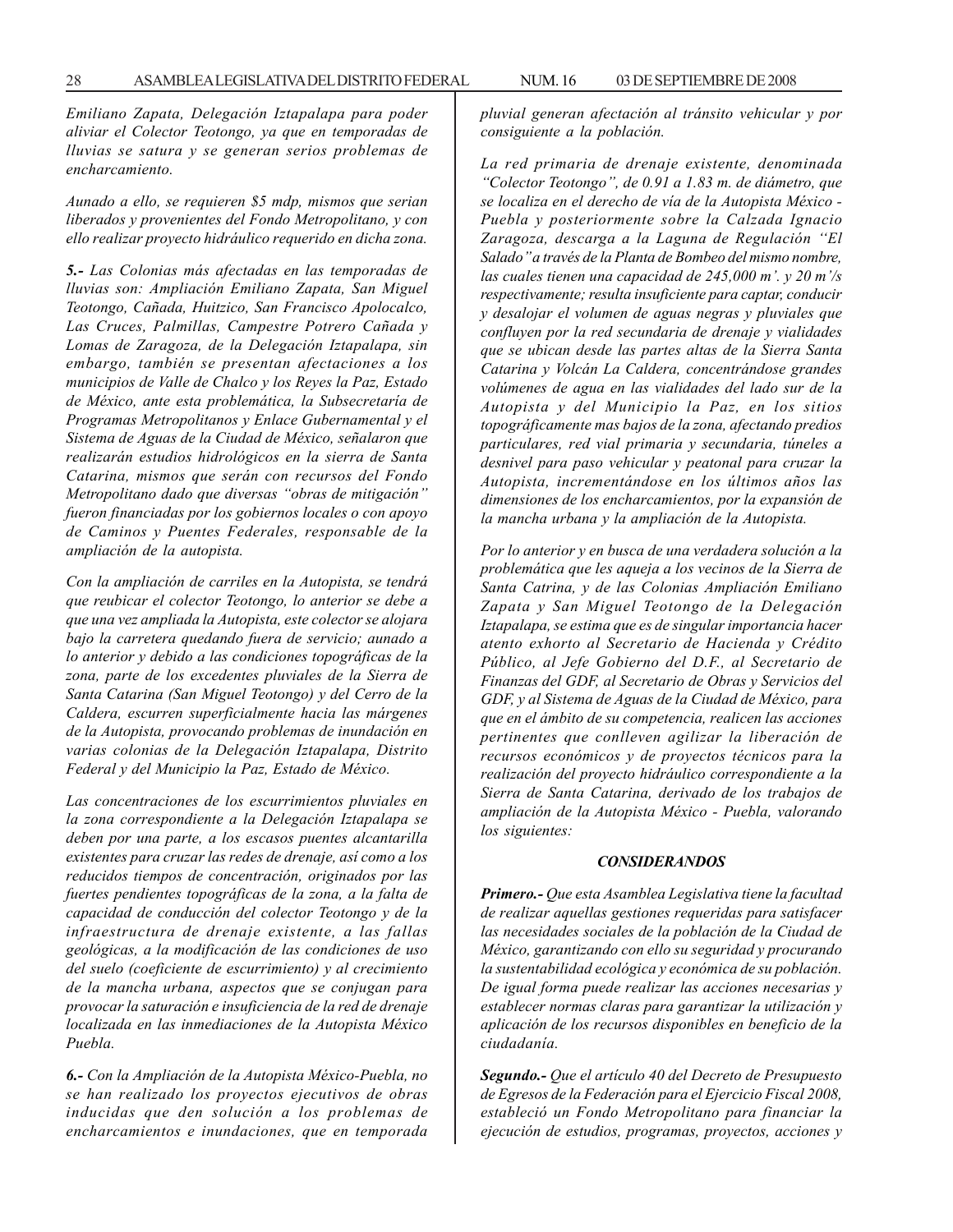*Emiliano Zapata, Delegación Iztapalapa para poder aliviar el Colector Teotongo, ya que en temporadas de lluvias se satura y se generan serios problemas de encharcamiento.*

*Aunado a ello, se requieren \$5 mdp, mismos que serian liberados y provenientes del Fondo Metropolitano, y con ello realizar proyecto hidráulico requerido en dicha zona.*

*5.- Las Colonias más afectadas en las temporadas de lluvias son: Ampliación Emiliano Zapata, San Miguel Teotongo, Cañada, Huitzico, San Francisco Apolocalco, Las Cruces, Palmillas, Campestre Potrero Cañada y Lomas de Zaragoza, de la Delegación Iztapalapa, sin embargo, también se presentan afectaciones a los municipios de Valle de Chalco y los Reyes la Paz, Estado de México, ante esta problemática, la Subsecretaría de Programas Metropolitanos y Enlace Gubernamental y el Sistema de Aguas de la Ciudad de México, señalaron que realizarán estudios hidrológicos en la sierra de Santa Catarina, mismos que serán con recursos del Fondo Metropolitano dado que diversas ''obras de mitigación'' fueron financiadas por los gobiernos locales o con apoyo de Caminos y Puentes Federales, responsable de la ampliación de la autopista.*

*Con la ampliación de carriles en la Autopista, se tendrá que reubicar el colector Teotongo, lo anterior se debe a que una vez ampliada la Autopista, este colector se alojara bajo la carretera quedando fuera de servicio; aunado a lo anterior y debido a las condiciones topográficas de la zona, parte de los excedentes pluviales de la Sierra de Santa Catarina (San Miguel Teotongo) y del Cerro de la Caldera, escurren superficialmente hacia las márgenes de la Autopista, provocando problemas de inundación en varias colonias de la Delegación Iztapalapa, Distrito Federal y del Municipio la Paz, Estado de México.*

*Las concentraciones de los escurrimientos pluviales en la zona correspondiente a la Delegación Iztapalapa se deben por una parte, a los escasos puentes alcantarilla existentes para cruzar las redes de drenaje, así como a los reducidos tiempos de concentración, originados por las fuertes pendientes topográficas de la zona, a la falta de capacidad de conducción del colector Teotongo y de la infraestructura de drenaje existente, a las fallas geológicas, a la modificación de las condiciones de uso del suelo (coeficiente de escurrimiento) y al crecimiento de la mancha urbana, aspectos que se conjugan para provocar la saturación e insuficiencia de la red de drenaje localizada en las inmediaciones de la Autopista México Puebla.*

*6.- Con la Ampliación de la Autopista México-Puebla, no se han realizado los proyectos ejecutivos de obras inducidas que den solución a los problemas de encharcamientos e inundaciones, que en temporada* *pluvial generan afectación al tránsito vehicular y por consiguiente a la población.*

*La red primaria de drenaje existente, denominada ''Colector Teotongo'', de 0.91 a 1.83 m. de diámetro, que se localiza en el derecho de vía de la Autopista México - Puebla y posteriormente sobre la Calzada Ignacio Zaragoza, descarga a la Laguna de Regulación ''El Salado'' a través de la Planta de Bombeo del mismo nombre, las cuales tienen una capacidad de 245,000 m'. y 20 m'/s respectivamente; resulta insuficiente para captar, conducir y desalojar el volumen de aguas negras y pluviales que confluyen por la red secundaria de drenaje y vialidades que se ubican desde las partes altas de la Sierra Santa Catarina y Volcán La Caldera, concentrándose grandes volúmenes de agua en las vialidades del lado sur de la Autopista y del Municipio la Paz, en los sitios topográficamente mas bajos de la zona, afectando predios particulares, red vial primaria y secundaria, túneles a desnivel para paso vehicular y peatonal para cruzar la Autopista, incrementándose en los últimos años las dimensiones de los encharcamientos, por la expansión de la mancha urbana y la ampliación de la Autopista.*

*Por lo anterior y en busca de una verdadera solución a la problemática que les aqueja a los vecinos de la Sierra de Santa Catrina, y de las Colonias Ampliación Emiliano Zapata y San Miguel Teotongo de la Delegación Iztapalapa, se estima que es de singular importancia hacer atento exhorto al Secretario de Hacienda y Crédito Público, al Jefe Gobierno del D.F., al Secretario de Finanzas del GDF, al Secretario de Obras y Servicios del GDF, y al Sistema de Aguas de la Ciudad de México, para que en el ámbito de su competencia, realicen las acciones pertinentes que conlleven agilizar la liberación de recursos económicos y de proyectos técnicos para la realización del proyecto hidráulico correspondiente a la Sierra de Santa Catarina, derivado de los trabajos de ampliación de la Autopista México - Puebla, valorando los siguientes:*

#### *CONSIDERANDOS*

*Primero.- Que esta Asamblea Legislativa tiene la facultad de realizar aquellas gestiones requeridas para satisfacer las necesidades sociales de la población de la Ciudad de México, garantizando con ello su seguridad y procurando la sustentabilidad ecológica y económica de su población. De igual forma puede realizar las acciones necesarias y establecer normas claras para garantizar la utilización y aplicación de los recursos disponibles en beneficio de la ciudadanía.*

*Segundo.- Que el artículo 40 del Decreto de Presupuesto de Egresos de la Federación para el Ejercicio Fiscal 2008, estableció un Fondo Metropolitano para financiar la ejecución de estudios, programas, proyectos, acciones y*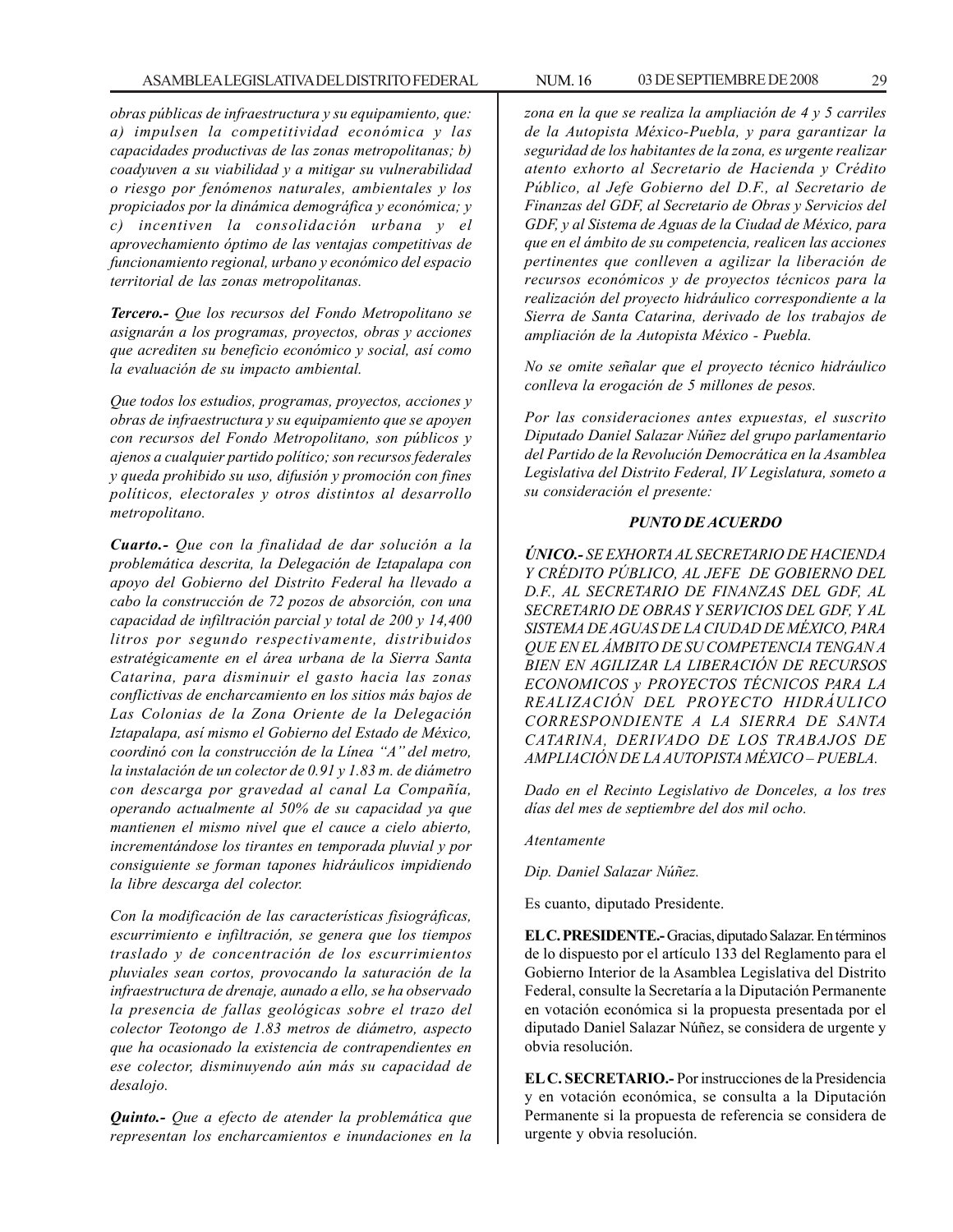*obras públicas de infraestructura y su equipamiento, que: a) impulsen la competitividad económica y las capacidades productivas de las zonas metropolitanas; b) coadyuven a su viabilidad y a mitigar su vulnerabilidad o riesgo por fenómenos naturales, ambientales y los propiciados por la dinámica demográfica y económica; y c) incentiven la consolidación urbana y el aprovechamiento óptimo de las ventajas competitivas de funcionamiento regional, urbano y económico del espacio territorial de las zonas metropolitanas.*

*Tercero.- Que los recursos del Fondo Metropolitano se asignarán a los programas, proyectos, obras y acciones que acrediten su beneficio económico y social, así como la evaluación de su impacto ambiental.*

*Que todos los estudios, programas, proyectos, acciones y obras de infraestructura y su equipamiento que se apoyen con recursos del Fondo Metropolitano, son públicos y ajenos a cualquier partido político; son recursos federales y queda prohibido su uso, difusión y promoción con fines políticos, electorales y otros distintos al desarrollo metropolitano.*

*Cuarto.- Que con la finalidad de dar solución a la problemática descrita, la Delegación de Iztapalapa con apoyo del Gobierno del Distrito Federal ha llevado a cabo la construcción de 72 pozos de absorción, con una capacidad de infiltración parcial y total de 200 y 14,400 litros por segundo respectivamente, distribuidos estratégicamente en el área urbana de la Sierra Santa Catarina, para disminuir el gasto hacia las zonas conflictivas de encharcamiento en los sitios más bajos de Las Colonias de la Zona Oriente de la Delegación Iztapalapa, así mismo el Gobierno del Estado de México, coordinó con la construcción de la Línea ''A'' del metro, la instalación de un colector de 0.91 y 1.83 m. de diámetro con descarga por gravedad al canal La Compañía, operando actualmente al 50% de su capacidad ya que mantienen el mismo nivel que el cauce a cielo abierto, incrementándose los tirantes en temporada pluvial y por consiguiente se forman tapones hidráulicos impidiendo la libre descarga del colector.*

*Con la modificación de las características fisiográficas, escurrimiento e infiltración, se genera que los tiempos traslado y de concentración de los escurrimientos pluviales sean cortos, provocando la saturación de la infraestructura de drenaje, aunado a ello, se ha observado la presencia de fallas geológicas sobre el trazo del colector Teotongo de 1.83 metros de diámetro, aspecto que ha ocasionado la existencia de contrapendientes en ese colector, disminuyendo aún más su capacidad de desalojo.*

*Quinto.- Que a efecto de atender la problemática que representan los encharcamientos e inundaciones en la*

*zona en la que se realiza la ampliación de 4 y 5 carriles de la Autopista México-Puebla, y para garantizar la seguridad de los habitantes de la zona, es urgente realizar atento exhorto al Secretario de Hacienda y Crédito Público, al Jefe Gobierno del D.F., al Secretario de Finanzas del GDF, al Secretario de Obras y Servicios del GDF, y al Sistema de Aguas de la Ciudad de México, para que en el ámbito de su competencia, realicen las acciones pertinentes que conlleven a agilizar la liberación de recursos económicos y de proyectos técnicos para la realización del proyecto hidráulico correspondiente a la Sierra de Santa Catarina, derivado de los trabajos de ampliación de la Autopista México - Puebla.*

*No se omite señalar que el proyecto técnico hidráulico conlleva la erogación de 5 millones de pesos.*

*Por las consideraciones antes expuestas, el suscrito Diputado Daniel Salazar Núñez del grupo parlamentario del Partido de la Revolución Democrática en la Asamblea Legislativa del Distrito Federal, IV Legislatura, someto a su consideración el presente:*

#### *PUNTO DE ACUERDO*

*ÚNICO.- SE EXHORTA AL SECRETARIO DE HACIENDA Y CRÉDITO PÚBLICO, AL JEFE DE GOBIERNO DEL D.F., AL SECRETARIO DE FINANZAS DEL GDF, AL SECRETARIO DE OBRAS Y SERVICIOS DEL GDF, Y AL SISTEMA DE AGUAS DE LA CIUDAD DE MÉXICO, PARA QUE EN EL ÁMBITO DE SU COMPETENCIA TENGAN A BIEN EN AGILIZAR LA LIBERACIÓN DE RECURSOS ECONOMICOS y PROYECTOS TÉCNICOS PARA LA REALIZACIÓN DEL PROYECTO HIDRÁULICO CORRESPONDIENTE A LA SIERRA DE SANTA CATARINA, DERIVADO DE LOS TRABAJOS DE AMPLIACIÓN DE LA AUTOPISTA MÉXICO – PUEBLA.*

*Dado en el Recinto Legislativo de Donceles, a los tres días del mes de septiembre del dos mil ocho.*

*Atentamente*

*Dip. Daniel Salazar Núñez.*

Es cuanto, diputado Presidente.

**EL C. PRESIDENTE.-** Gracias, diputado Salazar. En términos de lo dispuesto por el artículo 133 del Reglamento para el Gobierno Interior de la Asamblea Legislativa del Distrito Federal, consulte la Secretaría a la Diputación Permanente en votación económica si la propuesta presentada por el diputado Daniel Salazar Núñez, se considera de urgente y obvia resolución.

**EL C. SECRETARIO.-** Por instrucciones de la Presidencia y en votación económica, se consulta a la Diputación Permanente si la propuesta de referencia se considera de urgente y obvia resolución.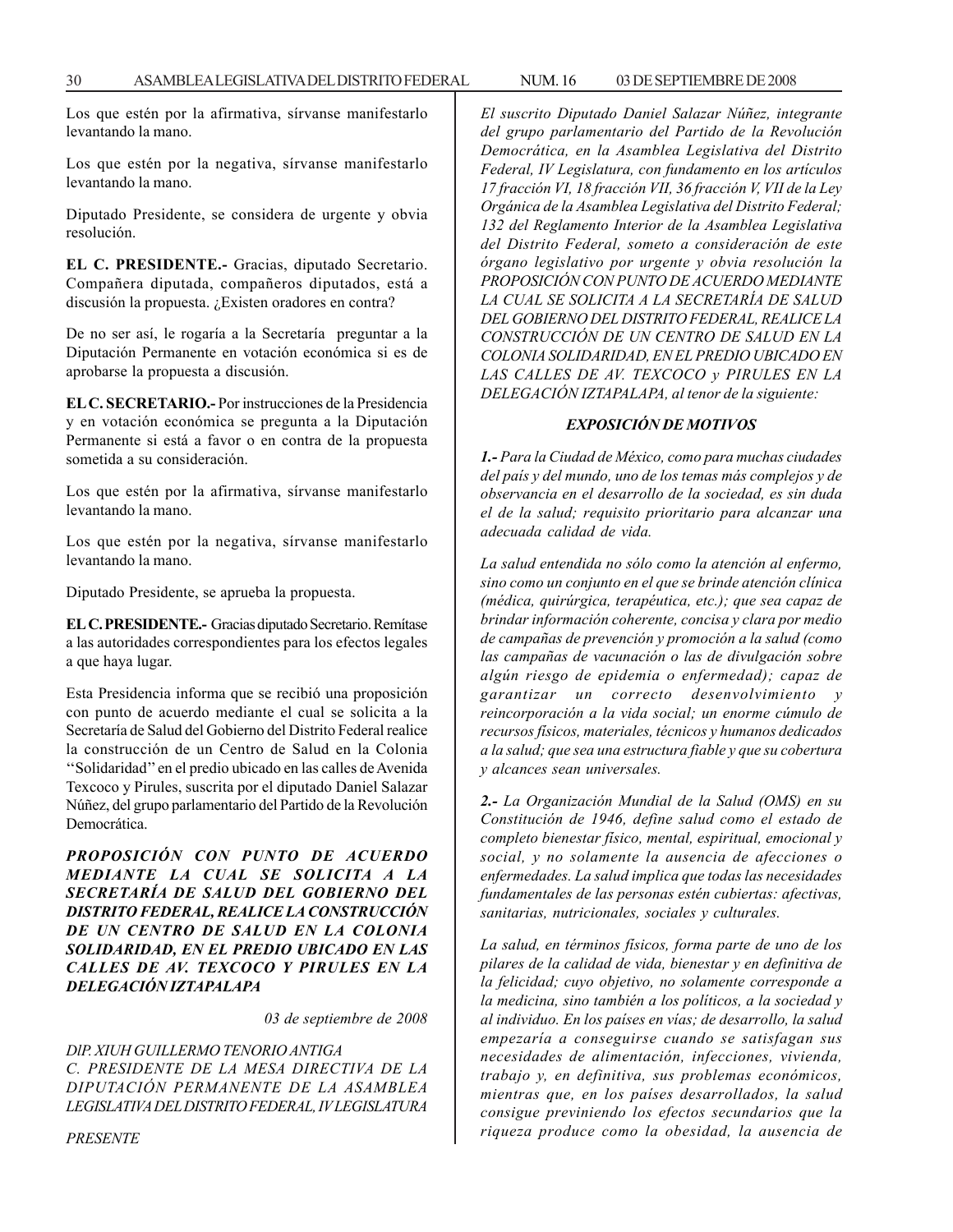Los que estén por la afirmativa, sírvanse manifestarlo levantando la mano.

Los que estén por la negativa, sírvanse manifestarlo levantando la mano.

Diputado Presidente, se considera de urgente y obvia resolución.

**EL C. PRESIDENTE.-** Gracias, diputado Secretario. Compañera diputada, compañeros diputados, está a discusión la propuesta. ¿Existen oradores en contra?

De no ser así, le rogaría a la Secretaría preguntar a la Diputación Permanente en votación económica si es de aprobarse la propuesta a discusión.

**EL C. SECRETARIO.-** Por instrucciones de la Presidencia y en votación económica se pregunta a la Diputación Permanente si está a favor o en contra de la propuesta sometida a su consideración.

Los que estén por la afirmativa, sírvanse manifestarlo levantando la mano.

Los que estén por la negativa, sírvanse manifestarlo levantando la mano.

Diputado Presidente, se aprueba la propuesta.

**EL C. PRESIDENTE.-** Gracias diputado Secretario. Remítase a las autoridades correspondientes para los efectos legales a que haya lugar.

Esta Presidencia informa que se recibió una proposición con punto de acuerdo mediante el cual se solicita a la Secretaría de Salud del Gobierno del Distrito Federal realice la construcción de un Centro de Salud en la Colonia ''Solidaridad'' en el predio ubicado en las calles de Avenida Texcoco y Pirules, suscrita por el diputado Daniel Salazar Núñez, del grupo parlamentario del Partido de la Revolución Democrática.

*PROPOSICIÓN CON PUNTO DE ACUERDO MEDIANTE LA CUAL SE SOLICITA A LA SECRETARÍA DE SALUD DEL GOBIERNO DEL DISTRITO FEDERAL, REALICE LA CONSTRUCCIÓN DE UN CENTRO DE SALUD EN LA COLONIA SOLIDARIDAD, EN EL PREDIO UBICADO EN LAS CALLES DE AV. TEXCOCO Y PIRULES EN LA DELEGACIÓN IZTAPALAPA*

*03 de septiembre de 2008*

*DlP. XIUH GUILLERMO TENORIO ANTIGA C. PRESIDENTE DE LA MESA DIRECTIVA DE LA DIPUTACIÓN PERMANENTE DE LA ASAMBLEA LEGISLATIVA DEL DISTRITO FEDERAL, IV LEGISLATURA* *El suscrito Diputado Daniel Salazar Núñez, integrante del grupo parlamentario del Partido de la Revolución Democrática, en la Asamblea Legislativa del Distrito Federal, IV Legislatura, con fundamento en los artículos 17 fracción VI, 18 fracción VII, 36 fracción V, VII de la Ley Orgánica de la Asamblea Legislativa del Distrito Federal; 132 del Reglamento Interior de la Asamblea Legislativa del Distrito Federal, someto a consideración de este órgano legislativo por urgente y obvia resolución la PROPOSICIÓN CON PUNTO DE ACUERDO MEDIANTE LA CUAL SE SOLICITA A LA SECRETARÍA DE SALUD DEL GOBIERNO DEL DISTRITO FEDERAL, REALICE LA CONSTRUCCIÓN DE UN CENTRO DE SALUD EN LA COLONIA SOLIDARIDAD, EN EL PREDIO UBICADO EN LAS CALLES DE AV. TEXCOCO y PIRULES EN LA DELEGACIÓN IZTAPALAPA, al tenor de la siguiente:*

#### *EXPOSICIÓN DE MOTIVOS*

*1.- Para la Ciudad de México, como para muchas ciudades del país y del mundo, uno de los temas más complejos y de observancia en el desarrollo de la sociedad, es sin duda el de la salud; requisito prioritario para alcanzar una adecuada calidad de vida.*

*La salud entendida no sólo como la atención al enfermo, sino como un conjunto en el que se brinde atención clínica (médica, quirúrgica, terapéutica, etc.); que sea capaz de brindar información coherente, concisa y clara por medio de campañas de prevención y promoción a la salud (como las campañas de vacunación o las de divulgación sobre algún riesgo de epidemia o enfermedad); capaz de garantizar un correcto desenvolvimiento y reincorporación a la vida social; un enorme cúmulo de recursos físicos, materiales, técnicos y humanos dedicados a la salud; que sea una estructura fiable y que su cobertura y alcances sean universales.*

*2.- La Organización Mundial de la Salud (OMS) en su Constitución de 1946, define salud como el estado de completo bienestar físico, mental, espiritual, emocional y social, y no solamente la ausencia de afecciones o enfermedades. La salud implica que todas las necesidades fundamentales de las personas estén cubiertas: afectivas, sanitarias, nutricionales, sociales y culturales.*

*La salud, en términos físicos, forma parte de uno de los pilares de la calidad de vida, bienestar y en definitiva de la felicidad; cuyo objetivo, no solamente corresponde a la medicina, sino también a los políticos, a la sociedad y al individuo. En los países en vías; de desarrollo, la salud empezaría a conseguirse cuando se satisfagan sus necesidades de alimentación, infecciones, vivienda, trabajo y, en definitiva, sus problemas económicos, mientras que, en los países desarrollados, la salud consigue previniendo los efectos secundarios que la riqueza produce como la obesidad, la ausencia de*

*PRESENTE*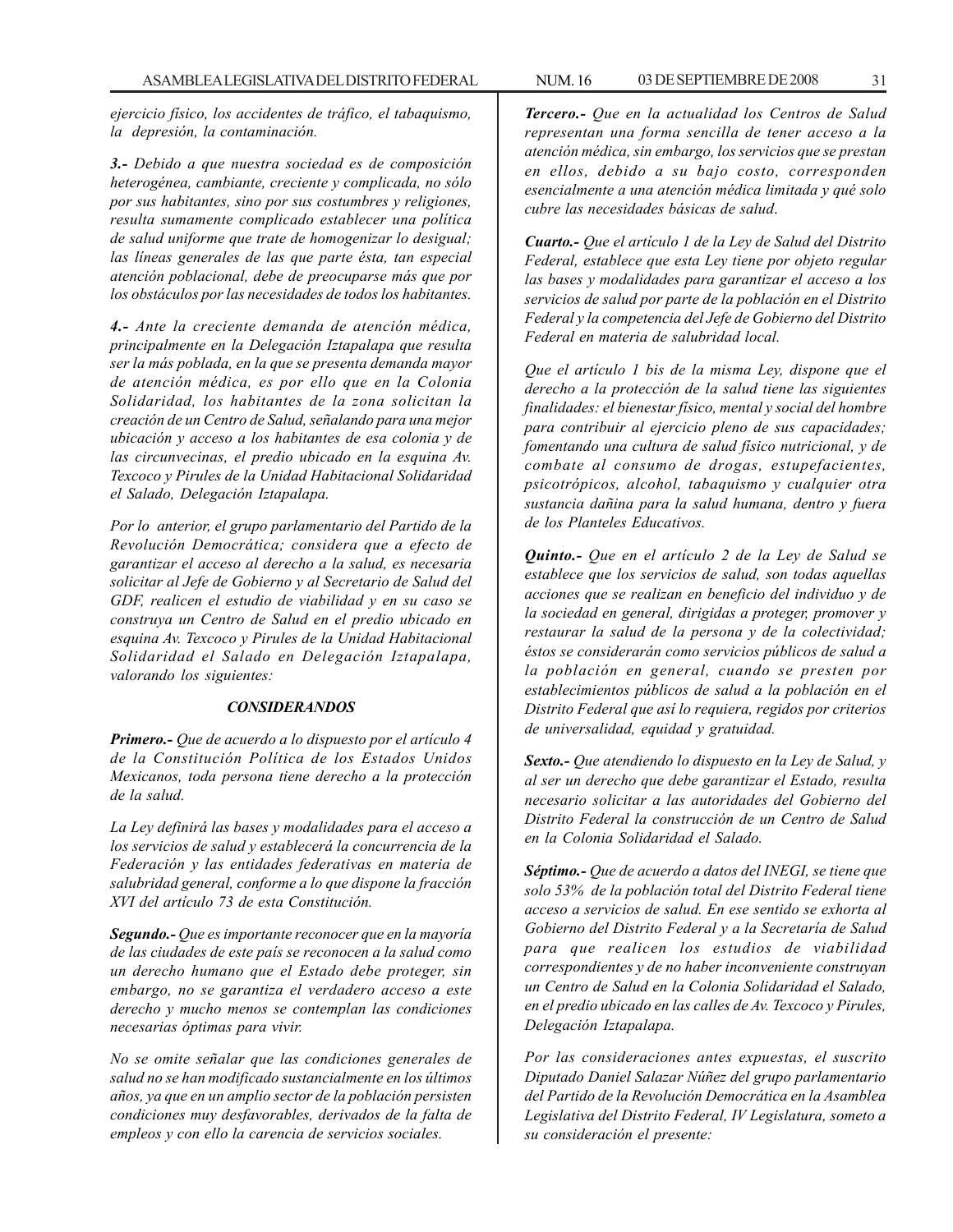*ejercicio físico, los accidentes de tráfico, el tabaquismo, la depresión, la contaminación.*

*3.- Debido a que nuestra sociedad es de composición heterogénea, cambiante, creciente y complicada, no sólo por sus habitantes, sino por sus costumbres y religiones, resulta sumamente complicado establecer una política de salud uniforme que trate de homogenizar lo desigual; las líneas generales de las que parte ésta, tan especial atención poblacional, debe de preocuparse más que por los obstáculos por las necesidades de todos los habitantes.*

*4.- Ante la creciente demanda de atención médica, principalmente en la Delegación Iztapalapa que resulta ser la más poblada, en la que se presenta demanda mayor de atención médica, es por ello que en la Colonia Solidaridad, los habitantes de la zona solicitan la creación de un Centro de Salud, señalando para una mejor ubicación y acceso a los habitantes de esa colonia y de las circunvecinas, el predio ubicado en la esquina Av. Texcoco y Pirules de la Unidad Habitacional Solidaridad el Salado, Delegación Iztapalapa.*

*Por lo anterior, el grupo parlamentario del Partido de la Revolución Democrática; considera que a efecto de garantizar el acceso al derecho a la salud, es necesaria solicitar al Jefe de Gobierno y al Secretario de Salud del GDF, realicen el estudio de viabilidad y en su caso se construya un Centro de Salud en el predio ubicado en esquina Av. Texcoco y Pirules de la Unidad Habitacional Solidaridad el Salado en Delegación Iztapalapa, valorando los siguientes:*

#### *CONSIDERANDOS*

*Primero.- Que de acuerdo a lo dispuesto por el artículo 4 de la Constitución Política de los Estados Unidos Mexicanos, toda persona tiene derecho a la protección de la salud.*

*La Ley definirá las bases y modalidades para el acceso a los servicios de salud y establecerá la concurrencia de la Federación y las entidades federativas en materia de salubridad general, conforme a lo que dispone la fracción XVI del artículo 73 de esta Constitución.*

*Segundo.- Que es importante reconocer que en la mayoría de las ciudades de este país se reconocen a la salud como un derecho humano que el Estado debe proteger, sin embargo, no se garantiza el verdadero acceso a este derecho y mucho menos se contemplan las condiciones necesarias óptimas para vivir.*

*No se omite señalar que las condiciones generales de salud no se han modificado sustancialmente en los últimos años, ya que en un amplio sector de la población persisten condiciones muy desfavorables, derivados de la falta de empleos y con ello la carencia de servicios sociales.*

*Tercero.- Que en la actualidad los Centros de Salud representan una forma sencilla de tener acceso a la atención médica, sin embargo, los servicios que se prestan en ellos, debido a su bajo costo, corresponden esencialmente a una atención médica limitada y qué solo cubre las necesidades básicas de salud*.

*Cuarto.- Que el artículo 1 de la Ley de Salud del Distrito Federal, establece que esta Ley tiene por objeto regular las bases y modalidades para garantizar el acceso a los servicios de salud por parte de la población en el Distrito Federal y la competencia del Jefe de Gobierno del Distrito Federal en materia de salubridad local.*

*Que el artículo 1 bis de la misma Ley, dispone que el derecho a la protección de la salud tiene las siguientes finalidades: el bienestar físico, mental y social del hombre para contribuir al ejercicio pleno de sus capacidades; fomentando una cultura de salud físico nutricional, y de combate al consumo de drogas, estupefacientes, psicotrópicos, alcohol, tabaquismo y cualquier otra sustancia dañina para la salud humana, dentro y fuera de los Planteles Educativos.*

*Quinto.- Que en el artículo 2 de la Ley de Salud se establece que los servicios de salud, son todas aquellas acciones que se realizan en beneficio del individuo y de la sociedad en general, dirigidas a proteger, promover y restaurar la salud de la persona y de la colectividad; éstos se considerarán como servicios públicos de salud a la población en general, cuando se presten por establecimientos públicos de salud a la población en el Distrito Federal que así lo requiera, regidos por criterios de universalidad, equidad y gratuidad.*

*Sexto.- Que atendiendo lo dispuesto en la Ley de Salud, y al ser un derecho que debe garantizar el Estado, resulta necesario solicitar a las autoridades del Gobierno del Distrito Federal la construcción de un Centro de Salud en la Colonia Solidaridad el Salado.*

*Séptimo.- Que de acuerdo a datos del INEGI, se tiene que solo 53% de la población total del Distrito Federal tiene acceso a servicios de salud. En ese sentido se exhorta al Gobierno del Distrito Federal y a la Secretaría de Salud para que realicen los estudios de viabilidad correspondientes y de no haber inconveniente construyan un Centro de Salud en la Colonia Solidaridad el Salado, en el predio ubicado en las calles de Av. Texcoco y Pirules, Delegación Iztapalapa.*

*Por las consideraciones antes expuestas, el suscrito Diputado Daniel Salazar Núñez del grupo parlamentario del Partido de la Revolución Democrática en la Asamblea Legislativa del Distrito Federal, IV Legislatura, someto a su consideración el presente:*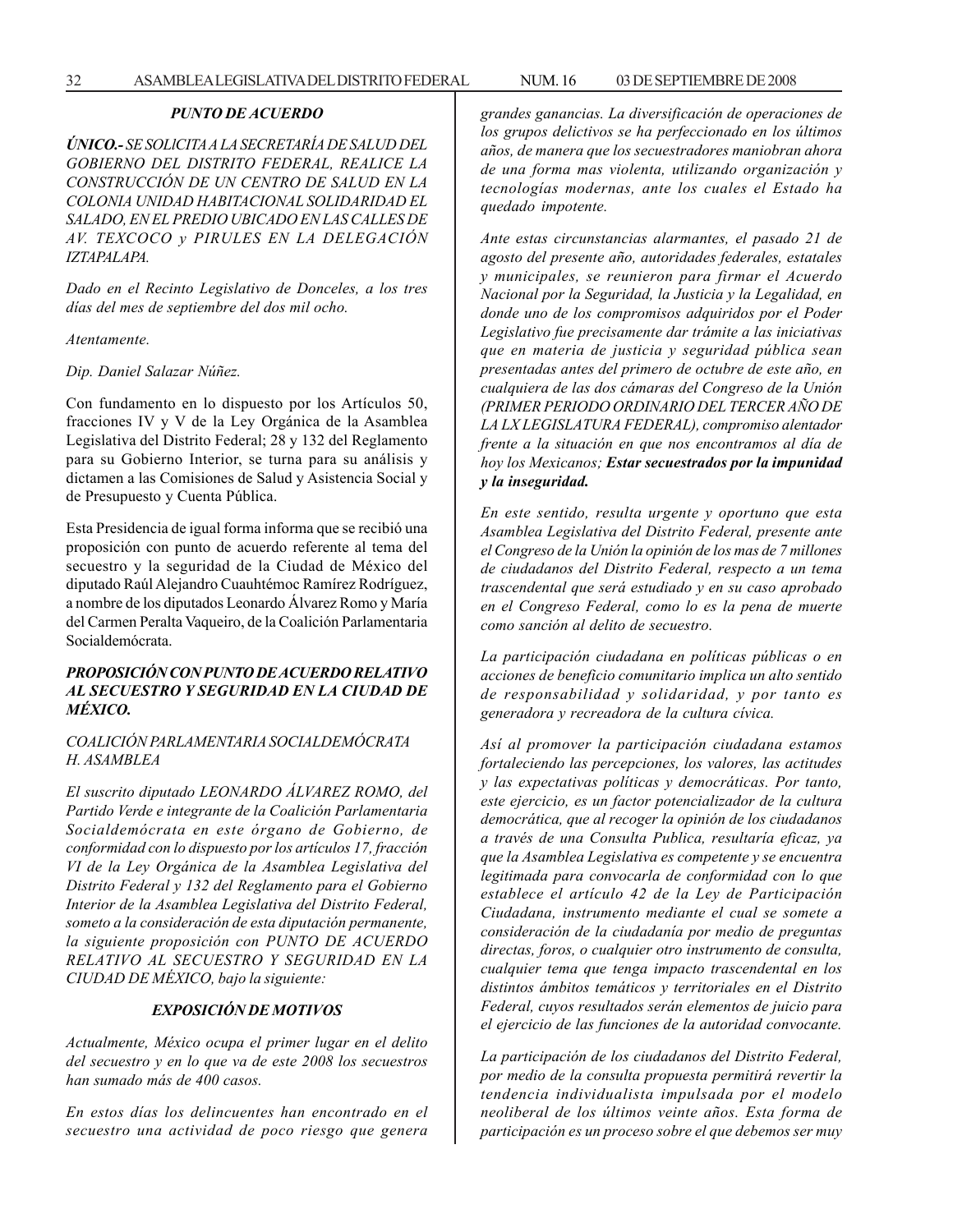#### *PUNTO DE ACUERDO*

*ÚNICO.- SE SOLlCITA A LA SECRETARÍA DE SALUD DEL GOBIERNO DEL DISTRITO FEDERAL, REALICE LA CONSTRUCCIÓN DE UN CENTRO DE SALUD EN LA COLONIA UNIDAD HABITACIONAL SOLIDARIDAD EL SALADO, EN EL PREDIO UBICADO EN LAS CALLES DE AV. TEXCOCO y PIRULES EN LA DELEGACIÓN IZTAPALAPA.*

*Dado en el Recinto Legislativo de Donceles, a los tres días del mes de septiembre del dos mil ocho.*

*Atentamente.*

*Dip. Daniel Salazar Núñez.*

Con fundamento en lo dispuesto por los Artículos 50, fracciones IV y V de la Ley Orgánica de la Asamblea Legislativa del Distrito Federal; 28 y 132 del Reglamento para su Gobierno Interior, se turna para su análisis y dictamen a las Comisiones de Salud y Asistencia Social y de Presupuesto y Cuenta Pública.

Esta Presidencia de igual forma informa que se recibió una proposición con punto de acuerdo referente al tema del secuestro y la seguridad de la Ciudad de México del diputado Raúl Alejandro Cuauhtémoc Ramírez Rodríguez, a nombre de los diputados Leonardo Álvarez Romo y María del Carmen Peralta Vaqueiro, de la Coalición Parlamentaria Socialdemócrata.

#### *PROPOSICIÓN CON PUNTO DE ACUERDO RELATIVO AL SECUESTRO Y SEGURIDAD EN LA CIUDAD DE MÉXICO.*

#### *COALICIÓN PARLAMENTARIA SOCIALDEMÓCRATA H. ASAMBLEA*

*El suscrito diputado LEONARDO ÁLVAREZ ROMO, del Partido Verde e integrante de la Coalición Parlamentaria Socialdemócrata en este órgano de Gobierno, de conformidad con lo dispuesto por los artículos 17, fracción VI de la Ley Orgánica de la Asamblea Legislativa del Distrito Federal y 132 del Reglamento para el Gobierno Interior de la Asamblea Legislativa del Distrito Federal, someto a la consideración de esta diputación permanente, la siguiente proposición con PUNTO DE ACUERDO RELATIVO AL SECUESTRO Y SEGURIDAD EN LA CIUDAD DE MÉXICO, bajo la siguiente:*

#### *EXPOSICIÓN DE MOTIVOS*

*Actualmente, México ocupa el primer lugar en el delito del secuestro y en lo que va de este 2008 los secuestros han sumado más de 400 casos.*

*En estos días los delincuentes han encontrado en el secuestro una actividad de poco riesgo que genera* *grandes ganancias. La diversificación de operaciones de los grupos delictivos se ha perfeccionado en los últimos años, de manera que los secuestradores maniobran ahora de una forma mas violenta, utilizando organización y tecnologías modernas, ante los cuales el Estado ha quedado impotente.*

*Ante estas circunstancias alarmantes, el pasado 21 de agosto del presente año, autoridades federales, estatales y municipales, se reunieron para firmar el Acuerdo Nacional por la Seguridad, la Justicia y la Legalidad, en donde uno de los compromisos adquiridos por el Poder Legislativo fue precisamente dar trámite a las iniciativas que en materia de justicia y seguridad pública sean presentadas antes del primero de octubre de este año, en cualquiera de las dos cámaras del Congreso de la Unión (PRIMER PERIODO ORDINARIO DEL TERCER AÑO DE LA LX LEGISLATURA FEDERAL), compromiso alentador frente a la situación en que nos encontramos al día de hoy los Mexicanos; Estar secuestrados por la impunidad y la inseguridad.*

*En este sentido, resulta urgente y oportuno que esta Asamblea Legislativa del Distrito Federal, presente ante el Congreso de la Unión la opinión de los mas de 7 millones de ciudadanos del Distrito Federal, respecto a un tema trascendental que será estudiado y en su caso aprobado en el Congreso Federal, como lo es la pena de muerte como sanción al delito de secuestro.*

*La participación ciudadana en políticas públicas o en acciones de beneficio comunitario implica un alto sentido de responsabilidad y solidaridad, y por tanto es generadora y recreadora de la cultura cívica.*

*Así al promover la participación ciudadana estamos fortaleciendo las percepciones, los valores, las actitudes y las expectativas políticas y democráticas. Por tanto, este ejercicio, es un factor potencializador de la cultura democrática, que al recoger la opinión de los ciudadanos a través de una Consulta Publica, resultaría eficaz, ya que la Asamblea Legislativa es competente y se encuentra legitimada para convocarla de conformidad con lo que establece el artículo 42 de la Ley de Participación Ciudadana, instrumento mediante el cual se somete a consideración de la ciudadanía por medio de preguntas directas, foros, o cualquier otro instrumento de consulta, cualquier tema que tenga impacto trascendental en los distintos ámbitos temáticos y territoriales en el Distrito Federal, cuyos resultados serán elementos de juicio para el ejercicio de las funciones de la autoridad convocante.*

*La participación de los ciudadanos del Distrito Federal, por medio de la consulta propuesta permitirá revertir la tendencia individualista impulsada por el modelo neoliberal de los últimos veinte años. Esta forma de participación es un proceso sobre el que debemos ser muy*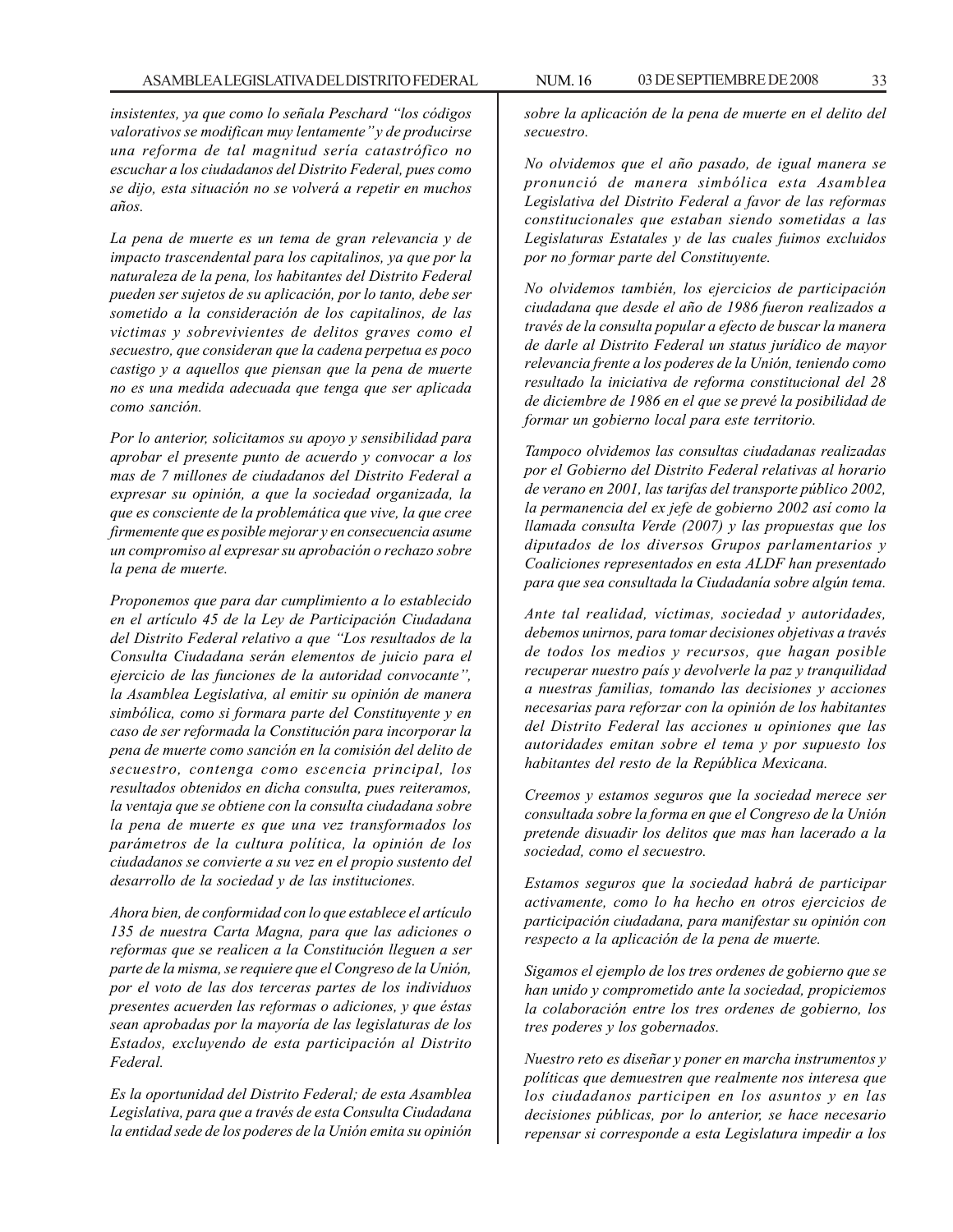*insistentes, ya que como lo señala Peschard ''los códigos valorativos se modifican muy lentamente'' y de producirse una reforma de tal magnitud sería catastrófico no escuchar a los ciudadanos del Distrito Federal, pues como se dijo, esta situación no se volverá a repetir en muchos años.*

*La pena de muerte es un tema de gran relevancia y de impacto trascendental para los capitalinos, ya que por la naturaleza de la pena, los habitantes del Distrito Federal pueden ser sujetos de su aplicación, por lo tanto, debe ser sometido a la consideración de los capitalinos, de las victimas y sobrevivientes de delitos graves como el secuestro, que consideran que la cadena perpetua es poco castigo y a aquellos que piensan que la pena de muerte no es una medida adecuada que tenga que ser aplicada como sanción.*

*Por lo anterior, solicitamos su apoyo y sensibilidad para aprobar el presente punto de acuerdo y convocar a los mas de 7 millones de ciudadanos del Distrito Federal a expresar su opinión, a que la sociedad organizada, la que es consciente de la problemática que vive, la que cree firmemente que es posible mejorar y en consecuencia asume un compromiso al expresar su aprobación o rechazo sobre la pena de muerte.*

*Proponemos que para dar cumplimiento a lo establecido en el artículo 45 de la Ley de Participación Ciudadana del Distrito Federal relativo a que ''Los resultados de la Consulta Ciudadana serán elementos de juicio para el ejercicio de las funciones de la autoridad convocante'', la Asamblea Legislativa, al emitir su opinión de manera simbólica, como si formara parte del Constituyente y en caso de ser reformada la Constitución para incorporar la pena de muerte como sanción en la comisión del delito de secuestro, contenga como escencia principal, los resultados obtenidos en dicha consulta, pues reiteramos, la ventaja que se obtiene con la consulta ciudadana sobre la pena de muerte es que una vez transformados los parámetros de la cultura política, la opinión de los ciudadanos se convierte a su vez en el propio sustento del desarrollo de la sociedad y de las instituciones.*

*Ahora bien, de conformidad con lo que establece el artículo 135 de nuestra Carta Magna, para que las adiciones o reformas que se realicen a la Constitución lleguen a ser parte de la misma, se requiere que el Congreso de la Unión, por el voto de las dos terceras partes de los individuos presentes acuerden las reformas o adiciones, y que éstas sean aprobadas por la mayoría de las legislaturas de los Estados, excluyendo de esta participación al Distrito Federal.*

*Es la oportunidad del Distrito Federal; de esta Asamblea Legislativa, para que a través de esta Consulta Ciudadana la entidad sede de los poderes de la Unión emita su opinión* *sobre la aplicación de la pena de muerte en el delito del secuestro.*

*No olvidemos que el año pasado, de igual manera se pronunció de manera simbólica esta Asamblea Legislativa del Distrito Federal a favor de las reformas constitucionales que estaban siendo sometidas a las Legislaturas Estatales y de las cuales fuimos excluidos por no formar parte del Constituyente.*

*No olvidemos también, los ejercicios de participación ciudadana que desde el año de 1986 fueron realizados a través de la consulta popular a efecto de buscar la manera de darle al Distrito Federal un status jurídico de mayor relevancia frente a los poderes de la Unión, teniendo como resultado la iniciativa de reforma constitucional del 28 de diciembre de 1986 en el que se prevé la posibilidad de formar un gobierno local para este territorio.*

*Tampoco olvidemos las consultas ciudadanas realizadas por el Gobierno del Distrito Federal relativas al horario de verano en 2001, las tarifas del transporte público 2002, la permanencia del ex jefe de gobierno 2002 así como la llamada consulta Verde (2007) y las propuestas que los diputados de los diversos Grupos parlamentarios y Coaliciones representados en esta ALDF han presentado para que sea consultada la Ciudadanía sobre algún tema.*

*Ante tal realidad, víctimas, sociedad y autoridades, debemos unirnos, para tomar decisiones objetivas a través de todos los medios y recursos, que hagan posible recuperar nuestro país y devolverle la paz y tranquilidad a nuestras familias, tomando las decisiones y acciones necesarias para reforzar con la opinión de los habitantes del Distrito Federal las acciones u opiniones que las autoridades emitan sobre el tema y por supuesto los habitantes del resto de la República Mexicana.*

*Creemos y estamos seguros que la sociedad merece ser consultada sobre la forma en que el Congreso de la Unión pretende disuadir los delitos que mas han lacerado a la sociedad, como el secuestro.*

*Estamos seguros que la sociedad habrá de participar activamente, como lo ha hecho en otros ejercicios de participación ciudadana, para manifestar su opinión con respecto a la aplicación de la pena de muerte.*

*Sigamos el ejemplo de los tres ordenes de gobierno que se han unido y comprometido ante la sociedad, propiciemos la colaboración entre los tres ordenes de gobierno, los tres poderes y los gobernados.*

*Nuestro reto es diseñar y poner en marcha instrumentos y políticas que demuestren que realmente nos interesa que los ciudadanos participen en los asuntos y en las decisiones públicas, por lo anterior, se hace necesario repensar si corresponde a esta Legislatura impedir a los*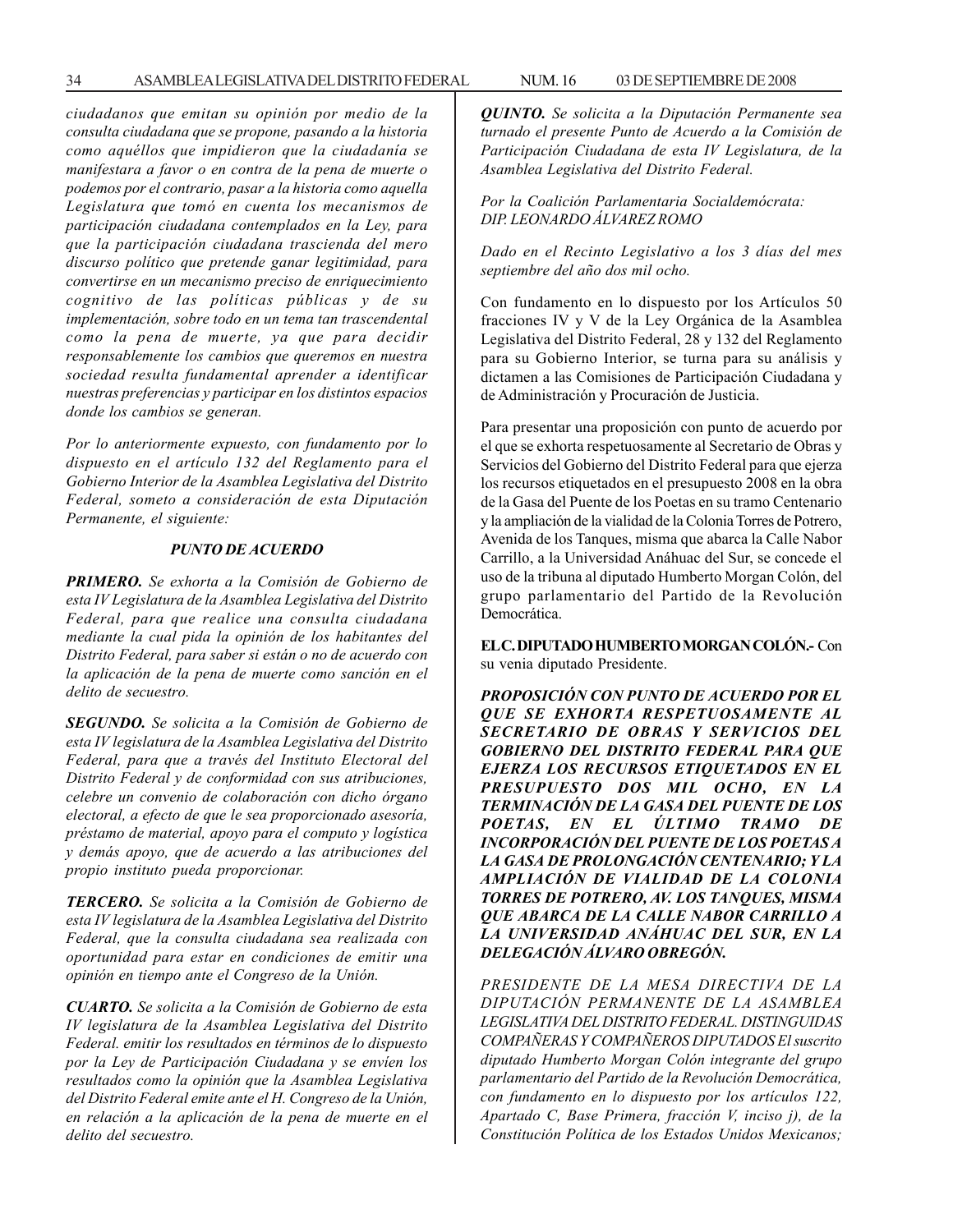34 ASAMBLEA LEGISLATIVA DEL DISTRITO FEDERAL NUM. 16 03 DE SEPTIEMBRE DE 2008

*ciudadanos que emitan su opinión por medio de la consulta ciudadana que se propone, pasando a la historia como aquéllos que impidieron que la ciudadanía se manifestara a favor o en contra de la pena de muerte o podemos por el contrario, pasar a la historia como aquella Legislatura que tomó en cuenta los mecanismos de participación ciudadana contemplados en la Ley, para que la participación ciudadana trascienda del mero discurso político que pretende ganar legitimidad, para convertirse en un mecanismo preciso de enriquecimiento cognitivo de las políticas públicas y de su implementación, sobre todo en un tema tan trascendental como la pena de muerte, ya que para decidir responsablemente los cambios que queremos en nuestra sociedad resulta fundamental aprender a identificar nuestras preferencias y participar en los distintos espacios donde los cambios se generan.*

*Por lo anteriormente expuesto, con fundamento por lo dispuesto en el artículo 132 del Reglamento para el Gobierno Interior de la Asamblea Legislativa del Distrito Federal, someto a consideración de esta Diputación Permanente, el siguiente:*

#### *PUNTO DE ACUERDO*

*PRIMERO. Se exhorta a la Comisión de Gobierno de esta IV Legislatura de la Asamblea Legislativa del Distrito Federal, para que realice una consulta ciudadana mediante la cual pida la opinión de los habitantes del Distrito Federal, para saber si están o no de acuerdo con la aplicación de la pena de muerte como sanción en el delito de secuestro.*

*SEGUNDO. Se solicita a la Comisión de Gobierno de esta IV legislatura de la Asamblea Legislativa del Distrito Federal, para que a través del Instituto Electoral del Distrito Federal y de conformidad con sus atribuciones, celebre un convenio de colaboración con dicho órgano electoral, a efecto de que le sea proporcionado asesoría, préstamo de material, apoyo para el computo y logística y demás apoyo, que de acuerdo a las atribuciones del propio instituto pueda proporcionar.*

*TERCERO. Se solicita a la Comisión de Gobierno de esta IV legislatura de la Asamblea Legislativa del Distrito Federal, que la consulta ciudadana sea realizada con oportunidad para estar en condiciones de emitir una opinión en tiempo ante el Congreso de la Unión.*

*CUARTO. Se solicita a la Comisión de Gobierno de esta IV legislatura de la Asamblea Legislativa del Distrito Federal. emitir los resultados en términos de lo dispuesto por la Ley de Participación Ciudadana y se envíen los resultados como la opinión que la Asamblea Legislativa del Distrito Federal emite ante el H. Congreso de la Unión, en relación a la aplicación de la pena de muerte en el delito del secuestro.*

*QUINTO. Se solicita a la Diputación Permanente sea turnado el presente Punto de Acuerdo a la Comisión de Participación Ciudadana de esta IV Legislatura, de la Asamblea Legislativa del Distrito Federal.*

#### *Por la Coalición Parlamentaria Socialdemócrata: DIP. LEONARDO ÁLVAREZ ROMO*

*Dado en el Recinto Legislativo a los 3 días del mes septiembre del año dos mil ocho.*

Con fundamento en lo dispuesto por los Artículos 50 fracciones IV y V de la Ley Orgánica de la Asamblea Legislativa del Distrito Federal, 28 y 132 del Reglamento para su Gobierno Interior, se turna para su análisis y dictamen a las Comisiones de Participación Ciudadana y de Administración y Procuración de Justicia.

Para presentar una proposición con punto de acuerdo por el que se exhorta respetuosamente al Secretario de Obras y Servicios del Gobierno del Distrito Federal para que ejerza los recursos etiquetados en el presupuesto 2008 en la obra de la Gasa del Puente de los Poetas en su tramo Centenario y la ampliación de la vialidad de la Colonia Torres de Potrero, Avenida de los Tanques, misma que abarca la Calle Nabor Carrillo, a la Universidad Anáhuac del Sur, se concede el uso de la tribuna al diputado Humberto Morgan Colón, del grupo parlamentario del Partido de la Revolución Democrática.

**EL C. DIPUTADO HUMBERTO MORGAN COLÓN.-** Con su venia diputado Presidente.

*PROPOSICIÓN CON PUNTO DE ACUERDO POR EL QUE SE EXHORTA RESPETUOSAMENTE AL SECRETARIO DE OBRAS Y SERVICIOS DEL GOBIERNO DEL DISTRITO FEDERAL PARA QUE EJERZA LOS RECURSOS ETIQUETADOS EN EL PRESUPUESTO DOS MIL OCHO, EN LA TERMINACIÓN DE LA GASA DEL PUENTE DE LOS POETAS, EN EL ÚLTIMO TRAMO DE INCORPORACIÓN DEL PUENTE DE LOS POETAS A LA GASA DE PROLONGACIÓN CENTENARIO; Y LA AMPLIACIÓN DE VIALIDAD DE LA COLONIA TORRES DE POTRERO, AV. LOS TANQUES, MISMA QUE ABARCA DE LA CALLE NABOR CARRILLO A LA UNIVERSIDAD ANÁHUAC DEL SUR, EN LA DELEGACIÓN ÁLVARO OBREGÓN.*

*PRESIDENTE DE LA MESA DIRECTIVA DE LA DIPUTACIÓN PERMANENTE DE LA ASAMBLEA LEGISLATIVA DEL DISTRITO FEDERAL. DISTINGUIDAS COMPAÑERAS Y COMPAÑEROS DIPUTADOS El suscrito diputado Humberto Morgan Colón integrante del grupo parlamentario del Partido de la Revolución Democrática, con fundamento en lo dispuesto por los artículos 122, Apartado C, Base Primera, fracción V, inciso j), de la Constitución Política de los Estados Unidos Mexicanos;*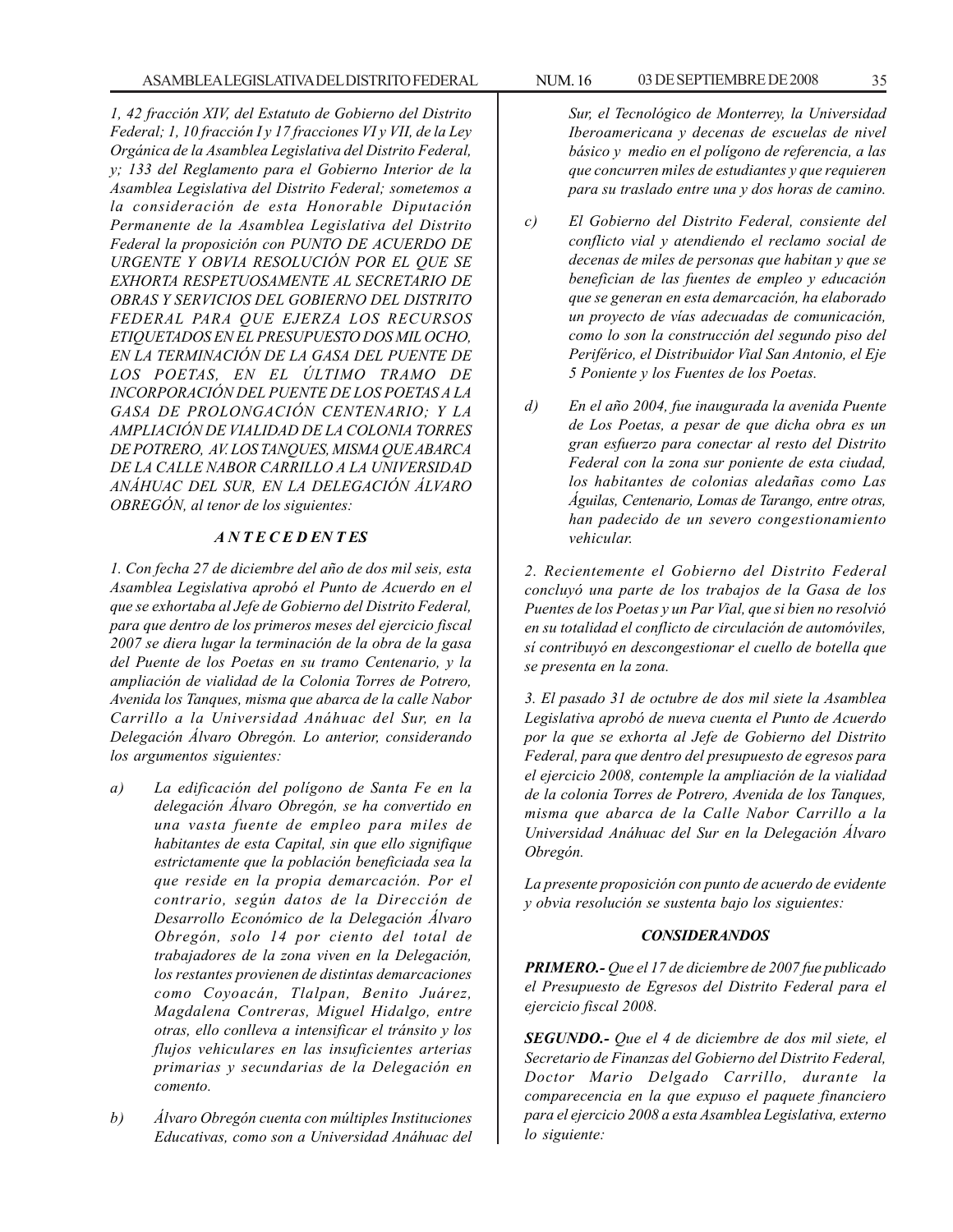*1, 42 fracción XIV, del Estatuto de Gobierno del Distrito Federal; 1, 10 fracción I y 17 fracciones VI y VII, de la Ley Orgánica de la Asamblea Legislativa del Distrito Federal, y; 133 del Reglamento para el Gobierno Interior de la Asamblea Legislativa del Distrito Federal; sometemos a la consideración de esta Honorable Diputación Permanente de la Asamblea Legislativa del Distrito Federal la proposición con PUNTO DE ACUERDO DE URGENTE Y OBVIA RESOLUCIÓN POR EL QUE SE EXHORTA RESPETUOSAMENTE AL SECRETARIO DE OBRAS Y SERVICIOS DEL GOBIERNO DEL DISTRITO FEDERAL PARA QUE EJERZA LOS RECURSOS ETIQUETADOS EN EL PRESUPUESTO DOS MIL OCHO, EN LA TERMINACIÓN DE LA GASA DEL PUENTE DE LOS POETAS, EN EL ÚLTIMO TRAMO DE INCORPORACIÓN DEL PUENTE DE LOS POETAS A LA GASA DE PROLONGACIÓN CENTENARIO; Y LA AMPLIACIÓN DE VIALIDAD DE LA COLONIA TORRES DE POTRERO, AV. LOS TANQUES, MISMA QUE ABARCA DE LA CALLE NABOR CARRILLO A LA UNIVERSIDAD ANÁHUAC DEL SUR, EN LA DELEGACIÓN ÁLVARO OBREGÓN, al tenor de los siguientes:*

#### *A N T E C E D EN T ES*

*1. Con fecha 27 de diciembre del año de dos mil seis, esta Asamblea Legislativa aprobó el Punto de Acuerdo en el que se exhortaba al Jefe de Gobierno del Distrito Federal, para que dentro de los primeros meses del ejercicio fiscal 2007 se diera lugar la terminación de la obra de la gasa del Puente de los Poetas en su tramo Centenario, y la ampliación de vialidad de la Colonia Torres de Potrero, Avenida los Tanques, misma que abarca de la calle Nabor Carrillo a la Universidad Anáhuac del Sur, en la Delegación Álvaro Obregón. Lo anterior, considerando los argumentos siguientes:*

- *a) La edificación del polígono de Santa Fe en la delegación Álvaro Obregón, se ha convertido en una vasta fuente de empleo para miles de habitantes de esta Capital, sin que ello signifique estrictamente que la población beneficiada sea la que reside en la propia demarcación. Por el contrario, según datos de la Dirección de Desarrollo Económico de la Delegación Álvaro Obregón, solo 14 por ciento del total de trabajadores de la zona viven en la Delegación, los restantes provienen de distintas demarcaciones como Coyoacán, Tlalpan, Benito Juárez, Magdalena Contreras, Miguel Hidalgo, entre otras, ello conlleva a intensificar el tránsito y los flujos vehiculares en las insuficientes arterias primarias y secundarias de la Delegación en comento.*
- *b) Álvaro Obregón cuenta con múltiples Instituciones Educativas, como son a Universidad Anáhuac del*

*Sur, el Tecnológico de Monterrey, la Universidad Iberoamericana y decenas de escuelas de nivel básico y medio en el polígono de referencia, a las que concurren miles de estudiantes y que requieren para su traslado entre una y dos horas de camino.*

- *c) El Gobierno del Distrito Federal, consiente del conflicto vial y atendiendo el reclamo social de decenas de miles de personas que habitan y que se benefician de las fuentes de empleo y educación que se generan en esta demarcación, ha elaborado un proyecto de vías adecuadas de comunicación, como lo son la construcción del segundo piso del Periférico, el Distribuidor Vial San Antonio, el Eje 5 Poniente y los Fuentes de los Poetas.*
- *d) En el año 2004, fue inaugurada la avenida Puente de Los Poetas, a pesar de que dicha obra es un gran esfuerzo para conectar al resto del Distrito Federal con la zona sur poniente de esta ciudad, los habitantes de colonias aledañas como Las Águilas, Centenario, Lomas de Tarango, entre otras, han padecido de un severo congestionamiento vehicular.*

*2. Recientemente el Gobierno del Distrito Federal concluyó una parte de los trabajos de la Gasa de los Puentes de los Poetas y un Par Vial, que si bien no resolvió en su totalidad el conflicto de circulación de automóviles, sí contribuyó en descongestionar el cuello de botella que se presenta en la zona.*

*3. El pasado 31 de octubre de dos mil siete la Asamblea Legislativa aprobó de nueva cuenta el Punto de Acuerdo por la que se exhorta al Jefe de Gobierno del Distrito Federal, para que dentro del presupuesto de egresos para el ejercicio 2008, contemple la ampliación de la vialidad de la colonia Torres de Potrero, Avenida de los Tanques, misma que abarca de la Calle Nabor Carrillo a la Universidad Anáhuac del Sur en la Delegación Álvaro Obregón.*

*La presente proposición con punto de acuerdo de evidente y obvia resolución se sustenta bajo los siguientes:*

#### *CONSIDERANDOS*

*PRIMERO.- Que el 17 de diciembre de 2007 fue publicado el Presupuesto de Egresos del Distrito Federal para el ejercicio fiscal 2008.*

*SEGUNDO.- Que el 4 de diciembre de dos mil siete, el Secretario de Finanzas del Gobierno del Distrito Federal, Doctor Mario Delgado Carrillo, durante la comparecencia en la que expuso el paquete financiero para el ejercicio 2008 a esta Asamblea Legislativa, externo lo siguiente:*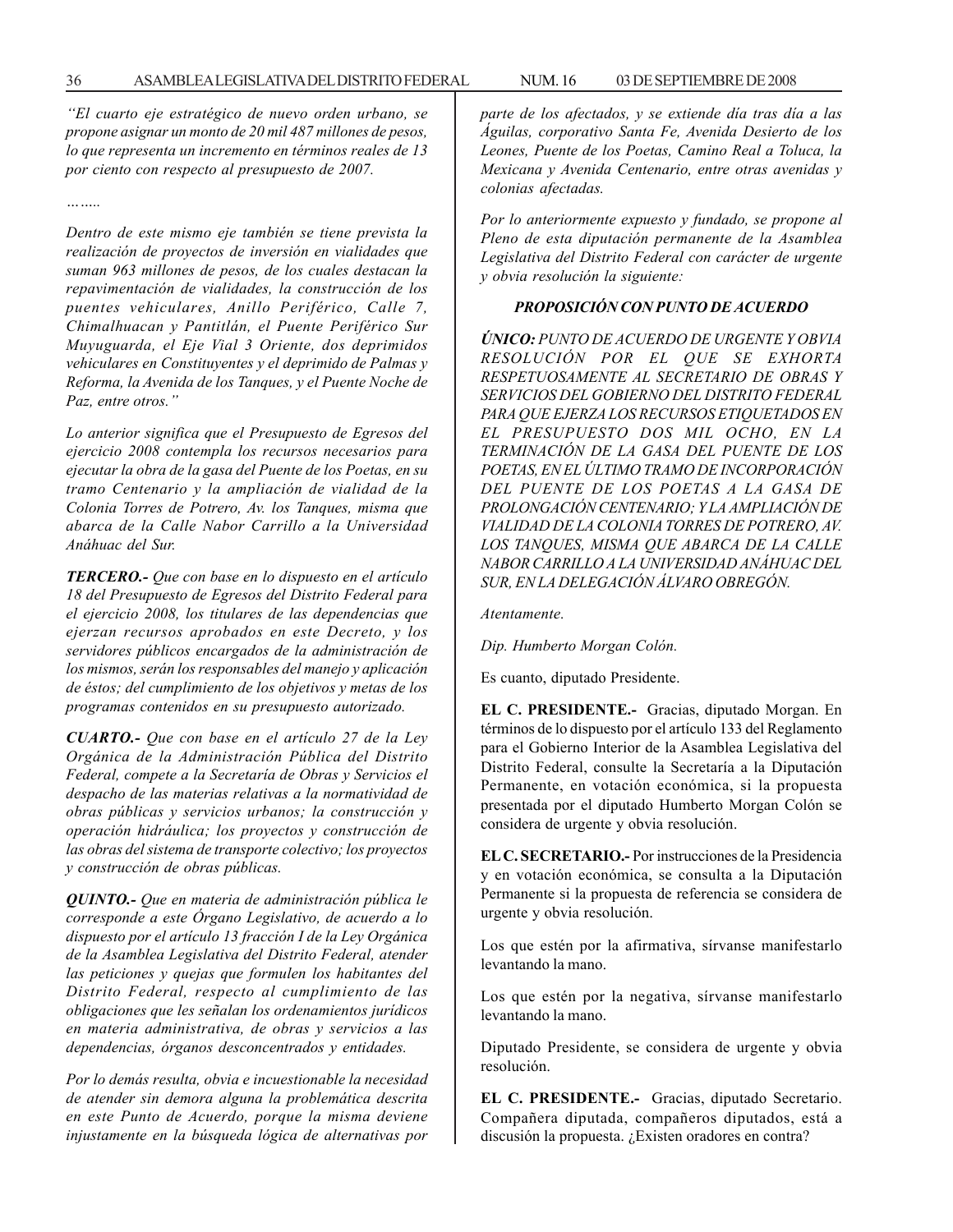*''El cuarto eje estratégico de nuevo orden urbano, se propone asignar un monto de 20 mil 487 millones de pesos, lo que representa un incremento en términos reales de 13 por ciento con respecto al presupuesto de 2007.*

*……..*

*Dentro de este mismo eje también se tiene prevista la realización de proyectos de inversión en vialidades que suman 963 millones de pesos, de los cuales destacan la repavimentación de vialidades, la construcción de los puentes vehiculares, Anillo Periférico, Calle 7, Chimalhuacan y Pantitlán, el Puente Periférico Sur Muyuguarda, el Eje Vial 3 Oriente, dos deprimidos vehiculares en Constituyentes y el deprimido de Palmas y Reforma, la Avenida de los Tanques, y el Puente Noche de Paz, entre otros.''*

*Lo anterior significa que el Presupuesto de Egresos del ejercicio 2008 contempla los recursos necesarios para ejecutar la obra de la gasa del Puente de los Poetas, en su tramo Centenario y la ampliación de vialidad de la Colonia Torres de Potrero, Av. los Tanques, misma que abarca de la Calle Nabor Carrillo a la Universidad Anáhuac del Sur.*

*TERCERO.- Que con base en lo dispuesto en el artículo 18 del Presupuesto de Egresos del Distrito Federal para el ejercicio 2008, los titulares de las dependencias que ejerzan recursos aprobados en este Decreto, y los servidores públicos encargados de la administración de los mismos, serán los responsables del manejo y aplicación de éstos; del cumplimiento de los objetivos y metas de los programas contenidos en su presupuesto autorizado.*

*CUARTO.- Que con base en el artículo 27 de la Ley Orgánica de la Administración Pública del Distrito Federal, compete a la Secretaría de Obras y Servicios el despacho de las materias relativas a la normatividad de obras públicas y servicios urbanos; la construcción y operación hidráulica; los proyectos y construcción de las obras del sistema de transporte colectivo; los proyectos y construcción de obras públicas.*

*QUINTO.- Que en materia de administración pública le corresponde a este Órgano Legislativo, de acuerdo a lo dispuesto por el artículo 13 fracción I de la Ley Orgánica de la Asamblea Legislativa del Distrito Federal, atender las peticiones y quejas que formulen los habitantes del Distrito Federal, respecto al cumplimiento de las obligaciones que les señalan los ordenamientos jurídicos en materia administrativa, de obras y servicios a las dependencias, órganos desconcentrados y entidades.*

*Por lo demás resulta, obvia e incuestionable la necesidad de atender sin demora alguna la problemática descrita en este Punto de Acuerdo, porque la misma deviene injustamente en la búsqueda lógica de alternativas por*

*parte de los afectados, y se extiende día tras día a las Águilas, corporativo Santa Fe, Avenida Desierto de los Leones, Puente de los Poetas, Camino Real a Toluca, la Mexicana y Avenida Centenario, entre otras avenidas y colonias afectadas.*

*Por lo anteriormente expuesto y fundado, se propone al Pleno de esta diputación permanente de la Asamblea Legislativa del Distrito Federal con carácter de urgente y obvia resolución la siguiente:*

#### *PROPOSICIÓN CON PUNTO DE ACUERDO*

*ÚNICO: PUNTO DE ACUERDO DE URGENTE Y OBVIA RESOLUCIÓN POR EL QUE SE EXHORTA RESPETUOSAMENTE AL SECRETARIO DE OBRAS Y SERVICIOS DEL GOBIERNO DEL DISTRITO FEDERAL PARA QUE EJERZA LOS RECURSOS ETIQUETADOS EN EL PRESUPUESTO DOS MIL OCHO, EN LA TERMINACIÓN DE LA GASA DEL PUENTE DE LOS POETAS, EN EL ÚLTIMO TRAMO DE INCORPORACIÓN DEL PUENTE DE LOS POETAS A LA GASA DE PROLONGACIÓN CENTENARIO; Y LA AMPLIACIÓN DE VIALIDAD DE LA COLONIA TORRES DE POTRERO, AV. LOS TANQUES, MISMA QUE ABARCA DE LA CALLE NABOR CARRILLO A LA UNIVERSIDAD ANÁHUAC DEL SUR, EN LA DELEGACIÓN ÁLVARO OBREGÓN.*

*Atentamente.*

*Dip. Humberto Morgan Colón.*

Es cuanto, diputado Presidente.

**EL C. PRESIDENTE.-** Gracias, diputado Morgan. En términos de lo dispuesto por el artículo 133 del Reglamento para el Gobierno Interior de la Asamblea Legislativa del Distrito Federal, consulte la Secretaría a la Diputación Permanente, en votación económica, si la propuesta presentada por el diputado Humberto Morgan Colón se considera de urgente y obvia resolución.

**EL C. SECRETARIO.-** Por instrucciones de la Presidencia y en votación económica, se consulta a la Diputación Permanente si la propuesta de referencia se considera de urgente y obvia resolución.

Los que estén por la afirmativa, sírvanse manifestarlo levantando la mano.

Los que estén por la negativa, sírvanse manifestarlo levantando la mano.

Diputado Presidente, se considera de urgente y obvia resolución.

**EL C. PRESIDENTE.-** Gracias, diputado Secretario. Compañera diputada, compañeros diputados, está a discusión la propuesta. ¿Existen oradores en contra?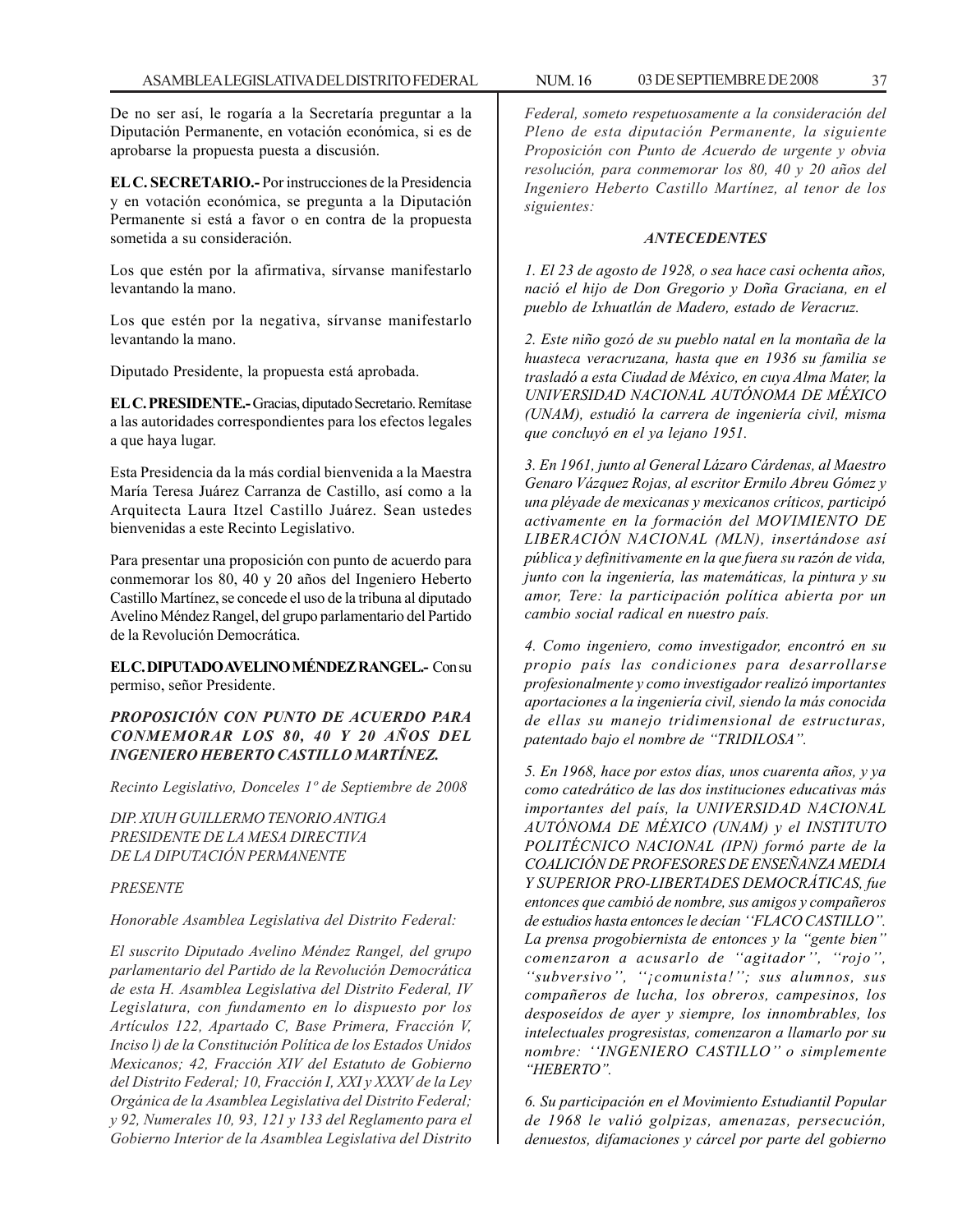De no ser así, le rogaría a la Secretaría preguntar a la Diputación Permanente, en votación económica, si es de aprobarse la propuesta puesta a discusión.

**EL C. SECRETARIO.-** Por instrucciones de la Presidencia y en votación económica, se pregunta a la Diputación Permanente si está a favor o en contra de la propuesta sometida a su consideración.

Los que estén por la afirmativa, sírvanse manifestarlo levantando la mano.

Los que estén por la negativa, sírvanse manifestarlo levantando la mano.

Diputado Presidente, la propuesta está aprobada.

**EL C. PRESIDENTE.-** Gracias, diputado Secretario. Remítase a las autoridades correspondientes para los efectos legales a que haya lugar.

Esta Presidencia da la más cordial bienvenida a la Maestra María Teresa Juárez Carranza de Castillo, así como a la Arquitecta Laura Itzel Castillo Juárez. Sean ustedes bienvenidas a este Recinto Legislativo.

Para presentar una proposición con punto de acuerdo para conmemorar los 80, 40 y 20 años del Ingeniero Heberto Castillo Martínez, se concede el uso de la tribuna al diputado Avelino Méndez Rangel, del grupo parlamentario del Partido de la Revolución Democrática.

**EL C. DIPUTADO AVELINO MÉNDEZ RANGEL.-** Con su permiso, señor Presidente.

*PROPOSICIÓN CON PUNTO DE ACUERDO PARA CONMEMORAR LOS 80, 40 Y 20 AÑOS DEL INGENIERO HEBERTO CASTILLO MARTÍNEZ.*

*Recinto Legislativo, Donceles 1º de Septiembre de 2008*

*DIP. XIUH GUILLERMO TENORIO ANTIGA PRESIDENTE DE LA MESA DIRECTIVA DE LA DIPUTACIÓN PERMANENTE*

### *PRESENTE*

*Honorable Asamblea Legislativa del Distrito Federal:*

*El suscrito Diputado Avelino Méndez Rangel, del grupo parlamentario del Partido de la Revolución Democrática de esta H. Asamblea Legislativa del Distrito Federal, IV Legislatura, con fundamento en lo dispuesto por los Artículos 122, Apartado C, Base Primera, Fracción V, Inciso l) de la Constitución Política de los Estados Unidos Mexicanos; 42, Fracción XIV del Estatuto de Gobierno del Distrito Federal; 10, Fracción I, XXI y XXXV de la Ley Orgánica de la Asamblea Legislativa del Distrito Federal; y 92, Numerales 10, 93, 121 y 133 del Reglamento para el Gobierno Interior de la Asamblea Legislativa del Distrito*

*Federal, someto respetuosamente a la consideración del Pleno de esta diputación Permanente, la siguiente Proposición con Punto de Acuerdo de urgente y obvia resolución, para conmemorar los 80, 40 y 20 años del Ingeniero Heberto Castillo Martínez, al tenor de los siguientes:*

### *ANTECEDENTES*

*1. El 23 de agosto de 1928, o sea hace casi ochenta años, nació el hijo de Don Gregorio y Doña Graciana, en el pueblo de Ixhuatlán de Madero, estado de Veracruz.*

*2. Este niño gozó de su pueblo natal en la montaña de la huasteca veracruzana, hasta que en 1936 su familia se trasladó a esta Ciudad de México, en cuya Alma Mater, la UNIVERSIDAD NACIONAL AUTÓNOMA DE MÉXICO (UNAM), estudió la carrera de ingeniería civil, misma que concluyó en el ya lejano 1951.*

*3. En 1961, junto al General Lázaro Cárdenas, al Maestro Genaro Vázquez Rojas, al escritor Ermilo Abreu Gómez y una pléyade de mexicanas y mexicanos críticos, participó activamente en la formación del MOVIMIENTO DE LIBERACIÓN NACIONAL (MLN), insertándose así pública y definitivamente en la que fuera su razón de vida, junto con la ingeniería, las matemáticas, la pintura y su amor, Tere: la participación política abierta por un cambio social radical en nuestro país.*

*4. Como ingeniero, como investigador, encontró en su propio país las condiciones para desarrollarse profesionalmente y como investigador realizó importantes aportaciones a la ingeniería civil, siendo la más conocida de ellas su manejo tridimensional de estructuras, patentado bajo el nombre de ''TRIDILOSA''.*

*5. En 1968, hace por estos días, unos cuarenta años, y ya como catedrático de las dos instituciones educativas más importantes del país, la UNIVERSIDAD NACIONAL AUTÓNOMA DE MÉXICO (UNAM) y el INSTITUTO POLITÉCNICO NACIONAL (IPN) formó parte de la COALICIÓN DE PROFESORES DE ENSEÑANZA MEDIA Y SUPERIOR PRO-LIBERTADES DEMOCRÁTICAS, fue entonces que cambió de nombre, sus amigos y compañeros de estudios hasta entonces le decían ''FLACO CASTILLO''. La prensa progobiernista de entonces y la ''gente bien'' comenzaron a acusarlo de ''agitador'', ''rojo'', ''subversivo'', ''¡comunista!''; sus alumnos, sus compañeros de lucha, los obreros, campesinos, los desposeídos de ayer y siempre, los innombrables, los intelectuales progresistas, comenzaron a llamarlo por su nombre: ''INGENIERO CASTILLO'' o simplemente ''HEBERTO''.*

*6. Su participación en el Movimiento Estudiantil Popular de 1968 le valió golpizas, amenazas, persecución, denuestos, difamaciones y cárcel por parte del gobierno*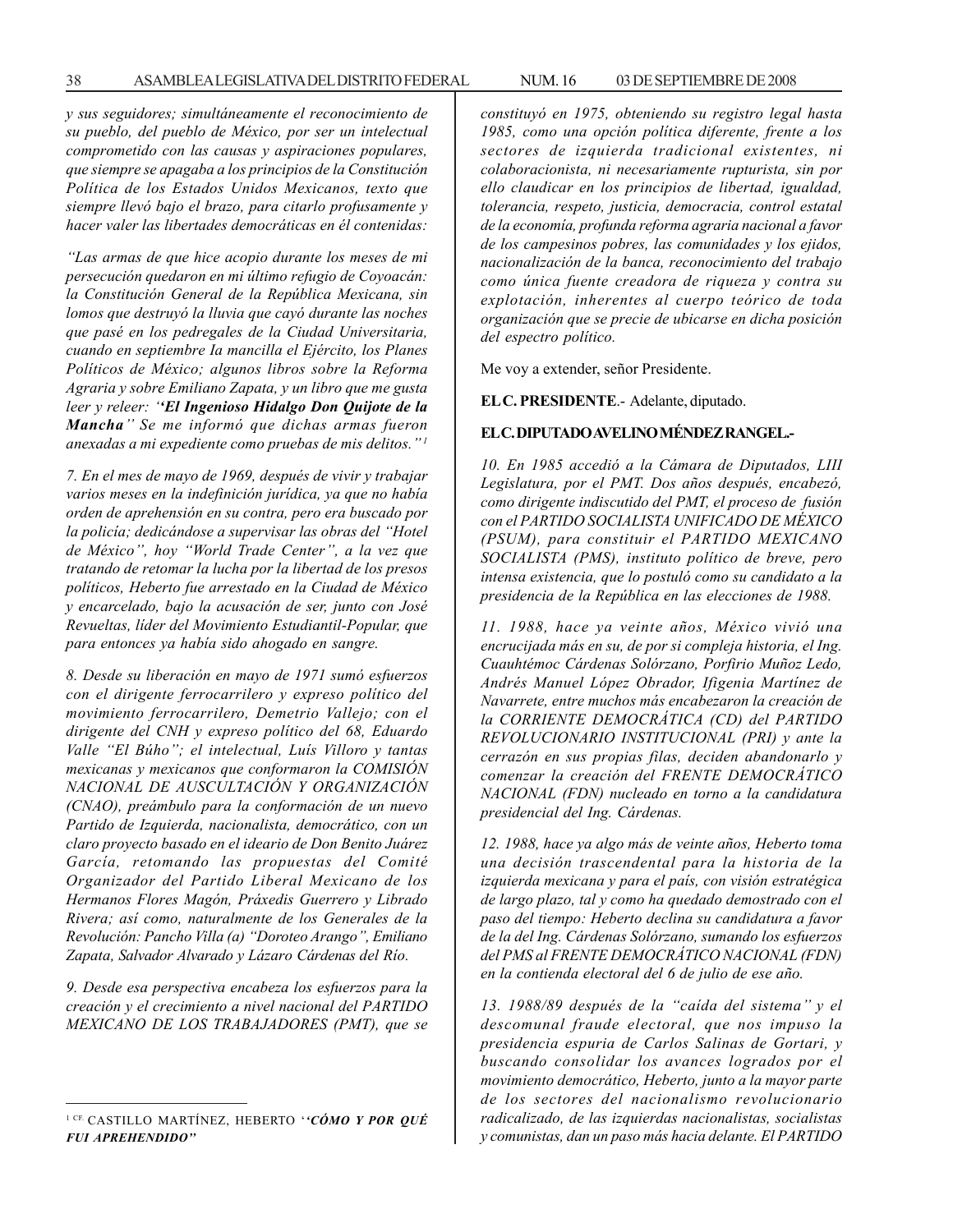*y sus seguidores; simultáneamente el reconocimiento de su pueblo, del pueblo de México, por ser un intelectual comprometido con las causas y aspiraciones populares, que siempre se apagaba a los principios de la Constitución Política de los Estados Unidos Mexicanos, texto que siempre llevó bajo el brazo, para citarlo profusamente y hacer valer las libertades democráticas en él contenidas:*

*''Las armas de que hice acopio durante los meses de mi persecución quedaron en mi último refugio de Coyoacán: la Constitución General de la República Mexicana, sin lomos que destruyó la lluvia que cayó durante las noches que pasé en los pedregales de la Ciudad Universitaria, cuando en septiembre Ia mancilla el Ejército, los Planes Políticos de México; algunos libros sobre la Reforma Agraria y sobre Emiliano Zapata, y un libro que me gusta leer y releer: ''El Ingenioso Hidalgo Don Quijote de la Mancha'' Se me informó que dichas armas fueron anexadas a mi expediente como pruebas de mis delitos.'' 1*

*7. En el mes de mayo de 1969, después de vivir y trabajar varios meses en la indefinición jurídica, ya que no había orden de aprehensión en su contra, pero era buscado por la policía; dedicándose a supervisar las obras del ''Hotel de México'', hoy ''World Trade Center'', a la vez que tratando de retomar la lucha por la libertad de los presos políticos, Heberto fue arrestado en la Ciudad de México y encarcelado, bajo la acusación de ser, junto con José Revueltas, líder del Movimiento Estudiantil-Popular, que para entonces ya había sido ahogado en sangre.*

*8. Desde su liberación en mayo de 1971 sumó esfuerzos con el dirigente ferrocarrilero y expreso político del movimiento ferrocarrilero, Demetrio Vallejo; con el dirigente del CNH y expreso político del 68, Eduardo Valle ''El Búho''; el intelectual, Luís Villoro y tantas mexicanas y mexicanos que conformaron la COMISIÓN NACIONAL DE AUSCULTACIÓN Y ORGANIZACIÓN (CNAO), preámbulo para la conformación de un nuevo Partido de Izquierda, nacionalista, democrático, con un claro proyecto basado en el ideario de Don Benito Juárez García, retomando las propuestas del Comité Organizador del Partido Liberal Mexicano de los Hermanos Flores Magón, Práxedis Guerrero y Librado Rivera; así como, naturalmente de los Generales de la Revolución: Pancho Villa (a) ''Doroteo Arango'', Emiliano Zapata, Salvador Alvarado y Lázaro Cárdenas del Río.*

*9. Desde esa perspectiva encabeza los esfuerzos para la creación y el crecimiento a nivel nacional del PARTIDO MEXICANO DE LOS TRABAJADORES (PMT), que se* *constituyó en 1975, obteniendo su registro legal hasta 1985, como una opción política diferente, frente a los sectores de izquierda tradicional existentes, ni colaboracionista, ni necesariamente rupturista, sin por ello claudicar en los principios de libertad, igualdad, tolerancia, respeto, justicia, democracia, control estatal de la economía, profunda reforma agraria nacional a favor de los campesinos pobres, las comunidades y los ejidos, nacionalización de la banca, reconocimiento del trabajo como única fuente creadora de riqueza y contra su explotación, inherentes al cuerpo teórico de toda organización que se precie de ubicarse en dicha posición del espectro político.*

Me voy a extender, señor Presidente.

**EL C. PRESIDENTE**.- Adelante, diputado.

## **EL C. DIPUTADO AVELINO MÉNDEZ RANGEL.-**

*10. En 1985 accedió a la Cámara de Diputados, LIII Legislatura, por el PMT. Dos años después, encabezó, como dirigente indiscutido del PMT, el proceso de fusión con el PARTIDO SOCIALISTA UNIFICADO DE MÉXICO (PSUM), para constituir el PARTIDO MEXICANO SOCIALISTA (PMS), instituto político de breve, pero intensa existencia, que lo postuló como su candidato a la presidencia de la República en las elecciones de 1988.*

*11. 1988, hace ya veinte años, México vivió una encrucijada más en su, de por si compleja historia, el Ing. Cuauhtémoc Cárdenas Solórzano, Porfirio Muñoz Ledo, Andrés Manuel López Obrador, Ifigenia Martínez de Navarrete, entre muchos más encabezaron la creación de la CORRIENTE DEMOCRÁTICA (CD) del PARTIDO REVOLUCIONARIO INSTITUCIONAL (PRI) y ante la cerrazón en sus propias filas, deciden abandonarlo y comenzar la creación del FRENTE DEMOCRÁTICO NACIONAL (FDN) nucleado en torno a la candidatura presidencial del Ing. Cárdenas.*

*12. 1988, hace ya algo más de veinte años, Heberto toma una decisión trascendental para la historia de la izquierda mexicana y para el país, con visión estratégica de largo plazo, tal y como ha quedado demostrado con el paso del tiempo: Heberto declina su candidatura a favor de la del Ing. Cárdenas Solórzano, sumando los esfuerzos del PMS al FRENTE DEMOCRÁTICO NACIONAL (FDN) en la contienda electoral del 6 de julio de ese año.*

*13. 1988/89 después de la ''caída del sistema'' y el descomunal fraude electoral, que nos impuso la presidencia espuria de Carlos Salinas de Gortari, y buscando consolidar los avances logrados por el movimiento democrático, Heberto, junto a la mayor parte de los sectores del nacionalismo revolucionario radicalizado, de las izquierdas nacionalistas, socialistas y comunistas, dan un paso más hacia delante. El PARTIDO*

<sup>1</sup> CF. CASTILLO MARTÍNEZ, HEBERTO '*'CÓMO Y POR QUÉ FUI APREHENDIDO''*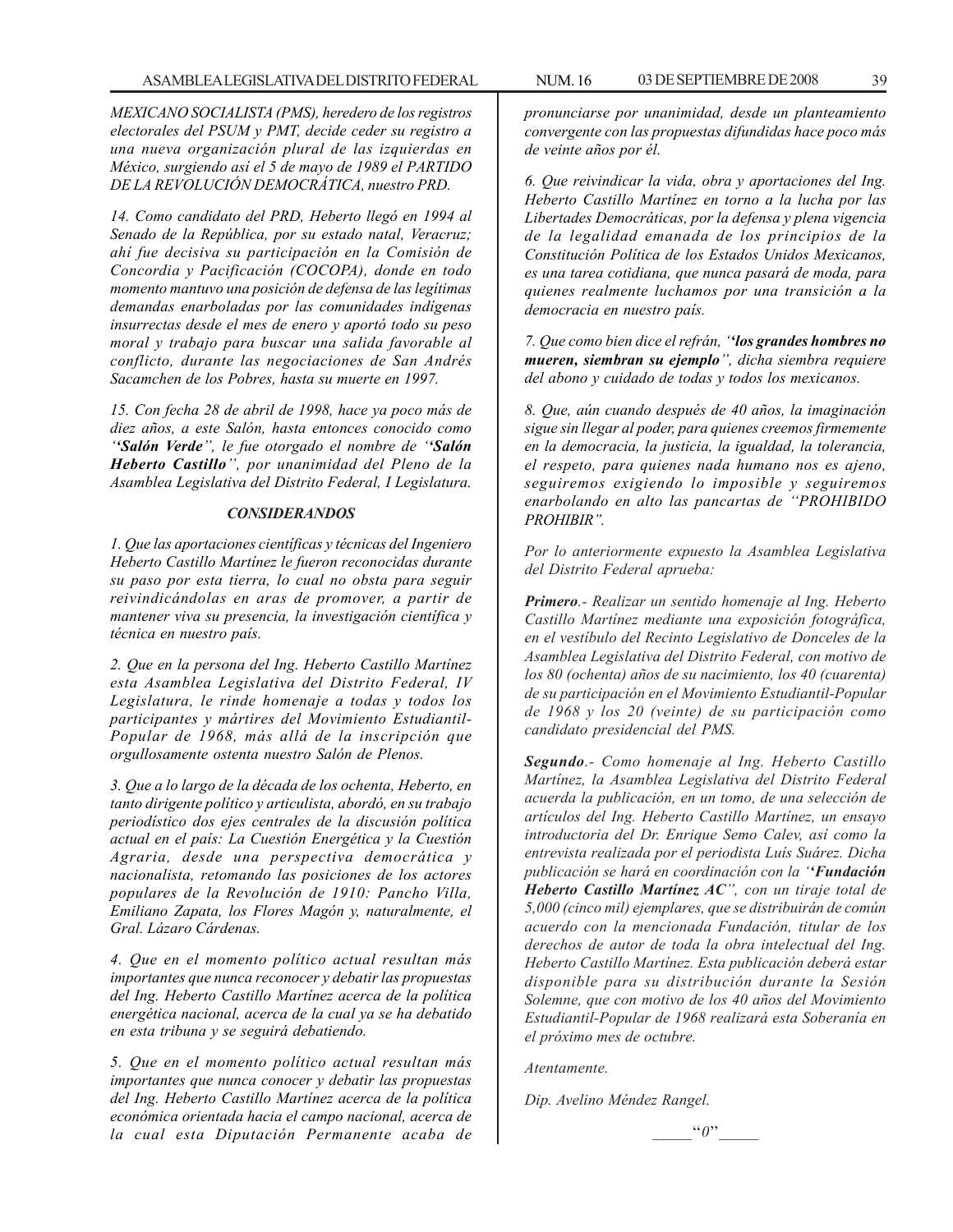*MEXICANO SOCIALISTA (PMS), heredero de los registros electorales del PSUM y PMT, decide ceder su registro a una nueva organización plural de las izquierdas en México, surgiendo así el 5 de mayo de 1989 el PARTIDO DE LA REVOLUCIÓN DEMOCRÁTICA, nuestro PRD.*

*14. Como candidato del PRD, Heberto llegó en 1994 al Senado de la República, por su estado natal, Veracruz; ahí fue decisiva su participación en la Comisión de Concordia y Pacificación (COCOPA), donde en todo momento mantuvo una posición de defensa de las legítimas demandas enarboladas por las comunidades indígenas insurrectas desde el mes de enero y aportó todo su peso moral y trabajo para buscar una salida favorable al conflicto, durante las negociaciones de San Andrés Sacamchen de los Pobres, hasta su muerte en 1997.*

*15. Con fecha 28 de abril de 1998, hace ya poco más de diez años, a este Salón, hasta entonces conocido como ''Salón Verde'', le fue otorgado el nombre de ''Salón Heberto Castillo'', por unanimidad del Pleno de la Asamblea Legislativa del Distrito Federal, I Legislatura.*

### *CONSIDERANDOS*

*1. Que las aportaciones científicas y técnicas del Ingeniero Heberto Castillo Martínez le fueron reconocidas durante su paso por esta tierra, lo cual no obsta para seguir reivindicándolas en aras de promover, a partir de mantener viva su presencia, la investigación científica y técnica en nuestro país.*

*2. Que en la persona del Ing. Heberto Castillo Martínez esta Asamblea Legislativa del Distrito Federal, IV Legislatura, le rinde homenaje a todas y todos los participantes y mártires del Movimiento Estudiantil-Popular de 1968, más allá de la inscripción que orgullosamente ostenta nuestro Salón de Plenos.*

*3. Que a lo largo de la década de los ochenta, Heberto, en tanto dirigente político y articulista, abordó, en su trabajo periodístico dos ejes centrales de la discusión política actual en el país: La Cuestión Energética y la Cuestión Agraria, desde una perspectiva democrática y nacionalista, retomando las posiciones de los actores populares de la Revolución de 1910: Pancho Villa, Emiliano Zapata, los Flores Magón y, naturalmente, el Gral. Lázaro Cárdenas.*

*4. Que en el momento político actual resultan más importantes que nunca reconocer y debatir las propuestas del Ing. Heberto Castillo Martínez acerca de la política energética nacional, acerca de la cual ya se ha debatido en esta tribuna y se seguirá debatiendo.*

*5. Que en el momento político actual resultan más importantes que nunca conocer y debatir las propuestas del Ing. Heberto Castillo Martínez acerca de la política económica orientada hacia el campo nacional, acerca de la cual esta Diputación Permanente acaba de*

*pronunciarse por unanimidad, desde un planteamiento convergente con las propuestas difundidas hace poco más de veinte años por él.*

*6. Que reivindicar la vida, obra y aportaciones del Ing. Heberto Castillo Martínez en torno a la lucha por las Libertades Democráticas, por la defensa y plena vigencia de la legalidad emanada de los principios de la Constitución Política de los Estados Unidos Mexicanos, es una tarea cotidiana, que nunca pasará de moda, para quienes realmente luchamos por una transición a la democracia en nuestro país.*

*7. Que como bien dice el refrán, ''los grandes hombres no mueren, siembran su ejemplo'', dicha siembra requiere del abono y cuidado de todas y todos los mexicanos.*

*8. Que, aún cuando después de 40 años, la imaginación sigue sin llegar al poder, para quienes creemos firmemente en la democracia, la justicia, la igualdad, la tolerancia, el respeto, para quienes nada humano nos es ajeno, seguiremos exigiendo lo imposible y seguiremos enarbolando en alto las pancartas de ''PROHIBIDO PROHIBIR''.*

*Por lo anteriormente expuesto la Asamblea Legislativa del Distrito Federal aprueba:*

*Primero.- Realizar un sentido homenaje al Ing. Heberto Castillo Martínez mediante una exposición fotográfica, en el vestíbulo del Recinto Legislativo de Donceles de la Asamblea Legislativa del Distrito Federal, con motivo de los 80 (ochenta) años de su nacimiento, los 40 (cuarenta) de su participación en el Movimiento Estudiantil-Popular de 1968 y los 20 (veinte) de su participación como candidato presidencial del PMS.*

*Segundo.- Como homenaje al Ing. Heberto Castillo Martínez, la Asamblea Legislativa del Distrito Federal acuerda la publicación, en un tomo, de una selección de artículos del Ing. Heberto Castillo Martínez, un ensayo introductoria del Dr. Enrique Semo Calev, así como la entrevista realizada por el periodista Luís Suárez. Dicha publicación se hará en coordinación con la ''Fundación Heberto Castillo Martínez AC'', con un tiraje total de 5,000 (cinco mil) ejemplares, que se distribuirán de común acuerdo con la mencionada Fundación, titular de los derechos de autor de toda la obra intelectual del Ing. Heberto Castillo Martínez. Esta publicación deberá estar disponible para su distribución durante la Sesión Solemne, que con motivo de los 40 años del Movimiento Estudiantil-Popular de 1968 realizará esta Soberanía en el próximo mes de octubre.*

*Atentamente.*

*Dip. Avelino Méndez Rangel.*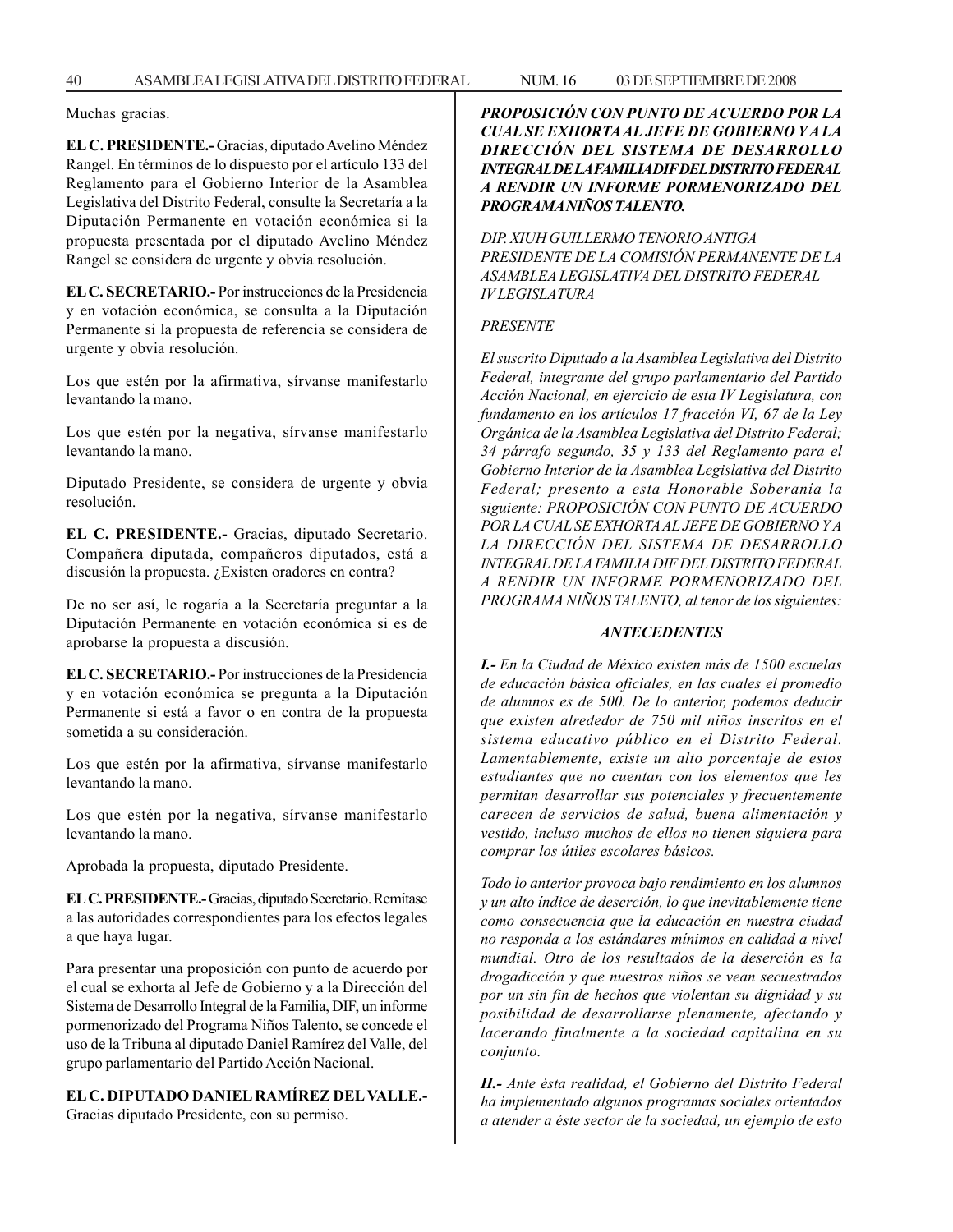Muchas gracias.

**EL C. PRESIDENTE.-** Gracias, diputado Avelino Méndez Rangel. En términos de lo dispuesto por el artículo 133 del Reglamento para el Gobierno Interior de la Asamblea Legislativa del Distrito Federal, consulte la Secretaría a la Diputación Permanente en votación económica si la propuesta presentada por el diputado Avelino Méndez Rangel se considera de urgente y obvia resolución.

**EL C. SECRETARIO.-** Por instrucciones de la Presidencia y en votación económica, se consulta a la Diputación Permanente si la propuesta de referencia se considera de urgente y obvia resolución.

Los que estén por la afirmativa, sírvanse manifestarlo levantando la mano.

Los que estén por la negativa, sírvanse manifestarlo levantando la mano.

Diputado Presidente, se considera de urgente y obvia resolución.

**EL C. PRESIDENTE.-** Gracias, diputado Secretario. Compañera diputada, compañeros diputados, está a discusión la propuesta. ¿Existen oradores en contra?

De no ser así, le rogaría a la Secretaría preguntar a la Diputación Permanente en votación económica si es de aprobarse la propuesta a discusión.

**EL C. SECRETARIO.-** Por instrucciones de la Presidencia y en votación económica se pregunta a la Diputación Permanente si está a favor o en contra de la propuesta sometida a su consideración.

Los que estén por la afirmativa, sírvanse manifestarlo levantando la mano.

Los que estén por la negativa, sírvanse manifestarlo levantando la mano.

Aprobada la propuesta, diputado Presidente.

**EL C. PRESIDENTE.-** Gracias, diputado Secretario. Remítase a las autoridades correspondientes para los efectos legales a que haya lugar.

Para presentar una proposición con punto de acuerdo por el cual se exhorta al Jefe de Gobierno y a la Dirección del Sistema de Desarrollo Integral de la Familia, DIF, un informe pormenorizado del Programa Niños Talento, se concede el uso de la Tribuna al diputado Daniel Ramírez del Valle, del grupo parlamentario del Partido Acción Nacional.

**EL C. DIPUTADO DANIEL RAMÍREZ DEL VALLE.-**

Gracias diputado Presidente, con su permiso.

*PROPOSICIÓN CON PUNTO DE ACUERDO POR LA CUAL SE EXHORTA AL JEFE DE GOBIERNO Y A LA DIRECCIÓN DEL SISTEMA DE DESARROLLO INTEGRAL DE LA FAMILIA DIF DEL DISTRITO FEDERAL A RENDIR UN INFORME PORMENORIZADO DEL PROGRAMA NIÑOS TALENTO.*

*DIP. XIUH GUILLERMO TENORIO ANTIGA PRESIDENTE DE LA COMISIÓN PERMANENTE DE LA ASAMBLEA LEGISLATIVA DEL DISTRITO FEDERAL IV LEGISLATURA*

### *PRESENTE*

*El suscrito Diputado a la Asamblea Legislativa del Distrito Federal, integrante del grupo parlamentario del Partido Acción Nacional, en ejercicio de esta IV Legislatura, con fundamento en los artículos 17 fracción VI, 67 de la Ley Orgánica de la Asamblea Legislativa del Distrito Federal; 34 párrafo segundo, 35 y 133 del Reglamento para el Gobierno Interior de la Asamblea Legislativa del Distrito Federal; presento a esta Honorable Soberanía la siguiente: PROPOSICIÓN CON PUNTO DE ACUERDO POR LA CUAL SE EXHORTA AL JEFE DE GOBIERNO Y A LA DIRECCIÓN DEL SISTEMA DE DESARROLLO INTEGRAL DE LA FAMILIA DIF DEL DISTRITO FEDERAL A RENDIR UN INFORME PORMENORIZADO DEL PROGRAMA NIÑOS TALENTO, al tenor de los siguientes:*

## *ANTECEDENTES*

*I.- En la Ciudad de México existen más de 1500 escuelas de educación básica oficiales, en las cuales el promedio de alumnos es de 500. De lo anterior, podemos deducir que existen alrededor de 750 mil niños inscritos en el sistema educativo público en el Distrito Federal. Lamentablemente, existe un alto porcentaje de estos estudiantes que no cuentan con los elementos que les permitan desarrollar sus potenciales y frecuentemente carecen de servicios de salud, buena alimentación y vestido, incluso muchos de ellos no tienen siquiera para comprar los útiles escolares básicos.*

*Todo lo anterior provoca bajo rendimiento en los alumnos y un alto índice de deserción, lo que inevitablemente tiene como consecuencia que la educación en nuestra ciudad no responda a los estándares mínimos en calidad a nivel mundial. Otro de los resultados de la deserción es la drogadicción y que nuestros niños se vean secuestrados por un sin fin de hechos que violentan su dignidad y su posibilidad de desarrollarse plenamente, afectando y lacerando finalmente a la sociedad capitalina en su conjunto.*

*II.- Ante ésta realidad, el Gobierno del Distrito Federal ha implementado algunos programas sociales orientados a atender a éste sector de la sociedad, un ejemplo de esto*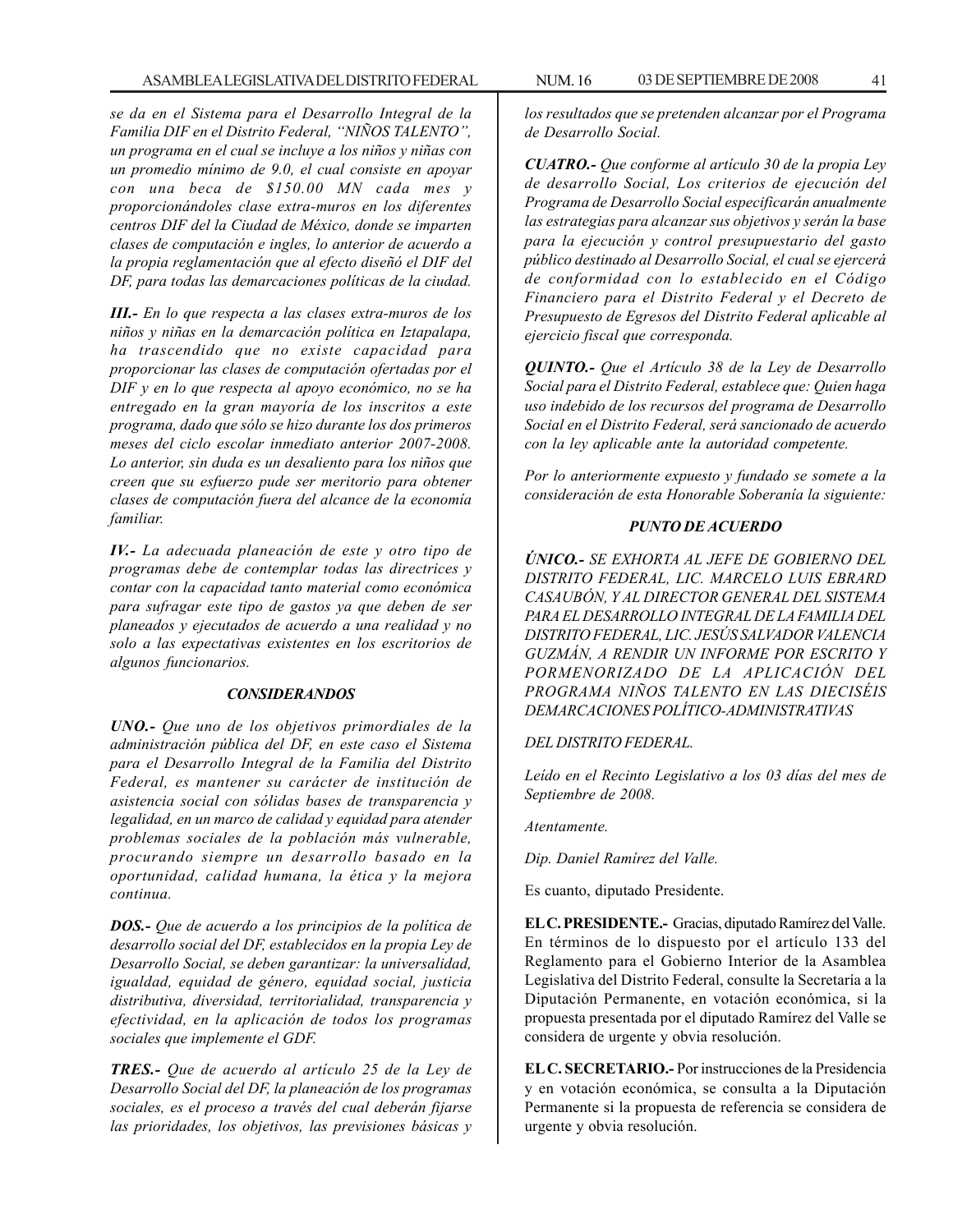*se da en el Sistema para el Desarrollo Integral de la Familia DIF en el Distrito Federal, ''NIÑOS TALENTO'', un programa en el cual se incluye a los niños y niñas con un promedio mínimo de 9.0, el cual consiste en apoyar con una beca de \$150.00 MN cada mes y proporcionándoles clase extra-muros en los diferentes centros DIF del la Ciudad de México, donde se imparten clases de computación e ingles, lo anterior de acuerdo a la propia reglamentación que al efecto diseñó el DIF del DF, para todas las demarcaciones políticas de la ciudad.*

*III.- En lo que respecta a las clases extra-muros de los niños y niñas en la demarcación política en Iztapalapa, ha trascendido que no existe capacidad para proporcionar las clases de computación ofertadas por el DIF y en lo que respecta al apoyo económico, no se ha entregado en la gran mayoría de los inscritos a este programa, dado que sólo se hizo durante los dos primeros meses del ciclo escolar inmediato anterior 2007-2008. Lo anterior, sin duda es un desaliento para los niños que creen que su esfuerzo pude ser meritorio para obtener clases de computación fuera del alcance de la economía familiar.*

*IV.- La adecuada planeación de este y otro tipo de programas debe de contemplar todas las directrices y contar con la capacidad tanto material como económica para sufragar este tipo de gastos ya que deben de ser planeados y ejecutados de acuerdo a una realidad y no solo a las expectativas existentes en los escritorios de algunos funcionarios.*

### *CONSIDERANDOS*

*UNO.- Que uno de los objetivos primordiales de la administración pública del DF, en este caso el Sistema para el Desarrollo Integral de la Familia del Distrito Federal, es mantener su carácter de institución de asistencia social con sólidas bases de transparencia y legalidad, en un marco de calidad y equidad para atender problemas sociales de la población más vulnerable, procurando siempre un desarrollo basado en la oportunidad, calidad humana, la ética y la mejora continua.*

*DOS.- Que de acuerdo a los principios de la política de desarrollo social del DF, establecidos en la propia Ley de Desarrollo Social, se deben garantizar: la universalidad, igualdad, equidad de género, equidad social, justicia distributiva, diversidad, territorialidad, transparencia y efectividad, en la aplicación de todos los programas sociales que implemente el GDF.*

*TRES.- Que de acuerdo al artículo 25 de la Ley de Desarrollo Social del DF, la planeación de los programas sociales, es el proceso a través del cual deberán fijarse las prioridades, los objetivos, las previsiones básicas y* *los resultados que se pretenden alcanzar por el Programa de Desarrollo Social.*

*CUATRO.- Que conforme al artículo 30 de la propia Ley de desarrollo Social, Los criterios de ejecución del Programa de Desarrollo Social especificarán anualmente las estrategias para alcanzar sus objetivos y serán la base para la ejecución y control presupuestario del gasto público destinado al Desarrollo Social, el cual se ejercerá de conformidad con lo establecido en el Código Financiero para el Distrito Federal y el Decreto de Presupuesto de Egresos del Distrito Federal aplicable al ejercicio fiscal que corresponda.*

*QUINTO.- Que el Artículo 38 de la Ley de Desarrollo Social para el Distrito Federal, establece que: Quien haga uso indebido de los recursos del programa de Desarrollo Social en el Distrito Federal, será sancionado de acuerdo con la ley aplicable ante la autoridad competente.*

*Por lo anteriormente expuesto y fundado se somete a la consideración de esta Honorable Soberanía la siguiente:*

## *PUNTO DE ACUERDO*

*ÚNICO.- SE EXHORTA AL JEFE DE GOBIERNO DEL DISTRITO FEDERAL, LIC. MARCELO LUIS EBRARD CASAUBÓN, Y AL DIRECTOR GENERAL DEL SISTEMA PARA EL DESARROLLO INTEGRAL DE LA FAMILIA DEL DISTRITO FEDERAL, LIC. JESÚS SALVADOR VALENCIA GUZMÁN, A RENDIR UN INFORME POR ESCRITO Y PORMENORIZADO DE LA APLICACIÓN DEL PROGRAMA NIÑOS TALENTO EN LAS DIECISÉIS DEMARCACIONES POLÍTICO-ADMINISTRATIVAS*

### *DEL DISTRITO FEDERAL.*

*Leído en el Recinto Legislativo a los 03 días del mes de Septiembre de 2008.*

*Atentamente.*

*Dip. Daniel Ramírez del Valle.*

Es cuanto, diputado Presidente.

**EL C. PRESIDENTE.-** Gracias, diputado Ramírez del Valle. En términos de lo dispuesto por el artículo 133 del Reglamento para el Gobierno Interior de la Asamblea Legislativa del Distrito Federal, consulte la Secretaría a la Diputación Permanente, en votación económica, si la propuesta presentada por el diputado Ramírez del Valle se considera de urgente y obvia resolución.

**EL C. SECRETARIO.-** Por instrucciones de la Presidencia y en votación económica, se consulta a la Diputación Permanente si la propuesta de referencia se considera de urgente y obvia resolución.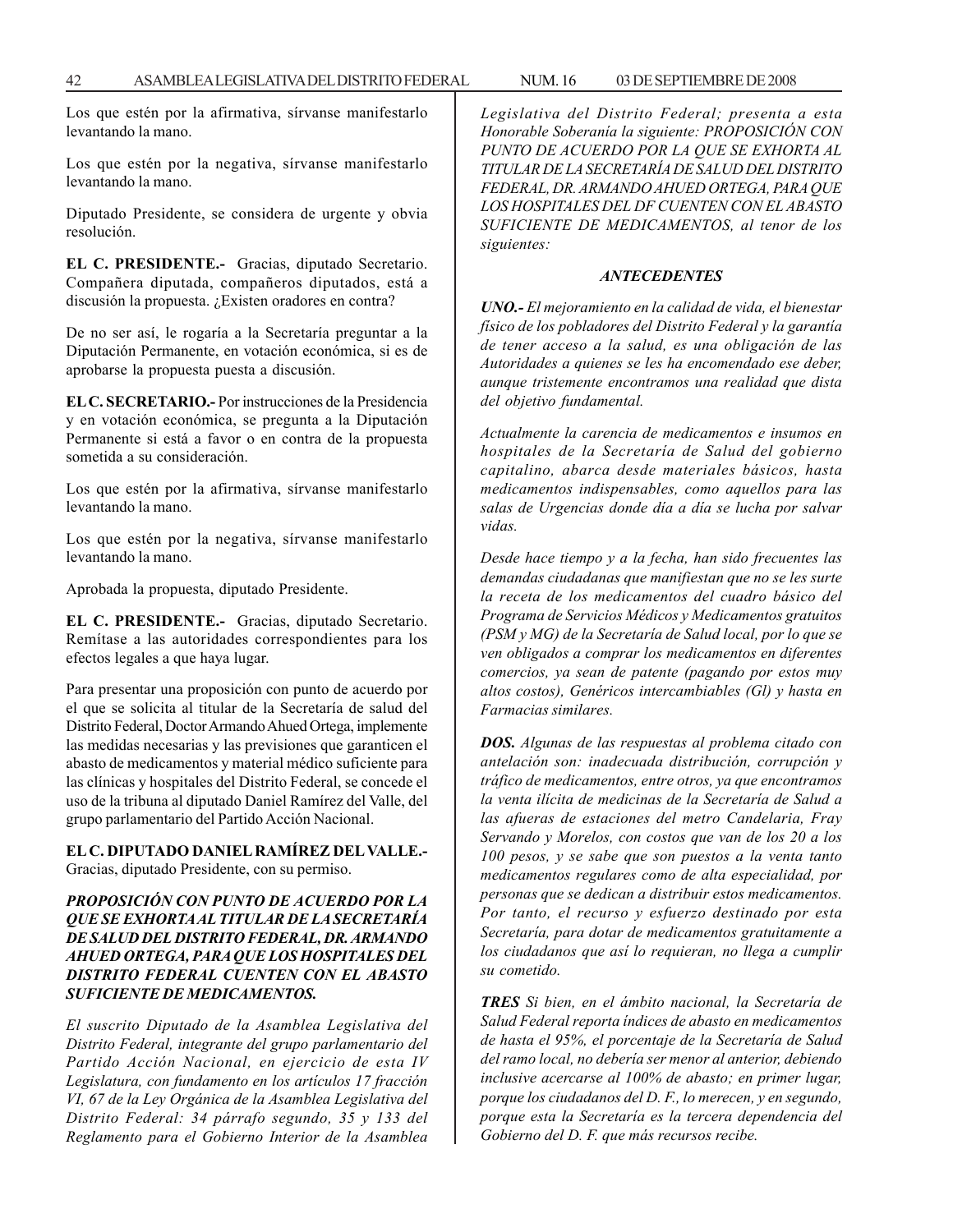Los que estén por la afirmativa, sírvanse manifestarlo levantando la mano.

Los que estén por la negativa, sírvanse manifestarlo levantando la mano.

Diputado Presidente, se considera de urgente y obvia resolución.

**EL C. PRESIDENTE.-** Gracias, diputado Secretario. Compañera diputada, compañeros diputados, está a discusión la propuesta. ¿Existen oradores en contra?

De no ser así, le rogaría a la Secretaría preguntar a la Diputación Permanente, en votación económica, si es de aprobarse la propuesta puesta a discusión.

**EL C. SECRETARIO.-** Por instrucciones de la Presidencia y en votación económica, se pregunta a la Diputación Permanente si está a favor o en contra de la propuesta sometida a su consideración.

Los que estén por la afirmativa, sírvanse manifestarlo levantando la mano.

Los que estén por la negativa, sírvanse manifestarlo levantando la mano.

Aprobada la propuesta, diputado Presidente.

**EL C. PRESIDENTE.-** Gracias, diputado Secretario. Remítase a las autoridades correspondientes para los efectos legales a que haya lugar.

Para presentar una proposición con punto de acuerdo por el que se solicita al titular de la Secretaría de salud del Distrito Federal, Doctor Armando Ahued Ortega, implemente las medidas necesarias y las previsiones que garanticen el abasto de medicamentos y material médico suficiente para las clínicas y hospitales del Distrito Federal, se concede el uso de la tribuna al diputado Daniel Ramírez del Valle, del grupo parlamentario del Partido Acción Nacional.

**EL C. DIPUTADO DANIEL RAMÍREZ DEL VALLE.-** Gracias, diputado Presidente, con su permiso.

## *PROPOSICIÓN CON PUNTO DE ACUERDO POR LA QUE SE EXHORTA AL TITULAR DE LA SECRETARÍA DE SALUD DEL DISTRITO FEDERAL, DR. ARMANDO AHUED ORTEGA, PARA QUE LOS HOSPITALES DEL DISTRITO FEDERAL CUENTEN CON EL ABASTO SUFICIENTE DE MEDICAMENTOS.*

*El suscrito Diputado de la Asamblea Legislativa del Distrito Federal, integrante del grupo parlamentario del Partido Acción Nacional, en ejercicio de esta IV Legislatura, con fundamento en los artículos 17 fracción VI, 67 de la Ley Orgánica de la Asamblea Legislativa del Distrito Federal: 34 párrafo segundo, 35 y 133 del Reglamento para el Gobierno Interior de la Asamblea*

*Legislativa del Distrito Federal; presenta a esta Honorable Soberanía la siguiente: PROPOSICIÓN CON PUNTO DE ACUERDO POR LA QUE SE EXHORTA AL TITULAR DE LA SECRETARÍA DE SALUD DEL DISTRITO FEDERAL, DR. ARMANDO AHUED ORTEGA, PARA QUE LOS HOSPITALES DEL DF CUENTEN CON EL ABASTO SUFICIENTE DE MEDICAMENTOS, al tenor de los siguientes:*

#### *ANTECEDENTES*

*UNO.- El mejoramiento en la calidad de vida, el bienestar físico de los pobladores del Distrito Federal y la garantía de tener acceso a la salud, es una obligación de las Autoridades a quienes se les ha encomendado ese deber, aunque tristemente encontramos una realidad que dista del objetivo fundamental.*

*Actualmente la carencia de medicamentos e insumos en hospitales de la Secretaría de Salud del gobierno capitalino, abarca desde materiales básicos, hasta medicamentos indispensables, como aquellos para las salas de Urgencias donde día a día se lucha por salvar vidas.*

*Desde hace tiempo y a la fecha, han sido frecuentes las demandas ciudadanas que manifiestan que no se les surte la receta de los medicamentos del cuadro básico del Programa de Servicios Médicos y Medicamentos gratuitos (PSM y MG) de la Secretaría de Salud local, por lo que se ven obligados a comprar los medicamentos en diferentes comercios, ya sean de patente (pagando por estos muy altos costos), Genéricos intercambiables (Gl) y hasta en Farmacias similares.*

*DOS. Algunas de las respuestas al problema citado con antelación son: inadecuada distribución, corrupción y tráfico de medicamentos, entre otros, ya que encontramos la venta ilícita de medicinas de la Secretaría de Salud a las afueras de estaciones del metro Candelaria, Fray Servando y Morelos, con costos que van de los 20 a los 100 pesos, y se sabe que son puestos a la venta tanto medicamentos regulares como de alta especialidad, por personas que se dedican a distribuir estos medicamentos. Por tanto, el recurso y esfuerzo destinado por esta Secretaría, para dotar de medicamentos gratuitamente a los ciudadanos que así lo requieran, no llega a cumplir su cometido.*

*TRES Si bien, en el ámbito nacional, la Secretaría de Salud Federal reporta índices de abasto en medicamentos de hasta el 95%, el porcentaje de la Secretaría de Salud del ramo local, no debería ser menor al anterior, debiendo inclusive acercarse al 100% de abasto; en primer lugar, porque los ciudadanos del D. F., lo merecen, y en segundo, porque esta la Secretaría es la tercera dependencia del Gobierno del D. F. que más recursos recibe.*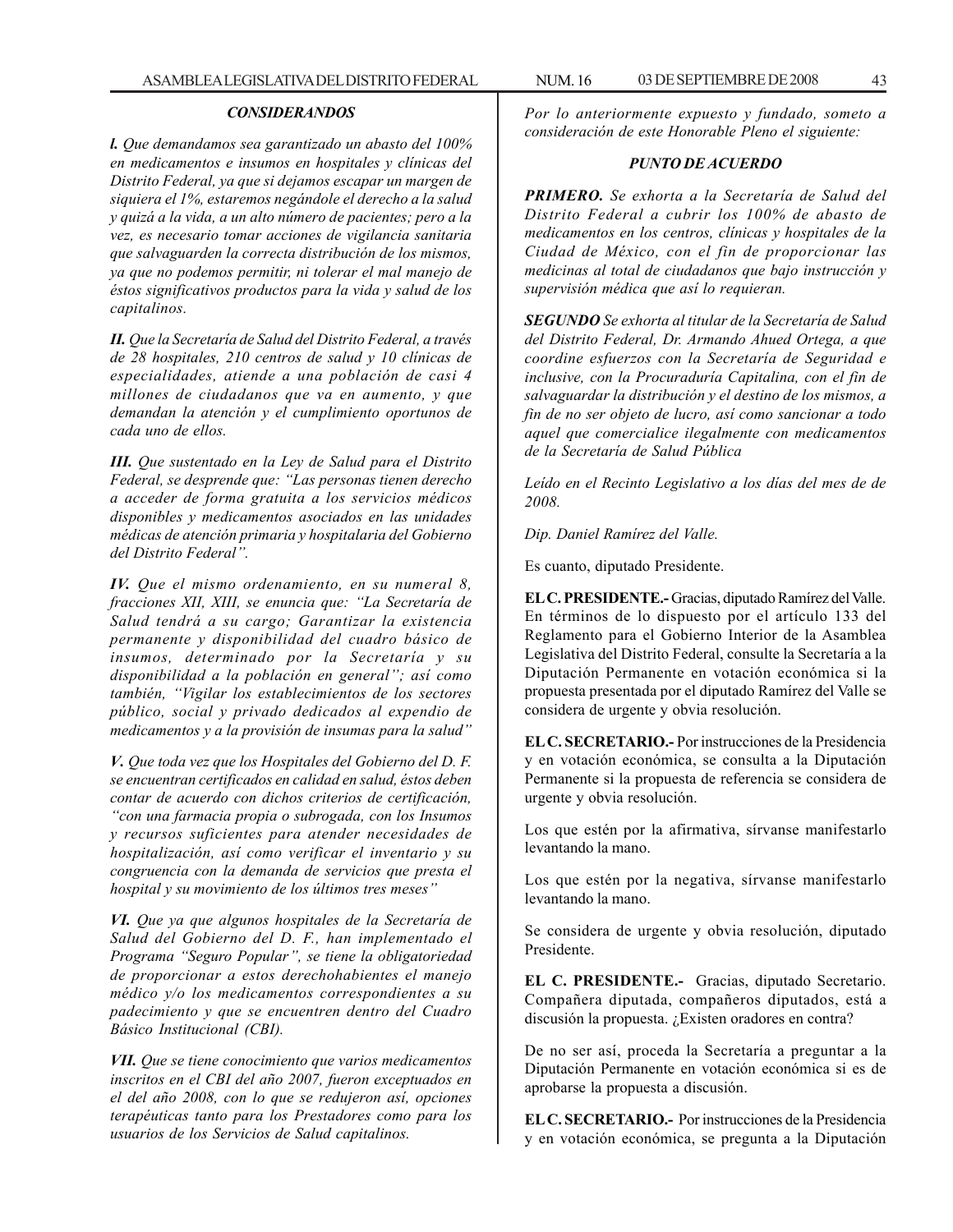### *CONSIDERANDOS*

*l. Que demandamos sea garantizado un abasto del 100% en medicamentos e insumos en hospitales y clínicas del Distrito Federal, ya que si dejamos escapar un margen de siquiera el 1%, estaremos negándole el derecho a la salud y quizá a la vida, a un alto número de pacientes; pero a la vez, es necesario tomar acciones de vigilancia sanitaria que salvaguarden la correcta distribución de los mismos, ya que no podemos permitir, ni tolerar el mal manejo de éstos significativos productos para la vida y salud de los capitalinos.*

*II. Que la Secretaría de Salud del Distrito Federal, a través de 28 hospitales, 210 centros de salud y 10 clínicas de especialidades, atiende a una población de casi 4 millones de ciudadanos que va en aumento, y que demandan la atención y el cumplimiento oportunos de cada uno de ellos.*

*III. Que sustentado en la Ley de Salud para el Distrito Federal, se desprende que: ''Las personas tienen derecho a acceder de forma gratuita a los servicios médicos disponibles y medicamentos asociados en las unidades médicas de atención primaria y hospitalaria del Gobierno del Distrito Federal''.*

*IV. Que el mismo ordenamiento, en su numeral 8, fracciones XII, XIII, se enuncia que: ''La Secretaría de Salud tendrá a su cargo; Garantizar la existencia permanente y disponibilidad del cuadro básico de insumos, determinado por la Secretaría y su disponibilidad a la población en general''; así como también, ''Vigilar los establecimientos de los sectores público, social y privado dedicados al expendio de medicamentos y a la provisión de insumas para la salud''*

*V. Que toda vez que los Hospitales del Gobierno del D. F. se encuentran certificados en calidad en salud, éstos deben contar de acuerdo con dichos criterios de certificación, ''con una farmacia propia o subrogada, con los Insumos y recursos suficientes para atender necesidades de hospitalización, así como verificar el inventario y su congruencia con la demanda de servicios que presta el hospital y su movimiento de los últimos tres meses''*

*VI. Que ya que algunos hospitales de la Secretaría de Salud del Gobierno del D. F., han implementado el Programa ''Seguro Popular'', se tiene la obligatoriedad de proporcionar a estos derechohabientes el manejo médico y/o los medicamentos correspondientes a su padecimiento y que se encuentren dentro del Cuadro Básico Institucional (CBI).*

*VII. Que se tiene conocimiento que varios medicamentos inscritos en el CBI del año 2007, fueron exceptuados en el del año 2008, con lo que se redujeron así, opciones terapéuticas tanto para los Prestadores como para los usuarios de los Servicios de Salud capitalinos.*

*Por lo anteriormente expuesto y fundado, someto a consideración de este Honorable Pleno el siguiente:*

### *PUNTO DE ACUERDO*

*PRIMERO. Se exhorta a la Secretaría de Salud del Distrito Federal a cubrir los 100% de abasto de medicamentos en los centros, clínicas y hospitales de la Ciudad de México, con el fin de proporcionar las medicinas al total de ciudadanos que bajo instrucción y supervisión médica que así lo requieran.*

*SEGUNDO Se exhorta al titular de la Secretaría de Salud del Distrito Federal, Dr. Armando Ahued Ortega, a que coordine esfuerzos con la Secretaría de Seguridad e inclusive, con la Procuraduría Capitalina, con el fin de salvaguardar la distribución y el destino de los mismos, a fin de no ser objeto de lucro, así como sancionar a todo aquel que comercialice ilegalmente con medicamentos de la Secretaría de Salud Pública*

*Leído en el Recinto Legislativo a los días del mes de de 2008.*

*Dip. Daniel Ramírez del Valle.*

Es cuanto, diputado Presidente.

**EL C. PRESIDENTE.-** Gracias, diputado Ramírez del Valle. En términos de lo dispuesto por el artículo 133 del Reglamento para el Gobierno Interior de la Asamblea Legislativa del Distrito Federal, consulte la Secretaría a la Diputación Permanente en votación económica si la propuesta presentada por el diputado Ramírez del Valle se considera de urgente y obvia resolución.

**EL C. SECRETARIO.-** Por instrucciones de la Presidencia y en votación económica, se consulta a la Diputación Permanente si la propuesta de referencia se considera de urgente y obvia resolución.

Los que estén por la afirmativa, sírvanse manifestarlo levantando la mano.

Los que estén por la negativa, sírvanse manifestarlo levantando la mano.

Se considera de urgente y obvia resolución, diputado Presidente.

**EL C. PRESIDENTE.-** Gracias, diputado Secretario. Compañera diputada, compañeros diputados, está a discusión la propuesta. ¿Existen oradores en contra?

De no ser así, proceda la Secretaría a preguntar a la Diputación Permanente en votación económica si es de aprobarse la propuesta a discusión.

**EL C. SECRETARIO.-** Por instrucciones de la Presidencia y en votación económica, se pregunta a la Diputación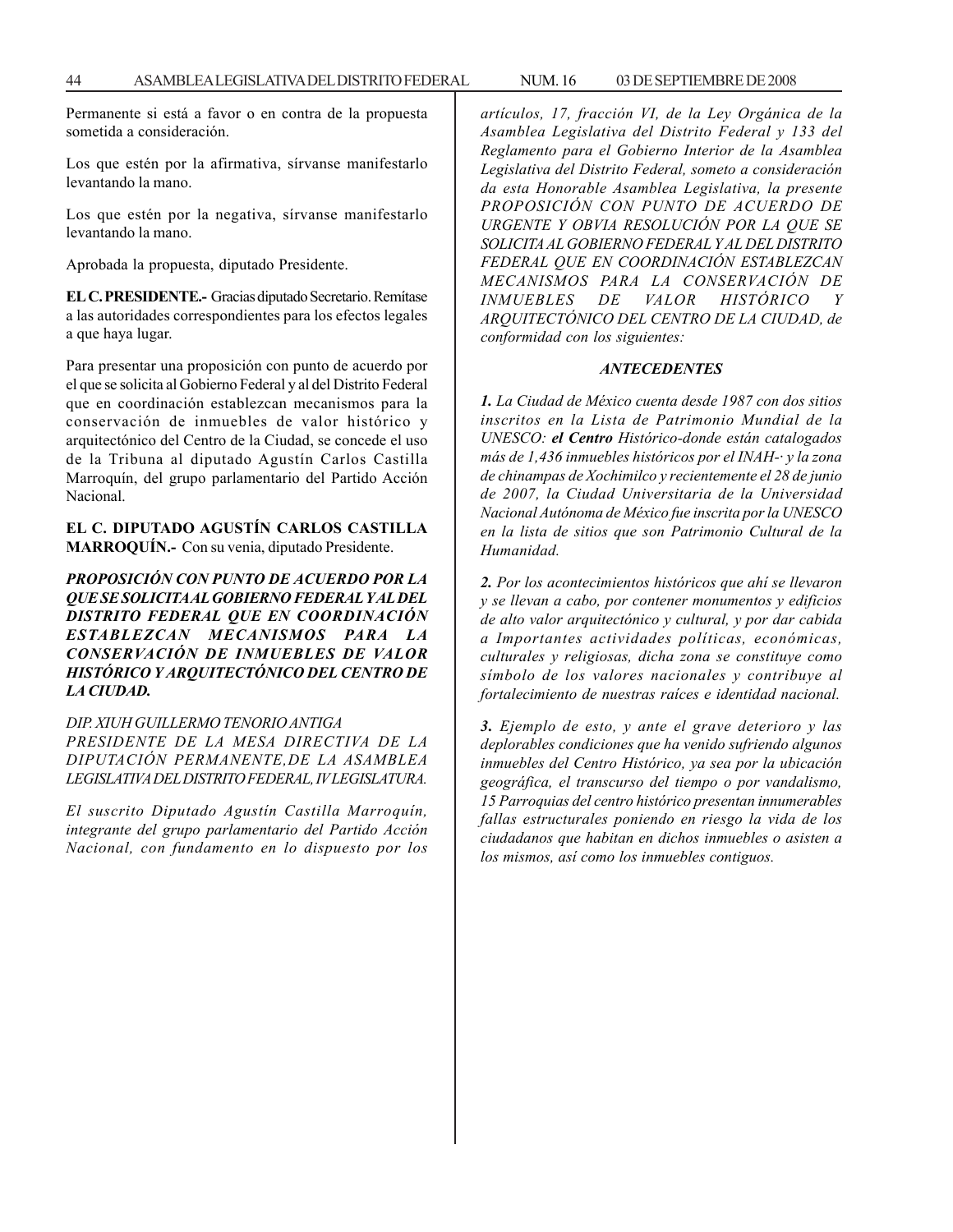Permanente si está a favor o en contra de la propuesta sometida a consideración.

Los que estén por la afirmativa, sírvanse manifestarlo levantando la mano.

Los que estén por la negativa, sírvanse manifestarlo levantando la mano.

Aprobada la propuesta, diputado Presidente.

**EL C. PRESIDENTE.-** Gracias diputado Secretario. Remítase a las autoridades correspondientes para los efectos legales a que haya lugar.

Para presentar una proposición con punto de acuerdo por el que se solicita al Gobierno Federal y al del Distrito Federal que en coordinación establezcan mecanismos para la conservación de inmuebles de valor histórico y arquitectónico del Centro de la Ciudad, se concede el uso de la Tribuna al diputado Agustín Carlos Castilla Marroquín, del grupo parlamentario del Partido Acción Nacional.

## **EL C. DIPUTADO AGUSTÍN CARLOS CASTILLA MARROQUÍN.-** Con su venia, diputado Presidente.

*PROPOSICIÓN CON PUNTO DE ACUERDO POR LA QUE SE SOLICITA AL GOBIERNO FEDERAL Y AL DEL DISTRITO FEDERAL QUE EN COORDINACIÓN ESTABLEZCAN MECANISMOS PARA LA CONSERVACIÓN DE INMUEBLES DE VALOR HISTÓRICO Y ARQUITECTÓNICO DEL CENTRO DE LA CIUDAD.*

### *DIP. XIUH GUILLERMO TENORIO ANTIGA*

*PRESIDENTE DE LA MESA DIRECTIVA DE LA DIPUTACIÓN PERMANENTE,DE LA ASAMBLEA LEGISLATIVA DEL DISTRITO FEDERAL, IV LEGISLATURA.*

*El suscrito Diputado Agustín Castilla Marroquín, integrante del grupo parlamentario del Partido Acción Nacional, con fundamento en lo dispuesto por los*

*artículos, 17, fracción VI, de la Ley Orgánica de la Asamblea Legislativa del Distrito Federal y 133 del Reglamento para el Gobierno Interior de la Asamblea Legislativa del Distrito Federal, someto a consideración da esta Honorable Asamblea Legislativa, la presente PROPOSICIÓN CON PUNTO DE ACUERDO DE URGENTE Y OBVIA RESOLUCIÓN POR LA QUE SE SOLICITA AL GOBIERNO FEDERAL Y AL DEL DISTRITO FEDERAL QUE EN COORDINACIÓN ESTABLEZCAN MECANISMOS PARA LA CONSERVACIÓN DE INMUEBLES DE VALOR HISTÓRICO Y ARQUITECTÓNICO DEL CENTRO DE LA CIUDAD, de conformidad con los siguientes:*

### *ANTECEDENTES*

*1. La Ciudad de México cuenta desde 1987 con dos sitios inscritos en la Lista de Patrimonio Mundial de la UNESCO: el Centro Histórico-donde están catalogados más de 1,436 inmuebles históricos por el INAH-· y la zona de chinampas de Xochimilco y recientemente el 28 de junio de 2007, la Ciudad Universitaria de la Universidad Nacional Autónoma de México fue inscrita por la UNESCO en la lista de sitios que son Patrimonio Cultural de la Humanidad.*

*2. Por los acontecimientos históricos que ahí se llevaron y se llevan a cabo, por contener monumentos y edificios de alto valor arquitectónico y cultural, y por dar cabida a Importantes actividades políticas, económicas, culturales y religiosas, dicha zona se constituye como símbolo de los valores nacionales y contribuye al fortalecimiento de nuestras raíces e identidad nacional.*

*3. Ejemplo de esto, y ante el grave deterioro y las deplorables condiciones que ha venido sufriendo algunos inmuebles del Centro Histórico, ya sea por la ubicación geográfica, el transcurso del tiempo o por vandalismo, 15 Parroquias del centro histórico presentan innumerables fallas estructurales poniendo en riesgo la vida de los ciudadanos que habitan en dichos inmuebles o asisten a los mismos, así como los inmuebles contiguos.*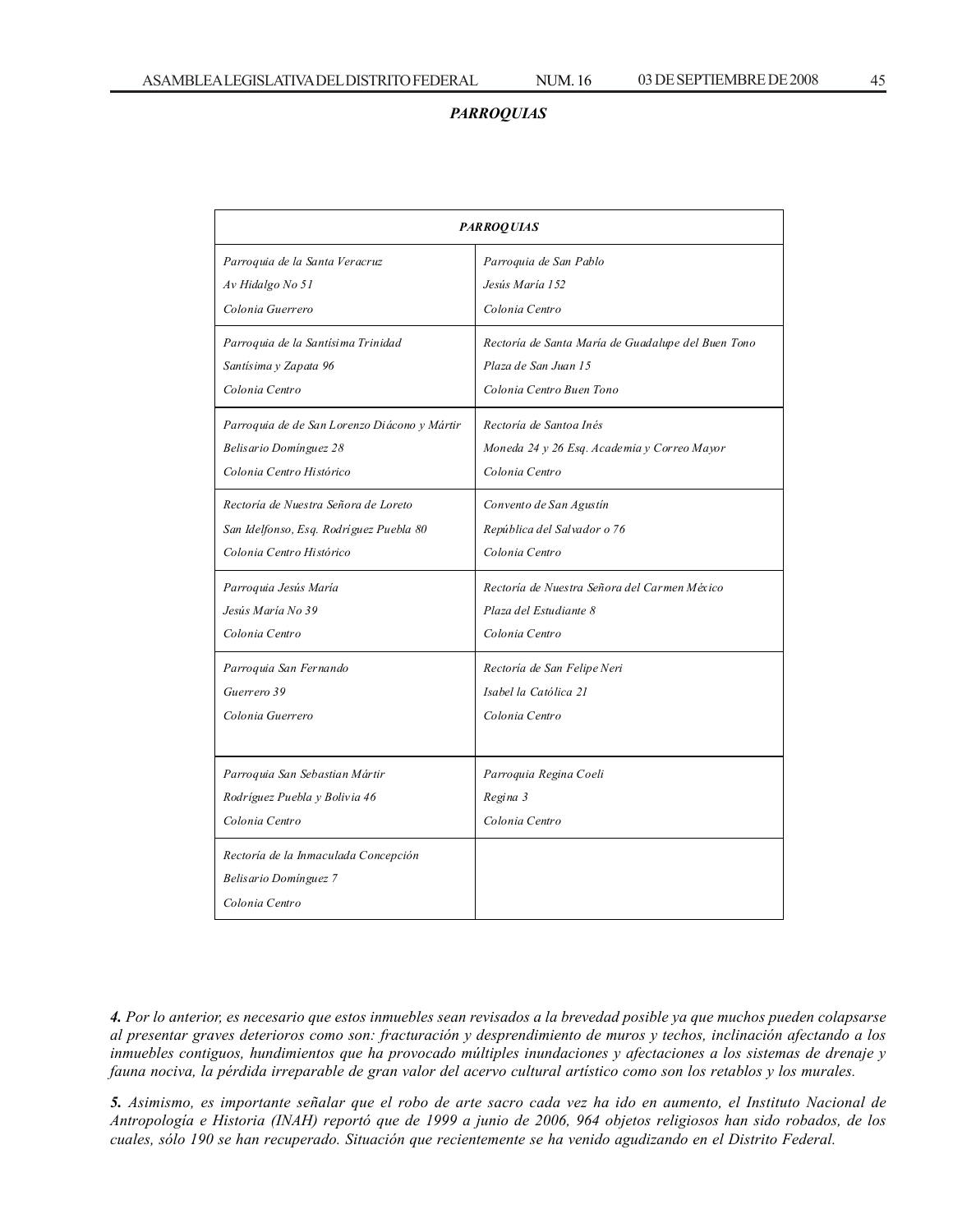# *PARROQUIAS*

| <b>PARROQUIAS</b>                            |                                                    |  |  |  |
|----------------------------------------------|----------------------------------------------------|--|--|--|
| Parroquia de la Santa Veracruz               | Parroquia de San Pablo                             |  |  |  |
| Av Hidalgo No 51                             | Jesús María 152                                    |  |  |  |
| Colonia Guerrero                             | Colonia Centro                                     |  |  |  |
| Parroquia de la Santísima Trinidad           | Rectoría de Santa María de Guadalupe del Buen Tono |  |  |  |
| Santísima y Zapata 96                        | Plaza de San Juan 15                               |  |  |  |
| Colonia Centro                               | Colonia Centro Buen Tono                           |  |  |  |
| Parroquia de de San Lorenzo Diácono y Mártir | Rectoría de Santoa Inés                            |  |  |  |
| Belisario Domínguez 28                       | Moneda 24 y 26 Esq. Academia y Correo Mayor        |  |  |  |
| Colonia Centro Histórico                     | Colonia Centro                                     |  |  |  |
| Rectoría de Nuestra Señora de Loreto         | Convento de San Agustín                            |  |  |  |
| San Idelfonso, Esq. Rodríguez Puebla 80      | República del Salvador o 76                        |  |  |  |
| Colonia Centro Histórico                     | Colonia Centro                                     |  |  |  |
| Parroquia Jesús María                        | Rectoría de Nuestra Señora del Carmen México       |  |  |  |
| Jesús María No 39                            | Plaza del Estudiante 8                             |  |  |  |
| Colonia Centro                               | Colonia Centro                                     |  |  |  |
| Parroquia San Fernando                       | Rectoría de San Felipe Neri                        |  |  |  |
| Guerrero 39                                  | Isabel la Católica 21                              |  |  |  |
| Colonia Guerrero                             | Colonia Centro                                     |  |  |  |
|                                              |                                                    |  |  |  |
| Parroquia San Sebastian Mártir               | Parroquia Regina Coeli                             |  |  |  |
| Rodríguez Puebla y Bolivia 46                | Regina 3                                           |  |  |  |
| Colonia Centro                               | Colonia Centro                                     |  |  |  |
| Rectoría de la Inmaculada Concepción         |                                                    |  |  |  |
| Belisario Domínguez 7                        |                                                    |  |  |  |
| Colonia Centro                               |                                                    |  |  |  |

*4. Por lo anterior, es necesario que estos inmuebles sean revisados a la brevedad posible ya que muchos pueden colapsarse al presentar graves deterioros como son: fracturación y desprendimiento de muros y techos, inclinación afectando a los inmuebles contiguos, hundimientos que ha provocado múltiples inundaciones y afectaciones a los sistemas de drenaje y fauna nociva, la pérdida irreparable de gran valor del acervo cultural artístico como son los retablos y los murales.*

*5. Asimismo, es importante señalar que el robo de arte sacro cada vez ha ido en aumento, el Instituto Nacional de Antropología e Historia (INAH) reportó que de 1999 a junio de 2006, 964 objetos religiosos han sido robados, de los cuales, sólo 190 se han recuperado. Situación que recientemente se ha venido agudizando en el Distrito Federal.*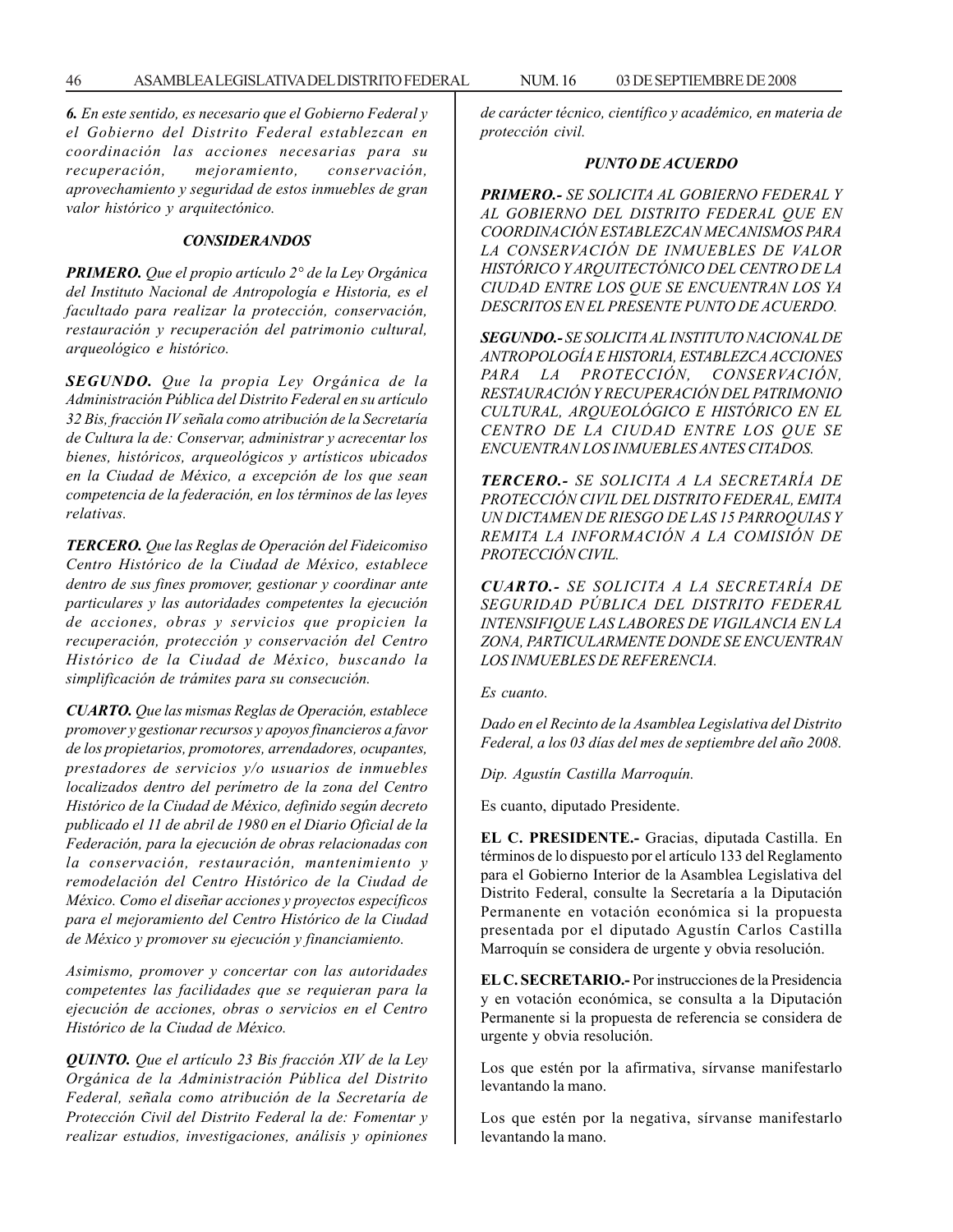*6. En este sentido, es necesario que el Gobierno Federal y el Gobierno del Distrito Federal establezcan en coordinación las acciones necesarias para su recuperación, mejoramiento, conservación, aprovechamiento y seguridad de estos inmuebles de gran valor histórico y arquitectónico.*

### *CONSIDERANDOS*

*PRIMERO. Que el propio artículo 2° de la Ley Orgánica del Instituto Nacional de Antropología e Historia, es el facultado para realizar la protección, conservación, restauración y recuperación del patrimonio cultural, arqueológico e histórico.*

*SEGUNDO. Que la propia Ley Orgánica de la Administración Pública del Distrito Federal en su artículo 32 Bis, fracción IV señala como atribución de la Secretaría de Cultura la de: Conservar, administrar y acrecentar los bienes, históricos, arqueológicos y artísticos ubicados en la Ciudad de México, a excepción de los que sean competencia de la federación, en los términos de las leyes relativas.*

*TERCERO. Que las Reglas de Operación del Fideicomiso Centro Histórico de la Ciudad de México, establece dentro de sus fines promover, gestionar y coordinar ante particulares y las autoridades competentes la ejecución de acciones, obras y servicios que propicien la recuperación, protección y conservación del Centro Histórico de la Ciudad de México, buscando la simplificación de trámites para su consecución.*

*CUARTO. Que las mismas Reglas de Operación, establece promover y gestionar recursos y apoyos financieros a favor de los propietarios, promotores, arrendadores, ocupantes, prestadores de servicios y/o usuarios de inmuebles localizados dentro del perímetro de la zona del Centro Histórico de la Ciudad de México, definido según decreto publicado el 11 de abril de 1980 en el Diario Oficial de la Federación, para la ejecución de obras relacionadas con la conservación, restauración, mantenimiento y remodelación del Centro Histórico de la Ciudad de México. Como el diseñar acciones y proyectos específicos para el mejoramiento del Centro Histórico de la Ciudad de México y promover su ejecución y financiamiento.*

*Asimismo, promover y concertar con las autoridades competentes las facilidades que se requieran para la ejecución de acciones, obras o servicios en el Centro Histórico de la Ciudad de México.*

*QUINTO. Que el artículo 23 Bis fracción XIV de la Ley Orgánica de la Administración Pública del Distrito Federal, señala como atribución de la Secretaría de Protección Civil del Distrito Federal la de: Fomentar y realizar estudios, investigaciones, análisis y opiniones* *de carácter técnico, científico y académico, en materia de protección civil.*

### *PUNTO DE ACUERDO*

*PRIMERO.- SE SOLICITA AL GOBIERNO FEDERAL Y AL GOBIERNO DEL DISTRITO FEDERAL QUE EN COORDINACIÓN ESTABLEZCAN MECANISMOS PARA LA CONSERVACIÓN DE INMUEBLES DE VALOR HISTÓRICO Y ARQUITECTÓNICO DEL CENTRO DE LA CIUDAD ENTRE LOS QUE SE ENCUENTRAN LOS YA DESCRITOS EN EL PRESENTE PUNTO DE ACUERDO.*

*SEGUNDO.- SE SOLICITA AL INSTITUTO NACIONAL DE ANTROPOLOGÍA E HISTORIA, ESTABLEZCA ACCIONES PARA LA PROTECCIÓN, CONSERVACIÓN, RESTAURACIÓN Y RECUPERACIÓN DEL PATRIMONIO CULTURAL, ARQUEOLÓGICO E HISTÓRICO EN EL CENTRO DE LA CIUDAD ENTRE LOS QUE SE ENCUENTRAN LOS INMUEBLES ANTES CITADOS.*

*TERCERO.- SE SOLICITA A LA SECRETARÍA DE PROTECCIÓN CIVIL DEL DISTRITO FEDERAL, EMITA UN DICTAMEN DE RIESGO DE LAS 15 PARROQUIAS Y REMITA LA INFORMACIÓN A LA COMISIÓN DE PROTECCIÓN CIVIL.*

*CUARTO.- SE SOLICITA A LA SECRETARÍA DE SEGURIDAD PÚBLICA DEL DISTRITO FEDERAL INTENSIFIQUE LAS LABORES DE VIGILANCIA EN LA ZONA, PARTICULARMENTE DONDE SE ENCUENTRAN LOS INMUEBLES DE REFERENCIA.*

*Es cuanto.*

*Dado en el Recinto de la Asamblea Legislativa del Distrito Federal, a los 03 días del mes de septiembre del año 2008.*

*Dip. Agustín Castilla Marroquín.*

Es cuanto, diputado Presidente.

**EL C. PRESIDENTE.-** Gracias, diputada Castilla. En términos de lo dispuesto por el artículo 133 del Reglamento para el Gobierno Interior de la Asamblea Legislativa del Distrito Federal, consulte la Secretaría a la Diputación Permanente en votación económica si la propuesta presentada por el diputado Agustín Carlos Castilla Marroquín se considera de urgente y obvia resolución.

**EL C. SECRETARIO.-** Por instrucciones de la Presidencia y en votación económica, se consulta a la Diputación Permanente si la propuesta de referencia se considera de urgente y obvia resolución.

Los que estén por la afirmativa, sírvanse manifestarlo levantando la mano.

Los que estén por la negativa, sírvanse manifestarlo levantando la mano.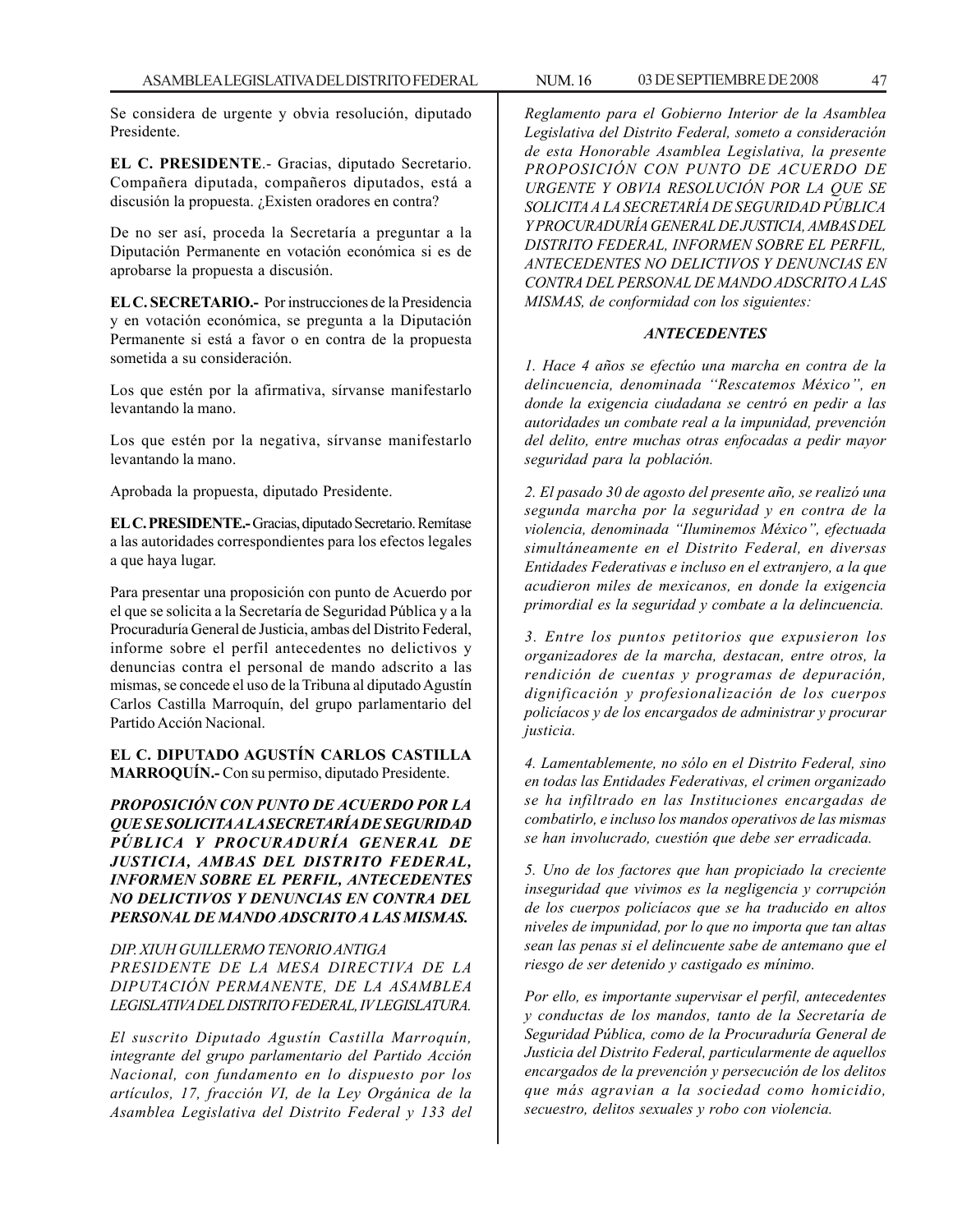Se considera de urgente y obvia resolución, diputado Presidente.

**EL C. PRESIDENTE**.- Gracias, diputado Secretario. Compañera diputada, compañeros diputados, está a discusión la propuesta. ¿Existen oradores en contra?

De no ser así, proceda la Secretaría a preguntar a la Diputación Permanente en votación económica si es de aprobarse la propuesta a discusión.

**EL C. SECRETARIO.-** Por instrucciones de la Presidencia y en votación económica, se pregunta a la Diputación Permanente si está a favor o en contra de la propuesta sometida a su consideración.

Los que estén por la afirmativa, sírvanse manifestarlo levantando la mano.

Los que estén por la negativa, sírvanse manifestarlo levantando la mano.

Aprobada la propuesta, diputado Presidente.

**EL C. PRESIDENTE.-** Gracias, diputado Secretario. Remítase a las autoridades correspondientes para los efectos legales a que haya lugar.

Para presentar una proposición con punto de Acuerdo por el que se solicita a la Secretaría de Seguridad Pública y a la Procuraduría General de Justicia, ambas del Distrito Federal, informe sobre el perfil antecedentes no delictivos y denuncias contra el personal de mando adscrito a las mismas, se concede el uso de la Tribuna al diputado Agustín Carlos Castilla Marroquín, del grupo parlamentario del Partido Acción Nacional.

## **EL C. DIPUTADO AGUSTÍN CARLOS CASTILLA MARROQUÍN.-** Con su permiso, diputado Presidente.

*PROPOSICIÓN CON PUNTO DE ACUERDO POR LA QUE SE SOLICITA A LA SECRETARÍA DE SEGURIDAD PÚBLICA Y PROCURADURÍA GENERAL DE JUSTICIA, AMBAS DEL DISTRITO FEDERAL, INFORMEN SOBRE EL PERFIL, ANTECEDENTES NO DELICTIVOS Y DENUNCIAS EN CONTRA DEL PERSONAL DE MANDO ADSCRITO A LAS MISMAS.*

## *DIP. XIUH GUILLERMO TENORIO ANTIGA*

*PRESIDENTE DE LA MESA DIRECTIVA DE LA DIPUTACIÓN PERMANENTE, DE LA ASAMBLEA LEGISLATIVA DEL DISTRITO FEDERAL, IV LEGISLATURA.*

*El suscrito Diputado Agustín Castilla Marroquín, integrante del grupo parlamentario del Partido Acción Nacional, con fundamento en lo dispuesto por los artículos, 17, fracción VI, de la Ley Orgánica de la Asamblea Legislativa del Distrito Federal y 133 del* *Reglamento para el Gobierno Interior de la Asamblea Legislativa del Distrito Federal, someto a consideración de esta Honorable Asamblea Legislativa, la presente PROPOSICIÓN CON PUNTO DE ACUERDO DE URGENTE Y OBVIA RESOLUCIÓN POR LA QUE SE SOLICITA A LA SECRETARÍA DE SEGURIDAD PÚBLICA Y PROCURADURÍA GENERAL DE JUSTICIA, AMBAS DEL DISTRITO FEDERAL, INFORMEN SOBRE EL PERFIL, ANTECEDENTES NO DELICTIVOS Y DENUNCIAS EN CONTRA DEL PERSONAL DE MANDO ADSCRITO A LAS MISMAS, de conformidad con los siguientes:*

### *ANTECEDENTES*

*1. Hace 4 años se efectúo una marcha en contra de la delincuencia, denominada ''Rescatemos México'', en donde la exigencia ciudadana se centró en pedir a las autoridades un combate real a la impunidad, prevención del delito, entre muchas otras enfocadas a pedir mayor seguridad para la población.*

*2. El pasado 30 de agosto del presente año, se realizó una segunda marcha por la seguridad y en contra de la violencia, denominada ''Iluminemos México'', efectuada simultáneamente en el Distrito Federal, en diversas Entidades Federativas e incluso en el extranjero, a la que acudieron miles de mexicanos, en donde la exigencia primordial es la seguridad y combate a la delincuencia.*

*3. Entre los puntos petitorios que expusieron los organizadores de la marcha, destacan, entre otros, la rendición de cuentas y programas de depuración, dignificación y profesionalización de los cuerpos policíacos y de los encargados de administrar y procurar justicia.*

*4. Lamentablemente, no sólo en el Distrito Federal, sino en todas las Entidades Federativas, el crimen organizado se ha infiltrado en las Instituciones encargadas de combatirlo, e incluso los mandos operativos de las mismas se han involucrado, cuestión que debe ser erradicada.*

*5. Uno de los factores que han propiciado la creciente inseguridad que vivimos es la negligencia y corrupción de los cuerpos policíacos que se ha traducido en altos niveles de impunidad, por lo que no importa que tan altas sean las penas si el delincuente sabe de antemano que el riesgo de ser detenido y castigado es mínimo.*

*Por ello, es importante supervisar el perfil, antecedentes y conductas de los mandos, tanto de la Secretaría de Seguridad Pública, como de la Procuraduría General de Justicia del Distrito Federal, particularmente de aquellos encargados de la prevención y persecución de los delitos que más agravian a la sociedad como homicidio, secuestro, delitos sexuales y robo con violencia.*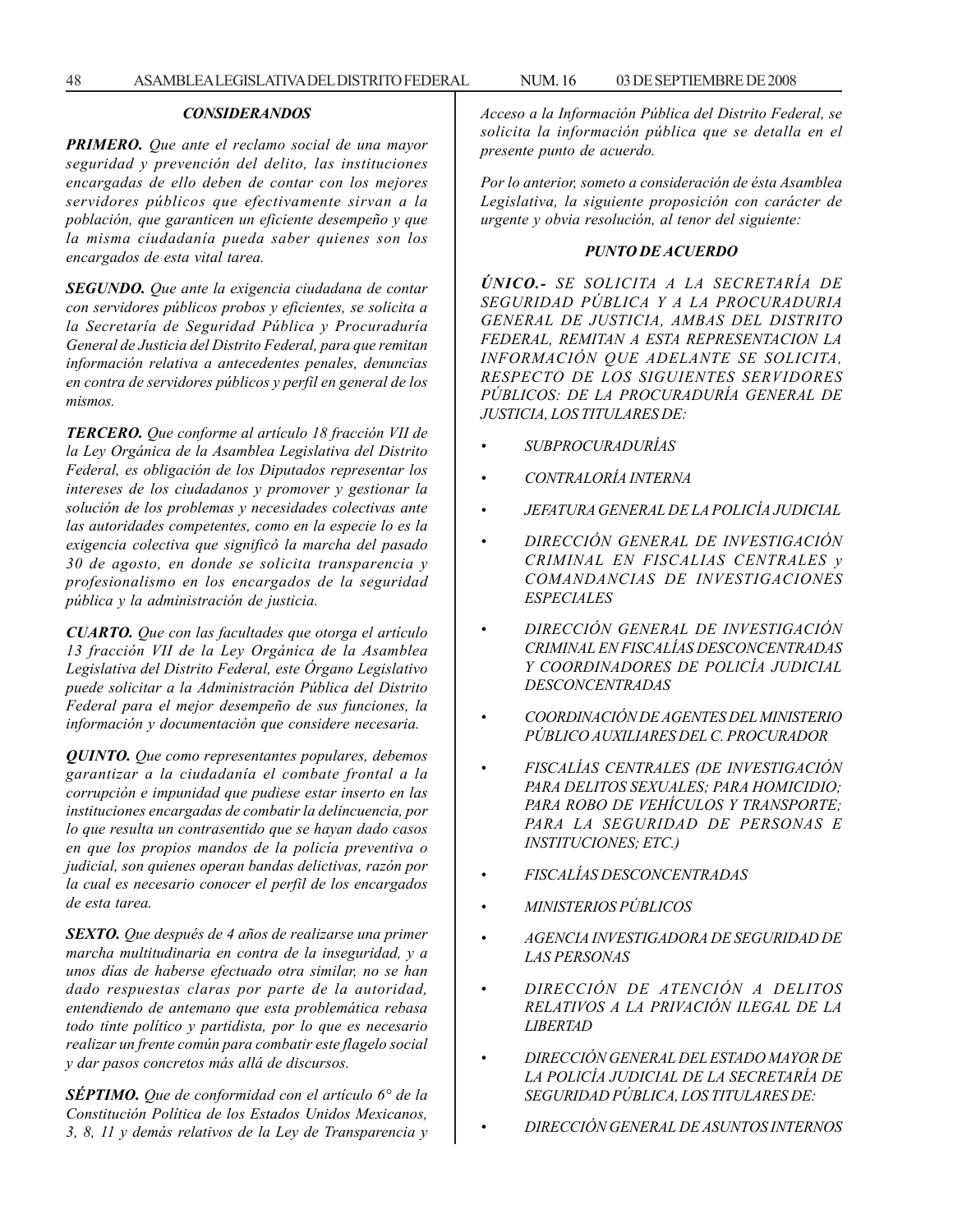## *CONSIDERANDOS*

*PRIMERO. Que ante el reclamo social de una mayor seguridad y prevención del delito, las instituciones encargadas de ello deben de contar con los mejores servidores públicos que efectivamente sirvan a la población, que garanticen un eficiente desempeño y que la misma ciudadanía pueda saber quienes son los encargados de esta vital tarea.*

*SEGUNDO. Que ante la exigencia ciudadana de contar con servidores públicos probos y eficientes, se solicita a la Secretaría de Seguridad Pública y Procuraduría General de Justicia del Distrito Federal, para que remitan información relativa a antecedentes penales, denuncias en contra de servidores públicos y perfil en general de los mismos.*

*TERCERO. Que conforme al artículo 18 fracción VII de la Ley Orgánica de la Asamblea Legislativa del Distrito Federal, es obligación de los Diputados representar los intereses de los ciudadanos y promover y gestionar la solución de los problemas y necesidades colectivas ante las autoridades competentes, como en la especie lo es la exigencia colectiva que significó la marcha del pasado 30 de agosto, en donde se solicita transparencia y profesionalismo en los encargados de la seguridad pública y la administración de justicia.*

*CUARTO. Que con las facultades que otorga el artículo 13 fracción VII de la Ley Orgánica de la Asamblea Legislativa del Distrito Federal, este Órgano Legislativo puede solicitar a la Administración Pública del Distrito Federal para el mejor desempeño de sus funciones, la información y documentación que considere necesaria.*

*QUINTO. Que como representantes populares, debemos garantizar a la ciudadanía el combate frontal a la corrupción e impunidad que pudiese estar inserto en las instituciones encargadas de combatir la delincuencia, por lo que resulta un contrasentido que se hayan dado casos en que los propios mandos de la policía preventiva o judicial, son quienes operan bandas delictivas, razón por la cual es necesario conocer el perfil de los encargados de esta tarea.*

*SEXTO. Que después de 4 años de realizarse una primer marcha multitudinaria en contra de la inseguridad, y a unos días de haberse efectuado otra similar, no se han dado respuestas claras por parte de la autoridad, entendiendo de antemano que esta problemática rebasa todo tinte político y partidista, por lo que es necesario realizar un frente común para combatir este flagelo social y dar pasos concretos más allá de discursos.*

*SÉPTIMO. Que de conformidad con el artículo 6° de la Constitución Política de los Estados Unidos Mexicanos, 3, 8, 11 y demás relativos de la Ley de Transparencia y* *Acceso a la Información Pública del Distrito Federal, se solicita la información pública que se detalla en el presente punto de acuerdo.*

*Por lo anterior, someto a consideración de ésta Asamblea Legislativa, la siguiente proposición con carácter de urgente y obvia resolución, al tenor del siguiente:*

### *PUNTO DE ACUERDO*

*ÚNICO.- SE SOLICITA A LA SECRETARÍA DE SEGURIDAD PÚBLICA Y A LA PROCURADURIA GENERAL DE JUSTICIA, AMBAS DEL DISTRITO FEDERAL, REMITAN A ESTA REPRESENTACION LA INFORMACIÓN QUE ADELANTE SE SOLICITA, RESPECTO DE LOS SIGUIENTES SERVIDORES PÚBLICOS: DE LA PROCURADURÍA GENERAL DE JUSTICIA, LOS TITULARES DE:*

- *SUBPROCURADURÍAS*
- *CONTRALORÍA INTERNA*
- *JEFATURA GENERAL DE LA POLICÍA JUDICIAL*
- *DIRECCIÓN GENERAL DE INVESTIGACIÓN CRIMINAL EN FISCALIAS CENTRALES y COMANDANCIAS DE INVESTIGACIONES ESPECIALES*
- *DIRECCIÓN GENERAL DE INVESTIGACIÓN CRIMINAL EN FISCALÍAS DESCONCENTRADAS Y COORDINADORES DE POLlCÍA JUDICIAL DESCONCENTRADAS*
- *COORDINACIÓN DE AGENTES DEL MINISTERIO PÚBLICO AUXILIARES DEL C. PROCURADOR*
- *FISCALÍAS CENTRALES (DE INVESTIGACIÓN PARA DELITOS SEXUALES; PARA HOMICIDIO; PARA ROBO DE VEHÍCULOS Y TRANSPORTE; PARA LA SEGURIDAD DE PERSONAS E INSTITUCIONES; ETC.)*
- *FISCALÍAS DESCONCENTRADAS*
- *MINISTERIOS PÚBLICOS*
- *AGENCIA INVESTIGADORA DE SEGURIDAD DE LAS PERSONAS*
- *DIRECCIÓN DE ATENCIÓN A DELITOS RELATIVOS A LA PRIVACIÓN ILEGAL DE LA LIBERTAD*
- *DIRECCIÓN GENERAL DEL ESTADO MAYOR DE LA POLlCÍA JUDICIAL DE LA SECRETARÍA DE SEGURIDAD PÚBLICA, LOS TITULARES DE:*
- *DIRECCIÓN GENERAL DE ASUNTOS INTERNOS*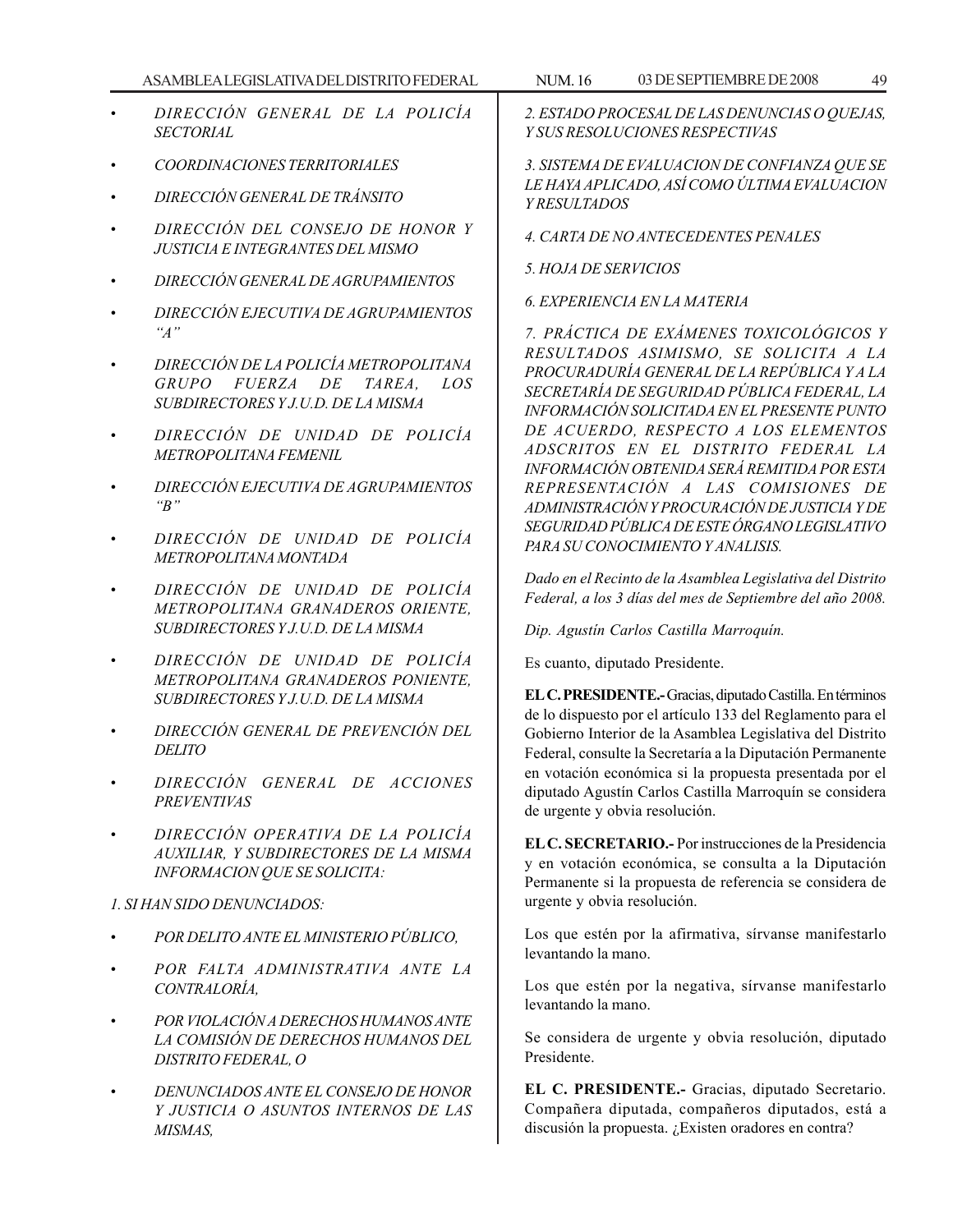- *DIRECCIÓN GENERAL DE LA POLICÍA SECTORIAL*
- *COORDINACIONES TERRITORIALES*
- *DIRECCIÓN GENERAL DE TRÁNSITO*
- *DIRECCIÓN DEL CONSEJO DE HONOR Y JUSTICIA E INTEGRANTES DEL MISMO*
- *DIRECCIÓN GENERAL DE AGRUPAMIENTOS*
- *DIRECCIÓN EJECUTIVA DE AGRUPAMIENTOS ''A''*
- *DIRECCIÓN DE LA POLICÍA METROPOLITANA GRUPO FUERZA DE TAREA, LOS SUBDIRECTORES Y J.U.D. DE LA MISMA*
- *DIRECCIÓN DE UNIDAD DE POLICÍA METROPOLITANA FEMENIL*
- *DIRECCIÓN EJECUTIVA DE AGRUPAMIENTOS ''B''*
- *DIRECCIÓN DE UNIDAD DE POLICÍA METROPOLITANA MONTADA*
- *DIRECCIÓN DE UNIDAD DE POLICÍA METROPOLITANA GRANADEROS ORIENTE, SUBDIRECTORES Y J.U.D. DE LA MISMA*
- *DIRECCIÓN DE UNIDAD DE POLICÍA METROPOLITANA GRANADEROS PONIENTE, SUBDIRECTORES Y J.U.D. DE LA MISMA*
- *DIRECCIÓN GENERAL DE PREVENCIÓN DEL DELITO*
- *DIRECCIÓN GENERAL DE ACCIONES PREVENTIVAS*
- *DIRECCIÓN OPERATIVA DE LA POLICÍA AUXILIAR, Y SUBDIRECTORES DE LA MISMA INFORMACION QUE SE SOLICITA:*

*1. SI HAN SIDO DENUNCIADOS:*

- *POR DELITO ANTE EL MINISTERIO PÚBLICO,*
- *POR FALTA ADMINISTRATIVA ANTE LA CONTRALORÍA,*
- *POR VIOLACIÓN A DERECHOS HUMANOS ANTE LA COMISIÓN DE DERECHOS HUMANOS DEL DISTRITO FEDERAL, O*
- *DENUNCIADOS ANTE EL CONSEJO DE HONOR Y JUSTICIA O ASUNTOS INTERNOS DE LAS MISMAS,*

*2. ESTADO PROCESAL DE LAS DENUNCIAS O QUEJAS, Y SUS RESOLUCIONES RESPECTIVAS*

*3. SISTEMA DE EVALUACION DE CONFIANZA QUE SE LE HAYA APLICADO, ASÍ COMO ÚLTIMA EVALUACION Y RESULTADOS*

- *4. CARTA DE NO ANTECEDENTES PENALES*
- *5. HOJA DE SERVICIOS*

*6. EXPERIENCIA EN LA MATERIA*

*7. PRÁCTICA DE EXÁMENES TOXICOLÓGICOS Y RESULTADOS ASIMISMO, SE SOLICITA A LA PROCURADURÍA GENERAL DE LA REPÚBLICA Y A LA SECRETARÍA DE SEGURIDAD PÚBLICA FEDERAL, LA INFORMACIÓN SOLICITADA EN EL PRESENTE PUNTO DE ACUERDO, RESPECTO A LOS ELEMENTOS ADSCRITOS EN EL DISTRITO FEDERAL LA INFORMACIÓN OBTENIDA SERÁ REMITIDA POR ESTA REPRESENTACIÓN A LAS COMISIONES DE ADMINISTRACIÓN Y PROCURACIÓN DE JUSTICIA Y DE SEGURIDAD PÚBLICA DE ESTE ÓRGANO LEGISLATIVO PARA SU CONOCIMIENTO Y ANALISIS.*

*Dado en el Recinto de la Asamblea Legislativa del Distrito Federal, a los 3 días del mes de Septiembre del año 2008.*

*Dip. Agustín Carlos Castilla Marroquín.*

Es cuanto, diputado Presidente.

**EL C. PRESIDENTE.-** Gracias, diputado Castilla. En términos de lo dispuesto por el artículo 133 del Reglamento para el Gobierno Interior de la Asamblea Legislativa del Distrito Federal, consulte la Secretaría a la Diputación Permanente en votación económica si la propuesta presentada por el diputado Agustín Carlos Castilla Marroquín se considera de urgente y obvia resolución.

**EL C. SECRETARIO.-** Por instrucciones de la Presidencia y en votación económica, se consulta a la Diputación Permanente si la propuesta de referencia se considera de urgente y obvia resolución.

Los que estén por la afirmativa, sírvanse manifestarlo levantando la mano.

Los que estén por la negativa, sírvanse manifestarlo levantando la mano.

Se considera de urgente y obvia resolución, diputado Presidente.

**EL C. PRESIDENTE.-** Gracias, diputado Secretario. Compañera diputada, compañeros diputados, está a discusión la propuesta. ¿Existen oradores en contra?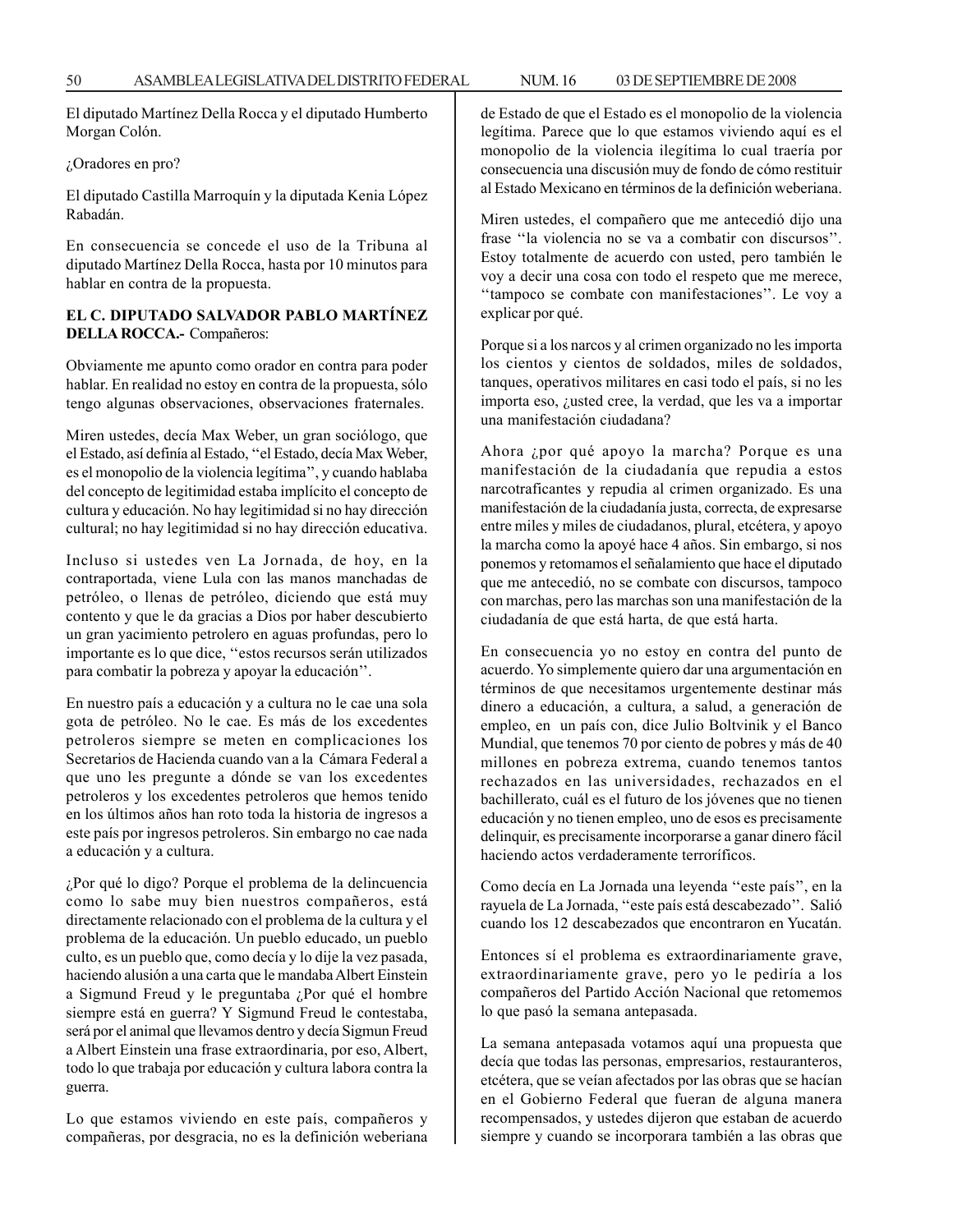El diputado Martínez Della Rocca y el diputado Humberto Morgan Colón.

### ¿Oradores en pro?

El diputado Castilla Marroquín y la diputada Kenia López Rabadán.

En consecuencia se concede el uso de la Tribuna al diputado Martínez Della Rocca, hasta por 10 minutos para hablar en contra de la propuesta.

## **EL C. DIPUTADO SALVADOR PABLO MARTÍNEZ DELLA ROCCA.-** Compañeros:

Obviamente me apunto como orador en contra para poder hablar. En realidad no estoy en contra de la propuesta, sólo tengo algunas observaciones, observaciones fraternales.

Miren ustedes, decía Max Weber, un gran sociólogo, que el Estado, así definía al Estado, ''el Estado, decía Max Weber, es el monopolio de la violencia legítima'', y cuando hablaba del concepto de legitimidad estaba implícito el concepto de cultura y educación. No hay legitimidad si no hay dirección cultural; no hay legitimidad si no hay dirección educativa.

Incluso si ustedes ven La Jornada, de hoy, en la contraportada, viene Lula con las manos manchadas de petróleo, o llenas de petróleo, diciendo que está muy contento y que le da gracias a Dios por haber descubierto un gran yacimiento petrolero en aguas profundas, pero lo importante es lo que dice, ''estos recursos serán utilizados para combatir la pobreza y apoyar la educación''.

En nuestro país a educación y a cultura no le cae una sola gota de petróleo. No le cae. Es más de los excedentes petroleros siempre se meten en complicaciones los Secretarios de Hacienda cuando van a la Cámara Federal a que uno les pregunte a dónde se van los excedentes petroleros y los excedentes petroleros que hemos tenido en los últimos años han roto toda la historia de ingresos a este país por ingresos petroleros. Sin embargo no cae nada a educación y a cultura.

¿Por qué lo digo? Porque el problema de la delincuencia como lo sabe muy bien nuestros compañeros, está directamente relacionado con el problema de la cultura y el problema de la educación. Un pueblo educado, un pueblo culto, es un pueblo que, como decía y lo dije la vez pasada, haciendo alusión a una carta que le mandaba Albert Einstein a Sigmund Freud y le preguntaba ¿Por qué el hombre siempre está en guerra? Y Sigmund Freud le contestaba, será por el animal que llevamos dentro y decía Sigmun Freud a Albert Einstein una frase extraordinaria, por eso, Albert, todo lo que trabaja por educación y cultura labora contra la guerra.

Lo que estamos viviendo en este país, compañeros y compañeras, por desgracia, no es la definición weberiana de Estado de que el Estado es el monopolio de la violencia legítima. Parece que lo que estamos viviendo aquí es el monopolio de la violencia ilegítima lo cual traería por consecuencia una discusión muy de fondo de cómo restituir al Estado Mexicano en términos de la definición weberiana.

Miren ustedes, el compañero que me antecedió dijo una frase ''la violencia no se va a combatir con discursos''. Estoy totalmente de acuerdo con usted, pero también le voy a decir una cosa con todo el respeto que me merece, ''tampoco se combate con manifestaciones''. Le voy a explicar por qué.

Porque si a los narcos y al crimen organizado no les importa los cientos y cientos de soldados, miles de soldados, tanques, operativos militares en casi todo el país, si no les importa eso, ¿usted cree, la verdad, que les va a importar una manifestación ciudadana?

Ahora ¿por qué apoyo la marcha? Porque es una manifestación de la ciudadanía que repudia a estos narcotraficantes y repudia al crimen organizado. Es una manifestación de la ciudadanía justa, correcta, de expresarse entre miles y miles de ciudadanos, plural, etcétera, y apoyo la marcha como la apoyé hace 4 años. Sin embargo, si nos ponemos y retomamos el señalamiento que hace el diputado que me antecedió, no se combate con discursos, tampoco con marchas, pero las marchas son una manifestación de la ciudadanía de que está harta, de que está harta.

En consecuencia yo no estoy en contra del punto de acuerdo. Yo simplemente quiero dar una argumentación en términos de que necesitamos urgentemente destinar más dinero a educación, a cultura, a salud, a generación de empleo, en un país con, dice Julio Boltvinik y el Banco Mundial, que tenemos 70 por ciento de pobres y más de 40 millones en pobreza extrema, cuando tenemos tantos rechazados en las universidades, rechazados en el bachillerato, cuál es el futuro de los jóvenes que no tienen educación y no tienen empleo, uno de esos es precisamente delinquir, es precisamente incorporarse a ganar dinero fácil haciendo actos verdaderamente terroríficos.

Como decía en La Jornada una leyenda ''este país'', en la rayuela de La Jornada, ''este país está descabezado''. Salió cuando los 12 descabezados que encontraron en Yucatán.

Entonces sí el problema es extraordinariamente grave, extraordinariamente grave, pero yo le pediría a los compañeros del Partido Acción Nacional que retomemos lo que pasó la semana antepasada.

La semana antepasada votamos aquí una propuesta que decía que todas las personas, empresarios, restauranteros, etcétera, que se veían afectados por las obras que se hacían en el Gobierno Federal que fueran de alguna manera recompensados, y ustedes dijeron que estaban de acuerdo siempre y cuando se incorporara también a las obras que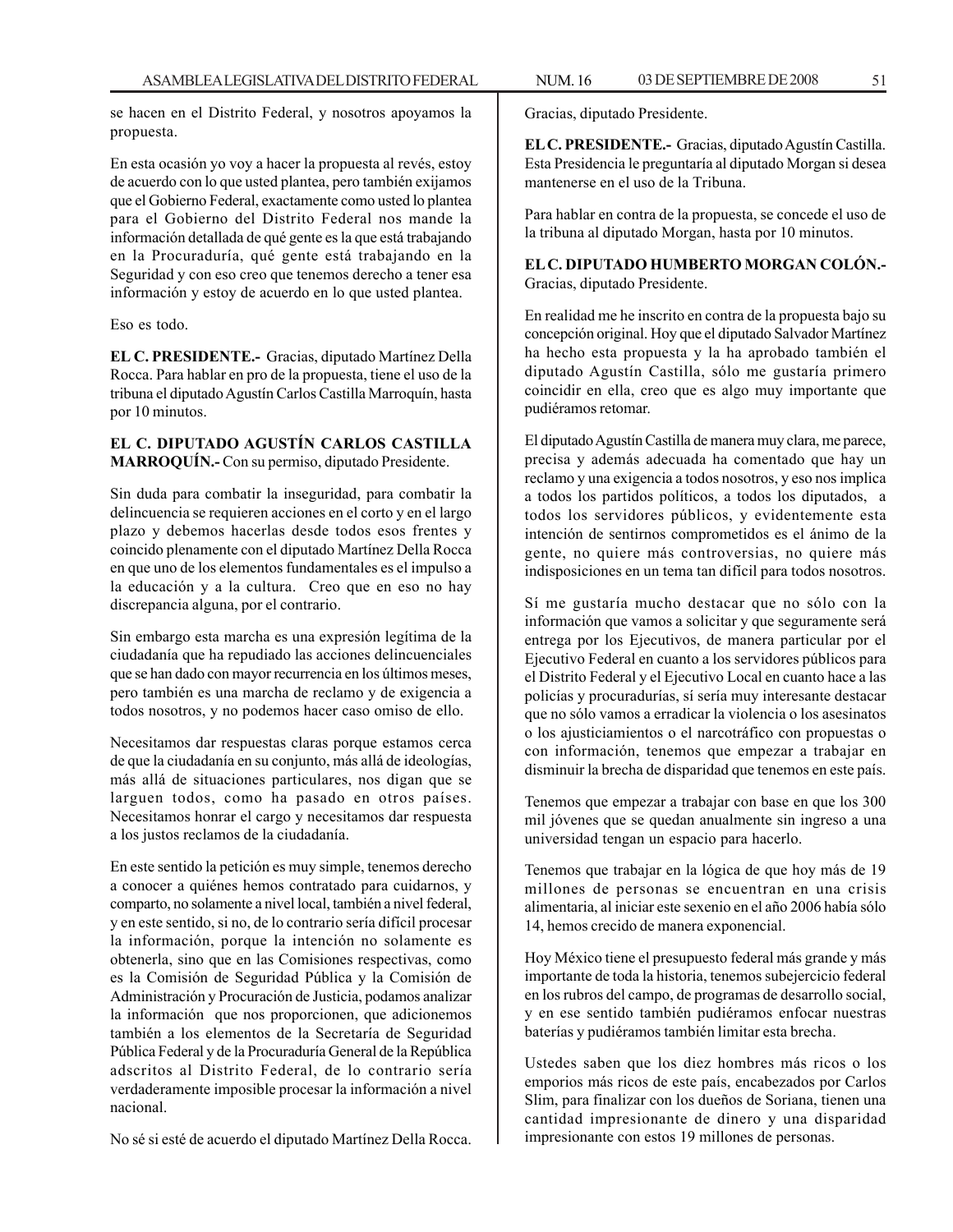se hacen en el Distrito Federal, y nosotros apoyamos la propuesta.

En esta ocasión yo voy a hacer la propuesta al revés, estoy de acuerdo con lo que usted plantea, pero también exijamos que el Gobierno Federal, exactamente como usted lo plantea para el Gobierno del Distrito Federal nos mande la información detallada de qué gente es la que está trabajando en la Procuraduría, qué gente está trabajando en la Seguridad y con eso creo que tenemos derecho a tener esa información y estoy de acuerdo en lo que usted plantea.

Eso es todo.

**EL C. PRESIDENTE.-** Gracias, diputado Martínez Della Rocca. Para hablar en pro de la propuesta, tiene el uso de la tribuna el diputado Agustín Carlos Castilla Marroquín, hasta por 10 minutos.

## **EL C. DIPUTADO AGUSTÍN CARLOS CASTILLA MARROQUÍN.-** Con su permiso, diputado Presidente.

Sin duda para combatir la inseguridad, para combatir la delincuencia se requieren acciones en el corto y en el largo plazo y debemos hacerlas desde todos esos frentes y coincido plenamente con el diputado Martínez Della Rocca en que uno de los elementos fundamentales es el impulso a la educación y a la cultura. Creo que en eso no hay discrepancia alguna, por el contrario.

Sin embargo esta marcha es una expresión legítima de la ciudadanía que ha repudiado las acciones delincuenciales que se han dado con mayor recurrencia en los últimos meses, pero también es una marcha de reclamo y de exigencia a todos nosotros, y no podemos hacer caso omiso de ello.

Necesitamos dar respuestas claras porque estamos cerca de que la ciudadanía en su conjunto, más allá de ideologías, más allá de situaciones particulares, nos digan que se larguen todos, como ha pasado en otros países. Necesitamos honrar el cargo y necesitamos dar respuesta a los justos reclamos de la ciudadanía.

En este sentido la petición es muy simple, tenemos derecho a conocer a quiénes hemos contratado para cuidarnos, y comparto, no solamente a nivel local, también a nivel federal, y en este sentido, si no, de lo contrario sería difícil procesar la información, porque la intención no solamente es obtenerla, sino que en las Comisiones respectivas, como es la Comisión de Seguridad Pública y la Comisión de Administración y Procuración de Justicia, podamos analizar la información que nos proporcionen, que adicionemos también a los elementos de la Secretaría de Seguridad Pública Federal y de la Procuraduría General de la República adscritos al Distrito Federal, de lo contrario sería verdaderamente imposible procesar la información a nivel nacional.

No sé si esté de acuerdo el diputado Martínez Della Rocca.

Gracias, diputado Presidente.

**EL C. PRESIDENTE.-** Gracias, diputado Agustín Castilla. Esta Presidencia le preguntaría al diputado Morgan si desea mantenerse en el uso de la Tribuna.

Para hablar en contra de la propuesta, se concede el uso de la tribuna al diputado Morgan, hasta por 10 minutos.

**EL C. DIPUTADO HUMBERTO MORGAN COLÓN.-** Gracias, diputado Presidente.

En realidad me he inscrito en contra de la propuesta bajo su concepción original. Hoy que el diputado Salvador Martínez ha hecho esta propuesta y la ha aprobado también el diputado Agustín Castilla, sólo me gustaría primero coincidir en ella, creo que es algo muy importante que pudiéramos retomar.

El diputado Agustín Castilla de manera muy clara, me parece, precisa y además adecuada ha comentado que hay un reclamo y una exigencia a todos nosotros, y eso nos implica a todos los partidos políticos, a todos los diputados, a todos los servidores públicos, y evidentemente esta intención de sentirnos comprometidos es el ánimo de la gente, no quiere más controversias, no quiere más indisposiciones en un tema tan difícil para todos nosotros.

Sí me gustaría mucho destacar que no sólo con la información que vamos a solicitar y que seguramente será entrega por los Ejecutivos, de manera particular por el Ejecutivo Federal en cuanto a los servidores públicos para el Distrito Federal y el Ejecutivo Local en cuanto hace a las policías y procuradurías, sí sería muy interesante destacar que no sólo vamos a erradicar la violencia o los asesinatos o los ajusticiamientos o el narcotráfico con propuestas o con información, tenemos que empezar a trabajar en disminuir la brecha de disparidad que tenemos en este país.

Tenemos que empezar a trabajar con base en que los 300 mil jóvenes que se quedan anualmente sin ingreso a una universidad tengan un espacio para hacerlo.

Tenemos que trabajar en la lógica de que hoy más de 19 millones de personas se encuentran en una crisis alimentaria, al iniciar este sexenio en el año 2006 había sólo 14, hemos crecido de manera exponencial.

Hoy México tiene el presupuesto federal más grande y más importante de toda la historia, tenemos subejercicio federal en los rubros del campo, de programas de desarrollo social, y en ese sentido también pudiéramos enfocar nuestras baterías y pudiéramos también limitar esta brecha.

Ustedes saben que los diez hombres más ricos o los emporios más ricos de este país, encabezados por Carlos Slim, para finalizar con los dueños de Soriana, tienen una cantidad impresionante de dinero y una disparidad impresionante con estos 19 millones de personas.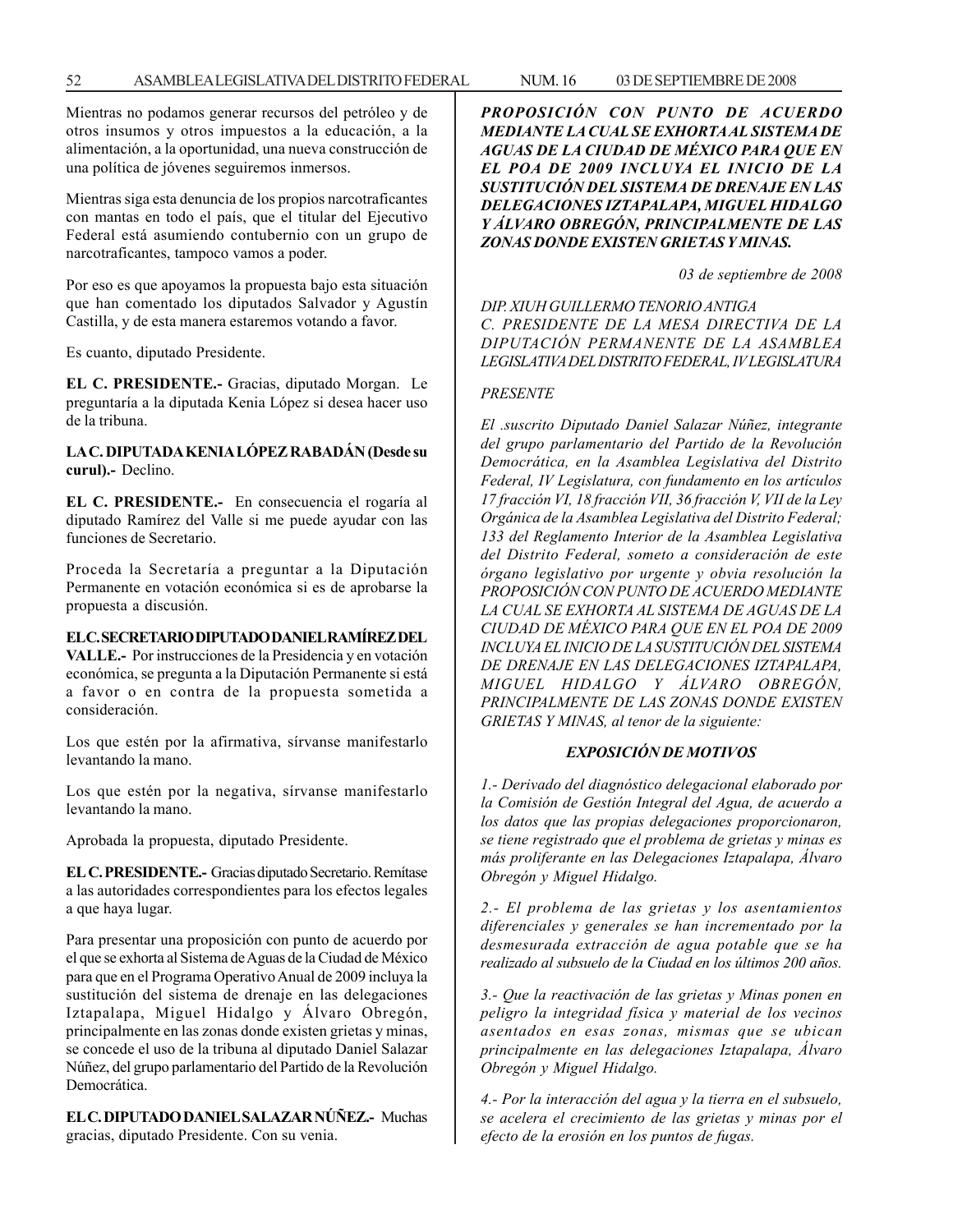Mientras no podamos generar recursos del petróleo y de otros insumos y otros impuestos a la educación, a la alimentación, a la oportunidad, una nueva construcción de una política de jóvenes seguiremos inmersos.

Mientras siga esta denuncia de los propios narcotraficantes con mantas en todo el país, que el titular del Ejecutivo Federal está asumiendo contubernio con un grupo de narcotraficantes, tampoco vamos a poder.

Por eso es que apoyamos la propuesta bajo esta situación que han comentado los diputados Salvador y Agustín Castilla, y de esta manera estaremos votando a favor.

Es cuanto, diputado Presidente.

**EL C. PRESIDENTE.-** Gracias, diputado Morgan. Le preguntaría a la diputada Kenia López si desea hacer uso de la tribuna.

**LA C. DIPUTADA KENIA LÓPEZ RABADÁN (Desde su curul).-** Declino.

**EL C. PRESIDENTE.-** En consecuencia el rogaría al diputado Ramírez del Valle si me puede ayudar con las funciones de Secretario.

Proceda la Secretaría a preguntar a la Diputación Permanente en votación económica si es de aprobarse la propuesta a discusión.

## **EL C. SECRETARIO DIPUTADO DANIEL RAMÍREZ DEL**

**VALLE.-** Por instrucciones de la Presidencia y en votación económica, se pregunta a la Diputación Permanente si está a favor o en contra de la propuesta sometida a consideración.

Los que estén por la afirmativa, sírvanse manifestarlo levantando la mano.

Los que estén por la negativa, sírvanse manifestarlo levantando la mano.

Aprobada la propuesta, diputado Presidente.

**EL C. PRESIDENTE.-** Gracias diputado Secretario. Remítase a las autoridades correspondientes para los efectos legales a que haya lugar.

Para presentar una proposición con punto de acuerdo por el que se exhorta al Sistema de Aguas de la Ciudad de México para que en el Programa Operativo Anual de 2009 incluya la sustitución del sistema de drenaje en las delegaciones Iztapalapa, Miguel Hidalgo y Álvaro Obregón, principalmente en las zonas donde existen grietas y minas, se concede el uso de la tribuna al diputado Daniel Salazar Núñez, del grupo parlamentario del Partido de la Revolución **Democrática** 

**EL C. DIPUTADO DANIEL SALAZAR NÚÑEZ.-** Muchas gracias, diputado Presidente. Con su venia.

*PROPOSICIÓN CON PUNTO DE ACUERDO MEDIANTE LA CUAL SE EXHORTA AL SISTEMA DE AGUAS DE LA CIUDAD DE MÉXICO PARA QUE EN EL POA DE 2009 INCLUYA EL INICIO DE LA SUSTITUCIÓN DEL SISTEMA DE DRENAJE EN LAS DELEGACIONES IZTAPALAPA, MIGUEL HIDALGO Y ÁLVARO OBREGÓN, PRINCIPALMENTE DE LAS ZONAS DONDE EXISTEN GRIETAS Y MINAS.*

*03 de septiembre de 2008*

*DIP. XIUH GUILLERMO TENORIO ANTIGA C. PRESIDENTE DE LA MESA DIRECTIVA DE LA DIPUTACIÓN PERMANENTE DE LA ASAMBLEA LEGISLATIVA DEL DISTRITO FEDERAL, IV LEGISLATURA*

#### *PRESENTE*

*El .suscrito Diputado Daniel Salazar Núñez, integrante del grupo parlamentario del Partido de la Revolución Democrática, en la Asamblea Legislativa del Distrito Federal, IV Legislatura, con fundamento en los artículos 17 fracción VI, 18 fracción VII, 36 fracción V, VII de la Ley Orgánica de la Asamblea Legislativa del Distrito Federal; 133 del Reglamento Interior de la Asamblea Legislativa del Distrito Federal, someto a consideración de este órgano legislativo por urgente y obvia resolución la PROPOSICIÓN CON PUNTO DE ACUERDO MEDIANTE LA CUAL SE EXHORTA AL SISTEMA DE AGUAS DE LA CIUDAD DE MÉXICO PARA QUE EN EL POA DE 2009 INCLUYA EL INICIO DE LA SUSTITUCIÓN DEL SISTEMA DE DRENAJE EN LAS DELEGACIONES IZTAPALAPA, MIGUEL HIDALGO Y ÁLVARO OBREGÓN, PRINCIPALMENTE DE LAS ZONAS DONDE EXISTEN GRIETAS Y MINAS, al tenor de la siguiente:*

## *EXPOSICIÓN DE MOTIVOS*

*1.- Derivado del diagnóstico delegacional elaborado por la Comisión de Gestión Integral del Agua, de acuerdo a los datos que las propias delegaciones proporcionaron, se tiene registrado que el problema de grietas y minas es más proliferante en las Delegaciones Iztapalapa, Álvaro Obregón y Miguel Hidalgo.*

*2.- El problema de las grietas y los asentamientos diferenciales y generales se han incrementado por la desmesurada extracción de agua potable que se ha realizado al subsuelo de la Ciudad en los últimos 200 años.*

*3.- Que la reactivación de las grietas y Minas ponen en peligro la integridad física y material de los vecinos asentados en esas zonas, mismas que se ubican principalmente en las delegaciones Iztapalapa, Álvaro Obregón y Miguel Hidalgo.*

*4.- Por la interacción del agua y la tierra en el subsuelo, se acelera el crecimiento de las grietas y minas por el efecto de la erosión en los puntos de fugas.*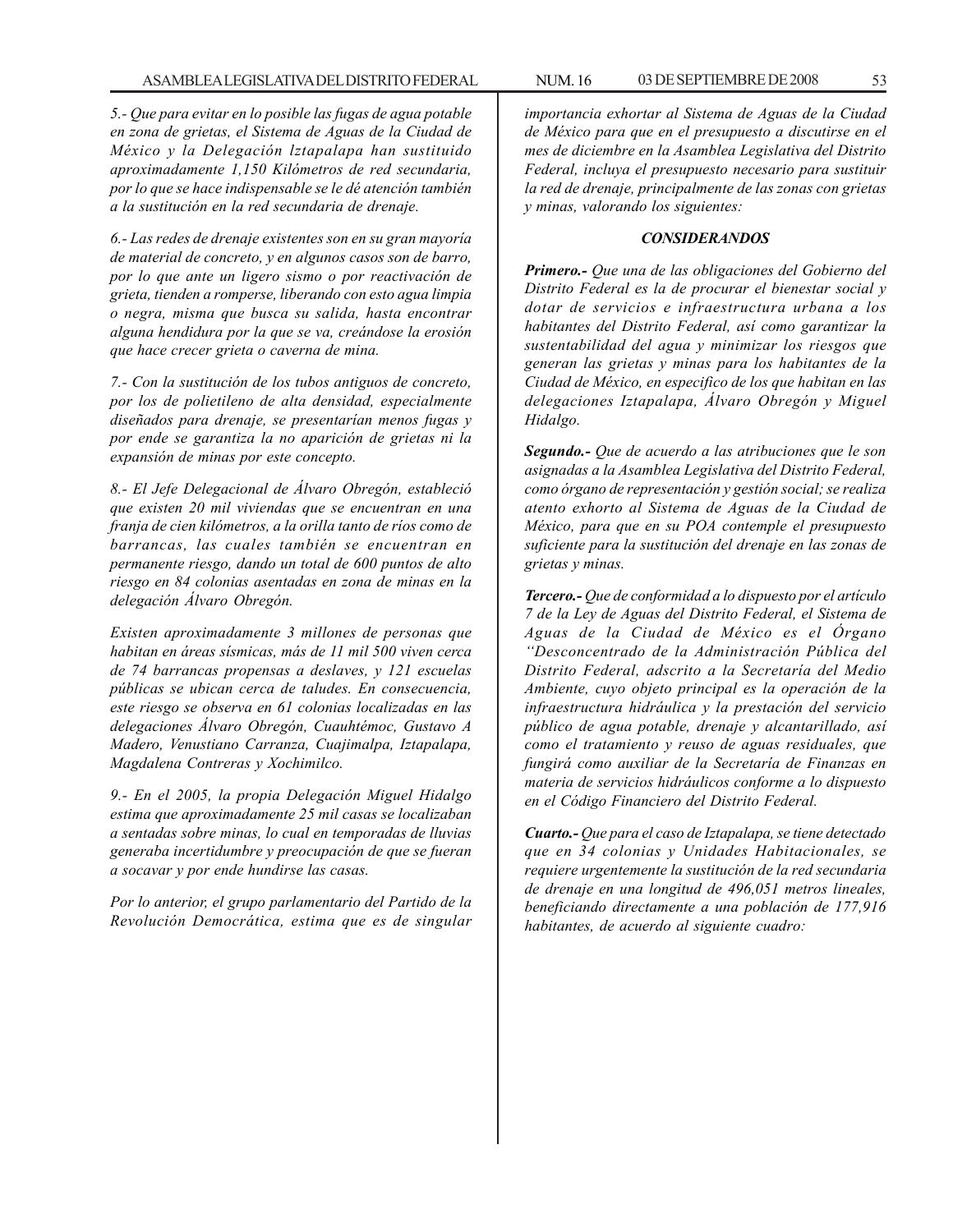*5.- Que para evitar en lo posible las fugas de agua potable en zona de grietas, el Sistema de Aguas de la Ciudad de México y la Delegación lztapalapa han sustituido aproximadamente 1,150 Kilómetros de red secundaria, por lo que se hace indispensable se le dé atención también a la sustitución en la red secundaria de drenaje.*

*6.- Las redes de drenaje existentes son en su gran mayoría de material de concreto, y en algunos casos son de barro, por lo que ante un ligero sismo o por reactivación de grieta, tienden a romperse, liberando con esto agua limpia o negra, misma que busca su salida, hasta encontrar alguna hendidura por la que se va, creándose la erosión que hace crecer grieta o caverna de mina.*

*7.- Con la sustitución de los tubos antiguos de concreto, por los de polietileno de alta densidad, especialmente diseñados para drenaje, se presentarían menos fugas y por ende se garantiza la no aparición de grietas ni la expansión de minas por este concepto.*

*8.- El Jefe Delegacional de Álvaro Obregón, estableció que existen 20 mil viviendas que se encuentran en una franja de cien kilómetros, a la orilla tanto de ríos como de barrancas, las cuales también se encuentran en permanente riesgo, dando un total de 600 puntos de alto riesgo en 84 colonias asentadas en zona de minas en la delegación Álvaro Obregón.*

*Existen aproximadamente 3 millones de personas que habitan en áreas sísmicas, más de 11 mil 500 viven cerca de 74 barrancas propensas a deslaves, y 121 escuelas públicas se ubican cerca de taludes. En consecuencia, este riesgo se observa en 61 colonias localizadas en las delegaciones Álvaro Obregón, Cuauhtémoc, Gustavo A Madero, Venustiano Carranza, Cuajimalpa, Iztapalapa, Magdalena Contreras y Xochimilco.*

*9.- En el 2005, la propia Delegación Miguel Hidalgo estima que aproximadamente 25 mil casas se localizaban a sentadas sobre minas, lo cual en temporadas de lluvias generaba incertidumbre y preocupación de que se fueran a socavar y por ende hundirse las casas.*

*Por lo anterior, el grupo parlamentario del Partido de la Revolución Democrática, estima que es de singular*

*importancia exhortar al Sistema de Aguas de la Ciudad de México para que en el presupuesto a discutirse en el mes de diciembre en la Asamblea Legislativa del Distrito Federal, incluya el presupuesto necesario para sustituir la red de drenaje, principalmente de las zonas con grietas y minas, valorando los siguientes:*

### *CONSIDERANDOS*

*Primero.- Que una de las obligaciones del Gobierno del Distrito Federal es la de procurar el bienestar social y dotar de servicios e infraestructura urbana a los habitantes del Distrito Federal, así como garantizar la sustentabilidad del agua y minimizar los riesgos que generan las grietas y minas para los habitantes de la Ciudad de México, en especifico de los que habitan en las delegaciones Iztapalapa, Álvaro Obregón y Miguel Hidalgo.*

*Segundo.- Que de acuerdo a las atribuciones que le son asignadas a la Asamblea Legislativa del Distrito Federal, como órgano de representación y gestión social; se realiza atento exhorto al Sistema de Aguas de la Ciudad de México, para que en su POA contemple el presupuesto suficiente para la sustitución del drenaje en las zonas de grietas y minas.*

*Tercero.- Que de conformidad a lo dispuesto por el artículo 7 de la Ley de Aguas del Distrito Federal, el Sistema de Aguas de la Ciudad de México es el Órgano ''Desconcentrado de la Administración Pública del Distrito Federal, adscrito a la Secretaría del Medio Ambiente, cuyo objeto principal es la operación de la infraestructura hidráulica y la prestación del servicio público de agua potable, drenaje y alcantarillado, así como el tratamiento y reuso de aguas residuales, que fungirá como auxiliar de la Secretaría de Finanzas en materia de servicios hidráulicos conforme a lo dispuesto en el Código Financiero del Distrito Federal.*

*Cuarto.- Que para el caso de Iztapalapa, se tiene detectado que en 34 colonias y Unidades Habitacionales, se requiere urgentemente la sustitución de la red secundaria de drenaje en una longitud de 496,051 metros lineales, beneficiando directamente a una población de 177,916 habitantes, de acuerdo al siguiente cuadro:*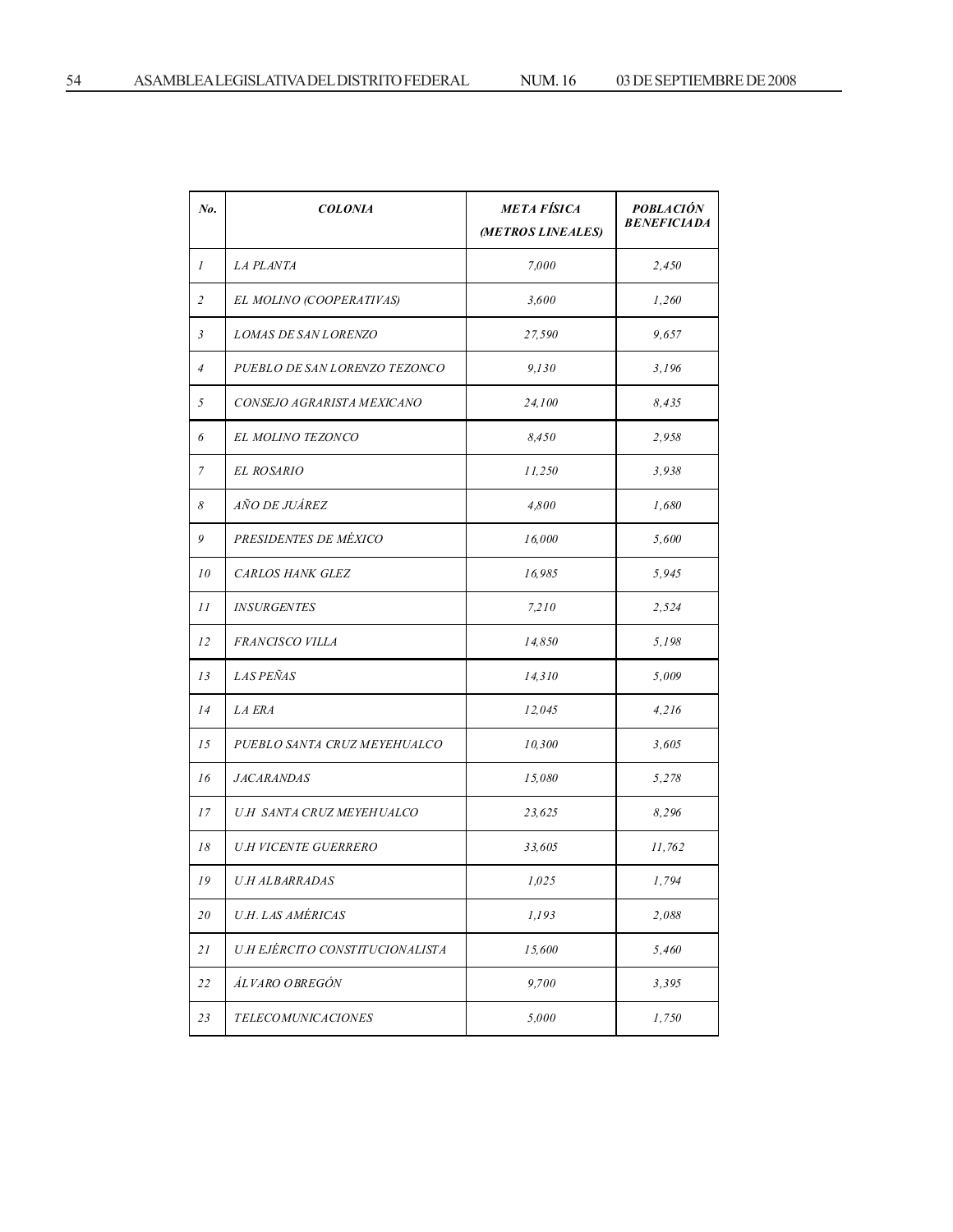| No.            | <b>COLONIA</b>                   | <b>META FÍSICA</b><br>(METROS LINEALES) | <b>POBLACIÓN</b><br><b>BENEFICIADA</b> |
|----------------|----------------------------------|-----------------------------------------|----------------------------------------|
| $\mathcal{I}$  | <i>LA PLANTA</i>                 | 7,000                                   | 2,450                                  |
| $\overline{c}$ | EL MOLINO (COOPERATIVAS)         | 3,600                                   | 1,260                                  |
| 3              | <b>LOMAS DE SAN LORENZO</b>      | 27,590                                  | 9,657                                  |
| $\overline{4}$ | PUEBLO DE SAN LORENZO TEZONCO    | 9,130                                   | 3,196                                  |
| 5              | CONSEJO AGRARISTA MEXICANO       | 24,100                                  | 8.435                                  |
| 6              | EL MOLINO TEZONCO                | 8,450                                   | 2,958                                  |
| 7              | EL ROSARIO                       | 11,250                                  | 3,938                                  |
| 8              | <i>AÑO DE JUÁREZ</i>             | 4,800                                   | 1,680                                  |
| 9              | PRESIDENTES DE MÉXICO            | 16,000                                  | 5,600                                  |
| 10             | CARLOS HANK GLEZ                 | 16,985                                  | 5,945                                  |
| 11             | <b>INSURGENTES</b>               | 7,210                                   | 2,524                                  |
| 12             | FRANCISCO VILLA                  | 14,850                                  | 5,198                                  |
| 13             | <i>LAS PEÑAS</i>                 | 14,310                                  | 5,009                                  |
| 14             | <i>LA ERA</i>                    | 12,045                                  | 4,216                                  |
| 15             | PUEBLO SANTA CRUZ MEYEHUALCO     | 10,300                                  | 3,605                                  |
| 16             | <b>JACARANDAS</b>                | 15,080                                  | 5,278                                  |
| 17             | <i>U.H SANTA CRUZ MEYEHUALCO</i> | 23,625                                  | 8,296                                  |
| 18             | U.H VICENTE GUERRERO             | 33,605                                  | 11,762                                 |
| 19             | <b>U.H ALBARRADAS</b>            | 1,025                                   | 1,794                                  |
| 20             | U.H. LAS AMÉRICAS                | 1,193                                   | 2,088                                  |
| 21             | U.H EJÉRCITO CONSTITUCIONALISTA  | 15,600                                  | 5,460                                  |
| 22             | ÁLVARO OBREGÓN                   | 9,700                                   | 3,395                                  |
| 23             | <i>TELECOMUNICACIONES</i>        | 5,000                                   | 1,750                                  |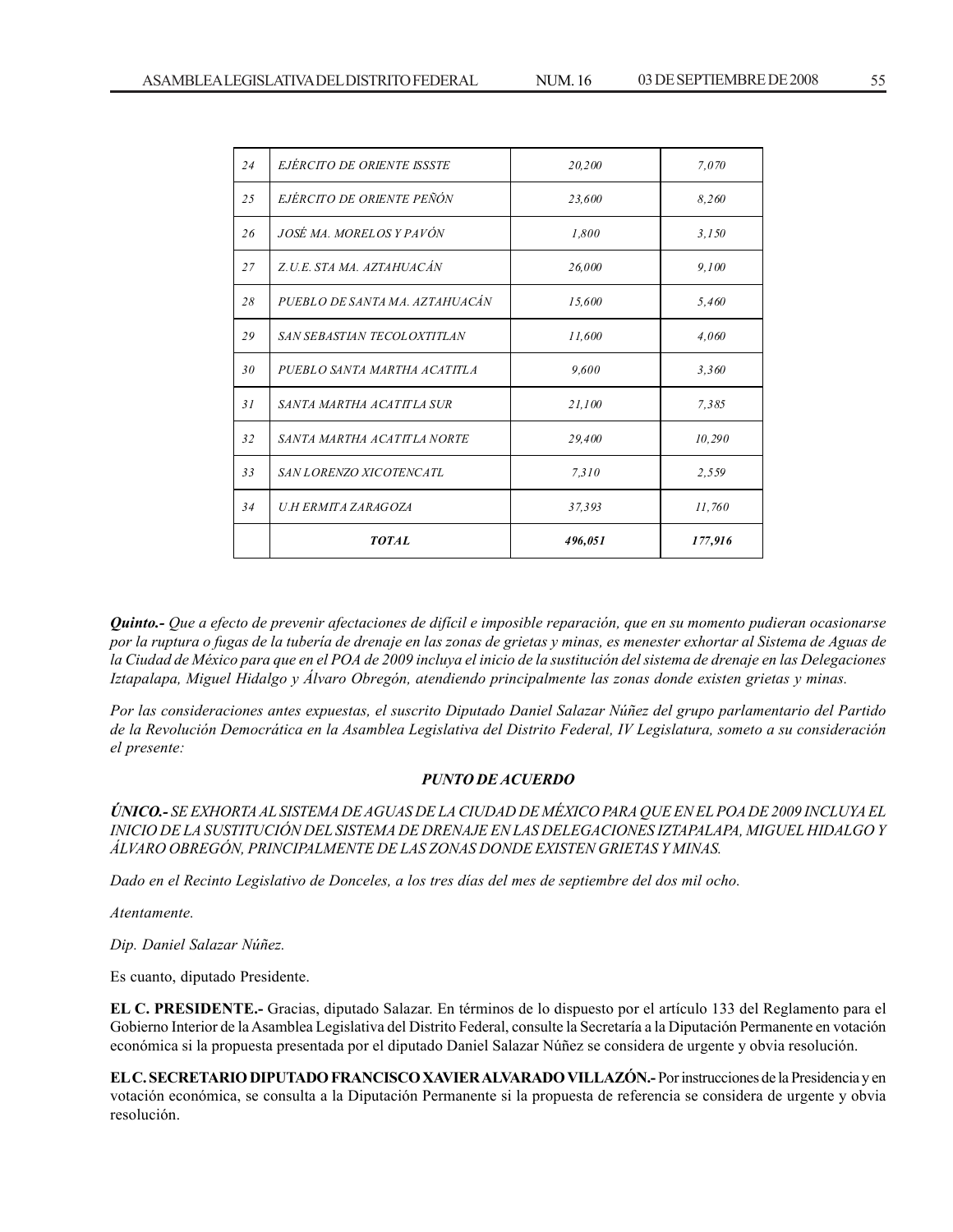|     | <b>TOTAL</b>                   | 496,051 | 177,916 |
|-----|--------------------------------|---------|---------|
| 34  | U.H ERMITA ZARAGOZA            | 37,393  | 11,760  |
| 33  | SAN LORENZO XICOTENCATL        | 7,310   | 2,559   |
| 32  | SANTA MARTHA ACATITLA NORTE    | 29,400  | 10,290  |
| 31  | SANTA MARTHA ACATITLA SUR      | 21,100  | 7,385   |
| 30  | PUEBLO SANTA MARTHA ACATITLA   | 9,600   | 3,360   |
| 29  | SAN SEBASTIAN TECOLOXTITLAN    | 11,600  | 4,060   |
| 28  | PUEBLO DE SANTA MA. AZTAHUACÁN | 15,600  | 5,460   |
| 27  | Z.U.E. STA MA. AZTAHUACÁN      | 26,000  | 9,100   |
| 26  | JOSÉ MA. MORELOS Y PAVÓN       | 1,800   | 3.150   |
| 2.5 | EJÉRCITO DE ORIENTE PEÑÓN      | 23,600  | 8,260   |
| 24  | EJERCITO DE ORIENTE ISSSTE     | 20,200  | 7,070   |

*Quinto.- Que a efecto de prevenir afectaciones de difícil e imposible reparación, que en su momento pudieran ocasionarse por la ruptura o fugas de la tubería de drenaje en las zonas de grietas y minas, es menester exhortar al Sistema de Aguas de la Ciudad de México para que en el POA de 2009 incluya el inicio de la sustitución del sistema de drenaje en las Delegaciones Iztapalapa, Miguel Hidalgo y Álvaro Obregón, atendiendo principalmente las zonas donde existen grietas y minas.*

*Por las consideraciones antes expuestas, el suscrito Diputado Daniel Salazar Núñez del grupo parlamentario del Partido de la Revolución Democrática en la Asamblea Legislativa del Distrito Federal, IV Legislatura, someto a su consideración el presente:*

### *PUNTO DE ACUERDO*

*ÚNICO.- SE EXHORTA AL SISTEMA DE AGUAS DE LA CIUDAD DE MÉXICO PARA QUE EN EL POA DE 2009 INCLUYA EL INICIO DE LA SUSTITUCIÓN DEL SISTEMA DE DRENAJE EN LAS DELEGACIONES IZTAPALAPA, MIGUEL HIDALGO Y ÁLVARO OBREGÓN, PRINCIPALMENTE DE LAS ZONAS DONDE EXISTEN GRIETAS Y MINAS.*

*Dado en el Recinto Legislativo de Donceles, a los tres días del mes de septiembre del dos mil ocho.*

*Atentamente.*

*Dip. Daniel Salazar Núñez.*

Es cuanto, diputado Presidente.

**EL C. PRESIDENTE.-** Gracias, diputado Salazar. En términos de lo dispuesto por el artículo 133 del Reglamento para el Gobierno Interior de la Asamblea Legislativa del Distrito Federal, consulte la Secretaría a la Diputación Permanente en votación económica si la propuesta presentada por el diputado Daniel Salazar Núñez se considera de urgente y obvia resolución.

**EL C. SECRETARIO DIPUTADO FRANCISCO XAVIER ALVARADO VILLAZÓN.-** Por instrucciones de la Presidencia y en votación económica, se consulta a la Diputación Permanente si la propuesta de referencia se considera de urgente y obvia resolución.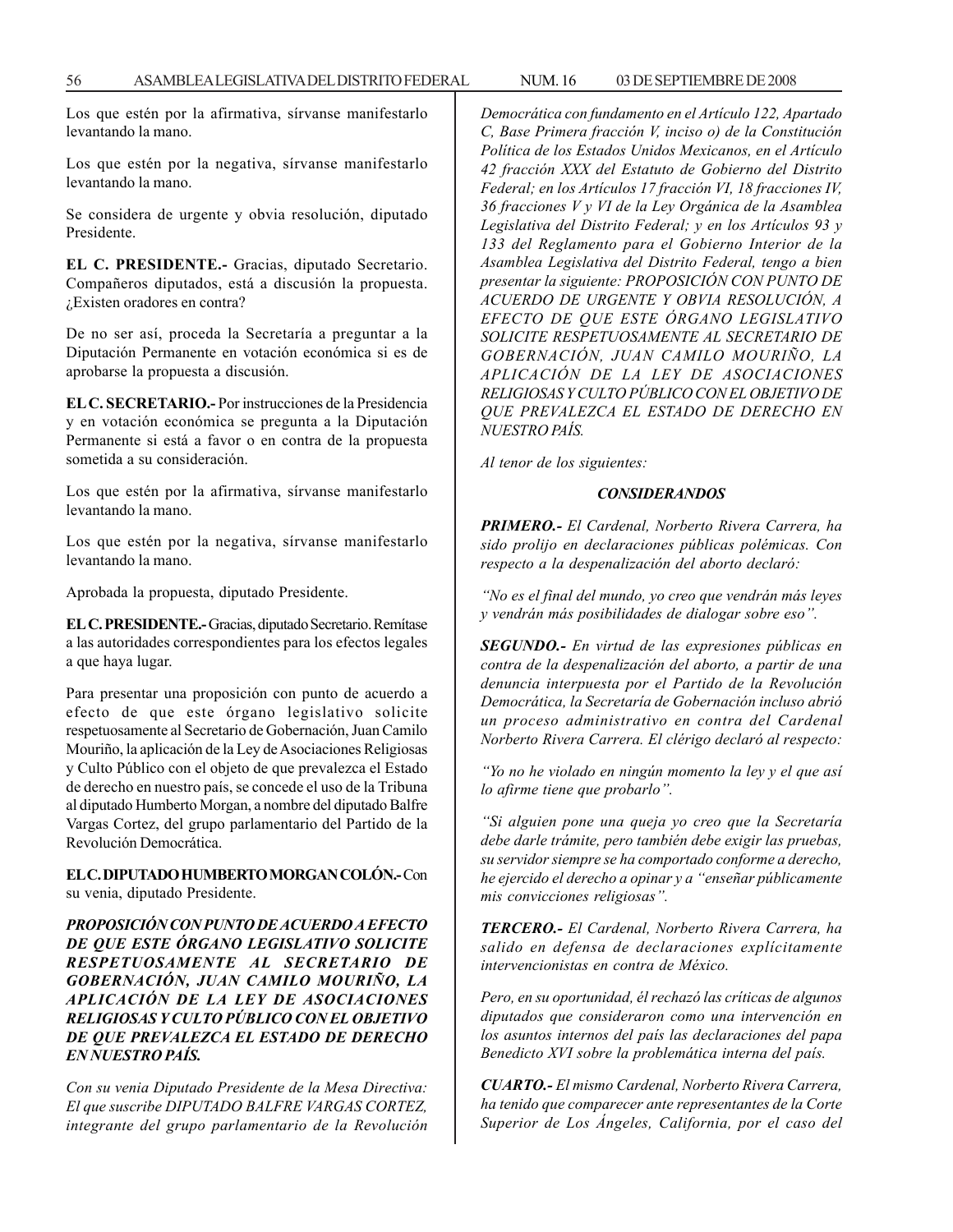Los que estén por la afirmativa, sírvanse manifestarlo levantando la mano.

Los que estén por la negativa, sírvanse manifestarlo levantando la mano.

Se considera de urgente y obvia resolución, diputado Presidente.

**EL C. PRESIDENTE.-** Gracias, diputado Secretario. Compañeros diputados, está a discusión la propuesta. ¿Existen oradores en contra?

De no ser así, proceda la Secretaría a preguntar a la Diputación Permanente en votación económica si es de aprobarse la propuesta a discusión.

**EL C. SECRETARIO.-** Por instrucciones de la Presidencia y en votación económica se pregunta a la Diputación Permanente si está a favor o en contra de la propuesta sometida a su consideración.

Los que estén por la afirmativa, sírvanse manifestarlo levantando la mano.

Los que estén por la negativa, sírvanse manifestarlo levantando la mano.

Aprobada la propuesta, diputado Presidente.

**EL C. PRESIDENTE.-** Gracias, diputado Secretario. Remítase a las autoridades correspondientes para los efectos legales a que haya lugar.

Para presentar una proposición con punto de acuerdo a efecto de que este órgano legislativo solicite respetuosamente al Secretario de Gobernación, Juan Camilo Mouriño, la aplicación de la Ley de Asociaciones Religiosas y Culto Público con el objeto de que prevalezca el Estado de derecho en nuestro país, se concede el uso de la Tribuna al diputado Humberto Morgan, a nombre del diputado Balfre Vargas Cortez, del grupo parlamentario del Partido de la Revolución Democrática.

**EL C. DIPUTADO HUMBERTO MORGAN COLÓN.-** Con su venia, diputado Presidente.

*PROPOSICIÓN CON PUNTO DE ACUERDO A EFECTO DE QUE ESTE ÓRGANO LEGISLATIVO SOLICITE RESPETUOSAMENTE AL SECRETARIO DE GOBERNACIÓN, JUAN CAMILO MOURIÑO, LA APLICACIÓN DE LA LEY DE ASOCIACIONES RELIGIOSAS Y CULTO PÚBLICO CON EL OBJETIVO DE QUE PREVALEZCA EL ESTADO DE DERECHO EN NUESTRO PAÍS.*

*Con su venia Diputado Presidente de la Mesa Directiva: El que suscribe DIPUTADO BALFRE VARGAS CORTEZ, integrante del grupo parlamentario de la Revolución* *Democrática con fundamento en el Artículo 122, Apartado C, Base Primera fracción V, inciso o) de la Constitución Política de los Estados Unidos Mexicanos, en el Artículo 42 fracción XXX del Estatuto de Gobierno del Distrito Federal; en los Artículos 17 fracción VI, 18 fracciones IV, 36 fracciones V y VI de la Ley Orgánica de la Asamblea Legislativa del Distrito Federal; y en los Artículos 93 y 133 del Reglamento para el Gobierno Interior de la Asamblea Legislativa del Distrito Federal, tengo a bien presentar la siguiente: PROPOSICIÓN CON PUNTO DE ACUERDO DE URGENTE Y OBVIA RESOLUCIÓN, A EFECTO DE QUE ESTE ÓRGANO LEGISLATIVO SOLICITE RESPETUOSAMENTE AL SECRETARIO DE GOBERNACIÓN, JUAN CAMILO MOURIÑO, LA APLICACIÓN DE LA LEY DE ASOCIACIONES RELIGIOSAS Y CULTO PÚBLICO CON EL OBJETIVO DE QUE PREVALEZCA EL ESTADO DE DERECHO EN NUESTRO PAÍS.*

*Al tenor de los siguientes:*

#### *CONSIDERANDOS*

*PRIMERO.- El Cardenal, Norberto Rivera Carrera, ha sido prolijo en declaraciones públicas polémicas. Con respecto a la despenalización del aborto declaró:*

*''No es el final del mundo, yo creo que vendrán más leyes y vendrán más posibilidades de dialogar sobre eso''.*

*SEGUNDO.- En virtud de las expresiones públicas en contra de la despenalización del aborto, a partir de una denuncia interpuesta por el Partido de la Revolución Democrática, la Secretaría de Gobernación incluso abrió un proceso administrativo en contra del Cardenal Norberto Rivera Carrera. El clérigo declaró al respecto:*

*''Yo no he violado en ningún momento la ley y el que así lo afirme tiene que probarlo''.*

*''Si alguien pone una queja yo creo que la Secretaría debe darle trámite, pero también debe exigir las pruebas, su servidor siempre se ha comportado conforme a derecho, he ejercido el derecho a opinar y a ''enseñar públicamente mis convicciones religiosas''.*

*TERCERO.- El Cardenal, Norberto Rivera Carrera, ha salido en defensa de declaraciones explícitamente intervencionistas en contra de México.*

*Pero, en su oportunidad, él rechazó las críticas de algunos diputados que consideraron como una intervención en los asuntos internos del país las declaraciones del papa Benedicto XVI sobre la problemática interna del país.*

*CUARTO.- El mismo Cardenal, Norberto Rivera Carrera, ha tenido que comparecer ante representantes de la Corte Superior de Los Ángeles, California, por el caso del*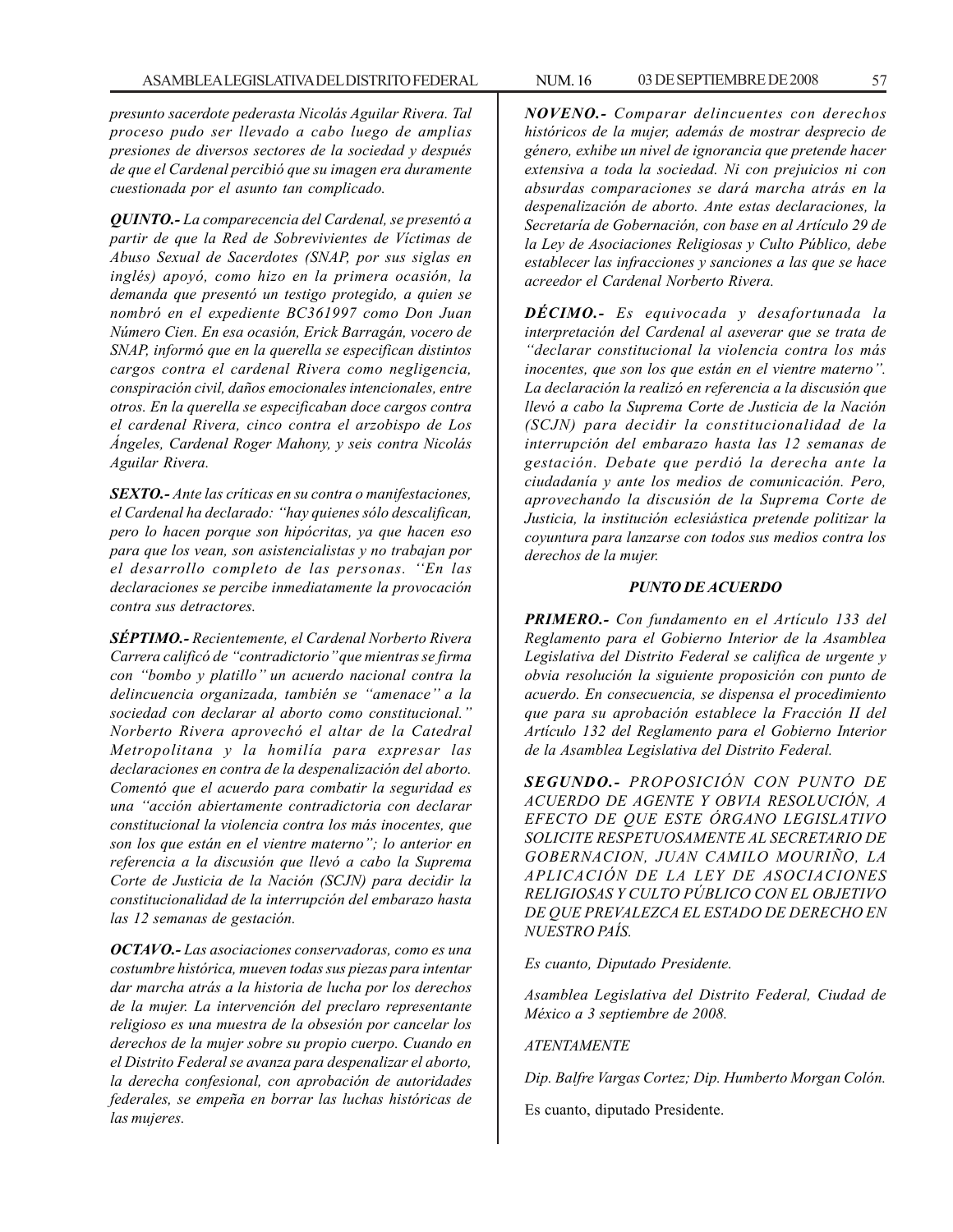*presunto sacerdote pederasta Nicolás Aguilar Rivera. Tal proceso pudo ser llevado a cabo luego de amplias presiones de diversos sectores de la sociedad y después de que el Cardenal percibió que su imagen era duramente cuestionada por el asunto tan complicado.*

*QUINTO.- La comparecencia del Cardenal, se presentó a partir de que la Red de Sobrevivientes de Víctimas de Abuso Sexual de Sacerdotes (SNAP, por sus siglas en inglés) apoyó, como hizo en la primera ocasión, la demanda que presentó un testigo protegido, a quien se nombró en el expediente BC361997 como Don Juan Número Cien. En esa ocasión, Erick Barragán, vocero de SNAP, informó que en la querella se especifican distintos cargos contra el cardenal Rivera como negligencia, conspiración civil, daños emocionales intencionales, entre otros. En la querella se especificaban doce cargos contra el cardenal Rivera, cinco contra el arzobispo de Los Ángeles, Cardenal Roger Mahony, y seis contra Nicolás Aguilar Rivera.*

*SEXTO.- Ante las críticas en su contra o manifestaciones, el Cardenal ha declarado: ''hay quienes sólo descalifican, pero lo hacen porque son hipócritas, ya que hacen eso para que los vean, son asistencialistas y no trabajan por el desarrollo completo de las personas. ''En las declaraciones se percibe inmediatamente la provocación contra sus detractores.*

*SÉPTIMO.- Recientemente, el Cardenal Norberto Rivera Carrera calificó de ''contradictorio'' que mientras se firma con ''bombo y platillo'' un acuerdo nacional contra la delincuencia organizada, también se ''amenace'' a la sociedad con declarar al aborto como constitucional.'' Norberto Rivera aprovechó el altar de la Catedral Metropolitana y la homilía para expresar las declaraciones en contra de la despenalización del aborto. Comentó que el acuerdo para combatir la seguridad es una ''acción abiertamente contradictoria con declarar constitucional la violencia contra los más inocentes, que son los que están en el vientre materno''; lo anterior en referencia a la discusión que llevó a cabo la Suprema Corte de Justicia de la Nación (SCJN) para decidir la constitucionalidad de la interrupción del embarazo hasta las 12 semanas de gestación.*

*OCTAVO.- Las asociaciones conservadoras, como es una costumbre histórica, mueven todas sus piezas para intentar dar marcha atrás a la historia de lucha por los derechos de la mujer. La intervención del preclaro representante religioso es una muestra de la obsesión por cancelar los derechos de la mujer sobre su propio cuerpo. Cuando en el Distrito Federal se avanza para despenalizar el aborto, la derecha confesional, con aprobación de autoridades federales, se empeña en borrar las luchas históricas de las mujeres.*

*NOVENO.- Comparar delincuentes con derechos históricos de la mujer, además de mostrar desprecio de género, exhibe un nivel de ignorancia que pretende hacer extensiva a toda la sociedad. Ni con prejuicios ni con absurdas comparaciones se dará marcha atrás en la despenalización de aborto. Ante estas declaraciones, la Secretaría de Gobernación, con base en al Artículo 29 de la Ley de Asociaciones Religiosas y Culto Público, debe establecer las infracciones y sanciones a las que se hace acreedor el Cardenal Norberto Rivera.*

*DÉCIMO.- Es equivocada y desafortunada la interpretación del Cardenal al aseverar que se trata de ''declarar constitucional la violencia contra los más inocentes, que son los que están en el vientre materno''. La declaración la realizó en referencia a la discusión que llevó a cabo la Suprema Corte de Justicia de la Nación (SCJN) para decidir la constitucionalidad de la interrupción del embarazo hasta las 12 semanas de gestación. Debate que perdió la derecha ante la ciudadanía y ante los medios de comunicación. Pero, aprovechando la discusión de la Suprema Corte de Justicia, la institución eclesiástica pretende politizar la coyuntura para lanzarse con todos sus medios contra los derechos de la mujer.*

#### *PUNTO DE ACUERDO*

*PRIMERO.- Con fundamento en el Artículo 133 del Reglamento para el Gobierno Interior de la Asamblea Legislativa del Distrito Federal se califica de urgente y obvia resolución la siguiente proposición con punto de acuerdo. En consecuencia, se dispensa el procedimiento que para su aprobación establece la Fracción II del Artículo 132 del Reglamento para el Gobierno Interior de la Asamblea Legislativa del Distrito Federal.*

*SEGUNDO.- PROPOSICIÓN CON PUNTO DE ACUERDO DE AGENTE Y OBVIA RESOLUCIÓN, A EFECTO DE QUE ESTE ÓRGANO LEGISLATIVO SOLICITE RESPETUOSAMENTE AL SECRETARIO DE GOBERNACION, JUAN CAMILO MOURIÑO, LA APLICACIÓN DE LA LEY DE ASOCIACIONES RELIGIOSAS Y CULTO PÚBLICO CON EL OBJETIVO DE QUE PREVALEZCA EL ESTADO DE DERECHO EN NUESTRO PAÍS.*

*Es cuanto, Diputado Presidente.*

*Asamblea Legislativa del Distrito Federal, Ciudad de México a 3 septiembre de 2008.*

#### *ATENTAMENTE*

*Dip. Balfre Vargas Cortez; Dip. Humberto Morgan Colón.*

Es cuanto, diputado Presidente.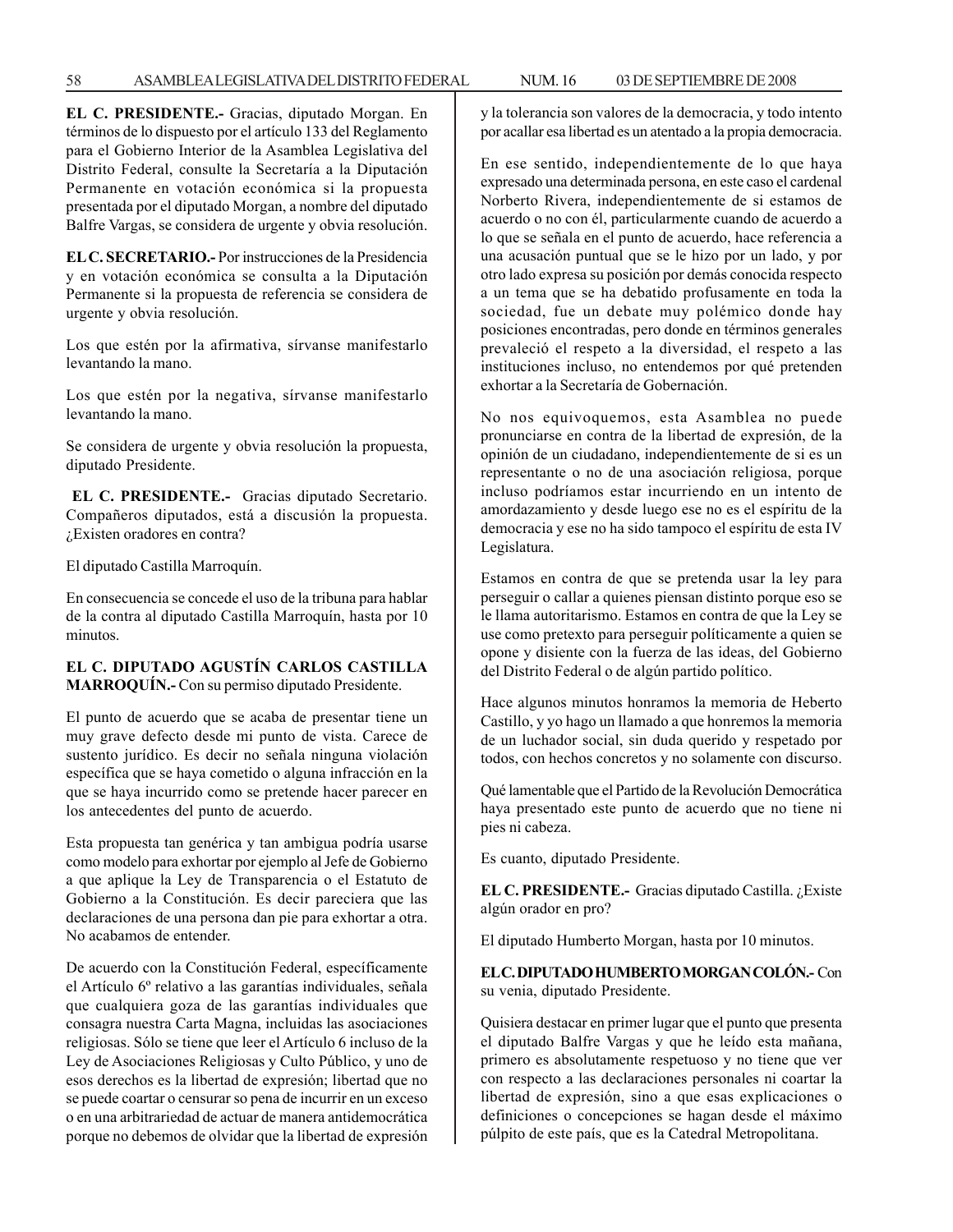58 ASAMBLEA LEGISLATIVA DEL DISTRITO FEDERAL NUM. 16 03 DE SEPTIEMBRE DE 2008

**EL C. PRESIDENTE.-** Gracias, diputado Morgan. En términos de lo dispuesto por el artículo 133 del Reglamento para el Gobierno Interior de la Asamblea Legislativa del Distrito Federal, consulte la Secretaría a la Diputación Permanente en votación económica si la propuesta presentada por el diputado Morgan, a nombre del diputado Balfre Vargas, se considera de urgente y obvia resolución.

**EL C. SECRETARIO.-** Por instrucciones de la Presidencia y en votación económica se consulta a la Diputación Permanente si la propuesta de referencia se considera de urgente y obvia resolución.

Los que estén por la afirmativa, sírvanse manifestarlo levantando la mano.

Los que estén por la negativa, sírvanse manifestarlo levantando la mano.

Se considera de urgente y obvia resolución la propuesta, diputado Presidente.

**EL C. PRESIDENTE.-** Gracias diputado Secretario. Compañeros diputados, está a discusión la propuesta. ¿Existen oradores en contra?

El diputado Castilla Marroquín.

En consecuencia se concede el uso de la tribuna para hablar de la contra al diputado Castilla Marroquín, hasta por 10 minutos.

## **EL C. DIPUTADO AGUSTÍN CARLOS CASTILLA MARROQUÍN.-** Con su permiso diputado Presidente.

El punto de acuerdo que se acaba de presentar tiene un muy grave defecto desde mi punto de vista. Carece de sustento jurídico. Es decir no señala ninguna violación específica que se haya cometido o alguna infracción en la que se haya incurrido como se pretende hacer parecer en los antecedentes del punto de acuerdo.

Esta propuesta tan genérica y tan ambigua podría usarse como modelo para exhortar por ejemplo al Jefe de Gobierno a que aplique la Ley de Transparencia o el Estatuto de Gobierno a la Constitución. Es decir pareciera que las declaraciones de una persona dan pie para exhortar a otra. No acabamos de entender.

De acuerdo con la Constitución Federal, específicamente el Artículo 6º relativo a las garantías individuales, señala que cualquiera goza de las garantías individuales que consagra nuestra Carta Magna, incluidas las asociaciones religiosas. Sólo se tiene que leer el Artículo 6 incluso de la Ley de Asociaciones Religiosas y Culto Público, y uno de esos derechos es la libertad de expresión; libertad que no se puede coartar o censurar so pena de incurrir en un exceso o en una arbitrariedad de actuar de manera antidemocrática porque no debemos de olvidar que la libertad de expresión y la tolerancia son valores de la democracia, y todo intento por acallar esa libertad es un atentado a la propia democracia.

En ese sentido, independientemente de lo que haya expresado una determinada persona, en este caso el cardenal Norberto Rivera, independientemente de si estamos de acuerdo o no con él, particularmente cuando de acuerdo a lo que se señala en el punto de acuerdo, hace referencia a una acusación puntual que se le hizo por un lado, y por otro lado expresa su posición por demás conocida respecto a un tema que se ha debatido profusamente en toda la sociedad, fue un debate muy polémico donde hay posiciones encontradas, pero donde en términos generales prevaleció el respeto a la diversidad, el respeto a las instituciones incluso, no entendemos por qué pretenden exhortar a la Secretaría de Gobernación.

No nos equivoquemos, esta Asamblea no puede pronunciarse en contra de la libertad de expresión, de la opinión de un ciudadano, independientemente de si es un representante o no de una asociación religiosa, porque incluso podríamos estar incurriendo en un intento de amordazamiento y desde luego ese no es el espíritu de la democracia y ese no ha sido tampoco el espíritu de esta IV Legislatura.

Estamos en contra de que se pretenda usar la ley para perseguir o callar a quienes piensan distinto porque eso se le llama autoritarismo. Estamos en contra de que la Ley se use como pretexto para perseguir políticamente a quien se opone y disiente con la fuerza de las ideas, del Gobierno del Distrito Federal o de algún partido político.

Hace algunos minutos honramos la memoria de Heberto Castillo, y yo hago un llamado a que honremos la memoria de un luchador social, sin duda querido y respetado por todos, con hechos concretos y no solamente con discurso.

Qué lamentable que el Partido de la Revolución Democrática haya presentado este punto de acuerdo que no tiene ni pies ni cabeza.

Es cuanto, diputado Presidente.

**EL C. PRESIDENTE.-** Gracias diputado Castilla. ¿Existe algún orador en pro?

El diputado Humberto Morgan, hasta por 10 minutos.

**EL C. DIPUTADO HUMBERTO MORGAN COLÓN.-** Con su venia, diputado Presidente.

Quisiera destacar en primer lugar que el punto que presenta el diputado Balfre Vargas y que he leído esta mañana, primero es absolutamente respetuoso y no tiene que ver con respecto a las declaraciones personales ni coartar la libertad de expresión, sino a que esas explicaciones o definiciones o concepciones se hagan desde el máximo púlpito de este país, que es la Catedral Metropolitana.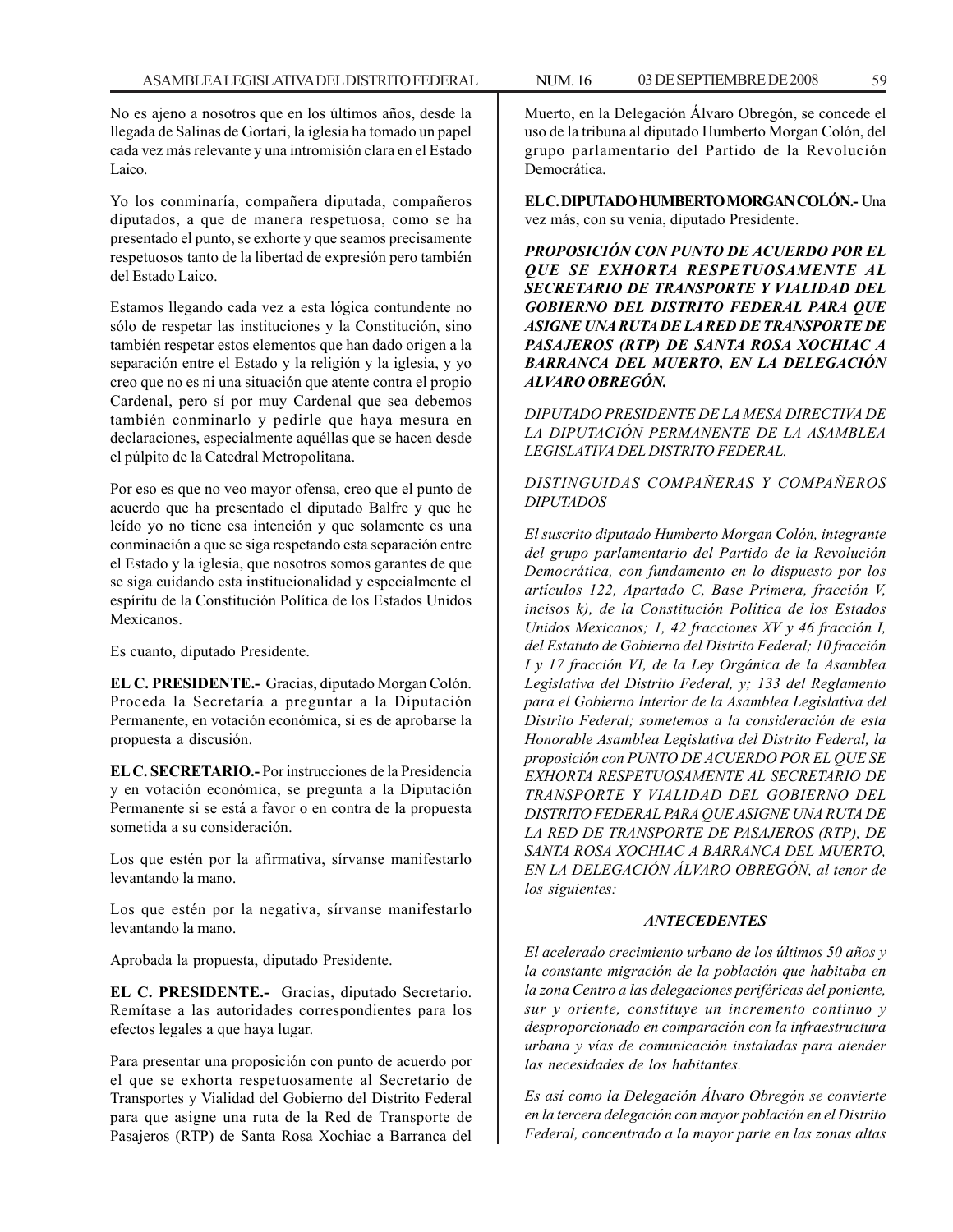No es ajeno a nosotros que en los últimos años, desde la llegada de Salinas de Gortari, la iglesia ha tomado un papel cada vez más relevante y una intromisión clara en el Estado Laico.

Yo los conminaría, compañera diputada, compañeros diputados, a que de manera respetuosa, como se ha presentado el punto, se exhorte y que seamos precisamente respetuosos tanto de la libertad de expresión pero también del Estado Laico.

Estamos llegando cada vez a esta lógica contundente no sólo de respetar las instituciones y la Constitución, sino también respetar estos elementos que han dado origen a la separación entre el Estado y la religión y la iglesia, y yo creo que no es ni una situación que atente contra el propio Cardenal, pero sí por muy Cardenal que sea debemos también conminarlo y pedirle que haya mesura en declaraciones, especialmente aquéllas que se hacen desde el púlpito de la Catedral Metropolitana.

Por eso es que no veo mayor ofensa, creo que el punto de acuerdo que ha presentado el diputado Balfre y que he leído yo no tiene esa intención y que solamente es una conminación a que se siga respetando esta separación entre el Estado y la iglesia, que nosotros somos garantes de que se siga cuidando esta institucionalidad y especialmente el espíritu de la Constitución Política de los Estados Unidos Mexicanos.

Es cuanto, diputado Presidente.

**EL C. PRESIDENTE.-** Gracias, diputado Morgan Colón. Proceda la Secretaría a preguntar a la Diputación Permanente, en votación económica, si es de aprobarse la propuesta a discusión.

**EL C. SECRETARIO.-** Por instrucciones de la Presidencia y en votación económica, se pregunta a la Diputación Permanente si se está a favor o en contra de la propuesta sometida a su consideración.

Los que estén por la afirmativa, sírvanse manifestarlo levantando la mano.

Los que estén por la negativa, sírvanse manifestarlo levantando la mano.

Aprobada la propuesta, diputado Presidente.

**EL C. PRESIDENTE.-** Gracias, diputado Secretario. Remítase a las autoridades correspondientes para los efectos legales a que haya lugar.

Para presentar una proposición con punto de acuerdo por el que se exhorta respetuosamente al Secretario de Transportes y Vialidad del Gobierno del Distrito Federal para que asigne una ruta de la Red de Transporte de Pasajeros (RTP) de Santa Rosa Xochiac a Barranca del

Muerto, en la Delegación Álvaro Obregón, se concede el uso de la tribuna al diputado Humberto Morgan Colón, del grupo parlamentario del Partido de la Revolución Democrática.

**EL C. DIPUTADO HUMBERTO MORGAN COLÓN.-** Una vez más, con su venia, diputado Presidente.

*PROPOSICIÓN CON PUNTO DE ACUERDO POR EL QUE SE EXHORTA RESPETUOSAMENTE AL SECRETARIO DE TRANSPORTE Y VIALIDAD DEL GOBIERNO DEL DISTRITO FEDERAL PARA QUE ASIGNE UNA RUTA DE LA RED DE TRANSPORTE DE PASAJEROS (RTP) DE SANTA ROSA XOCHIAC A BARRANCA DEL MUERTO, EN LA DELEGACIÓN ALVARO OBREGÓN.*

*DIPUTADO PRESIDENTE DE LA MESA DIRECTIVA DE LA DIPUTACIÓN PERMANENTE DE LA ASAMBLEA LEGISLATIVA DEL DISTRITO FEDERAL.*

## *DISTINGUIDAS COMPAÑERAS Y COMPAÑEROS DIPUTADOS*

*El suscrito diputado Humberto Morgan Colón, integrante del grupo parlamentario del Partido de la Revolución Democrática, con fundamento en lo dispuesto por los artículos 122, Apartado C, Base Primera, fracción V, incisos k), de la Constitución Política de los Estados Unidos Mexicanos; 1, 42 fracciones XV y 46 fracción I, del Estatuto de Gobierno del Distrito Federal; 10 fracción I y 17 fracción VI, de la Ley Orgánica de la Asamblea Legislativa del Distrito Federal, y; 133 del Reglamento para el Gobierno Interior de la Asamblea Legislativa del Distrito Federal; sometemos a la consideración de esta Honorable Asamblea Legislativa del Distrito Federal, la proposición con PUNTO DE ACUERDO POR EL QUE SE EXHORTA RESPETUOSAMENTE AL SECRETARIO DE TRANSPORTE Y VIALIDAD DEL GOBIERNO DEL DISTRITO FEDERAL PARA QUE ASIGNE UNA RUTA DE LA RED DE TRANSPORTE DE PASAJEROS (RTP), DE SANTA ROSA XOCHIAC A BARRANCA DEL MUERTO, EN LA DELEGACIÓN ÁLVARO OBREGÓN, al tenor de los siguientes:*

## *ANTECEDENTES*

*El acelerado crecimiento urbano de los últimos 50 años y la constante migración de la población que habitaba en la zona Centro a las delegaciones periféricas del poniente, sur y oriente, constituye un incremento continuo y desproporcionado en comparación con la infraestructura urbana y vías de comunicación instaladas para atender las necesidades de los habitantes.*

*Es así como la Delegación Álvaro Obregón se convierte en la tercera delegación con mayor población en el Distrito Federal, concentrado a la mayor parte en las zonas altas*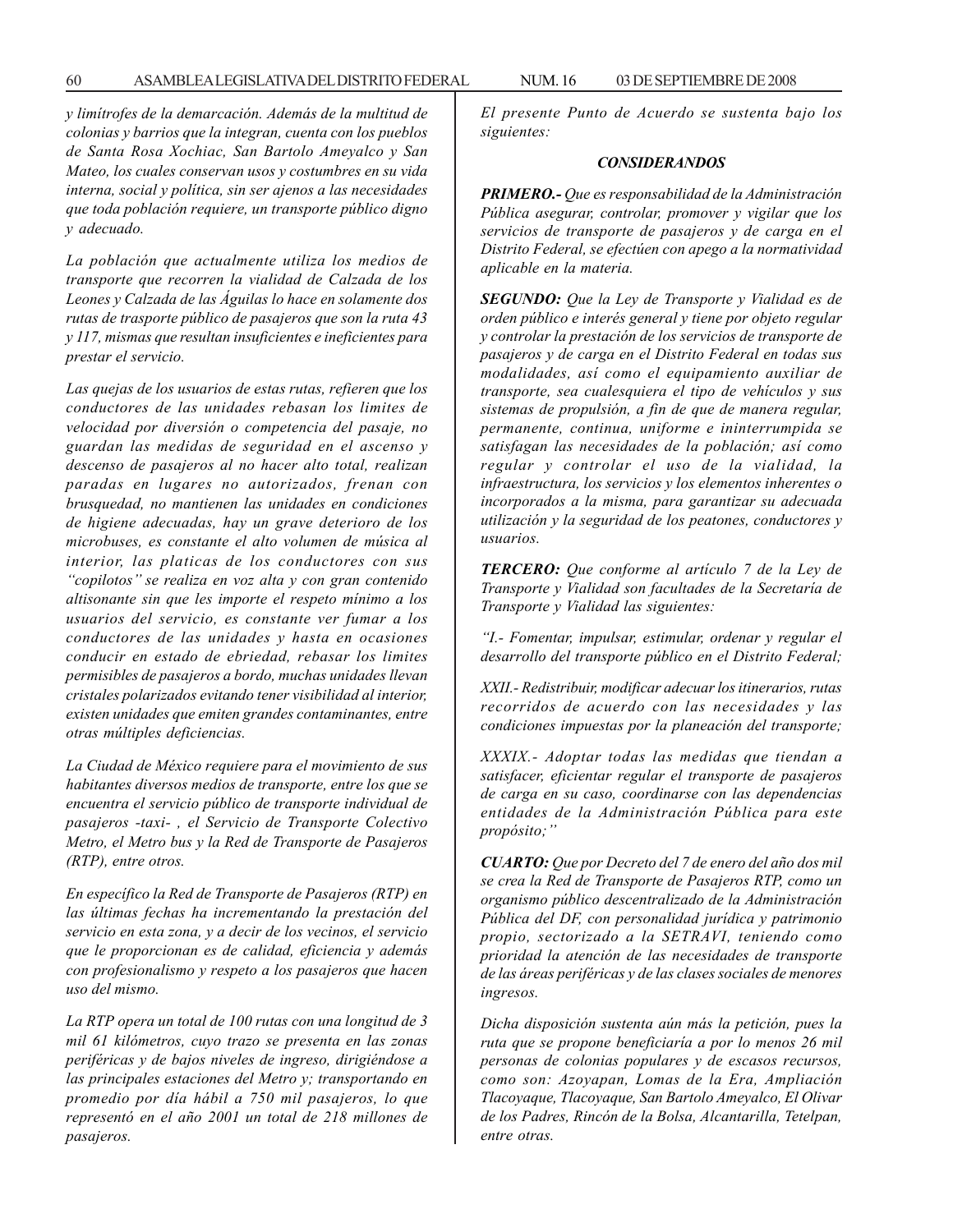*y limítrofes de la demarcación. Además de la multitud de colonias y barrios que la integran, cuenta con los pueblos de Santa Rosa Xochiac, San Bartolo Ameyalco y San Mateo, los cuales conservan usos y costumbres en su vida interna, social y política, sin ser ajenos a las necesidades que toda población requiere, un transporte público digno y adecuado.*

*La población que actualmente utiliza los medios de transporte que recorren la vialidad de Calzada de los Leones y Calzada de las Águilas lo hace en solamente dos rutas de trasporte público de pasajeros que son la ruta 43 y 117, mismas que resultan insuficientes e ineficientes para prestar el servicio.*

*Las quejas de los usuarios de estas rutas, refieren que los conductores de las unidades rebasan los limites de velocidad por diversión o competencia del pasaje, no guardan las medidas de seguridad en el ascenso y descenso de pasajeros al no hacer alto total, realizan paradas en lugares no autorizados, frenan con brusquedad, no mantienen las unidades en condiciones de higiene adecuadas, hay un grave deterioro de los microbuses, es constante el alto volumen de música al interior, las platicas de los conductores con sus ''copilotos'' se realiza en voz alta y con gran contenido altisonante sin que les importe el respeto mínimo a los usuarios del servicio, es constante ver fumar a los conductores de las unidades y hasta en ocasiones conducir en estado de ebriedad, rebasar los limites permisibles de pasajeros a bordo, muchas unidades llevan cristales polarizados evitando tener visibilidad al interior, existen unidades que emiten grandes contaminantes, entre otras múltiples deficiencias.*

*La Ciudad de México requiere para el movimiento de sus habitantes diversos medios de transporte, entre los que se encuentra el servicio público de transporte individual de pasajeros -taxi- , el Servicio de Transporte Colectivo Metro, el Metro bus y la Red de Transporte de Pasajeros (RTP), entre otros.*

*En específico la Red de Transporte de Pasajeros (RTP) en las últimas fechas ha incrementando la prestación del servicio en esta zona, y a decir de los vecinos, el servicio que le proporcionan es de calidad, eficiencia y además con profesionalismo y respeto a los pasajeros que hacen uso del mismo.*

*La RTP opera un total de 100 rutas con una longitud de 3 mil 61 kilómetros, cuyo trazo se presenta en las zonas periféricas y de bajos niveles de ingreso, dirigiéndose a las principales estaciones del Metro y; transportando en promedio por día hábil a 750 mil pasajeros, lo que representó en el año 2001 un total de 218 millones de pasajeros.*

*El presente Punto de Acuerdo se sustenta bajo los siguientes:*

### *CONSIDERANDOS*

*PRIMERO.- Que es responsabilidad de la Administración Pública asegurar, controlar, promover y vigilar que los servicios de transporte de pasajeros y de carga en el Distrito Federal, se efectúen con apego a la normatividad aplicable en la materia.*

*SEGUNDO: Que la Ley de Transporte y Vialidad es de orden público e interés general y tiene por objeto regular y controlar la prestación de los servicios de transporte de pasajeros y de carga en el Distrito Federal en todas sus modalidades, así como el equipamiento auxiliar de transporte, sea cualesquiera el tipo de vehículos y sus sistemas de propulsión, a fin de que de manera regular, permanente, continua, uniforme e ininterrumpida se satisfagan las necesidades de la población; así como regular y controlar el uso de la vialidad, la infraestructura, los servicios y los elementos inherentes o incorporados a la misma, para garantizar su adecuada utilización y la seguridad de los peatones, conductores y usuarios.*

*TERCERO: Que conforme al artículo 7 de la Ley de Transporte y Vialidad son facultades de la Secretaría de Transporte y Vialidad las siguientes:*

*''I.- Fomentar, impulsar, estimular, ordenar y regular el desarrollo del transporte público en el Distrito Federal;*

*XXII.- Redistribuir, modificar adecuar los itinerarios, rutas recorridos de acuerdo con las necesidades y las condiciones impuestas por la planeación del transporte;*

*XXXIX.- Adoptar todas las medidas que tiendan a satisfacer, eficientar regular el transporte de pasajeros de carga en su caso, coordinarse con las dependencias entidades de la Administración Pública para este propósito;''*

*CUARTO: Que por Decreto del 7 de enero del año dos mil se crea la Red de Transporte de Pasajeros RTP, como un organismo público descentralizado de la Administración Pública del DF, con personalidad jurídica y patrimonio propio, sectorizado a la SETRAVI, teniendo como prioridad la atención de las necesidades de transporte de las áreas periféricas y de las clases sociales de menores ingresos.*

*Dicha disposición sustenta aún más la petición, pues la ruta que se propone beneficiaría a por lo menos 26 mil personas de colonias populares y de escasos recursos, como son: Azoyapan, Lomas de la Era, Ampliación Tlacoyaque, Tlacoyaque, San Bartolo Ameyalco, El Olivar de los Padres, Rincón de la Bolsa, Alcantarilla, Tetelpan, entre otras.*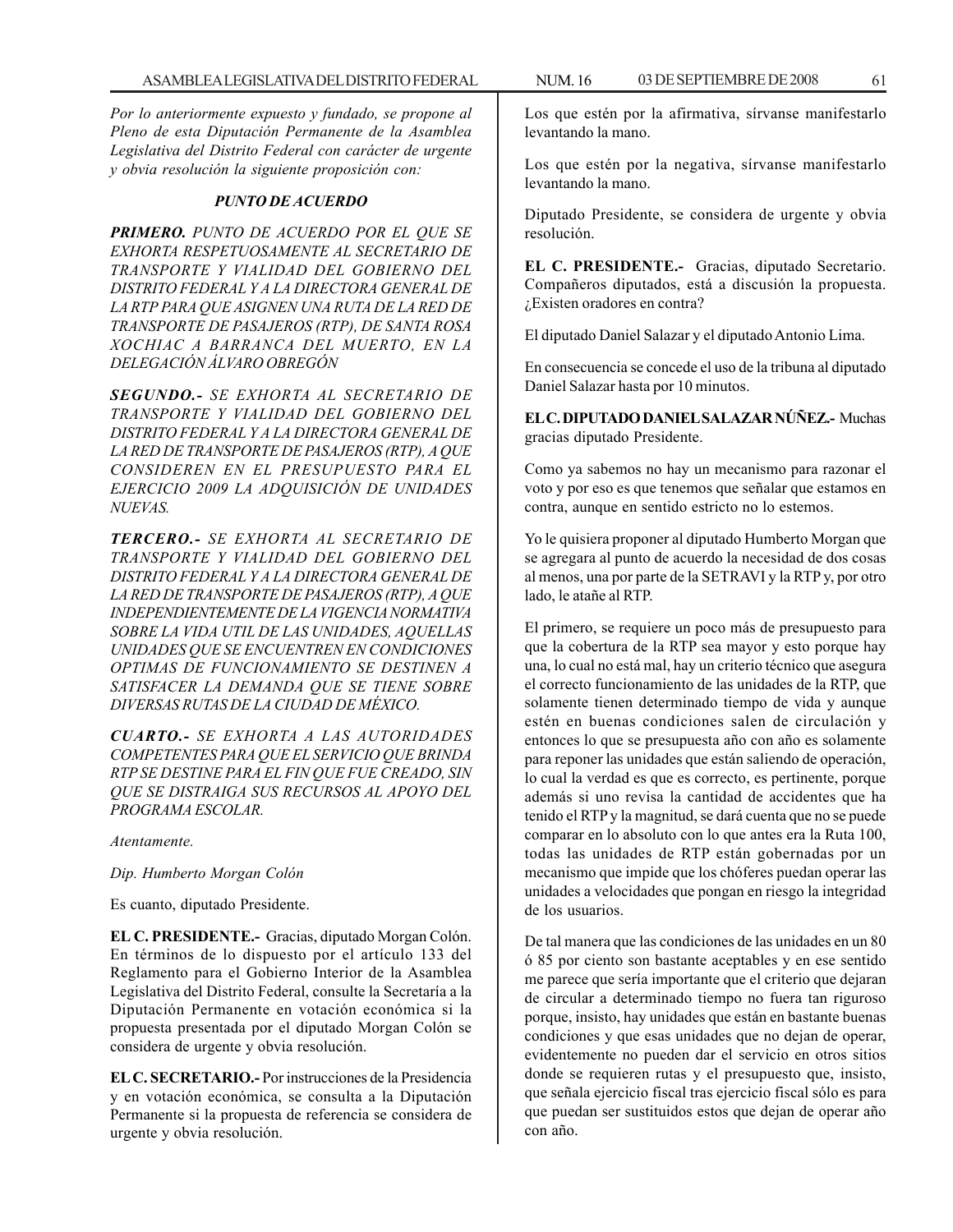*Por lo anteriormente expuesto y fundado, se propone al Pleno de esta Diputación Permanente de la Asamblea Legislativa del Distrito Federal con carácter de urgente y obvia resolución la siguiente proposición con:*

### *PUNTO DE ACUERDO*

*PRIMERO. PUNTO DE ACUERDO POR EL QUE SE EXHORTA RESPETUOSAMENTE AL SECRETARIO DE TRANSPORTE Y VIALIDAD DEL GOBIERNO DEL DISTRITO FEDERAL Y A LA DIRECTORA GENERAL DE LA RTP PARA QUE ASIGNEN UNA RUTA DE LA RED DE TRANSPORTE DE PASAJEROS (RTP), DE SANTA ROSA XOCHIAC A BARRANCA DEL MUERTO, EN LA DELEGACIÓN ÁLVARO OBREGÓN*

*SEGUNDO.- SE EXHORTA AL SECRETARIO DE TRANSPORTE Y VIALIDAD DEL GOBIERNO DEL DISTRITO FEDERAL Y A LA DIRECTORA GENERAL DE LA RED DE TRANSPORTE DE PASAJEROS (RTP), A QUE CONSIDEREN EN EL PRESUPUESTO PARA EL EJERCICIO 2009 LA ADQUISICIÓN DE UNIDADES NUEVAS.*

*TERCERO.- SE EXHORTA AL SECRETARIO DE TRANSPORTE Y VIALIDAD DEL GOBIERNO DEL DISTRITO FEDERAL Y A LA DIRECTORA GENERAL DE LA RED DE TRANSPORTE DE PASAJEROS (RTP), A QUE INDEPENDIENTEMENTE DE LA VIGENCIA NORMATIVA SOBRE LA VIDA UTIL DE LAS UNIDADES, AQUELLAS UNIDADES QUE SE ENCUENTREN EN CONDICIONES OPTIMAS DE FUNCIONAMIENTO SE DESTINEN A SATISFACER LA DEMANDA QUE SE TIENE SOBRE DIVERSAS RUTAS DE LA CIUDAD DE MÉXICO.*

*CUARTO.- SE EXHORTA A LAS AUTORIDADES COMPETENTES PARA QUE EL SERVICIO QUE BRINDA RTP SE DESTINE PARA EL FIN QUE FUE CREADO, SIN QUE SE DISTRAIGA SUS RECURSOS AL APOYO DEL PROGRAMA ESCOLAR.*

*Atentamente.*

*Dip. Humberto Morgan Colón*

Es cuanto, diputado Presidente.

**EL C. PRESIDENTE.-** Gracias, diputado Morgan Colón. En términos de lo dispuesto por el artículo 133 del Reglamento para el Gobierno Interior de la Asamblea Legislativa del Distrito Federal, consulte la Secretaría a la Diputación Permanente en votación económica si la propuesta presentada por el diputado Morgan Colón se considera de urgente y obvia resolución.

**EL C. SECRETARIO.-** Por instrucciones de la Presidencia y en votación económica, se consulta a la Diputación Permanente si la propuesta de referencia se considera de urgente y obvia resolución.

Los que estén por la afirmativa, sírvanse manifestarlo levantando la mano.

Los que estén por la negativa, sírvanse manifestarlo levantando la mano.

Diputado Presidente, se considera de urgente y obvia resolución.

**EL C. PRESIDENTE.-** Gracias, diputado Secretario. Compañeros diputados, está a discusión la propuesta. ¿Existen oradores en contra?

El diputado Daniel Salazar y el diputado Antonio Lima.

En consecuencia se concede el uso de la tribuna al diputado Daniel Salazar hasta por 10 minutos.

**EL C. DIPUTADO DANIEL SALAZAR NÚÑEZ.-** Muchas gracias diputado Presidente.

Como ya sabemos no hay un mecanismo para razonar el voto y por eso es que tenemos que señalar que estamos en contra, aunque en sentido estricto no lo estemos.

Yo le quisiera proponer al diputado Humberto Morgan que se agregara al punto de acuerdo la necesidad de dos cosas al menos, una por parte de la SETRAVI y la RTP y, por otro lado, le atañe al RTP.

El primero, se requiere un poco más de presupuesto para que la cobertura de la RTP sea mayor y esto porque hay una, lo cual no está mal, hay un criterio técnico que asegura el correcto funcionamiento de las unidades de la RTP, que solamente tienen determinado tiempo de vida y aunque estén en buenas condiciones salen de circulación y entonces lo que se presupuesta año con año es solamente para reponer las unidades que están saliendo de operación, lo cual la verdad es que es correcto, es pertinente, porque además si uno revisa la cantidad de accidentes que ha tenido el RTP y la magnitud, se dará cuenta que no se puede comparar en lo absoluto con lo que antes era la Ruta 100, todas las unidades de RTP están gobernadas por un mecanismo que impide que los chóferes puedan operar las unidades a velocidades que pongan en riesgo la integridad de los usuarios.

De tal manera que las condiciones de las unidades en un 80 ó 85 por ciento son bastante aceptables y en ese sentido me parece que sería importante que el criterio que dejaran de circular a determinado tiempo no fuera tan riguroso porque, insisto, hay unidades que están en bastante buenas condiciones y que esas unidades que no dejan de operar, evidentemente no pueden dar el servicio en otros sitios donde se requieren rutas y el presupuesto que, insisto, que señala ejercicio fiscal tras ejercicio fiscal sólo es para que puedan ser sustituidos estos que dejan de operar año con año.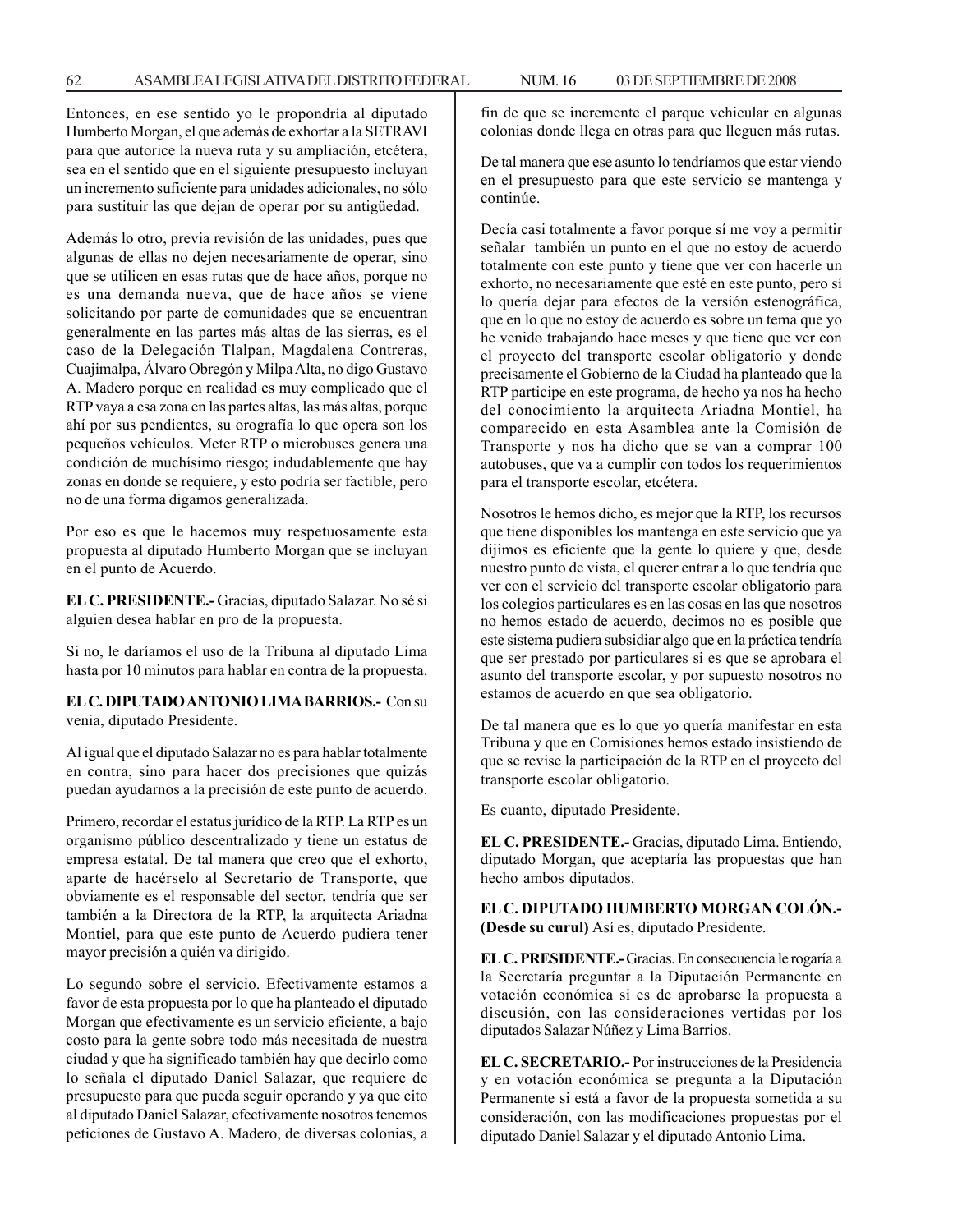Entonces, en ese sentido yo le propondría al diputado Humberto Morgan, el que además de exhortar a la SETRAVI para que autorice la nueva ruta y su ampliación, etcétera, sea en el sentido que en el siguiente presupuesto incluyan un incremento suficiente para unidades adicionales, no sólo para sustituir las que dejan de operar por su antigüedad.

Además lo otro, previa revisión de las unidades, pues que algunas de ellas no dejen necesariamente de operar, sino que se utilicen en esas rutas que de hace años, porque no es una demanda nueva, que de hace años se viene solicitando por parte de comunidades que se encuentran generalmente en las partes más altas de las sierras, es el caso de la Delegación Tlalpan, Magdalena Contreras, Cuajimalpa, Álvaro Obregón y Milpa Alta, no digo Gustavo A. Madero porque en realidad es muy complicado que el RTP vaya a esa zona en las partes altas, las más altas, porque ahí por sus pendientes, su orografía lo que opera son los pequeños vehículos. Meter RTP o microbuses genera una condición de muchísimo riesgo; indudablemente que hay zonas en donde se requiere, y esto podría ser factible, pero no de una forma digamos generalizada.

Por eso es que le hacemos muy respetuosamente esta propuesta al diputado Humberto Morgan que se incluyan en el punto de Acuerdo.

**EL C. PRESIDENTE.-** Gracias, diputado Salazar. No sé si alguien desea hablar en pro de la propuesta.

Si no, le daríamos el uso de la Tribuna al diputado Lima hasta por 10 minutos para hablar en contra de la propuesta.

**EL C. DIPUTADO ANTONIO LIMA BARRIOS.-** Con su venia, diputado Presidente.

Al igual que el diputado Salazar no es para hablar totalmente en contra, sino para hacer dos precisiones que quizás puedan ayudarnos a la precisión de este punto de acuerdo.

Primero, recordar el estatus jurídico de la RTP. La RTP es un organismo público descentralizado y tiene un estatus de empresa estatal. De tal manera que creo que el exhorto, aparte de hacérselo al Secretario de Transporte, que obviamente es el responsable del sector, tendría que ser también a la Directora de la RTP, la arquitecta Ariadna Montiel, para que este punto de Acuerdo pudiera tener mayor precisión a quién va dirigido.

Lo segundo sobre el servicio. Efectivamente estamos a favor de esta propuesta por lo que ha planteado el diputado Morgan que efectivamente es un servicio eficiente, a bajo costo para la gente sobre todo más necesitada de nuestra ciudad y que ha significado también hay que decirlo como lo señala el diputado Daniel Salazar, que requiere de presupuesto para que pueda seguir operando y ya que cito al diputado Daniel Salazar, efectivamente nosotros tenemos peticiones de Gustavo A. Madero, de diversas colonias, a fin de que se incremente el parque vehicular en algunas colonias donde llega en otras para que lleguen más rutas.

De tal manera que ese asunto lo tendríamos que estar viendo en el presupuesto para que este servicio se mantenga y continúe.

Decía casi totalmente a favor porque sí me voy a permitir señalar también un punto en el que no estoy de acuerdo totalmente con este punto y tiene que ver con hacerle un exhorto, no necesariamente que esté en este punto, pero sí lo quería dejar para efectos de la versión estenográfica, que en lo que no estoy de acuerdo es sobre un tema que yo he venido trabajando hace meses y que tiene que ver con el proyecto del transporte escolar obligatorio y donde precisamente el Gobierno de la Ciudad ha planteado que la RTP participe en este programa, de hecho ya nos ha hecho del conocimiento la arquitecta Ariadna Montiel, ha comparecido en esta Asamblea ante la Comisión de Transporte y nos ha dicho que se van a comprar 100 autobuses, que va a cumplir con todos los requerimientos para el transporte escolar, etcétera.

Nosotros le hemos dicho, es mejor que la RTP, los recursos que tiene disponibles los mantenga en este servicio que ya dijimos es eficiente que la gente lo quiere y que, desde nuestro punto de vista, el querer entrar a lo que tendría que ver con el servicio del transporte escolar obligatorio para los colegios particulares es en las cosas en las que nosotros no hemos estado de acuerdo, decimos no es posible que este sistema pudiera subsidiar algo que en la práctica tendría que ser prestado por particulares si es que se aprobara el asunto del transporte escolar, y por supuesto nosotros no estamos de acuerdo en que sea obligatorio.

De tal manera que es lo que yo quería manifestar en esta Tribuna y que en Comisiones hemos estado insistiendo de que se revise la participación de la RTP en el proyecto del transporte escolar obligatorio.

Es cuanto, diputado Presidente.

**EL C. PRESIDENTE.-** Gracias, diputado Lima. Entiendo, diputado Morgan, que aceptaría las propuestas que han hecho ambos diputados.

**EL C. DIPUTADO HUMBERTO MORGAN COLÓN.- (Desde su curul)** Así es, diputado Presidente.

**EL C. PRESIDENTE.-** Gracias. En consecuencia le rogaría a la Secretaría preguntar a la Diputación Permanente en votación económica si es de aprobarse la propuesta a discusión, con las consideraciones vertidas por los diputados Salazar Núñez y Lima Barrios.

**EL C. SECRETARIO.-** Por instrucciones de la Presidencia y en votación económica se pregunta a la Diputación Permanente si está a favor de la propuesta sometida a su consideración, con las modificaciones propuestas por el diputado Daniel Salazar y el diputado Antonio Lima.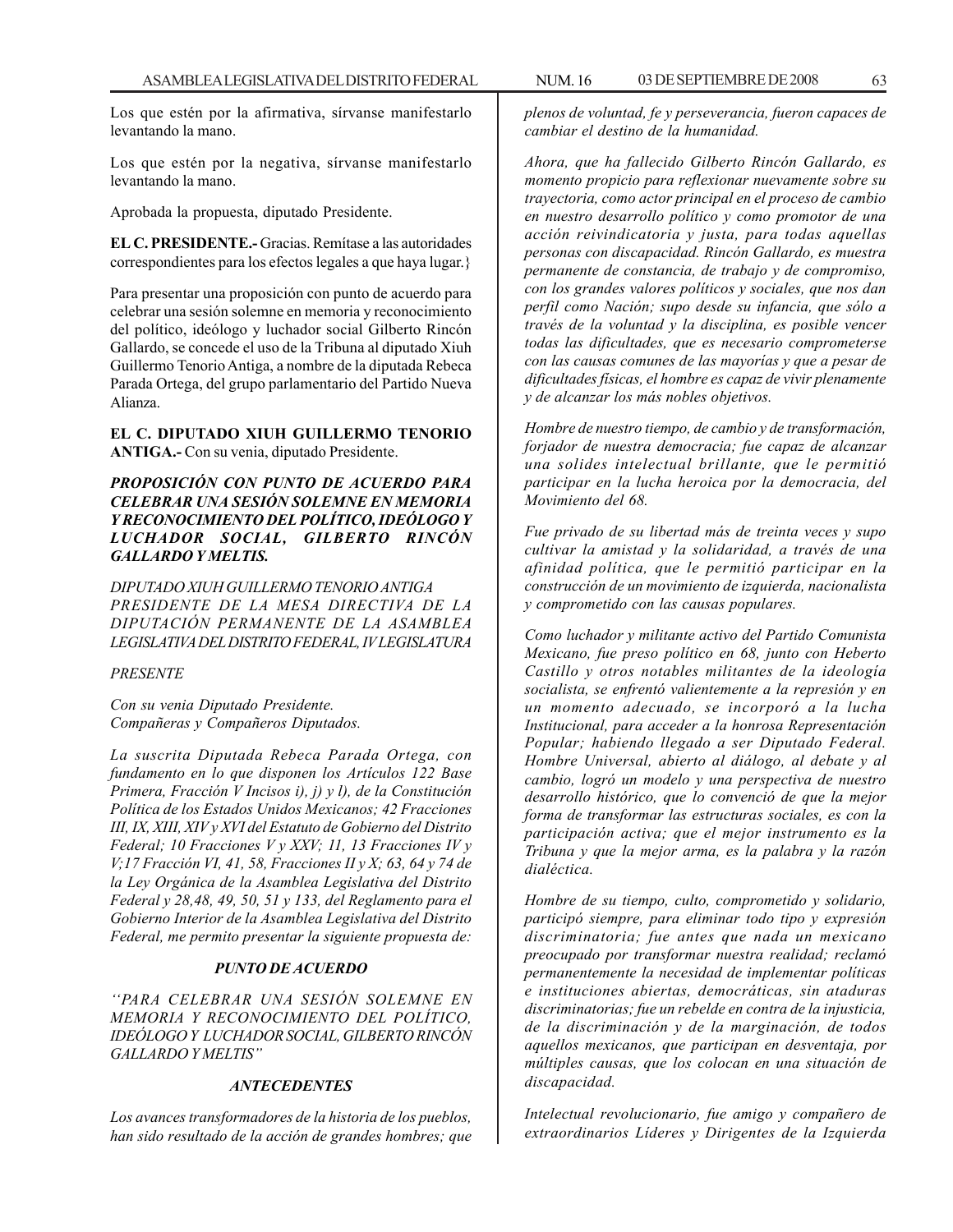Los que estén por la afirmativa, sírvanse manifestarlo levantando la mano.

Los que estén por la negativa, sírvanse manifestarlo levantando la mano.

Aprobada la propuesta, diputado Presidente.

**EL C. PRESIDENTE.-** Gracias. Remítase a las autoridades correspondientes para los efectos legales a que haya lugar.}

Para presentar una proposición con punto de acuerdo para celebrar una sesión solemne en memoria y reconocimiento del político, ideólogo y luchador social Gilberto Rincón Gallardo, se concede el uso de la Tribuna al diputado Xiuh Guillermo Tenorio Antiga, a nombre de la diputada Rebeca Parada Ortega, del grupo parlamentario del Partido Nueva Alianza.

**EL C. DIPUTADO XIUH GUILLERMO TENORIO ANTIGA.-** Con su venia, diputado Presidente.

## *PROPOSICIÓN CON PUNTO DE ACUERDO PARA CELEBRAR UNA SESIÓN SOLEMNE EN MEMORIA Y RECONOCIMIENTO DEL POLÍTICO, IDEÓLOGO Y LUCHADOR SOCIAL, GILBERTO RINCÓN GALLARDO Y MELTIS.*

*DIPUTADO XIUH GUILLERMO TENORIO ANTIGA PRESIDENTE DE LA MESA DIRECTIVA DE LA DIPUTACIÓN PERMANENTE DE LA ASAMBLEA LEGISLATIVA DEL DISTRITO FEDERAL, IV LEGISLATURA*

### *PRESENTE*

*Con su venia Diputado Presidente. Compañeras y Compañeros Diputados.*

*La suscrita Diputada Rebeca Parada Ortega, con fundamento en lo que disponen los Artículos 122 Base Primera, Fracción V Incisos i), j) y l), de la Constitución Política de los Estados Unidos Mexicanos; 42 Fracciones III, IX, XIII, XIV y XVI del Estatuto de Gobierno del Distrito Federal; 10 Fracciones V y XXV; 11, 13 Fracciones IV y V;17 Fracción VI, 41, 58, Fracciones II y X; 63, 64 y 74 de la Ley Orgánica de la Asamblea Legislativa del Distrito Federal y 28,48, 49, 50, 51 y 133, del Reglamento para el Gobierno Interior de la Asamblea Legislativa del Distrito Federal, me permito presentar la siguiente propuesta de:*

### *PUNTO DE ACUERDO*

*''PARA CELEBRAR UNA SESIÓN SOLEMNE EN MEMORIA Y RECONOCIMIENTO DEL POLÍTICO, IDEÓLOGO Y LUCHADOR SOCIAL, GILBERTO RINCÓN GALLARDO Y MELTIS''*

### *ANTECEDENTES*

*Los avances transformadores de la historia de los pueblos, han sido resultado de la acción de grandes hombres; que* *plenos de voluntad, fe y perseverancia, fueron capaces de cambiar el destino de la humanidad.*

*Ahora, que ha fallecido Gilberto Rincón Gallardo, es momento propicio para reflexionar nuevamente sobre su trayectoria, como actor principal en el proceso de cambio en nuestro desarrollo político y como promotor de una acción reivindicatoria y justa, para todas aquellas personas con discapacidad. Rincón Gallardo, es muestra permanente de constancia, de trabajo y de compromiso, con los grandes valores políticos y sociales, que nos dan perfil como Nación; supo desde su infancia, que sólo a través de la voluntad y la disciplina, es posible vencer todas las dificultades, que es necesario comprometerse con las causas comunes de las mayorías y que a pesar de dificultades físicas, el hombre es capaz de vivir plenamente y de alcanzar los más nobles objetivos.*

*Hombre de nuestro tiempo, de cambio y de transformación, forjador de nuestra democracia; fue capaz de alcanzar una solides intelectual brillante, que le permitió participar en la lucha heroica por la democracia, del Movimiento del 68.*

*Fue privado de su libertad más de treinta veces y supo cultivar la amistad y la solidaridad, a través de una afinidad política, que le permitió participar en la construcción de un movimiento de izquierda, nacionalista y comprometido con las causas populares.*

*Como luchador y militante activo del Partido Comunista Mexicano, fue preso político en 68, junto con Heberto Castillo y otros notables militantes de la ideología socialista, se enfrentó valientemente a la represión y en un momento adecuado, se incorporó a la lucha Institucional, para acceder a la honrosa Representación Popular; habiendo llegado a ser Diputado Federal. Hombre Universal, abierto al diálogo, al debate y al cambio, logró un modelo y una perspectiva de nuestro desarrollo histórico, que lo convenció de que la mejor forma de transformar las estructuras sociales, es con la participación activa; que el mejor instrumento es la Tribuna y que la mejor arma, es la palabra y la razón dialéctica.*

*Hombre de su tiempo, culto, comprometido y solidario, participó siempre, para eliminar todo tipo y expresión discriminatoria; fue antes que nada un mexicano preocupado por transformar nuestra realidad; reclamó permanentemente la necesidad de implementar políticas e instituciones abiertas, democráticas, sin ataduras discriminatorias; fue un rebelde en contra de la injusticia, de la discriminación y de la marginación, de todos aquellos mexicanos, que participan en desventaja, por múltiples causas, que los colocan en una situación de discapacidad.*

*Intelectual revolucionario, fue amigo y compañero de extraordinarios Líderes y Dirigentes de la Izquierda*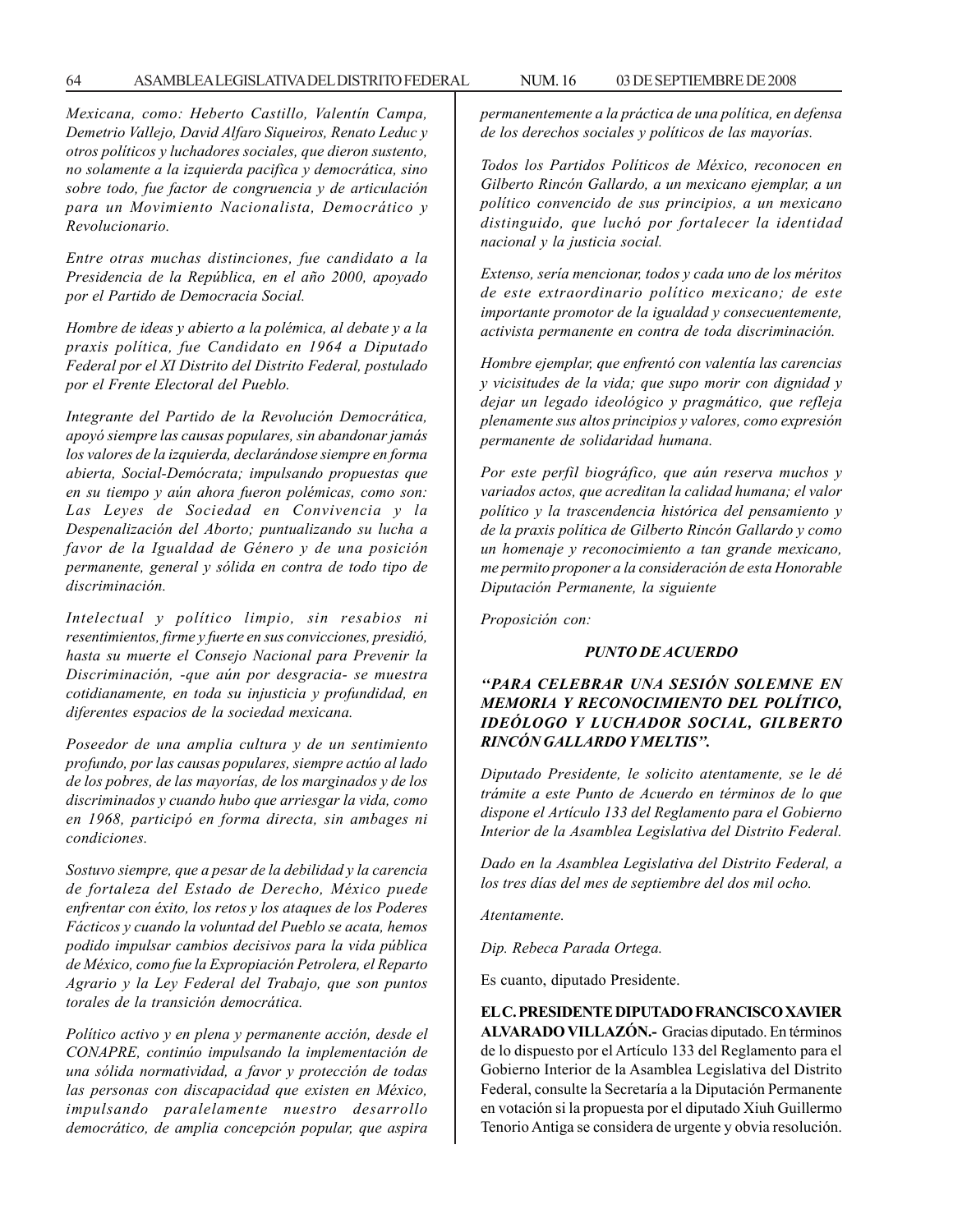64 ASAMBLEA LEGISLATIVA DEL DISTRITO FEDERAL NUM. 16 03 DE SEPTIEMBRE DE 2008

*Mexicana, como: Heberto Castillo, Valentín Campa, Demetrio Vallejo, David Alfaro Siqueiros, Renato Leduc y otros políticos y luchadores sociales, que dieron sustento, no solamente a la izquierda pacifica y democrática, sino sobre todo, fue factor de congruencia y de articulación para un Movimiento Nacionalista, Democrático y Revolucionario.*

*Entre otras muchas distinciones, fue candidato a la Presidencia de la República, en el año 2000, apoyado por el Partido de Democracia Social.*

*Hombre de ideas y abierto a la polémica, al debate y a la praxis política, fue Candidato en 1964 a Diputado Federal por el XI Distrito del Distrito Federal, postulado por el Frente Electoral del Pueblo.*

*Integrante del Partido de la Revolución Democrática, apoyó siempre las causas populares, sin abandonar jamás los valores de la izquierda, declarándose siempre en forma abierta, Social-Demócrata; impulsando propuestas que en su tiempo y aún ahora fueron polémicas, como son: Las Leyes de Sociedad en Convivencia y la Despenalización del Aborto; puntualizando su lucha a favor de la Igualdad de Género y de una posición permanente, general y sólida en contra de todo tipo de discriminación.*

*Intelectual y político limpio, sin resabios ni resentimientos, firme y fuerte en sus convicciones, presidió, hasta su muerte el Consejo Nacional para Prevenir la Discriminación, -que aún por desgracia- se muestra cotidianamente, en toda su injusticia y profundidad, en diferentes espacios de la sociedad mexicana.*

*Poseedor de una amplia cultura y de un sentimiento profundo, por las causas populares, siempre actúo al lado de los pobres, de las mayorías, de los marginados y de los discriminados y cuando hubo que arriesgar la vida, como en 1968, participó en forma directa, sin ambages ni condiciones.*

*Sostuvo siempre, que a pesar de la debilidad y la carencia de fortaleza del Estado de Derecho, México puede enfrentar con éxito, los retos y los ataques de los Poderes Fácticos y cuando la voluntad del Pueblo se acata, hemos podido impulsar cambios decisivos para la vida pública de México, como fue la Expropiación Petrolera, el Reparto Agrario y la Ley Federal del Trabajo, que son puntos torales de la transición democrática.*

*Político activo y en plena y permanente acción, desde el CONAPRE, continúo impulsando la implementación de una sólida normatividad, a favor y protección de todas las personas con discapacidad que existen en México, impulsando paralelamente nuestro desarrollo democrático, de amplia concepción popular, que aspira* *permanentemente a la práctica de una política, en defensa de los derechos sociales y políticos de las mayorías.*

*Todos los Partidos Políticos de México, reconocen en Gilberto Rincón Gallardo, a un mexicano ejemplar, a un político convencido de sus principios, a un mexicano distinguido, que luchó por fortalecer la identidad nacional y la justicia social.*

*Extenso, sería mencionar, todos y cada uno de los méritos de este extraordinario político mexicano; de este importante promotor de la igualdad y consecuentemente, activista permanente en contra de toda discriminación.*

*Hombre ejemplar, que enfrentó con valentía las carencias y vicisitudes de la vida; que supo morir con dignidad y dejar un legado ideológico y pragmático, que refleja plenamente sus altos principios y valores, como expresión permanente de solidaridad humana.*

*Por este perfil biográfico, que aún reserva muchos y variados actos, que acreditan la calidad humana; el valor político y la trascendencia histórica del pensamiento y de la praxis política de Gilberto Rincón Gallardo y como un homenaje y reconocimiento a tan grande mexicano, me permito proponer a la consideración de esta Honorable Diputación Permanente, la siguiente*

*Proposición con:*

## *PUNTO DE ACUERDO*

# *''PARA CELEBRAR UNA SESIÓN SOLEMNE EN MEMORIA Y RECONOCIMIENTO DEL POLÍTICO, IDEÓLOGO Y LUCHADOR SOCIAL, GILBERTO RINCÓN GALLARDO Y MELTIS''.*

*Diputado Presidente, le solicito atentamente, se le dé trámite a este Punto de Acuerdo en términos de lo que dispone el Artículo 133 del Reglamento para el Gobierno Interior de la Asamblea Legislativa del Distrito Federal.*

*Dado en la Asamblea Legislativa del Distrito Federal, a los tres días del mes de septiembre del dos mil ocho.*

*Atentamente.*

*Dip. Rebeca Parada Ortega.*

Es cuanto, diputado Presidente.

**EL C. PRESIDENTE DIPUTADO FRANCISCO XAVIER ALVARADO VILLAZÓN.-** Gracias diputado. En términos de lo dispuesto por el Artículo 133 del Reglamento para el Gobierno Interior de la Asamblea Legislativa del Distrito Federal, consulte la Secretaría a la Diputación Permanente en votación si la propuesta por el diputado Xiuh Guillermo Tenorio Antiga se considera de urgente y obvia resolución.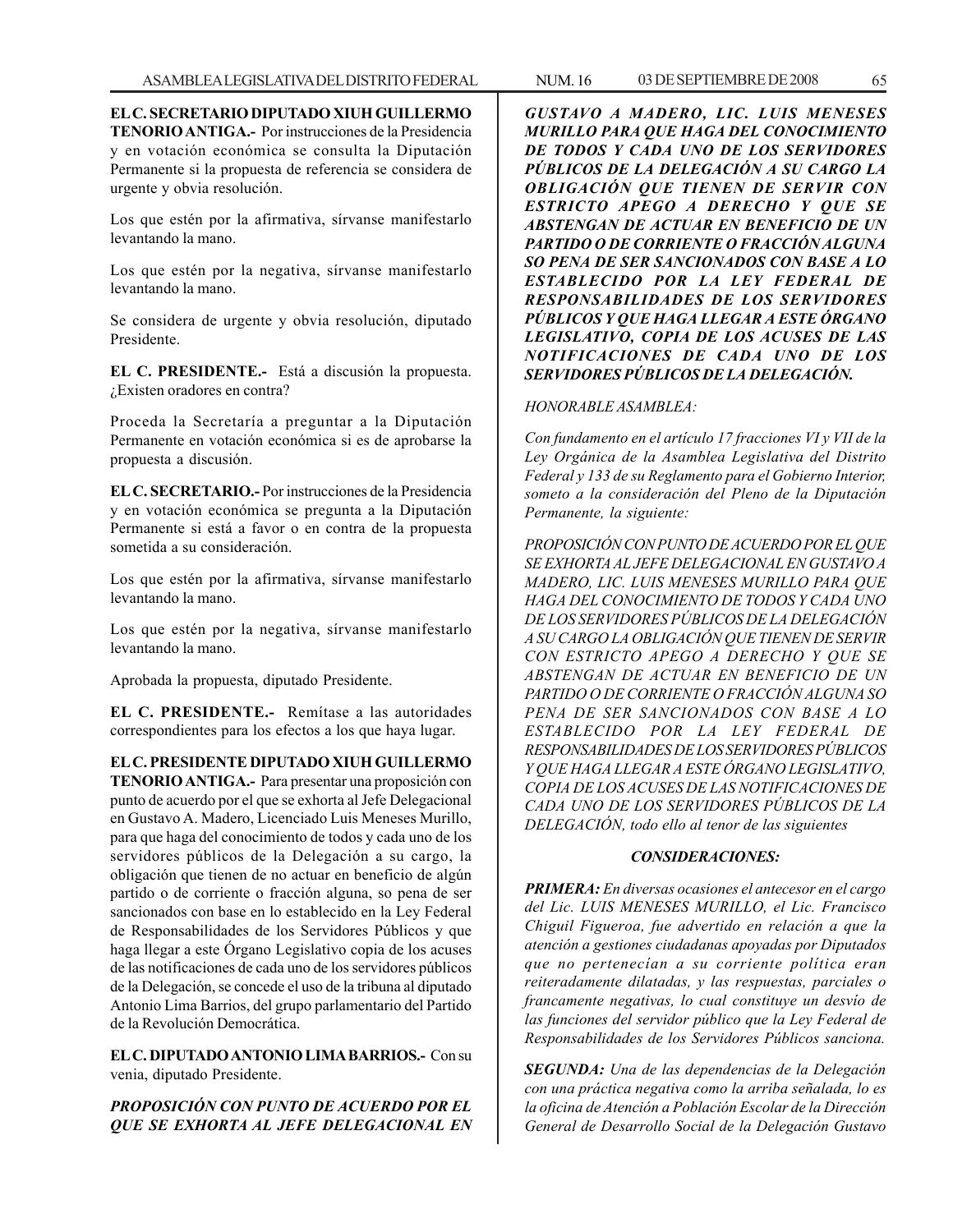**EL C. SECRETARIO DIPUTADO XIUH GUILLERMO TENORIO ANTIGA.-** Por instrucciones de la Presidencia y en votación económica se consulta la Diputación Permanente si la propuesta de referencia se considera de urgente y obvia resolución.

Los que estén por la afirmativa, sírvanse manifestarlo levantando la mano.

Los que estén por la negativa, sírvanse manifestarlo levantando la mano.

Se considera de urgente y obvia resolución, diputado Presidente.

**EL C. PRESIDENTE.-** Está a discusión la propuesta. ¿Existen oradores en contra?

Proceda la Secretaría a preguntar a la Diputación Permanente en votación económica si es de aprobarse la propuesta a discusión.

**EL C. SECRETARIO.-** Por instrucciones de la Presidencia y en votación económica se pregunta a la Diputación Permanente si está a favor o en contra de la propuesta sometida a su consideración.

Los que estén por la afirmativa, sírvanse manifestarlo levantando la mano.

Los que estén por la negativa, sírvanse manifestarlo levantando la mano.

Aprobada la propuesta, diputado Presidente.

**EL C. PRESIDENTE.-** Remítase a las autoridades correspondientes para los efectos a los que haya lugar.

**EL C. PRESIDENTE DIPUTADO XIUH GUILLERMO TENORIO ANTIGA.-** Para presentar una proposición con punto de acuerdo por el que se exhorta al Jefe Delegacional en Gustavo A. Madero, Licenciado Luis Meneses Murillo, para que haga del conocimiento de todos y cada uno de los servidores públicos de la Delegación a su cargo, la obligación que tienen de no actuar en beneficio de algún partido o de corriente o fracción alguna, so pena de ser sancionados con base en lo establecido en la Ley Federal de Responsabilidades de los Servidores Públicos y que haga llegar a este Órgano Legislativo copia de los acuses de las notificaciones de cada uno de los servidores públicos de la Delegación, se concede el uso de la tribuna al diputado Antonio Lima Barrios, del grupo parlamentario del Partido de la Revolución Democrática.

**EL C. DIPUTADO ANTONIO LIMA BARRIOS.-** Con su venia, diputado Presidente.

*PROPOSICIÓN CON PUNTO DE ACUERDO POR EL QUE SE EXHORTA AL JEFE DELEGACIONAL EN* *GUSTAVO A MADERO, LIC. LUIS MENESES MURILLO PARA QUE HAGA DEL CONOCIMIENTO DE TODOS Y CADA UNO DE LOS SERVIDORES PÚBLICOS DE LA DELEGACIÓN A SU CARGO LA OBLIGACIÓN QUE TIENEN DE SERVIR CON ESTRICTO APEGO A DERECHO Y QUE SE ABSTENGAN DE ACTUAR EN BENEFICIO DE UN PARTIDO O DE CORRIENTE O FRACCIÓN ALGUNA SO PENA DE SER SANCIONADOS CON BASE A LO ESTABLECIDO POR LA LEY FEDERAL DE RESPONSABILIDADES DE LOS SERVIDORES PÚBLICOS Y QUE HAGA LLEGAR A ESTE ÓRGANO LEGISLATIVO, COPIA DE LOS ACUSES DE LAS NOTIFICACIONES DE CADA UNO DE LOS SERVIDORES PÚBLICOS DE LA DELEGACIÓN.*

## *HONORABLE ASAMBLEA:*

*Con fundamento en el artículo 17 fracciones VI y VII de la Ley Orgánica de la Asamblea Legislativa del Distrito Federal y 133 de su Reglamento para el Gobierno Interior, someto a la consideración del Pleno de la Diputación Permanente, la siguiente:*

*PROPOSICIÓN CON PUNTO DE ACUERDO POR EL QUE SE EXHORTA AL JEFE DELEGACIONAL EN GUSTAVO A MADERO, LIC. LUIS MENESES MURILLO PARA QUE HAGA DEL CONOCIMIENTO DE TODOS Y CADA UNO DE LOS SERVIDORES PÚBLICOS DE LA DELEGACIÓN A SU CARGO LA OBLIGACIÓN QUE TIENEN DE SERVIR CON ESTRICTO APEGO A DERECHO Y QUE SE ABSTENGAN DE ACTUAR EN BENEFICIO DE UN PARTIDO O DE CORRIENTE O FRACCIÓN ALGUNA SO PENA DE SER SANCIONADOS CON BASE A LO ESTABLECIDO POR LA LEY FEDERAL DE RESPONSABILIDADES DE LOS SERVIDORES PÚBLICOS Y QUE HAGA LLEGAR A ESTE ÓRGANO LEGISLATIVO, COPIA DE LOS ACUSES DE LAS NOTIFICACIONES DE CADA UNO DE LOS SERVIDORES PÚBLICOS DE LA DELEGACIÓN, todo ello al tenor de las siguientes*

### *CONSIDERACIONES:*

*PRIMERA: En diversas ocasiones el antecesor en el cargo del Lic. LUIS MENESES MURILLO, el Lic. Francisco Chiguil Figueroa, fue advertido en relación a que la atención a gestiones ciudadanas apoyadas por Diputados que no pertenecían a su corriente política eran reiteradamente dilatadas, y las respuestas, parciales o francamente negativas, lo cual constituye un desvío de las funciones del servidor público que la Ley Federal de Responsabilidades de los Servidores Públicos sanciona.*

*SEGUNDA: Una de las dependencias de la Delegación con una práctica negativa como la arriba señalada, lo es la oficina de Atención a Población Escolar de la Dirección General de Desarrollo Social de la Delegación Gustavo*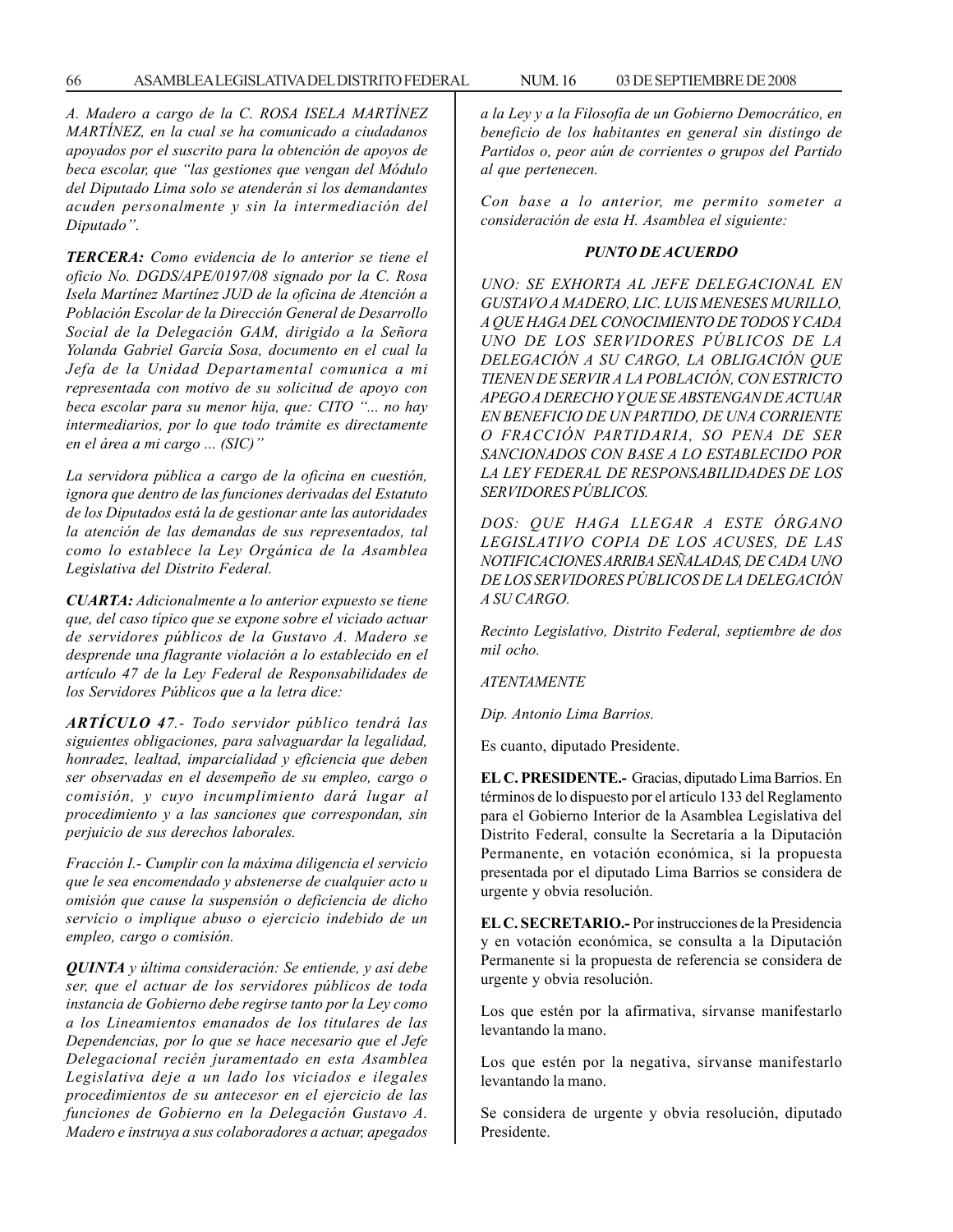*A. Madero a cargo de la C. ROSA ISELA MARTÍNEZ MARTÍNEZ, en la cual se ha comunicado a ciudadanos apoyados por el suscrito para la obtención de apoyos de beca escolar, que ''las gestiones que vengan del Módulo del Diputado Lima solo se atenderán si los demandantes acuden personalmente y sin la intermediación del Diputado''.*

*TERCERA: Como evidencia de lo anterior se tiene el oficio No. DGDS/APE/0197/08 signado por la C. Rosa Isela Martínez Martínez JUD de la oficina de Atención a Población Escolar de la Dirección General de Desarrollo Social de la Delegación GAM, dirigido a la Señora Yolanda Gabriel García Sosa, documento en el cual la Jefa de la Unidad Departamental comunica a mi representada con motivo de su solicitud de apoyo con beca escolar para su menor hija, que: CITO ''... no hay intermediarios, por lo que todo trámite es directamente en el área a mi cargo ... (SIC)''*

*La servidora pública a cargo de la oficina en cuestión, ignora que dentro de las funciones derivadas del Estatuto de los Diputados está la de gestionar ante las autoridades la atención de las demandas de sus representados, tal como lo establece la Ley Orgánica de la Asamblea Legislativa del Distrito Federal.*

*CUARTA: Adicionalmente a lo anterior expuesto se tiene que, del caso típico que se expone sobre el viciado actuar de servidores públicos de la Gustavo A. Madero se desprende una flagrante violación a lo establecido en el artículo 47 de la Ley Federal de Responsabilidades de los Servidores Públicos que a la letra dice:*

*ARTÍCULO 47.- Todo servidor público tendrá las siguientes obligaciones, para salvaguardar la legalidad, honradez, lealtad, imparcialidad y eficiencia que deben ser observadas en el desempeño de su empleo, cargo o comisión, y cuyo incumplimiento dará lugar al procedimiento y a las sanciones que correspondan, sin perjuicio de sus derechos laborales.*

*Fracción I.- Cumplir con la máxima diligencia el servicio que le sea encomendado y abstenerse de cualquier acto u omisión que cause la suspensión o deficiencia de dicho servicio o implique abuso o ejercicio indebido de un empleo, cargo o comisión.*

*QUINTA y última consideración: Se entiende, y así debe ser, que el actuar de los servidores públicos de toda instancia de Gobierno debe regirse tanto por la Ley como a los Lineamientos emanados de los titulares de las Dependencias, por lo que se hace necesario que el Jefe Delegacional recién juramentado en esta Asamblea Legislativa deje a un lado los viciados e ilegales procedimientos de su antecesor en el ejercicio de las funciones de Gobierno en la Delegación Gustavo A. Madero e instruya a sus colaboradores a actuar, apegados* *a la Ley y a la Filosofía de un Gobierno Democrático, en beneficio de los habitantes en general sin distingo de*

*Con base a lo anterior, me permito someter a consideración de esta H. Asamblea el siguiente:*

*Partidos o, peor aún de corrientes o grupos del Partido*

### *PUNTO DE ACUERDO*

*UNO: SE EXHORTA AL JEFE DELEGACIONAL EN GUSTAVO A MADERO, LIC. LUIS MENESES MURILLO, A QUE HAGA DEL CONOCIMIENTO DE TODOS Y CADA UNO DE LOS SERVIDORES PÚBLICOS DE LA DELEGACIÓN A SU CARGO, LA OBLIGACIÓN QUE TIENEN DE SERVIR A LA POBLACIÓN, CON ESTRICTO APEGO A DERECHO Y QUE SE ABSTENGAN DE ACTUAR EN BENEFICIO DE UN PARTIDO, DE UNA CORRIENTE O FRACCIÓN PARTIDARIA, SO PENA DE SER SANCIONADOS CON BASE A LO ESTABLECIDO POR LA LEY FEDERAL DE RESPONSABILIDADES DE LOS SERVIDORES PÚBLICOS.*

*DOS: QUE HAGA LLEGAR A ESTE ÓRGANO LEGISLATIVO COPIA DE LOS ACUSES, DE LAS NOTIFICACIONES ARRIBA SEÑALADAS, DE CADA UNO DE LOS SERVIDORES PÚBLICOS DE LA DELEGACIÓN A SU CARGO.*

*Recinto Legislativo, Distrito Federal, septiembre de dos mil ocho.*

*ATENTAMENTE*

*al que pertenecen.*

*Dip. Antonio Lima Barrios.*

Es cuanto, diputado Presidente.

**EL C. PRESIDENTE.-** Gracias, diputado Lima Barrios. En términos de lo dispuesto por el artículo 133 del Reglamento para el Gobierno Interior de la Asamblea Legislativa del Distrito Federal, consulte la Secretaría a la Diputación Permanente, en votación económica, si la propuesta presentada por el diputado Lima Barrios se considera de urgente y obvia resolución.

**EL C. SECRETARIO.-** Por instrucciones de la Presidencia y en votación económica, se consulta a la Diputación Permanente si la propuesta de referencia se considera de urgente y obvia resolución.

Los que estén por la afirmativa, sírvanse manifestarlo levantando la mano.

Los que estén por la negativa, sírvanse manifestarlo levantando la mano.

Se considera de urgente y obvia resolución, diputado Presidente.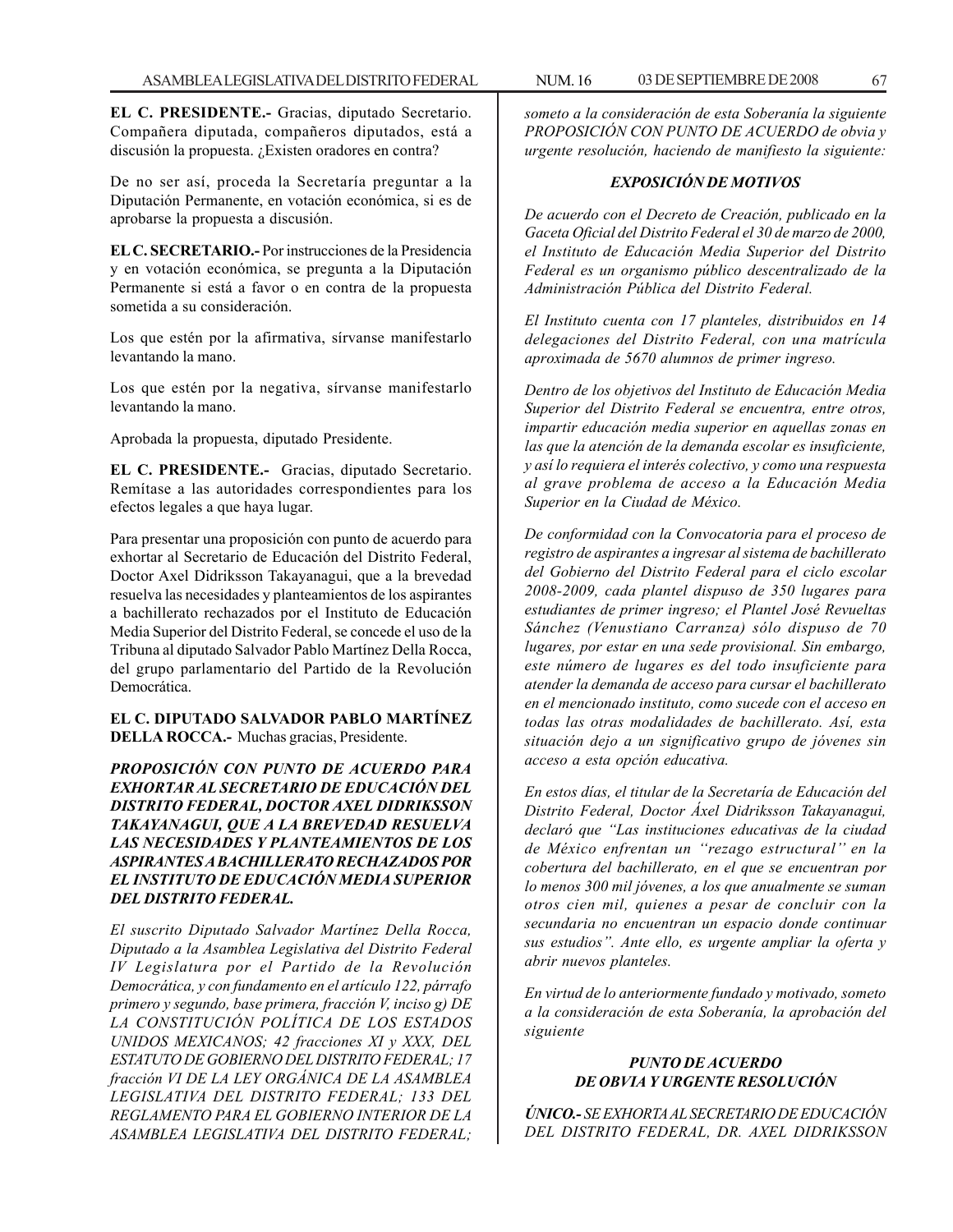**EL C. PRESIDENTE.-** Gracias, diputado Secretario. Compañera diputada, compañeros diputados, está a discusión la propuesta. ¿Existen oradores en contra?

De no ser así, proceda la Secretaría preguntar a la Diputación Permanente, en votación económica, si es de aprobarse la propuesta a discusión.

**EL C. SECRETARIO.-** Por instrucciones de la Presidencia y en votación económica, se pregunta a la Diputación Permanente si está a favor o en contra de la propuesta sometida a su consideración.

Los que estén por la afirmativa, sírvanse manifestarlo levantando la mano.

Los que estén por la negativa, sírvanse manifestarlo levantando la mano.

Aprobada la propuesta, diputado Presidente.

**EL C. PRESIDENTE.-** Gracias, diputado Secretario. Remítase a las autoridades correspondientes para los efectos legales a que haya lugar.

Para presentar una proposición con punto de acuerdo para exhortar al Secretario de Educación del Distrito Federal, Doctor Axel Didriksson Takayanagui, que a la brevedad resuelva las necesidades y planteamientos de los aspirantes a bachillerato rechazados por el Instituto de Educación Media Superior del Distrito Federal, se concede el uso de la Tribuna al diputado Salvador Pablo Martínez Della Rocca, del grupo parlamentario del Partido de la Revolución Democrática.

**EL C. DIPUTADO SALVADOR PABLO MARTÍNEZ DELLA ROCCA.-** Muchas gracias, Presidente.

*PROPOSICIÓN CON PUNTO DE ACUERDO PARA EXHORTAR AL SECRETARIO DE EDUCACIÓN DEL DISTRITO FEDERAL, DOCTOR AXEL DIDRIKSSON TAKAYANAGUI, QUE A LA BREVEDAD RESUELVA LAS NECESIDADES Y PLANTEAMIENTOS DE LOS ASPIRANTES A BACHILLERATO RECHAZADOS POR EL INSTITUTO DE EDUCACIÓN MEDIA SUPERIOR DEL DISTRITO FEDERAL.*

*El suscrito Diputado Salvador Martínez Della Rocca, Diputado a la Asamblea Legislativa del Distrito Federal IV Legislatura por el Partido de la Revolución Democrática, y con fundamento en el artículo 122, párrafo primero y segundo, base primera, fracción V, inciso g) DE LA CONSTITUCIÓN POLÍTICA DE LOS ESTADOS UNIDOS MEXICANOS; 42 fracciones XI y XXX, DEL ESTATUTO DE GOBIERNO DEL DISTRITO FEDERAL; 17 fracción VI DE LA LEY ORGÁNICA DE LA ASAMBLEA LEGISLATIVA DEL DISTRITO FEDERAL; 133 DEL REGLAMENTO PARA EL GOBIERNO INTERIOR DE LA ASAMBLEA LEGISLATIVA DEL DISTRITO FEDERAL;*

*someto a la consideración de esta Soberanía la siguiente PROPOSICIÓN CON PUNTO DE ACUERDO de obvia y urgente resolución, haciendo de manifiesto la siguiente:*

## *EXPOSICIÓN DE MOTIVOS*

*De acuerdo con el Decreto de Creación, publicado en la Gaceta Oficial del Distrito Federal el 30 de marzo de 2000, el Instituto de Educación Media Superior del Distrito Federal es un organismo público descentralizado de la Administración Pública del Distrito Federal.*

*El Instituto cuenta con 17 planteles, distribuidos en 14 delegaciones del Distrito Federal, con una matrícula aproximada de 5670 alumnos de primer ingreso.*

*Dentro de los objetivos del Instituto de Educación Media Superior del Distrito Federal se encuentra, entre otros, impartir educación media superior en aquellas zonas en las que la atención de la demanda escolar es insuficiente, y así lo requiera el interés colectivo, y como una respuesta al grave problema de acceso a la Educación Media Superior en la Ciudad de México.*

*De conformidad con la Convocatoria para el proceso de registro de aspirantes a ingresar al sistema de bachillerato del Gobierno del Distrito Federal para el ciclo escolar 2008-2009, cada plantel dispuso de 350 lugares para estudiantes de primer ingreso; el Plantel José Revueltas Sánchez (Venustiano Carranza) sólo dispuso de 70 lugares, por estar en una sede provisional. Sin embargo, este número de lugares es del todo insuficiente para atender la demanda de acceso para cursar el bachillerato en el mencionado instituto, como sucede con el acceso en todas las otras modalidades de bachillerato. Así, esta situación dejo a un significativo grupo de jóvenes sin acceso a esta opción educativa.*

*En estos días, el titular de la Secretaría de Educación del Distrito Federal, Doctor Áxel Didriksson Takayanagui, declaró que ''Las instituciones educativas de la ciudad de México enfrentan un ''rezago estructural'' en la cobertura del bachillerato, en el que se encuentran por lo menos 300 mil jóvenes, a los que anualmente se suman otros cien mil, quienes a pesar de concluir con la secundaria no encuentran un espacio donde continuar sus estudios''. Ante ello, es urgente ampliar la oferta y abrir nuevos planteles.*

*En virtud de lo anteriormente fundado y motivado, someto a la consideración de esta Soberanía, la aprobación del siguiente*

### *PUNTO DE ACUERDO DE OBVIA Y URGENTE RESOLUCIÓN*

*ÚNICO.- SE EXHORTA AL SECRETARIO DE EDUCACIÓN DEL DISTRITO FEDERAL, DR. AXEL DIDRIKSSON*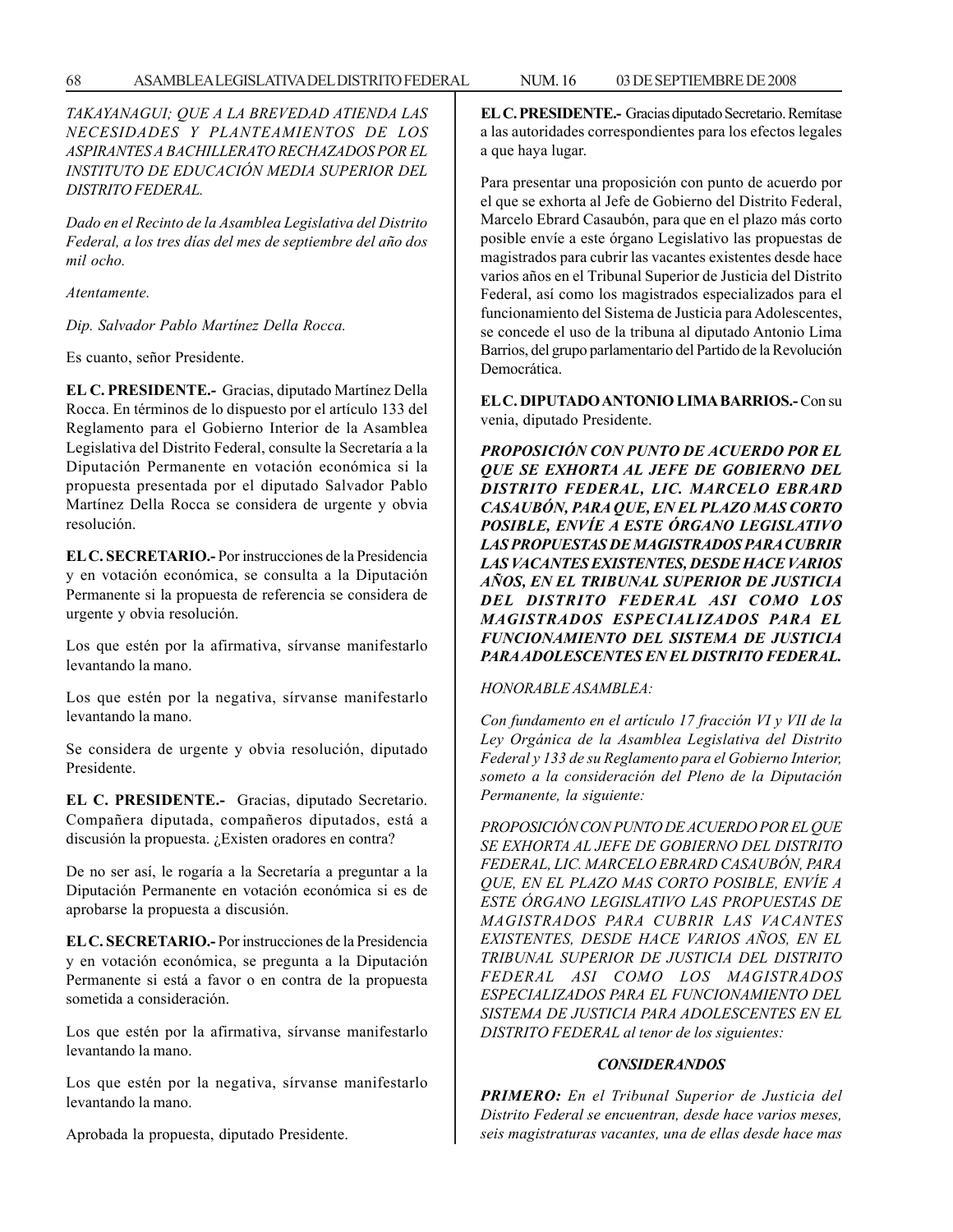*TAKAYANAGUI; QUE A LA BREVEDAD ATIENDA LAS NECESIDADES Y PLANTEAMIENTOS DE LOS ASPIRANTES A BACHILLERATO RECHAZADOS POR EL INSTITUTO DE EDUCACIÓN MEDIA SUPERIOR DEL DISTRITO FEDERAL.*

*Dado en el Recinto de la Asamblea Legislativa del Distrito Federal, a los tres días del mes de septiembre del año dos mil ocho.*

*Atentamente.*

*Dip. Salvador Pablo Martínez Della Rocca.*

Es cuanto, señor Presidente.

**EL C. PRESIDENTE.-** Gracias, diputado Martínez Della Rocca. En términos de lo dispuesto por el artículo 133 del Reglamento para el Gobierno Interior de la Asamblea Legislativa del Distrito Federal, consulte la Secretaría a la Diputación Permanente en votación económica si la propuesta presentada por el diputado Salvador Pablo Martínez Della Rocca se considera de urgente y obvia resolución.

**EL C. SECRETARIO.-** Por instrucciones de la Presidencia y en votación económica, se consulta a la Diputación Permanente si la propuesta de referencia se considera de urgente y obvia resolución.

Los que estén por la afirmativa, sírvanse manifestarlo levantando la mano.

Los que estén por la negativa, sírvanse manifestarlo levantando la mano.

Se considera de urgente y obvia resolución, diputado Presidente.

**EL C. PRESIDENTE.-** Gracias, diputado Secretario. Compañera diputada, compañeros diputados, está a discusión la propuesta. ¿Existen oradores en contra?

De no ser así, le rogaría a la Secretaría a preguntar a la Diputación Permanente en votación económica si es de aprobarse la propuesta a discusión.

**EL C. SECRETARIO.-** Por instrucciones de la Presidencia y en votación económica, se pregunta a la Diputación Permanente si está a favor o en contra de la propuesta sometida a consideración.

Los que estén por la afirmativa, sírvanse manifestarlo levantando la mano.

Los que estén por la negativa, sírvanse manifestarlo levantando la mano.

Aprobada la propuesta, diputado Presidente.

**EL C. PRESIDENTE.-** Gracias diputado Secretario. Remítase a las autoridades correspondientes para los efectos legales a que haya lugar.

Para presentar una proposición con punto de acuerdo por el que se exhorta al Jefe de Gobierno del Distrito Federal, Marcelo Ebrard Casaubón, para que en el plazo más corto posible envíe a este órgano Legislativo las propuestas de magistrados para cubrir las vacantes existentes desde hace varios años en el Tribunal Superior de Justicia del Distrito Federal, así como los magistrados especializados para el funcionamiento del Sistema de Justicia para Adolescentes, se concede el uso de la tribuna al diputado Antonio Lima Barrios, del grupo parlamentario del Partido de la Revolución Democrática.

**EL C. DIPUTADO ANTONIO LIMA BARRIOS.-** Con su venia, diputado Presidente.

*PROPOSICIÓN CON PUNTO DE ACUERDO POR EL QUE SE EXHORTA AL JEFE DE GOBIERNO DEL DISTRITO FEDERAL, LIC. MARCELO EBRARD CASAUBÓN, PARA QUE, EN EL PLAZO MAS CORTO POSIBLE, ENVÍE A ESTE ÓRGANO LEGISLATIVO LAS PROPUESTAS DE MAGISTRADOS PARA CUBRIR LAS VACANTES EXISTENTES, DESDE HACE VARIOS AÑOS, EN EL TRIBUNAL SUPERIOR DE JUSTICIA DEL DISTRITO FEDERAL ASI COMO LOS MAGISTRADOS ESPECIALIZADOS PARA EL FUNCIONAMIENTO DEL SISTEMA DE JUSTICIA PARA ADOLESCENTES EN EL DISTRITO FEDERAL.*

## *HONORABLE ASAMBLEA:*

*Con fundamento en el artículo 17 fracción VI y VII de la Ley Orgánica de la Asamblea Legislativa del Distrito Federal y 133 de su Reglamento para el Gobierno Interior, someto a la consideración del Pleno de la Diputación Permanente, la siguiente:*

*PROPOSICIÓN CON PUNTO DE ACUERDO POR EL QUE SE EXHORTA AL JEFE DE GOBIERNO DEL DISTRITO FEDERAL, LIC. MARCELO EBRARD CASAUBÓN, PARA QUE, EN EL PLAZO MAS CORTO POSIBLE, ENVÍE A ESTE ÓRGANO LEGISLATIVO LAS PROPUESTAS DE MAGISTRADOS PARA CUBRIR LAS VACANTES EXISTENTES, DESDE HACE VARIOS AÑOS, EN EL TRIBUNAL SUPERIOR DE JUSTICIA DEL DISTRITO FEDERAL ASI COMO LOS MAGISTRADOS ESPECIALIZADOS PARA EL FUNCIONAMIENTO DEL SISTEMA DE JUSTICIA PARA ADOLESCENTES EN EL DISTRITO FEDERAL al tenor de los siguientes:*

## *CONSIDERANDOS*

*PRIMERO: En el Tribunal Superior de Justicia del Distrito Federal se encuentran, desde hace varios meses, seis magistraturas vacantes, una de ellas desde hace mas*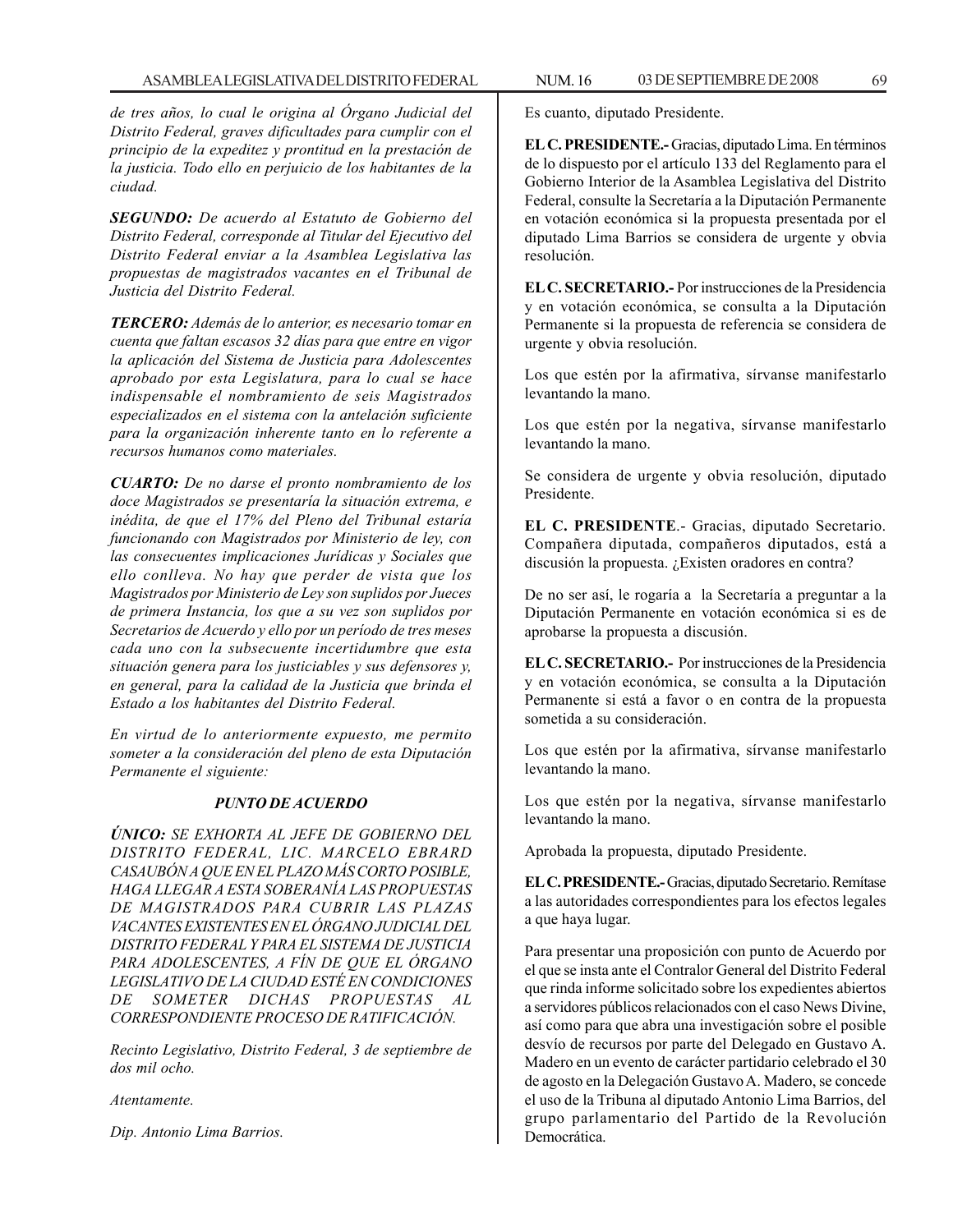*de tres años, lo cual le origina al Órgano Judicial del Distrito Federal, graves dificultades para cumplir con el principio de la expeditez y prontitud en la prestación de la justicia. Todo ello en perjuicio de los habitantes de la ciudad.*

*SEGUNDO: De acuerdo al Estatuto de Gobierno del Distrito Federal, corresponde al Titular del Ejecutivo del Distrito Federal enviar a la Asamblea Legislativa las propuestas de magistrados vacantes en el Tribunal de Justicia del Distrito Federal.*

*TERCERO: Además de lo anterior, es necesario tomar en cuenta que faltan escasos 32 días para que entre en vigor la aplicación del Sistema de Justicia para Adolescentes aprobado por esta Legislatura, para lo cual se hace indispensable el nombramiento de seis Magistrados especializados en el sistema con la antelación suficiente para la organización inherente tanto en lo referente a recursos humanos como materiales.*

*CUARTO: De no darse el pronto nombramiento de los doce Magistrados se presentaría la situación extrema, e inédita, de que el 17% del Pleno del Tribunal estaría funcionando con Magistrados por Ministerio de ley, con las consecuentes implicaciones Jurídicas y Sociales que ello conlleva. No hay que perder de vista que los Magistrados por Ministerio de Ley son suplidos por Jueces de primera Instancia, los que a su vez son suplidos por Secretarios de Acuerdo y ello por un período de tres meses cada uno con la subsecuente incertidumbre que esta situación genera para los justiciables y sus defensores y, en general, para la calidad de la Justicia que brinda el Estado a los habitantes del Distrito Federal.*

*En virtud de lo anteriormente expuesto, me permito someter a la consideración del pleno de esta Diputación Permanente el siguiente:*

## *PUNTO DE ACUERDO*

*ÚNICO: SE EXHORTA AL JEFE DE GOBIERNO DEL DISTRITO FEDERAL, LIC. MARCELO EBRARD CASAUBÓN A QUE EN EL PLAZO MÁS CORTO POSIBLE, HAGA LLEGAR A ESTA SOBERANÍA LAS PROPUESTAS DE MAGISTRADOS PARA CUBRIR LAS PLAZAS VACANTES EXISTENTES EN EL ÓRGANO JUDICIAL DEL DISTRITO FEDERAL Y PARA EL SISTEMA DE JUSTICIA PARA ADOLESCENTES, A FÍN DE QUE EL ÓRGANO LEGISLATIVO DE LA CIUDAD ESTÉ EN CONDICIONES DE SOMETER DICHAS PROPUESTAS AL CORRESPONDIENTE PROCESO DE RATIFICACIÓN.*

*Recinto Legislativo, Distrito Federal, 3 de septiembre de dos mil ocho.*

### *Atentamente.*

*Dip. Antonio Lima Barrios.*

Es cuanto, diputado Presidente.

**EL C. PRESIDENTE.-** Gracias, diputado Lima. En términos de lo dispuesto por el artículo 133 del Reglamento para el Gobierno Interior de la Asamblea Legislativa del Distrito Federal, consulte la Secretaría a la Diputación Permanente en votación económica si la propuesta presentada por el diputado Lima Barrios se considera de urgente y obvia resolución.

**EL C. SECRETARIO.-** Por instrucciones de la Presidencia y en votación económica, se consulta a la Diputación Permanente si la propuesta de referencia se considera de urgente y obvia resolución.

Los que estén por la afirmativa, sírvanse manifestarlo levantando la mano.

Los que estén por la negativa, sírvanse manifestarlo levantando la mano.

Se considera de urgente y obvia resolución, diputado Presidente.

**EL C. PRESIDENTE**.- Gracias, diputado Secretario. Compañera diputada, compañeros diputados, está a discusión la propuesta. ¿Existen oradores en contra?

De no ser así, le rogaría a la Secretaría a preguntar a la Diputación Permanente en votación económica si es de aprobarse la propuesta a discusión.

**EL C. SECRETARIO.-** Por instrucciones de la Presidencia y en votación económica, se consulta a la Diputación Permanente si está a favor o en contra de la propuesta sometida a su consideración.

Los que estén por la afirmativa, sírvanse manifestarlo levantando la mano.

Los que estén por la negativa, sírvanse manifestarlo levantando la mano.

Aprobada la propuesta, diputado Presidente.

**EL C. PRESIDENTE.-** Gracias, diputado Secretario. Remítase a las autoridades correspondientes para los efectos legales a que haya lugar.

Para presentar una proposición con punto de Acuerdo por el que se insta ante el Contralor General del Distrito Federal que rinda informe solicitado sobre los expedientes abiertos a servidores públicos relacionados con el caso News Divine, así como para que abra una investigación sobre el posible desvío de recursos por parte del Delegado en Gustavo A. Madero en un evento de carácter partidario celebrado el 30 de agosto en la Delegación Gustavo A. Madero, se concede el uso de la Tribuna al diputado Antonio Lima Barrios, del grupo parlamentario del Partido de la Revolución Democrática.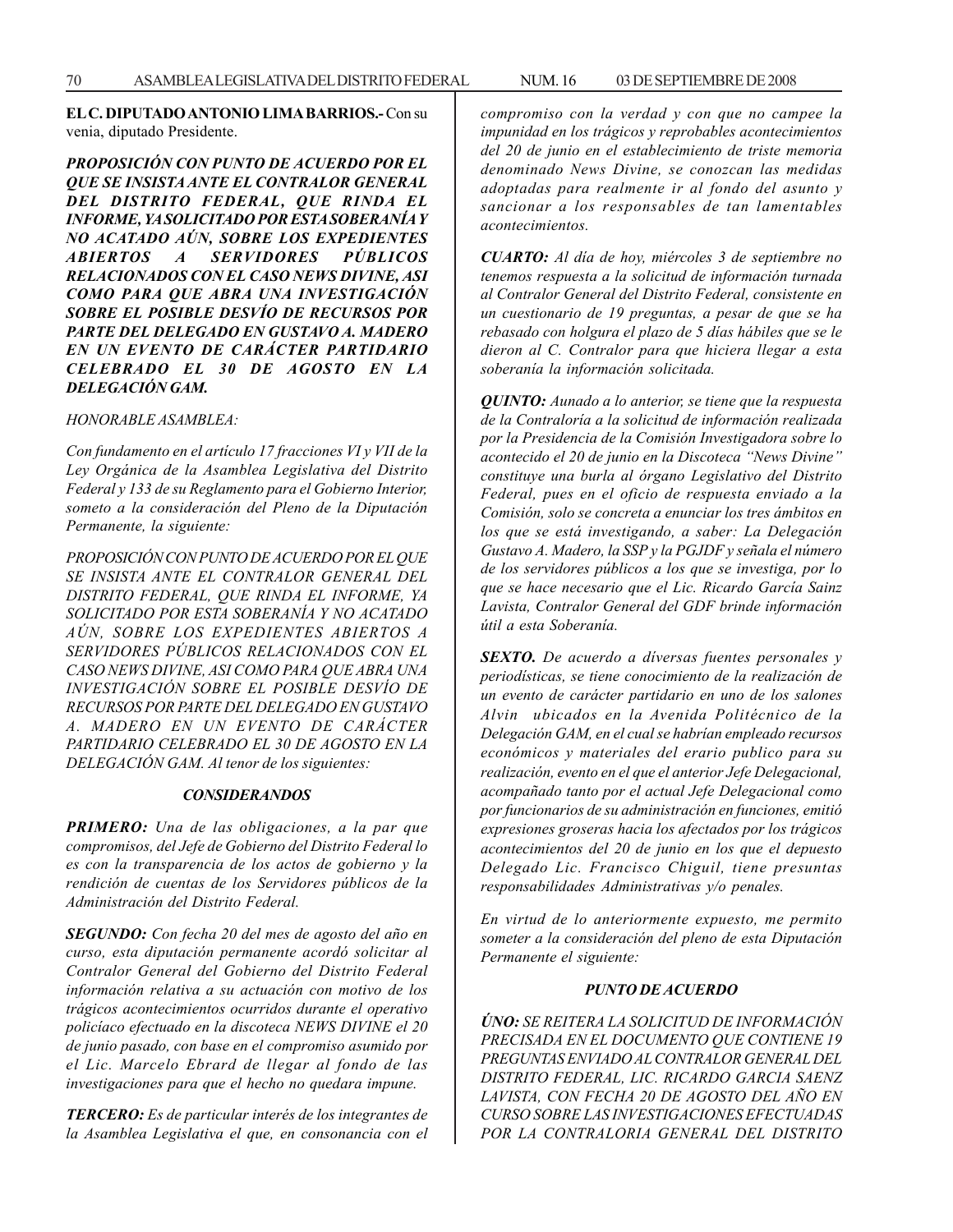**EL C. DIPUTADO ANTONIO LIMA BARRIOS.-** Con su venia, diputado Presidente.

*PROPOSICIÓN CON PUNTO DE ACUERDO POR EL QUE SE INSISTA ANTE EL CONTRALOR GENERAL DEL DISTRITO FEDERAL, QUE RINDA EL INFORME, YA SOLICITADO POR ESTA SOBERANÍA Y NO ACATADO AÚN, SOBRE LOS EXPEDIENTES ABIERTOS A SERVIDORES PÚBLICOS RELACIONADOS CON EL CASO NEWS DIVINE, ASI COMO PARA QUE ABRA UNA INVESTIGACIÓN SOBRE EL POSIBLE DESVÍO DE RECURSOS POR PARTE DEL DELEGADO EN GUSTAVO A. MADERO EN UN EVENTO DE CARÁCTER PARTIDARIO CELEBRADO EL 30 DE AGOSTO EN LA DELEGACIÓN GAM.*

*HONORABLE ASAMBLEA:*

*Con fundamento en el artículo 17 fracciones VI y VII de la Ley Orgánica de la Asamblea Legislativa del Distrito Federal y 133 de su Reglamento para el Gobierno Interior, someto a la consideración del Pleno de la Diputación Permanente, la siguiente:*

*PROPOSICIÓN CON PUNTO DE ACUERDO POR EL QUE SE INSISTA ANTE EL CONTRALOR GENERAL DEL DISTRITO FEDERAL, QUE RINDA EL INFORME, YA SOLICITADO POR ESTA SOBERANÍA Y NO ACATADO AÚN, SOBRE LOS EXPEDIENTES ABIERTOS A SERVIDORES PÚBLICOS RELACIONADOS CON EL CASO NEWS DIVINE, ASI COMO PARA QUE ABRA UNA INVESTIGACIÓN SOBRE EL POSIBLE DESVÍO DE RECURSOS POR PARTE DEL DELEGADO EN GUSTAVO A. MADERO EN UN EVENTO DE CARÁCTER PARTIDARIO CELEBRADO EL 30 DE AGOSTO EN LA DELEGACIÓN GAM. Al tenor de los siguientes:*

#### *CONSIDERANDOS*

*PRIMERO: Una de las obligaciones, a la par que compromisos, del Jefe de Gobierno del Distrito Federal lo es con la transparencia de los actos de gobierno y la rendición de cuentas de los Servidores públicos de la Administración del Distrito Federal.*

*SEGUNDO: Con fecha 20 del mes de agosto del año en curso, esta diputación permanente acordó solicitar al Contralor General del Gobierno del Distrito Federal información relativa a su actuación con motivo de los trágicos acontecimientos ocurridos durante el operativo policíaco efectuado en la discoteca NEWS DIVINE el 20 de junio pasado, con base en el compromiso asumido por el Lic. Marcelo Ebrard de llegar al fondo de las investigaciones para que el hecho no quedara impune.*

*TERCERO: Es de particular interés de los integrantes de la Asamblea Legislativa el que, en consonancia con el* *compromiso con la verdad y con que no campee la impunidad en los trágicos y reprobables acontecimientos del 20 de junio en el establecimiento de triste memoria denominado News Divine, se conozcan las medidas adoptadas para realmente ir al fondo del asunto y sancionar a los responsables de tan lamentables acontecimientos.*

*CUARTO: Al día de hoy, miércoles 3 de septiembre no tenemos respuesta a la solicitud de información turnada al Contralor General del Distrito Federal, consistente en un cuestionario de 19 preguntas, a pesar de que se ha rebasado con holgura el plazo de 5 días hábiles que se le dieron al C. Contralor para que hiciera llegar a esta soberanía la información solicitada.*

*QUINTO: Aunado a lo anterior, se tiene que la respuesta de la Contraloría a la solicitud de información realizada por la Presidencia de la Comisión Investigadora sobre lo acontecido el 20 de junio en la Discoteca ''News Divine'' constituye una burla al órgano Legislativo del Distrito Federal, pues en el oficio de respuesta enviado a la Comisión, solo se concreta a enunciar los tres ámbitos en los que se está investigando, a saber: La Delegación Gustavo A. Madero, la SSP y la PGJDF y señala el número de los servidores públicos a los que se investiga, por lo que se hace necesario que el Lic. Ricardo García Sainz Lavista, Contralor General del GDF brinde información útil a esta Soberanía.*

*SEXTO. De acuerdo a díversas fuentes personales y periodísticas, se tiene conocimiento de la realización de un evento de carácter partidario en uno de los salones Alvin ubicados en la Avenida Politécnico de la Delegación GAM, en el cual se habrían empleado recursos económicos y materiales del erario publico para su realización, evento en el que el anterior Jefe Delegacional, acompañado tanto por el actual Jefe Delegacional como por funcionarios de su administración en funciones, emitió expresiones groseras hacia los afectados por los trágicos acontecimientos del 20 de junio en los que el depuesto Delegado Lic. Francisco Chiguil, tiene presuntas responsabilidades Administrativas y/o penales.*

*En virtud de lo anteriormente expuesto, me permito someter a la consideración del pleno de esta Diputación Permanente el siguiente:*

#### *PUNTO DE ACUERDO*

*ÚNO: SE REITERA LA SOLICITUD DE INFORMACIÓN PRECISADA EN EL DOCUMENTO QUE CONTIENE 19 PREGUNTAS ENVIADO AL CONTRALOR GENERAL DEL DISTRITO FEDERAL, LIC. RICARDO GARCIA SAENZ LAVISTA, CON FECHA 20 DE AGOSTO DEL AÑO EN CURSO SOBRE LAS INVESTIGACIONES EFECTUADAS POR LA CONTRALORIA GENERAL DEL DISTRITO*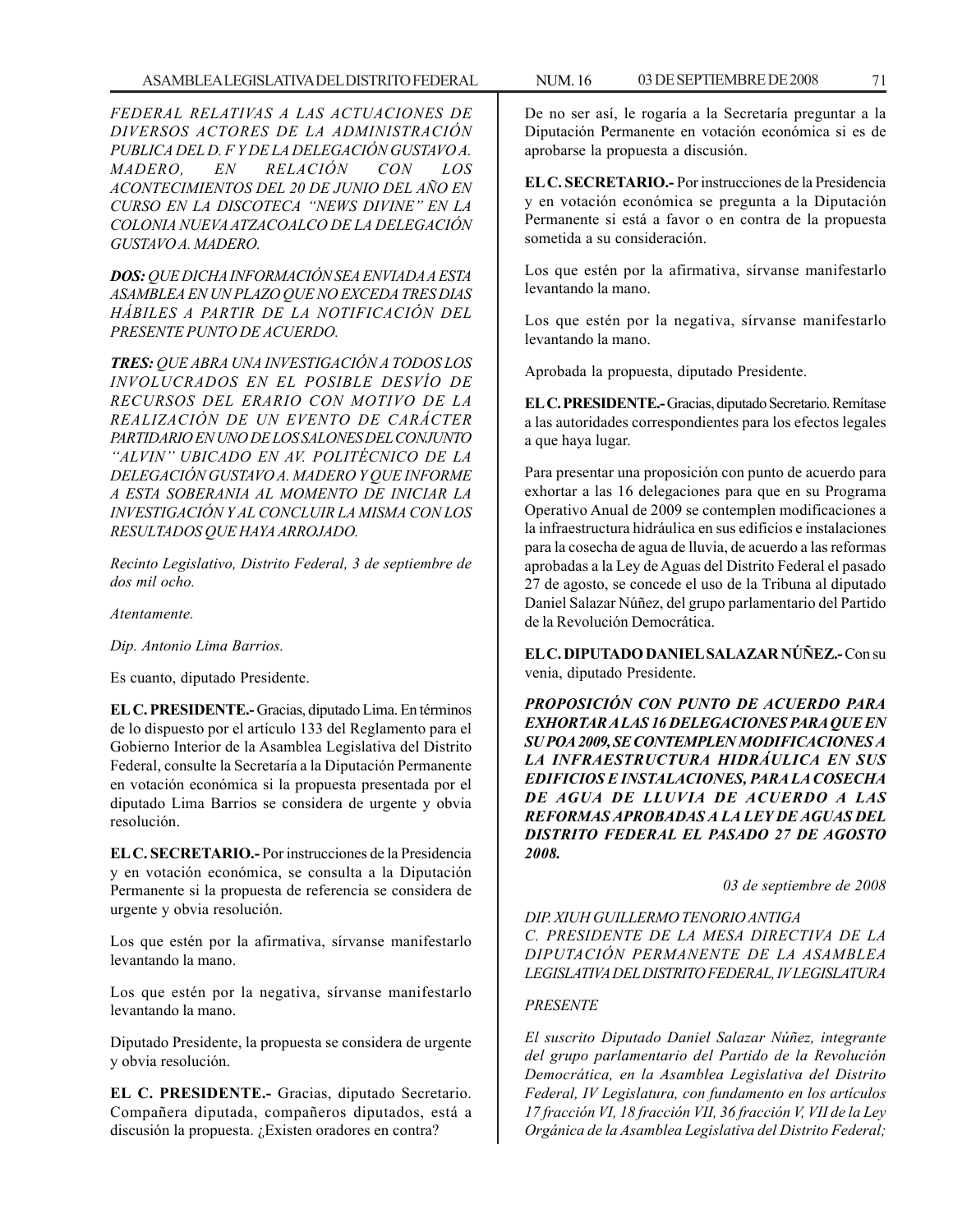*FEDERAL RELATIVAS A LAS ACTUACIONES DE DIVERSOS ACTORES DE LA ADMINISTRACIÓN PUBLICA DEL D. F Y DE LA DELEGACIÓN GUSTAVO A. MADERO, EN RELACIÓN CON LOS ACONTECIMIENTOS DEL 20 DE JUNIO DEL AÑO EN CURSO EN LA DISCOTECA ''NEWS DIVINE'' EN LA COLONIA NUEVA ATZACOALCO DE LA DELEGACIÓN GUSTAVO A. MADERO.*

*DOS: QUE DICHA INFORMACIÓN SEA ENVIADA A ESTA ASAMBLEA EN UN PLAZO QUE NO EXCEDA TRES DIAS HÁBILES A PARTIR DE LA NOTIFICACIÓN DEL PRESENTE PUNTO DE ACUERDO.*

*TRES: QUE ABRA UNA INVESTIGACIÓN A TODOS LOS INVOLUCRADOS EN EL POSIBLE DESVÍO DE RECURSOS DEL ERARIO CON MOTIVO DE LA REALIZACIÓN DE UN EVENTO DE CARÁCTER PARTIDARIO EN UNO DE LOS SALONES DEL CONJUNTO ''ALVIN'' UBICADO EN AV. POLITÉCNICO DE LA DELEGACIÓN GUSTAVO A. MADERO Y QUE INFORME A ESTA SOBERANIA AL MOMENTO DE INICIAR LA INVESTIGACIÓN Y AL CONCLUIR LA MISMA CON LOS RESULTADOS QUE HAYA ARROJADO.*

*Recinto Legislativo, Distrito Federal, 3 de septiembre de dos mil ocho.*

*Atentamente.*

*Dip. Antonio Lima Barrios.*

Es cuanto, diputado Presidente.

**EL C. PRESIDENTE.-** Gracias, diputado Lima. En términos de lo dispuesto por el artículo 133 del Reglamento para el Gobierno Interior de la Asamblea Legislativa del Distrito Federal, consulte la Secretaría a la Diputación Permanente en votación económica si la propuesta presentada por el diputado Lima Barrios se considera de urgente y obvia resolución.

**EL C. SECRETARIO.-** Por instrucciones de la Presidencia y en votación económica, se consulta a la Diputación Permanente si la propuesta de referencia se considera de urgente y obvia resolución.

Los que estén por la afirmativa, sírvanse manifestarlo levantando la mano.

Los que estén por la negativa, sírvanse manifestarlo levantando la mano.

Diputado Presidente, la propuesta se considera de urgente y obvia resolución.

**EL C. PRESIDENTE.-** Gracias, diputado Secretario. Compañera diputada, compañeros diputados, está a discusión la propuesta. ¿Existen oradores en contra?

De no ser así, le rogaría a la Secretaría preguntar a la Diputación Permanente en votación económica si es de aprobarse la propuesta a discusión.

**EL C. SECRETARIO.-** Por instrucciones de la Presidencia y en votación económica se pregunta a la Diputación Permanente si está a favor o en contra de la propuesta sometida a su consideración.

Los que estén por la afirmativa, sírvanse manifestarlo levantando la mano.

Los que estén por la negativa, sírvanse manifestarlo levantando la mano.

Aprobada la propuesta, diputado Presidente.

**EL C. PRESIDENTE.-** Gracias, diputado Secretario. Remítase a las autoridades correspondientes para los efectos legales a que haya lugar.

Para presentar una proposición con punto de acuerdo para exhortar a las 16 delegaciones para que en su Programa Operativo Anual de 2009 se contemplen modificaciones a la infraestructura hidráulica en sus edificios e instalaciones para la cosecha de agua de lluvia, de acuerdo a las reformas aprobadas a la Ley de Aguas del Distrito Federal el pasado 27 de agosto, se concede el uso de la Tribuna al diputado Daniel Salazar Núñez, del grupo parlamentario del Partido de la Revolución Democrática.

**EL C. DIPUTADO DANIEL SALAZAR NÚÑEZ.-** Con su venia, diputado Presidente.

*PROPOSICIÓN CON PUNTO DE ACUERDO PARA EXHORTAR A LAS 16 DELEGACIONES PARA QUE EN SU POA 2009, SE CONTEMPLEN MODIFICACIONES A LA INFRAESTRUCTURA HIDRÁULICA EN SUS EDIFICIOS E INSTALACIONES, PARA LA COSECHA DE AGUA DE LLUVIA DE ACUERDO A LAS REFORMAS APROBADAS A LA LEY DE AGUAS DEL DISTRITO FEDERAL EL PASADO 27 DE AGOSTO 2008.*

*03 de septiembre de 2008*

*DIP. XIUH GUILLERMO TENORIO ANTIGA C. PRESIDENTE DE LA MESA DIRECTIVA DE LA DIPUTACIÓN PERMANENTE DE LA ASAMBLEA LEGISLATIVA DEL DISTRITO FEDERAL, IV LEGISLATURA*

# *PRESENTE*

*El suscrito Diputado Daniel Salazar Núñez, integrante del grupo parlamentario del Partido de la Revolución Democrática, en la Asamblea Legislativa del Distrito Federal, IV Legislatura, con fundamento en los artículos 17 fracción VI, 18 fracción VII, 36 fracción V, VII de la Ley Orgánica de la Asamblea Legislativa del Distrito Federal;*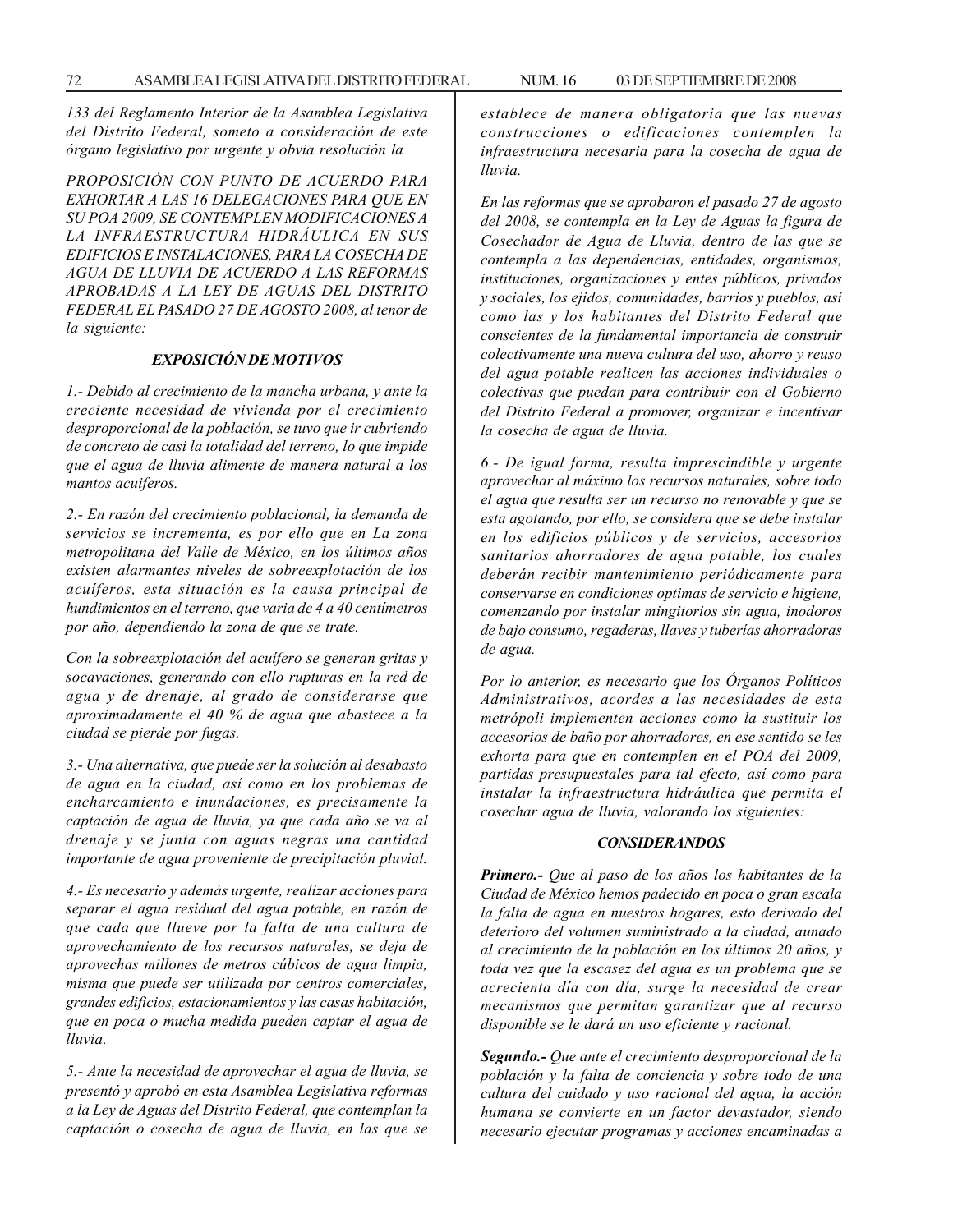*133 del Reglamento Interior de la Asamblea Legislativa del Distrito Federal, someto a consideración de este órgano legislativo por urgente y obvia resolución la*

*PROPOSICIÓN CON PUNTO DE ACUERDO PARA EXHORTAR A LAS 16 DELEGACIONES PARA QUE EN SU POA 2009, SE CONTEMPLEN MODIFICACIONES A LA INFRAESTRUCTURA HIDRÁULICA EN SUS EDIFICIOS E INSTALACIONES, PARA LA COSECHA DE AGUA DE LLUVIA DE ACUERDO A LAS REFORMAS APROBADAS A LA LEY DE AGUAS DEL DISTRITO FEDERAL EL PASADO 27 DE AGOSTO 2008, al tenor de la siguiente:*

## *EXPOSICIÓN DE MOTIVOS*

*1.- Debido al crecimiento de la mancha urbana, y ante la creciente necesidad de vivienda por el crecimiento desproporcional de la población, se tuvo que ir cubriendo de concreto de casi la totalidad del terreno, lo que impide que el agua de lluvia alimente de manera natural a los mantos acuiferos.*

*2.- En razón del crecimiento poblacional, la demanda de servicios se incrementa, es por ello que en La zona metropolitana del Valle de México, en los últimos años existen alarmantes niveles de sobreexplotación de los acuíferos, esta situación es la causa principal de hundimientos en el terreno, que varia de 4 a 40 centímetros por año, dependiendo la zona de que se trate.*

*Con la sobreexplotación del acuífero se generan gritas y socavaciones, generando con ello rupturas en la red de agua y de drenaje, al grado de considerarse que aproximadamente el 40 % de agua que abastece a la ciudad se pierde por fugas.*

*3.- Una alternativa, que puede ser la solución al desabasto de agua en la ciudad, así como en los problemas de encharcamiento e inundaciones, es precisamente la captación de agua de lluvia, ya que cada año se va al drenaje y se junta con aguas negras una cantidad importante de agua proveniente de precipitación pluvial.*

*4.- Es necesario y además urgente, realizar acciones para separar el agua residual del agua potable, en razón de que cada que llueve por la falta de una cultura de aprovechamiento de los recursos naturales, se deja de aprovechas millones de metros cúbicos de agua limpia, misma que puede ser utilizada por centros comerciales, grandes edificios, estacionamientos y las casas habitación, que en poca o mucha medida pueden captar el agua de lluvia.*

*5.- Ante la necesidad de aprovechar el agua de lluvia, se presentó y aprobó en esta Asamblea Legislativa reformas a la Ley de Aguas del Distrito Federal, que contemplan la captación o cosecha de agua de lluvia, en las que se*

*establece de manera obligatoria que las nuevas construcciones o edificaciones contemplen la infraestructura necesaria para la cosecha de agua de lluvia.*

*En las reformas que se aprobaron el pasado 27 de agosto del 2008, se contempla en la Ley de Aguas la figura de Cosechador de Agua de Lluvia, dentro de las que se contempla a las dependencias, entidades, organismos, instituciones, organizaciones y entes públicos, privados y sociales, los ejidos, comunidades, barrios y pueblos, así como las y los habitantes del Distrito Federal que conscientes de la fundamental importancia de construir colectivamente una nueva cultura del uso, ahorro y reuso del agua potable realicen las acciones individuales o colectivas que puedan para contribuir con el Gobierno del Distrito Federal a promover, organizar e incentivar la cosecha de agua de lluvia.*

*6.- De igual forma, resulta imprescindible y urgente aprovechar al máximo los recursos naturales, sobre todo el agua que resulta ser un recurso no renovable y que se esta agotando, por ello, se considera que se debe instalar en los edificios públicos y de servicios, accesorios sanitarios ahorradores de agua potable, los cuales deberán recibir mantenimiento periódicamente para conservarse en condiciones optimas de servicio e higiene, comenzando por instalar mingitorios sin agua, inodoros de bajo consumo, regaderas, llaves y tuberías ahorradoras de agua.*

*Por lo anterior, es necesario que los Órganos Políticos Administrativos, acordes a las necesidades de esta metrópoli implementen acciones como la sustituir los accesorios de baño por ahorradores, en ese sentido se les exhorta para que en contemplen en el POA del 2009, partidas presupuestales para tal efecto, así como para instalar la infraestructura hidráulica que permita el cosechar agua de lluvia, valorando los siguientes:*

### *CONSIDERANDOS*

*Primero.- Que al paso de los años los habitantes de la Ciudad de México hemos padecido en poca o gran escala la falta de agua en nuestros hogares, esto derivado del deterioro del volumen suministrado a la ciudad, aunado al crecimiento de la población en los últimos 20 años, y toda vez que la escasez del agua es un problema que se acrecienta día con día, surge la necesidad de crear mecanismos que permitan garantizar que al recurso disponible se le dará un uso eficiente y racional.*

*Segundo.- Que ante el crecimiento desproporcional de la población y la falta de conciencia y sobre todo de una cultura del cuidado y uso racional del agua, la acción humana se convierte en un factor devastador, siendo necesario ejecutar programas y acciones encaminadas a*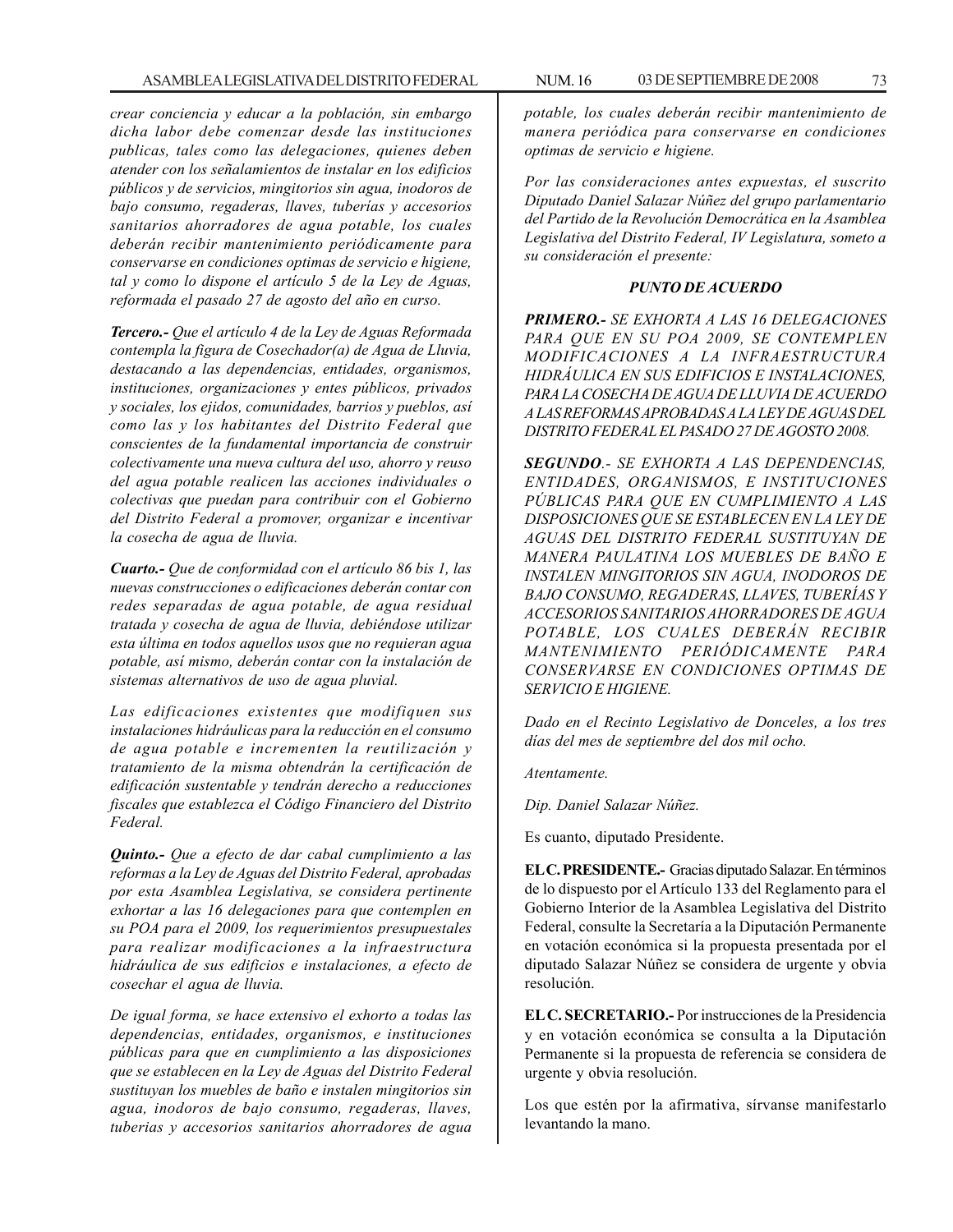*crear conciencia y educar a la población, sin embargo dicha labor debe comenzar desde las instituciones publicas, tales como las delegaciones, quienes deben atender con los señalamientos de instalar en los edificios públicos y de servicios, mingitorios sin agua, inodoros de bajo consumo, regaderas, llaves, tuberías y accesorios sanitarios ahorradores de agua potable, los cuales deberán recibir mantenimiento periódicamente para conservarse en condiciones optimas de servicio e higiene, tal y como lo dispone el artículo 5 de la Ley de Aguas, reformada el pasado 27 de agosto del año en curso.*

*Tercero.- Que el artículo 4 de la Ley de Aguas Reformada contempla la figura de Cosechador(a) de Agua de Lluvia, destacando a las dependencias, entidades, organismos, instituciones, organizaciones y entes públicos, privados y sociales, los ejidos, comunidades, barrios y pueblos, así como las y los habitantes del Distrito Federal que conscientes de la fundamental importancia de construir colectivamente una nueva cultura del uso, ahorro y reuso del agua potable realicen las acciones individuales o colectivas que puedan para contribuir con el Gobierno del Distrito Federal a promover, organizar e incentivar la cosecha de agua de lluvia.*

*Cuarto.- Que de conformidad con el artículo 86 bis 1, las nuevas construcciones o edificaciones deberán contar con redes separadas de agua potable, de agua residual tratada y cosecha de agua de lluvia, debiéndose utilizar esta última en todos aquellos usos que no requieran agua potable, así mismo, deberán contar con la instalación de sistemas alternativos de uso de agua pluvial.*

*Las edificaciones existentes que modifiquen sus instalaciones hidráulicas para la reducción en el consumo de agua potable e incrementen la reutilización y tratamiento de la misma obtendrán la certificación de edificación sustentable y tendrán derecho a reducciones fiscales que establezca el Código Financiero del Distrito Federal.*

*Quinto.- Que a efecto de dar cabal cumplimiento a las reformas a la Ley de Aguas del Distrito Federal, aprobadas por esta Asamblea Legislativa, se considera pertinente exhortar a las 16 delegaciones para que contemplen en su POA para el 2009, los requerimientos presupuestales para realizar modificaciones a la infraestructura hidráulica de sus edificios e instalaciones, a efecto de cosechar el agua de lluvia.*

*De igual forma, se hace extensivo el exhorto a todas las dependencias, entidades, organismos, e instituciones públicas para que en cumplimiento a las disposiciones que se establecen en la Ley de Aguas del Distrito Federal sustituyan los muebles de baño e instalen mingitorios sin agua, inodoros de bajo consumo, regaderas, llaves, tuberias y accesorios sanitarios ahorradores de agua*

*potable, los cuales deberán recibir mantenimiento de manera periódica para conservarse en condiciones optimas de servicio e higiene.*

*Por las consideraciones antes expuestas, el suscrito Diputado Daniel Salazar Núñez del grupo parlamentario del Partido de la Revolución Democrática en la Asamblea Legislativa del Distrito Federal, IV Legislatura, someto a su consideración el presente:*

### *PUNTO DE ACUERDO*

*PRIMERO.- SE EXHORTA A LAS 16 DELEGACIONES PARA QUE EN SU POA 2009, SE CONTEMPLEN MODIFICACIONES A LA INFRAESTRUCTURA HIDRÁULlCA EN SUS EDIFICIOS E INSTALACIONES, PARA LA COSECHA DE AGUA DE LLUVIA DE ACUERDO A LAS REFORMAS APROBADAS A LA LEY DE AGUAS DEL DISTRITO FEDERAL EL PASADO 27 DE AGOSTO 2008.*

*SEGUNDO.- SE EXHORTA A LAS DEPENDENCIAS, ENTIDADES, ORGANISMOS, E INSTITUCIONES PÚBLICAS PARA QUE EN CUMPLIMIENTO A LAS DISPOSICIONES QUE SE ESTABLECEN EN LA LEY DE AGUAS DEL DISTRITO FEDERAL SUSTITUYAN DE MANERA PAULATINA LOS MUEBLES DE BAÑO E INSTALEN MINGITORIOS SIN AGUA, INODOROS DE BAJO CONSUMO, REGADERAS, LLAVES, TUBERÍAS Y ACCESORIOS SANITARIOS AHORRADORES DE AGUA POTABLE, LOS CUALES DEBERÁN RECIBIR MANTENIMIENTO PERIÓDICAMENTE PARA CONSERVARSE EN CONDICIONES OPTIMAS DE SERVICIO E HIGIENE.*

*Dado en el Recinto Legislativo de Donceles, a los tres días del mes de septiembre del dos mil ocho.*

*Atentamente.*

*Dip. Daniel Salazar Núñez.*

Es cuanto, diputado Presidente.

**EL C. PRESIDENTE.-** Gracias diputado Salazar. En términos de lo dispuesto por el Artículo 133 del Reglamento para el Gobierno Interior de la Asamblea Legislativa del Distrito Federal, consulte la Secretaría a la Diputación Permanente en votación económica si la propuesta presentada por el diputado Salazar Núñez se considera de urgente y obvia resolución.

**EL C. SECRETARIO.-** Por instrucciones de la Presidencia y en votación económica se consulta a la Diputación Permanente si la propuesta de referencia se considera de urgente y obvia resolución.

Los que estén por la afirmativa, sírvanse manifestarlo levantando la mano.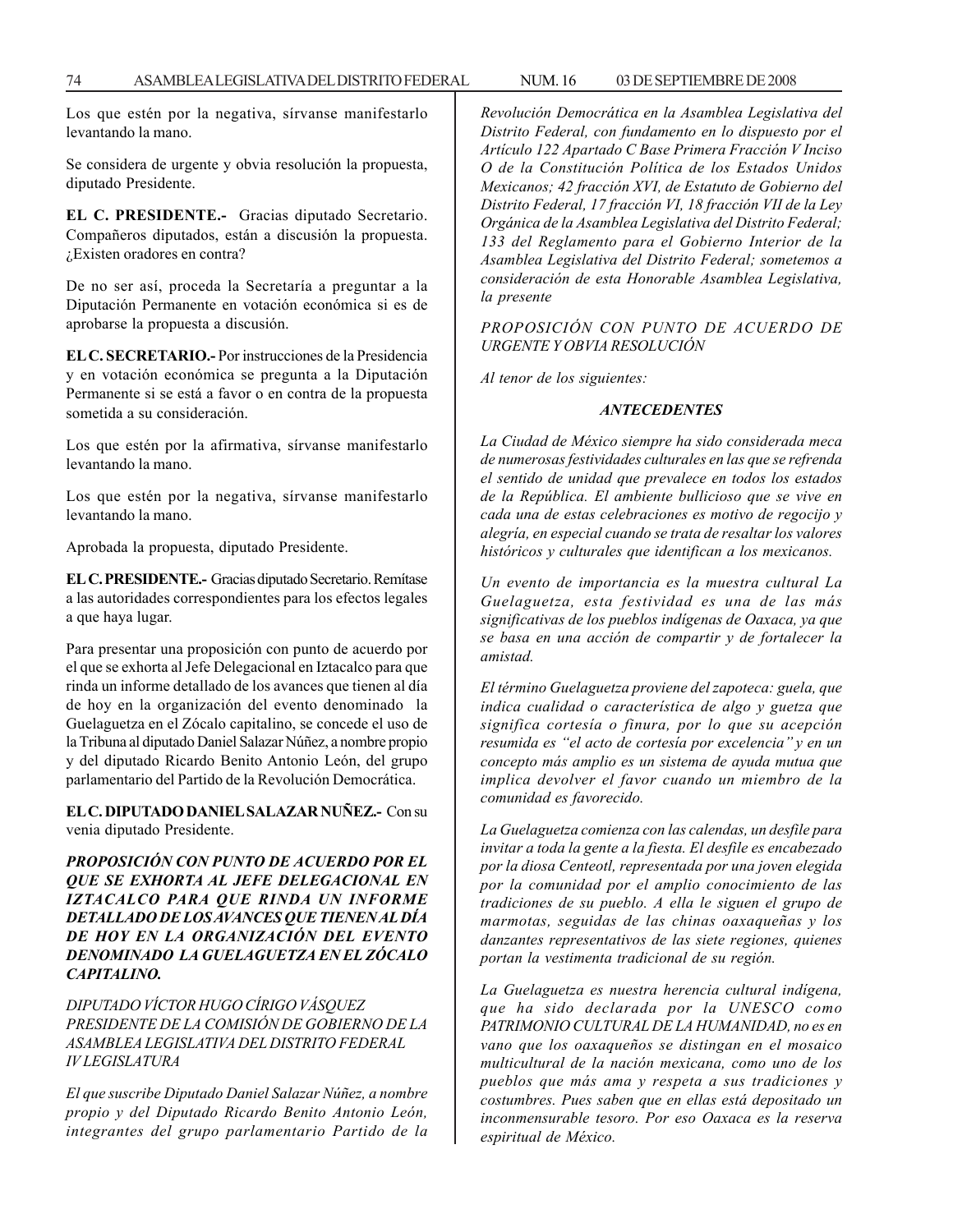Los que estén por la negativa, sírvanse manifestarlo levantando la mano.

Se considera de urgente y obvia resolución la propuesta, diputado Presidente.

**EL C. PRESIDENTE.-** Gracias diputado Secretario. Compañeros diputados, están a discusión la propuesta. ¿Existen oradores en contra?

De no ser así, proceda la Secretaría a preguntar a la Diputación Permanente en votación económica si es de aprobarse la propuesta a discusión.

**EL C. SECRETARIO.-** Por instrucciones de la Presidencia y en votación económica se pregunta a la Diputación Permanente si se está a favor o en contra de la propuesta sometida a su consideración.

Los que estén por la afirmativa, sírvanse manifestarlo levantando la mano.

Los que estén por la negativa, sírvanse manifestarlo levantando la mano.

Aprobada la propuesta, diputado Presidente.

**EL C. PRESIDENTE.-** Gracias diputado Secretario. Remítase a las autoridades correspondientes para los efectos legales a que haya lugar.

Para presentar una proposición con punto de acuerdo por el que se exhorta al Jefe Delegacional en Iztacalco para que rinda un informe detallado de los avances que tienen al día de hoy en la organización del evento denominado la Guelaguetza en el Zócalo capitalino, se concede el uso de la Tribuna al diputado Daniel Salazar Núñez, a nombre propio y del diputado Ricardo Benito Antonio León, del grupo parlamentario del Partido de la Revolución Democrática.

**EL C. DIPUTADO DANIEL SALAZAR NUÑEZ.-** Con su venia diputado Presidente.

*PROPOSICIÓN CON PUNTO DE ACUERDO POR EL QUE SE EXHORTA AL JEFE DELEGACIONAL EN IZTACALCO PARA QUE RINDA UN INFORME DETALLADO DE LOS AVANCES QUE TIENEN AL DÍA DE HOY EN LA ORGANIZACIÓN DEL EVENTO DENOMINADO LA GUELAGUETZA EN EL ZÓCALO CAPITALINO.*

*DIPUTADO VÍCTOR HUGO CÍRIGO VÁSQUEZ PRESIDENTE DE LA COMISIÓN DE GOBIERNO DE LA ASAMBLEA LEGISLATIVA DEL DISTRITO FEDERAL IV LEGISLATURA*

*El que suscribe Diputado Daniel Salazar Núñez, a nombre propio y del Diputado Ricardo Benito Antonio León, integrantes del grupo parlamentario Partido de la* *Revolución Democrática en la Asamblea Legislativa del Distrito Federal, con fundamento en lo dispuesto por el Artículo 122 Apartado C Base Primera Fracción V Inciso O de la Constitución Política de los Estados Unidos Mexicanos; 42 fracción XVI, de Estatuto de Gobierno del Distrito Federal, 17 fracción VI, 18 fracción VII de la Ley Orgánica de la Asamblea Legislativa del Distrito Federal; 133 del Reglamento para el Gobierno Interior de la Asamblea Legislativa del Distrito Federal; sometemos a consideración de esta Honorable Asamblea Legislativa, la presente*

*PROPOSICIÓN CON PUNTO DE ACUERDO DE URGENTE Y OBVIA RESOLUCIÓN*

*Al tenor de los siguientes:*

#### *ANTECEDENTES*

*La Ciudad de México siempre ha sido considerada meca de numerosas festividades culturales en las que se refrenda el sentido de unidad que prevalece en todos los estados de la República. El ambiente bullicioso que se vive en cada una de estas celebraciones es motivo de regocijo y alegría, en especial cuando se trata de resaltar los valores históricos y culturales que identifican a los mexicanos.*

*Un evento de importancia es la muestra cultural La Guelaguetza, esta festividad es una de las más significativas de los pueblos indígenas de Oaxaca, ya que se basa en una acción de compartir y de fortalecer la amistad.*

*El término Guelaguetza proviene del zapoteca: guela, que indica cualidad o característica de algo y guetza que significa cortesía o finura, por lo que su acepción resumida es ''el acto de cortesía por excelencia'' y en un concepto más amplio es un sistema de ayuda mutua que implica devolver el favor cuando un miembro de la comunidad es favorecido.*

*La Guelaguetza comienza con las calendas, un desfile para invitar a toda la gente a la fiesta. El desfile es encabezado por la diosa Centeotl, representada por una joven elegida por la comunidad por el amplio conocimiento de las tradiciones de su pueblo. A ella le siguen el grupo de marmotas, seguidas de las chinas oaxaqueñas y los danzantes representativos de las siete regiones, quienes portan la vestimenta tradicional de su región.*

*La Guelaguetza es nuestra herencia cultural indígena, que ha sido declarada por la UNESCO como PATRIMONIO CULTURAL DE LA HUMANIDAD, no es en vano que los oaxaqueños se distingan en el mosaico multicultural de la nación mexicana, como uno de los pueblos que más ama y respeta a sus tradiciones y costumbres. Pues saben que en ellas está depositado un inconmensurable tesoro. Por eso Oaxaca es la reserva espiritual de México.*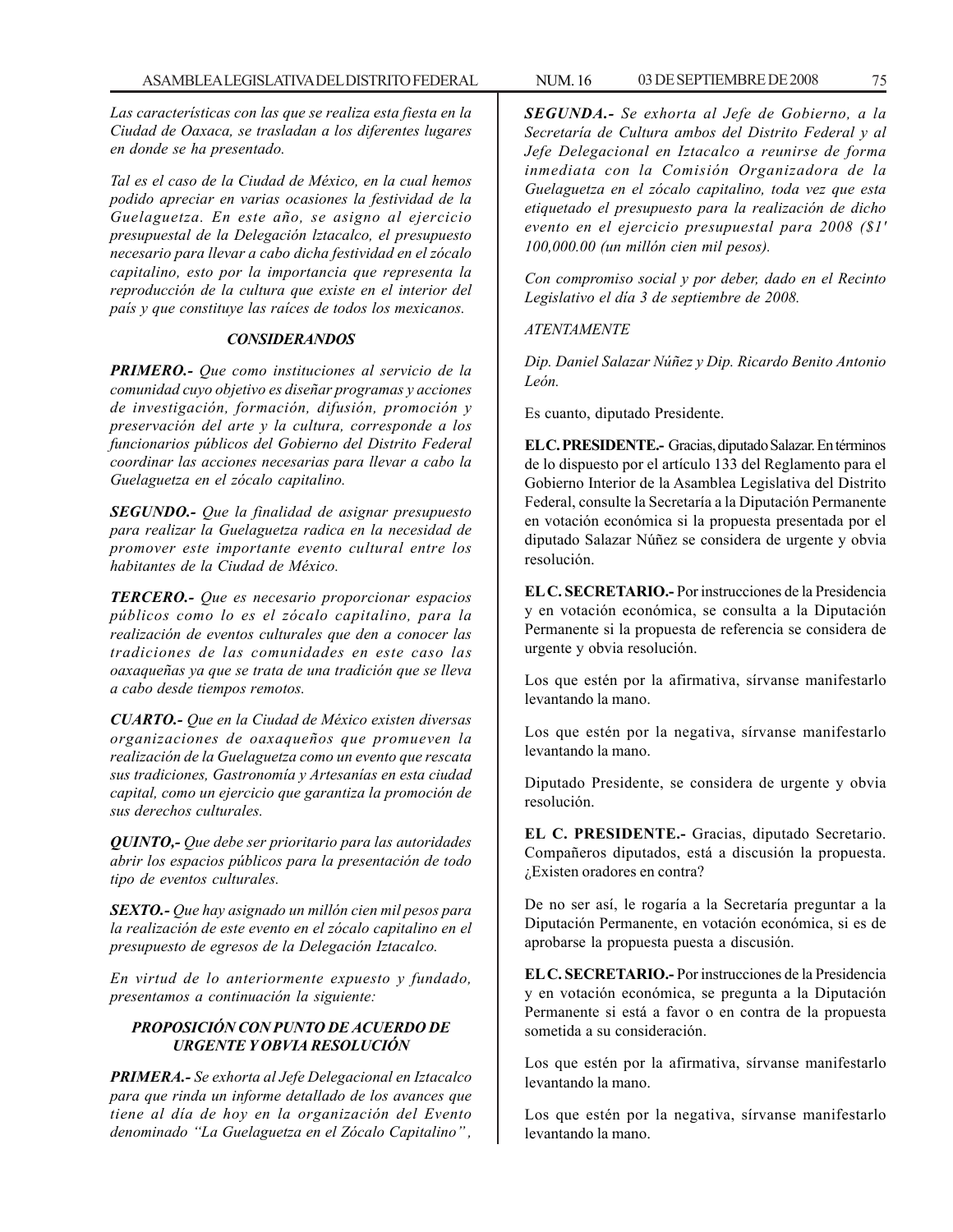*Las características con las que se realiza esta fiesta en la Ciudad de Oaxaca, se trasladan a los diferentes lugares en donde se ha presentado.*

*Tal es el caso de la Ciudad de México, en la cual hemos podido apreciar en varias ocasiones la festividad de la Guelaguetza. En este año, se asigno al ejercicio presupuestal de la Delegación lztacalco, el presupuesto necesario para llevar a cabo dicha festividad en el zócalo capitalino, esto por la importancia que representa la reproducción de la cultura que existe en el interior del país y que constituye las raíces de todos los mexicanos.*

### *CONSIDERANDOS*

*PRIMERO.- Que como instituciones al servicio de la comunidad cuyo objetivo es diseñar programas y acciones de investigación, formación, difusión, promoción y preservación del arte y la cultura, corresponde a los funcionarios públicos del Gobierno del Distrito Federal coordinar las acciones necesarias para llevar a cabo la Guelaguetza en el zócalo capitalino.*

*SEGUNDO.- Que la finalidad de asignar presupuesto para realizar la Guelaguetza radica en la necesidad de promover este importante evento cultural entre los habitantes de la Ciudad de México.*

*TERCERO.- Que es necesario proporcionar espacios públicos como lo es el zócalo capitalino, para la realización de eventos culturales que den a conocer las tradiciones de las comunidades en este caso las oaxaqueñas ya que se trata de una tradición que se lleva a cabo desde tiempos remotos.*

*CUARTO.- Que en la Ciudad de México existen diversas organizaciones de oaxaqueños que promueven la realización de la Guelaguetza como un evento que rescata sus tradiciones, Gastronomía y Artesanías en esta ciudad capital, como un ejercicio que garantiza la promoción de sus derechos culturales.*

*QUINTO,- Que debe ser prioritario para las autoridades abrir los espacios públicos para la presentación de todo tipo de eventos culturales.*

*SEXTO.- Que hay asignado un millón cien mil pesos para la realización de este evento en el zócalo capitalino en el presupuesto de egresos de la Delegación Iztacalco.*

*En virtud de lo anteriormente expuesto y fundado, presentamos a continuación la siguiente:*

# *PROPOSICIÓN CON PUNTO DE ACUERDO DE URGENTE Y OBVIA RESOLUCIÓN*

*PRIMERA.- Se exhorta al Jefe Delegacional en Iztacalco para que rinda un informe detallado de los avances que tiene al día de hoy en la organización del Evento denominado ''La Guelaguetza en el Zócalo Capitalino'' ,*

*SEGUNDA.- Se exhorta al Jefe de Gobierno, a la Secretaría de Cultura ambos del Distrito Federal y al Jefe Delegacional en Iztacalco a reunirse de forma inmediata con la Comisión Organizadora de la Guelaguetza en el zócalo capitalino, toda vez que esta etiquetado el presupuesto para la realización de dicho evento en el ejercicio presupuestal para 2008 (\$1' 100,000.00 (un millón cien mil pesos).*

*Con compromiso social y por deber, dado en el Recinto Legislativo el día 3 de septiembre de 2008.*

# *ATENTAMENTE*

*Dip. Daniel Salazar Núñez y Dip. Ricardo Benito Antonio León.*

Es cuanto, diputado Presidente.

**EL C. PRESIDENTE.-** Gracias, diputado Salazar. En términos de lo dispuesto por el artículo 133 del Reglamento para el Gobierno Interior de la Asamblea Legislativa del Distrito Federal, consulte la Secretaría a la Diputación Permanente en votación económica si la propuesta presentada por el diputado Salazar Núñez se considera de urgente y obvia resolución.

**EL C. SECRETARIO.-** Por instrucciones de la Presidencia y en votación económica, se consulta a la Diputación Permanente si la propuesta de referencia se considera de urgente y obvia resolución.

Los que estén por la afirmativa, sírvanse manifestarlo levantando la mano.

Los que estén por la negativa, sírvanse manifestarlo levantando la mano.

Diputado Presidente, se considera de urgente y obvia resolución.

**EL C. PRESIDENTE.-** Gracias, diputado Secretario. Compañeros diputados, está a discusión la propuesta. ¿Existen oradores en contra?

De no ser así, le rogaría a la Secretaría preguntar a la Diputación Permanente, en votación económica, si es de aprobarse la propuesta puesta a discusión.

**EL C. SECRETARIO.-** Por instrucciones de la Presidencia y en votación económica, se pregunta a la Diputación Permanente si está a favor o en contra de la propuesta sometida a su consideración.

Los que estén por la afirmativa, sírvanse manifestarlo levantando la mano.

Los que estén por la negativa, sírvanse manifestarlo levantando la mano.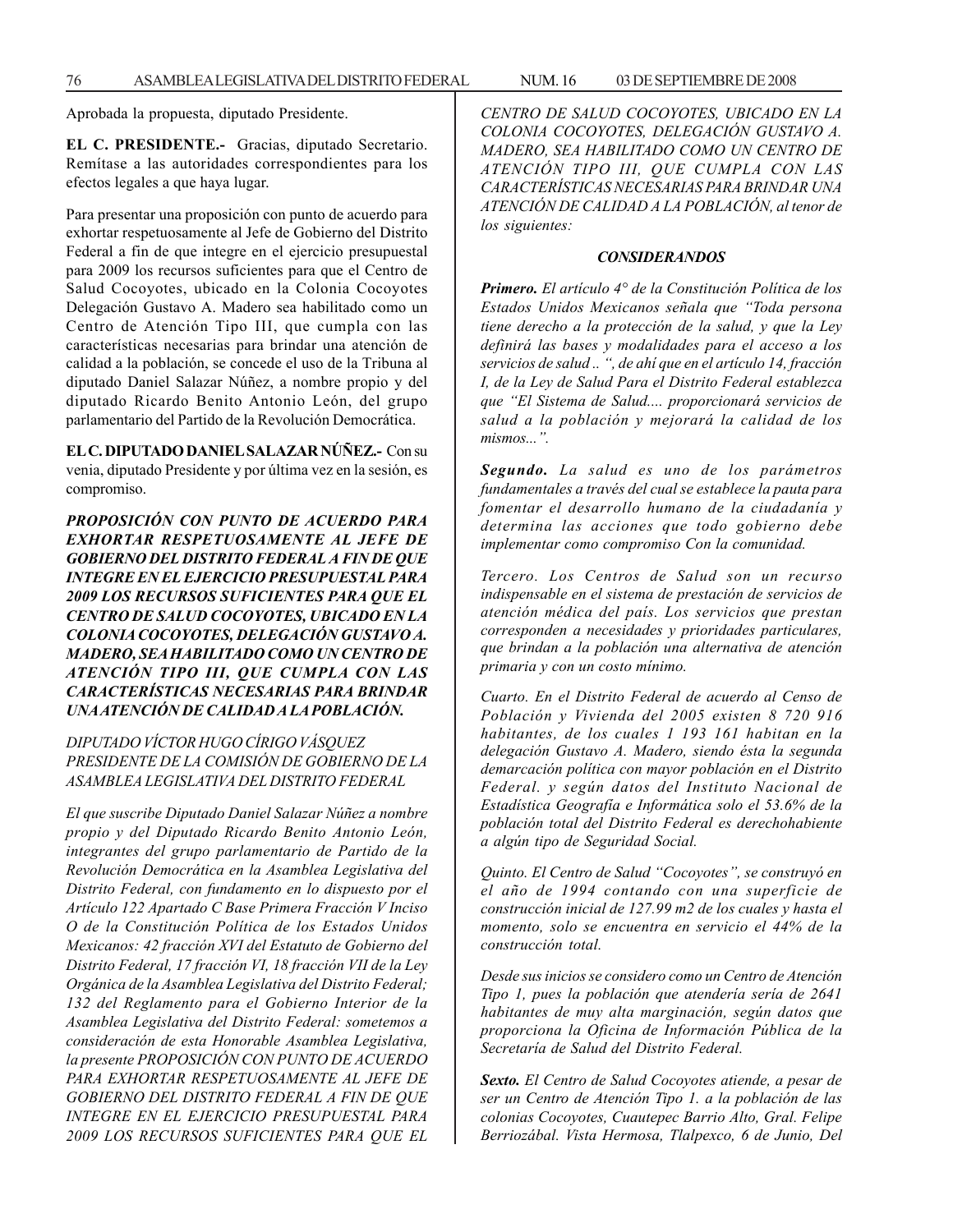Aprobada la propuesta, diputado Presidente.

**EL C. PRESIDENTE.-** Gracias, diputado Secretario. Remítase a las autoridades correspondientes para los efectos legales a que haya lugar.

Para presentar una proposición con punto de acuerdo para exhortar respetuosamente al Jefe de Gobierno del Distrito Federal a fin de que integre en el ejercicio presupuestal para 2009 los recursos suficientes para que el Centro de Salud Cocoyotes, ubicado en la Colonia Cocoyotes Delegación Gustavo A. Madero sea habilitado como un Centro de Atención Tipo III, que cumpla con las características necesarias para brindar una atención de calidad a la población, se concede el uso de la Tribuna al diputado Daniel Salazar Núñez, a nombre propio y del diputado Ricardo Benito Antonio León, del grupo parlamentario del Partido de la Revolución Democrática.

**EL C. DIPUTADO DANIEL SALAZAR NÚÑEZ.-** Con su venia, diputado Presidente y por última vez en la sesión, es compromiso.

*PROPOSICIÓN CON PUNTO DE ACUERDO PARA EXHORTAR RESPETUOSAMENTE AL JEFE DE GOBIERNO DEL DISTRITO FEDERAL A FIN DE QUE INTEGRE EN EL EJERCICIO PRESUPUESTAL PARA 2009 LOS RECURSOS SUFICIENTES PARA QUE EL CENTRO DE SALUD COCOYOTES, UBICADO EN LA COLONIA COCOYOTES, DELEGACIÓN GUSTAVO A. MADERO, SEA HABILITADO COMO UN CENTRO DE ATENCIÓN TIPO III, QUE CUMPLA CON LAS CARACTERÍSTICAS NECESARIAS PARA BRINDAR UNA ATENCIÓN DE CALIDAD A LA POBLACIÓN.*

# *DIPUTADO VÍCTOR HUGO CÍRIGO VÁSQUEZ PRESIDENTE DE LA COMISIÓN DE GOBIERNO DE LA ASAMBLEA LEGISLATIVA DEL DISTRITO FEDERAL*

*El que suscribe Diputado Daniel Salazar Núñez a nombre propio y del Diputado Ricardo Benito Antonio León, integrantes del grupo parlamentario de Partido de la Revolución Democrática en la Asamblea Legislativa del Distrito Federal, con fundamento en lo dispuesto por el Artículo 122 Apartado C Base Primera Fracción V Inciso O de la Constitución Política de los Estados Unidos Mexicanos: 42 fracción XVI del Estatuto de Gobierno del Distrito Federal, 17 fracción VI, 18 fracción VII de la Ley Orgánica de la Asamblea Legislativa del Distrito Federal; 132 del Reglamento para el Gobierno Interior de la Asamblea Legislativa del Distrito Federal: sometemos a consideración de esta Honorable Asamblea Legislativa, la presente PROPOSICIÓN CON PUNTO DE ACUERDO PARA EXHORTAR RESPETUOSAMENTE AL JEFE DE GOBIERNO DEL DISTRITO FEDERAL A FIN DE QUE INTEGRE EN EL EJERCICIO PRESUPUESTAL PARA 2009 LOS RECURSOS SUFICIENTES PARA QUE EL*

*CENTRO DE SALUD COCOYOTES, UBICADO EN LA COLONIA COCOYOTES, DELEGACIÓN GUSTAVO A. MADERO, SEA HABILITADO COMO UN CENTRO DE ATENCIÓN TIPO III, QUE CUMPLA CON LAS CARACTERÍSTICAS NECESARIAS PARA BRINDAR UNA ATENCIÓN DE CALIDAD A LA POBLACIÓN, al tenor de los siguientes:*

### *CONSIDERANDOS*

*Primero. El artículo 4° de la Constitución Política de los Estados Unidos Mexicanos señala que ''Toda persona tiene derecho a la protección de la salud, y que la Ley definirá las bases y modalidades para el acceso a los servicios de salud .. '', de ahí que en el artículo 14, fracción I, de la Ley de Salud Para el Distrito Federal establezca que ''El Sistema de Salud.... proporcionará servicios de salud a la población y mejorará la calidad de los mismos...''.*

*Segundo. La salud es uno de los parámetros fundamentales a través del cual se establece la pauta para fomentar el desarrollo humano de la ciudadanía y determina las acciones que todo gobierno debe implementar como compromiso Con la comunidad.*

*Tercero. Los Centros de Salud son un recurso indispensable en el sistema de prestación de servicios de atención médica del país. Los servicios que prestan corresponden a necesidades y prioridades particulares, que brindan a la población una alternativa de atención primaria y con un costo mínimo.*

*Cuarto. En el Distrito Federal de acuerdo al Censo de Población y Vivienda del 2005 existen 8 720 916 habitantes, de los cuales 1 193 161 habitan en la delegación Gustavo A. Madero, siendo ésta la segunda demarcación política con mayor población en el Distrito Federal. y según datos del Instituto Nacional de Estadística Geografía e Informática solo el 53.6% de la población total del Distrito Federal es derechohabiente a algún tipo de Seguridad Social.*

*Quinto. El Centro de Salud ''Cocoyotes'', se construyó en el año de 1994 contando con una superficie de construcción inicial de 127.99 m2 de los cuales y hasta el momento, solo se encuentra en servicio el 44% de la construcción total.*

*Desde sus inicios se considero como un Centro de Atención Tipo 1, pues la población que atendería sería de 2641 habitantes de muy alta marginación, según datos que proporciona la Oficina de Información Pública de la Secretaría de Salud del Distrito Federal.*

*Sexto. El Centro de Salud Cocoyotes atiende, a pesar de ser un Centro de Atención Tipo 1. a la población de las colonias Cocoyotes, Cuautepec Barrio Alto, Gral. Felipe Berriozábal. Vista Hermosa, Tlalpexco, 6 de Junio, Del*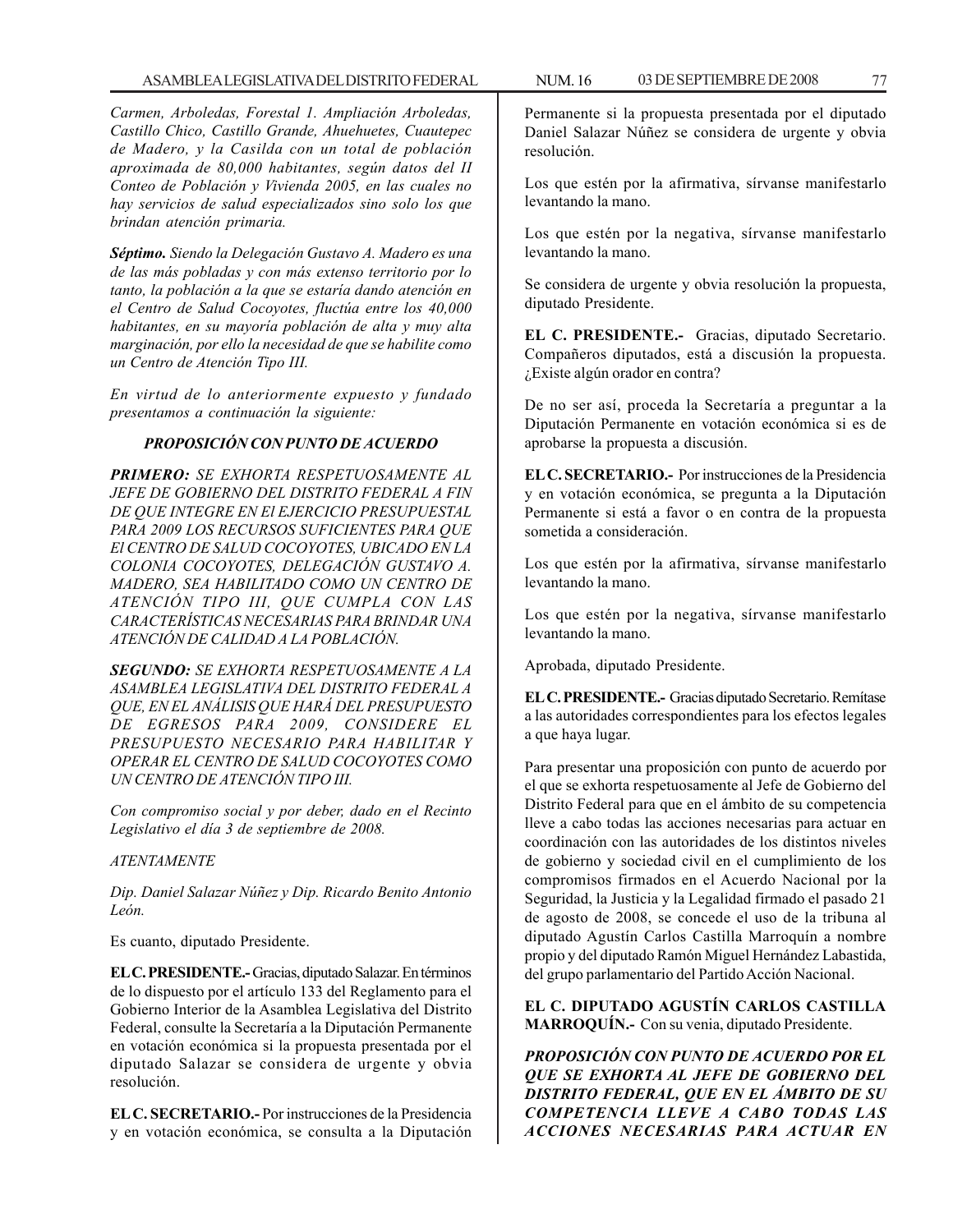*Carmen, Arboledas, Forestal 1. Ampliación Arboledas, Castillo Chico, Castillo Grande, Ahuehuetes, Cuautepec de Madero, y la Casilda con un total de población aproximada de 80,000 habitantes, según datos del II Conteo de Población y Vivienda 2005, en las cuales no hay servicios de salud especializados sino solo los que brindan atención primaria.*

*Séptimo. Siendo la Delegación Gustavo A. Madero es una de las más pobladas y con más extenso territorio por lo tanto, la población a la que se estaría dando atención en el Centro de Salud Cocoyotes, fluctúa entre los 40,000 habitantes, en su mayoría población de alta y muy alta marginación, por ello la necesidad de que se habilite como un Centro de Atención Tipo III.*

*En virtud de lo anteriormente expuesto y fundado presentamos a continuación la siguiente:*

### *PROPOSICIÓN CON PUNTO DE ACUERDO*

*PRIMERO: SE EXHORTA RESPETUOSAMENTE AL JEFE DE GOBIERNO DEL DISTRITO FEDERAL A FIN DE QUE INTEGRE EN El EJERCICIO PRESUPUESTAL PARA 2009 LOS RECURSOS SUFICIENTES PARA QUE El CENTRO DE SALUD COCOYOTES, UBICADO EN LA COLONIA COCOYOTES, DELEGACIÓN GUSTAVO A. MADERO, SEA HABILITADO COMO UN CENTRO DE ATENCIÓN TIPO III, QUE CUMPLA CON LAS CARACTERÍSTICAS NECESARIAS PARA BRINDAR UNA ATENCIÓN DE CALIDAD A LA POBLACIÓN.*

*SEGUNDO: SE EXHORTA RESPETUOSAMENTE A LA ASAMBLEA LEGISLATIVA DEL DISTRITO FEDERAL A QUE, EN EL ANÁLISIS QUE HARÁ DEL PRESUPUESTO DE EGRESOS PARA 2009, CONSIDERE EL PRESUPUESTO NECESARIO PARA HABILITAR Y OPERAR EL CENTRO DE SALUD COCOYOTES COMO UN CENTRO DE ATENCIÓN TIPO III.*

*Con compromiso social y por deber, dado en el Recinto Legislativo el día 3 de septiembre de 2008.*

### *ATENTAMENTE*

*Dip. Daniel Salazar Núñez y Dip. Ricardo Benito Antonio León.*

Es cuanto, diputado Presidente.

**EL C. PRESIDENTE.-** Gracias, diputado Salazar. En términos de lo dispuesto por el artículo 133 del Reglamento para el Gobierno Interior de la Asamblea Legislativa del Distrito Federal, consulte la Secretaría a la Diputación Permanente en votación económica si la propuesta presentada por el diputado Salazar se considera de urgente y obvia resolución.

**EL C. SECRETARIO.-** Por instrucciones de la Presidencia y en votación económica, se consulta a la Diputación Permanente si la propuesta presentada por el diputado Daniel Salazar Núñez se considera de urgente y obvia resolución.

Los que estén por la afirmativa, sírvanse manifestarlo levantando la mano.

Los que estén por la negativa, sírvanse manifestarlo levantando la mano.

Se considera de urgente y obvia resolución la propuesta, diputado Presidente.

**EL C. PRESIDENTE.-** Gracias, diputado Secretario. Compañeros diputados, está a discusión la propuesta. ¿Existe algún orador en contra?

De no ser así, proceda la Secretaría a preguntar a la Diputación Permanente en votación económica si es de aprobarse la propuesta a discusión.

**EL C. SECRETARIO.-** Por instrucciones de la Presidencia y en votación económica, se pregunta a la Diputación Permanente si está a favor o en contra de la propuesta sometida a consideración.

Los que estén por la afirmativa, sírvanse manifestarlo levantando la mano.

Los que estén por la negativa, sírvanse manifestarlo levantando la mano.

Aprobada, diputado Presidente.

**EL C. PRESIDENTE.-** Gracias diputado Secretario. Remítase a las autoridades correspondientes para los efectos legales a que haya lugar.

Para presentar una proposición con punto de acuerdo por el que se exhorta respetuosamente al Jefe de Gobierno del Distrito Federal para que en el ámbito de su competencia lleve a cabo todas las acciones necesarias para actuar en coordinación con las autoridades de los distintos niveles de gobierno y sociedad civil en el cumplimiento de los compromisos firmados en el Acuerdo Nacional por la Seguridad, la Justicia y la Legalidad firmado el pasado 21 de agosto de 2008, se concede el uso de la tribuna al diputado Agustín Carlos Castilla Marroquín a nombre propio y del diputado Ramón Miguel Hernández Labastida, del grupo parlamentario del Partido Acción Nacional.

**EL C. DIPUTADO AGUSTÍN CARLOS CASTILLA MARROQUÍN.-** Con su venia, diputado Presidente.

*PROPOSICIÓN CON PUNTO DE ACUERDO POR EL QUE SE EXHORTA AL JEFE DE GOBIERNO DEL DISTRITO FEDERAL, QUE EN EL ÁMBITO DE SU COMPETENCIA LLEVE A CABO TODAS LAS ACCIONES NECESARIAS PARA ACTUAR EN*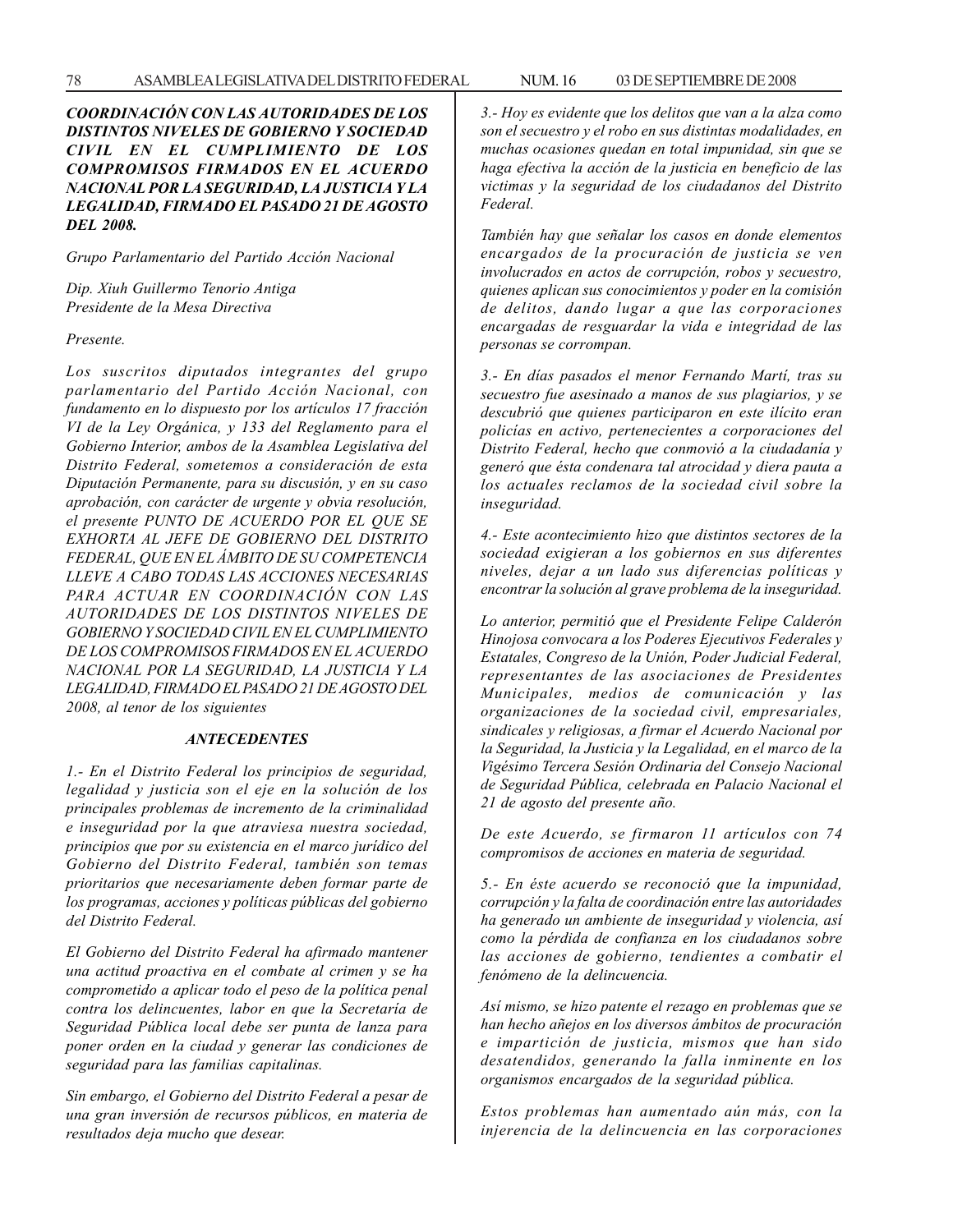*COORDINACIÓN CON LAS AUTORIDADES DE LOS DISTINTOS NIVELES DE GOBIERNO Y SOCIEDAD CIVIL EN EL CUMPLIMIENTO DE LOS COMPROMISOS FIRMADOS EN EL ACUERDO NACIONAL POR LA SEGURIDAD, LA JUSTICIA Y LA LEGALIDAD, FIRMADO EL PASADO 21 DE AGOSTO DEL 2008.*

*Grupo Parlamentario del Partido Acción Nacional*

*Dip. Xiuh Guillermo Tenorio Antiga Presidente de la Mesa Directiva*

*Presente.*

*Los suscritos diputados integrantes del grupo parlamentario del Partido Acción Nacional, con fundamento en lo dispuesto por los artículos 17 fracción VI de la Ley Orgánica, y 133 del Reglamento para el Gobierno Interior, ambos de la Asamblea Legislativa del Distrito Federal, sometemos a consideración de esta Diputación Permanente, para su discusión, y en su caso aprobación, con carácter de urgente y obvia resolución, el presente PUNTO DE ACUERDO POR EL QUE SE EXHORTA AL JEFE DE GOBIERNO DEL DISTRITO FEDERAL, QUE EN EL ÁMBITO DE SU COMPETENCIA LLEVE A CABO TODAS LAS ACCIONES NECESARIAS PARA ACTUAR EN COORDINACIÓN CON LAS AUTORIDADES DE LOS DISTINTOS NIVELES DE GOBIERNO Y SOCIEDAD CIVIL EN EL CUMPLIMIENTO DE LOS COMPROMISOS FIRMADOS EN EL ACUERDO NACIONAL POR LA SEGURIDAD, LA JUSTICIA Y LA LEGALIDAD, FIRMADO EL PASADO 21 DE AGOSTO DEL 2008, al tenor de los siguientes*

#### *ANTECEDENTES*

*1.- En el Distrito Federal los principios de seguridad, legalidad y justicia son el eje en la solución de los principales problemas de incremento de la criminalidad e inseguridad por la que atraviesa nuestra sociedad, principios que por su existencia en el marco jurídico del Gobierno del Distrito Federal, también son temas prioritarios que necesariamente deben formar parte de los programas, acciones y políticas públicas del gobierno del Distrito Federal.*

*El Gobierno del Distrito Federal ha afirmado mantener una actitud proactiva en el combate al crimen y se ha comprometido a aplicar todo el peso de la política penal contra los delincuentes, labor en que la Secretaría de Seguridad Pública local debe ser punta de lanza para poner orden en la ciudad y generar las condiciones de seguridad para las familias capitalinas.*

*Sin embargo, el Gobierno del Distrito Federal a pesar de una gran inversión de recursos públicos, en materia de resultados deja mucho que desear.*

*3.- Hoy es evidente que los delitos que van a la alza como son el secuestro y el robo en sus distintas modalidades, en muchas ocasiones quedan en total impunidad, sin que se haga efectiva la acción de la justicia en beneficio de las victimas y la seguridad de los ciudadanos del Distrito Federal.*

*También hay que señalar los casos en donde elementos encargados de la procuración de justicia se ven involucrados en actos de corrupción, robos y secuestro, quienes aplican sus conocimientos y poder en la comisión de delitos, dando lugar a que las corporaciones encargadas de resguardar la vida e integridad de las personas se corrompan.*

*3.- En días pasados el menor Fernando Martí, tras su secuestro fue asesinado a manos de sus plagiarios, y se descubrió que quienes participaron en este ilícito eran policías en activo, pertenecientes a corporaciones del Distrito Federal, hecho que conmovió a la ciudadanía y generó que ésta condenara tal atrocidad y diera pauta a los actuales reclamos de la sociedad civil sobre la inseguridad.*

*4.- Este acontecimiento hizo que distintos sectores de la sociedad exigieran a los gobiernos en sus diferentes niveles, dejar a un lado sus diferencias políticas y encontrar la solución al grave problema de la inseguridad.*

*Lo anterior, permitió que el Presidente Felipe Calderón Hinojosa convocara a los Poderes Ejecutivos Federales y Estatales, Congreso de la Unión, Poder Judicial Federal, representantes de las asociaciones de Presidentes Municipales, medios de comunicación y las organizaciones de la sociedad civil, empresariales, sindicales y religiosas, a firmar el Acuerdo Nacional por la Seguridad, la Justicia y la Legalidad, en el marco de la Vigésimo Tercera Sesión Ordinaria del Consejo Nacional de Seguridad Pública, celebrada en Palacio Nacional el 21 de agosto del presente año.*

*De este Acuerdo, se firmaron 11 artículos con 74 compromisos de acciones en materia de seguridad.*

*5.- En éste acuerdo se reconoció que la impunidad, corrupción y la falta de coordinación entre las autoridades ha generado un ambiente de inseguridad y violencia, así como la pérdida de confianza en los ciudadanos sobre las acciones de gobierno, tendientes a combatir el fenómeno de la delincuencia.*

*Así mismo, se hizo patente el rezago en problemas que se han hecho añejos en los diversos ámbitos de procuración e impartición de justicia, mismos que han sido desatendidos, generando la falla inminente en los organismos encargados de la seguridad pública.*

*Estos problemas han aumentado aún más, con la injerencia de la delincuencia en las corporaciones*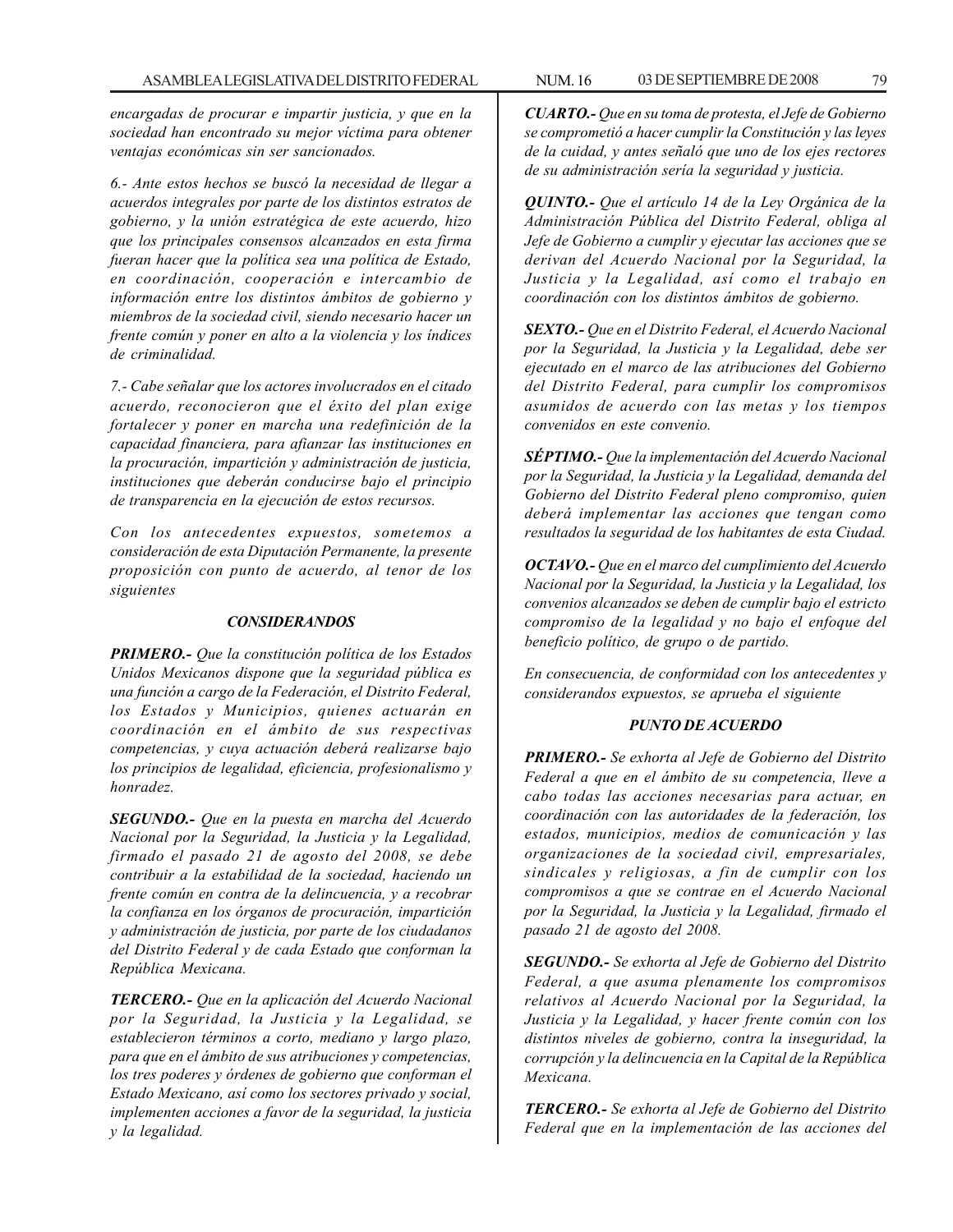*encargadas de procurar e impartir justicia, y que en la sociedad han encontrado su mejor víctima para obtener ventajas económicas sin ser sancionados.*

*6.- Ante estos hechos se buscó la necesidad de llegar a acuerdos integrales por parte de los distintos estratos de gobierno, y la unión estratégica de este acuerdo, hizo que los principales consensos alcanzados en esta firma fueran hacer que la política sea una política de Estado, en coordinación, cooperación e intercambio de información entre los distintos ámbitos de gobierno y miembros de la sociedad civil, siendo necesario hacer un frente común y poner en alto a la violencia y los índices de criminalidad.*

*7.- Cabe señalar que los actores involucrados en el citado acuerdo, reconocieron que el éxito del plan exige fortalecer y poner en marcha una redefinición de la capacidad financiera, para afianzar las instituciones en la procuración, impartición y administración de justicia, instituciones que deberán conducirse bajo el principio de transparencia en la ejecución de estos recursos.*

*Con los antecedentes expuestos, sometemos a consideración de esta Diputación Permanente, la presente proposición con punto de acuerdo, al tenor de los siguientes*

#### *CONSIDERANDOS*

*PRIMERO.- Que la constitución política de los Estados Unidos Mexicanos dispone que la seguridad pública es una función a cargo de la Federación, el Distrito Federal, los Estados y Municipios, quienes actuarán en coordinación en el ámbito de sus respectivas competencias, y cuya actuación deberá realizarse bajo los principios de legalidad, eficiencia, profesionalismo y honradez.*

*SEGUNDO.- Que en la puesta en marcha del Acuerdo Nacional por la Seguridad, la Justicia y la Legalidad, firmado el pasado 21 de agosto del 2008, se debe contribuir a la estabilidad de la sociedad, haciendo un frente común en contra de la delincuencia, y a recobrar la confianza en los órganos de procuración, impartición y administración de justicia, por parte de los ciudadanos del Distrito Federal y de cada Estado que conforman la República Mexicana.*

*TERCERO.- Que en la aplicación del Acuerdo Nacional por la Seguridad, la Justicia y la Legalidad, se establecieron términos a corto, mediano y largo plazo, para que en el ámbito de sus atribuciones y competencias, los tres poderes y órdenes de gobierno que conforman el Estado Mexicano, así como los sectores privado y social, implementen acciones a favor de la seguridad, la justicia y la legalidad.*

*CUARTO.- Que en su toma de protesta, el Jefe de Gobierno se comprometió a hacer cumplir la Constitución y las leyes de la cuidad, y antes señaló que uno de los ejes rectores de su administración sería la seguridad y justicia.*

*QUINTO.- Que el artículo 14 de la Ley Orgánica de la Administración Pública del Distrito Federal, obliga al Jefe de Gobierno a cumplir y ejecutar las acciones que se derivan del Acuerdo Nacional por la Seguridad, la Justicia y la Legalidad, así como el trabajo en coordinación con los distintos ámbitos de gobierno.*

*SEXTO.- Que en el Distrito Federal, el Acuerdo Nacional por la Seguridad, la Justicia y la Legalidad, debe ser ejecutado en el marco de las atribuciones del Gobierno del Distrito Federal, para cumplir los compromisos asumidos de acuerdo con las metas y los tiempos convenidos en este convenio.*

*SÉPTIMO.- Que la implementación del Acuerdo Nacional por la Seguridad, la Justicia y la Legalidad, demanda del Gobierno del Distrito Federal pleno compromiso, quien deberá implementar las acciones que tengan como resultados la seguridad de los habitantes de esta Ciudad.*

*OCTAVO.- Que en el marco del cumplimiento del Acuerdo Nacional por la Seguridad, la Justicia y la Legalidad, los convenios alcanzados se deben de cumplir bajo el estricto compromiso de la legalidad y no bajo el enfoque del beneficio político, de grupo o de partido.*

*En consecuencia, de conformidad con los antecedentes y considerandos expuestos, se aprueba el siguiente*

### *PUNTO DE ACUERDO*

*PRIMERO.- Se exhorta al Jefe de Gobierno del Distrito Federal a que en el ámbito de su competencia, lleve a cabo todas las acciones necesarias para actuar, en coordinación con las autoridades de la federación, los estados, municipios, medios de comunicación y las organizaciones de la sociedad civil, empresariales, sindicales y religiosas, a fin de cumplir con los compromisos a que se contrae en el Acuerdo Nacional por la Seguridad, la Justicia y la Legalidad, firmado el pasado 21 de agosto del 2008.*

*SEGUNDO.- Se exhorta al Jefe de Gobierno del Distrito Federal, a que asuma plenamente los compromisos relativos al Acuerdo Nacional por la Seguridad, la Justicia y la Legalidad, y hacer frente común con los distintos niveles de gobierno, contra la inseguridad, la corrupción y la delincuencia en la Capital de la República Mexicana.*

*TERCERO.- Se exhorta al Jefe de Gobierno del Distrito Federal que en la implementación de las acciones del*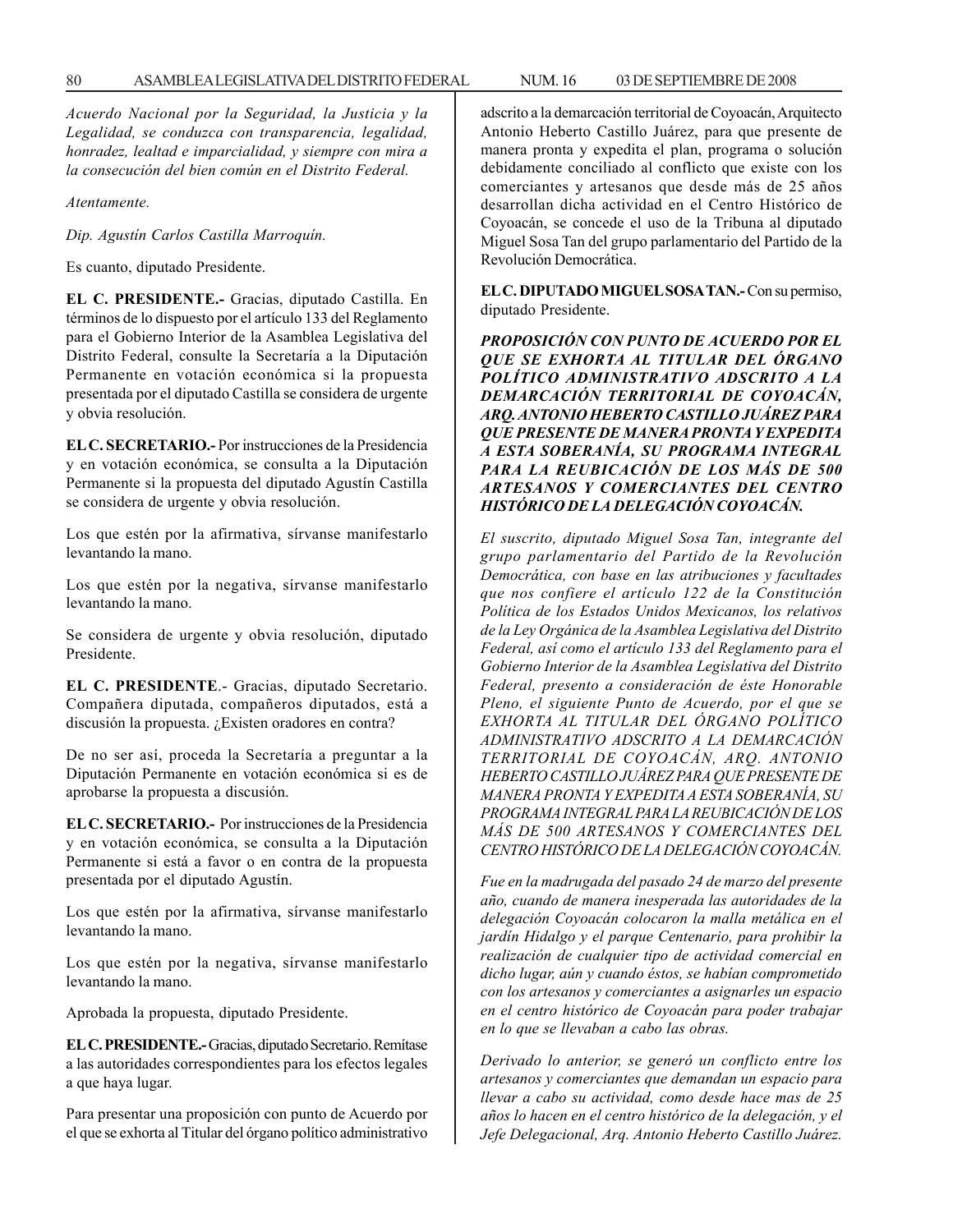*Acuerdo Nacional por la Seguridad, la Justicia y la Legalidad, se conduzca con transparencia, legalidad, honradez, lealtad e imparcialidad, y siempre con mira a la consecución del bien común en el Distrito Federal.*

*Atentamente.*

*Dip. Agustín Carlos Castilla Marroquín.*

Es cuanto, diputado Presidente.

**EL C. PRESIDENTE.-** Gracias, diputado Castilla. En términos de lo dispuesto por el artículo 133 del Reglamento para el Gobierno Interior de la Asamblea Legislativa del Distrito Federal, consulte la Secretaría a la Diputación Permanente en votación económica si la propuesta presentada por el diputado Castilla se considera de urgente y obvia resolución.

**EL C. SECRETARIO.-** Por instrucciones de la Presidencia y en votación económica, se consulta a la Diputación Permanente si la propuesta del diputado Agustín Castilla se considera de urgente y obvia resolución.

Los que estén por la afirmativa, sírvanse manifestarlo levantando la mano.

Los que estén por la negativa, sírvanse manifestarlo levantando la mano.

Se considera de urgente y obvia resolución, diputado Presidente.

**EL C. PRESIDENTE**.- Gracias, diputado Secretario. Compañera diputada, compañeros diputados, está a discusión la propuesta. ¿Existen oradores en contra?

De no ser así, proceda la Secretaría a preguntar a la Diputación Permanente en votación económica si es de aprobarse la propuesta a discusión.

**EL C. SECRETARIO.-** Por instrucciones de la Presidencia y en votación económica, se consulta a la Diputación Permanente si está a favor o en contra de la propuesta presentada por el diputado Agustín.

Los que estén por la afirmativa, sírvanse manifestarlo levantando la mano.

Los que estén por la negativa, sírvanse manifestarlo levantando la mano.

Aprobada la propuesta, diputado Presidente.

**EL C. PRESIDENTE.-** Gracias, diputado Secretario. Remítase a las autoridades correspondientes para los efectos legales a que haya lugar.

Para presentar una proposición con punto de Acuerdo por el que se exhorta al Titular del órgano político administrativo adscrito a la demarcación territorial de Coyoacán, Arquitecto Antonio Heberto Castillo Juárez, para que presente de manera pronta y expedita el plan, programa o solución debidamente conciliado al conflicto que existe con los comerciantes y artesanos que desde más de 25 años desarrollan dicha actividad en el Centro Histórico de Coyoacán, se concede el uso de la Tribuna al diputado Miguel Sosa Tan del grupo parlamentario del Partido de la Revolución Democrática.

**EL C. DIPUTADO MIGUEL SOSA TAN.-** Con su permiso, diputado Presidente.

*PROPOSICIÓN CON PUNTO DE ACUERDO POR EL QUE SE EXHORTA AL TITULAR DEL ÓRGANO POLÍTICO ADMINISTRATIVO ADSCRITO A LA DEMARCACIÓN TERRITORIAL DE COYOACÁN, ARQ. ANTONIO HEBERTO CASTILLO JUÁREZ PARA QUE PRESENTE DE MANERA PRONTA Y EXPEDITA A ESTA SOBERANÍA, SU PROGRAMA INTEGRAL PARA LA REUBICACIÓN DE LOS MÁS DE 500 ARTESANOS Y COMERCIANTES DEL CENTRO HISTÓRICO DE LA DELEGACIÓN COYOACÁN.*

*El suscrito, diputado Miguel Sosa Tan, integrante del grupo parlamentario del Partido de la Revolución Democrática, con base en las atribuciones y facultades que nos confiere el artículo 122 de la Constitución Política de los Estados Unidos Mexicanos, los relativos de la Ley Orgánica de la Asamblea Legislativa del Distrito Federal, así como el artículo 133 del Reglamento para el Gobierno Interior de la Asamblea Legislativa del Distrito Federal, presento a consideración de éste Honorable Pleno, el siguiente Punto de Acuerdo, por el que se EXHORTA AL TITULAR DEL ÓRGANO POLÍTICO ADMINISTRATIVO ADSCRITO A LA DEMARCACIÓN TERRITORIAL DE COYOACÁN, ARQ. ANTONIO HEBERTO CASTILLO JUÁREZ PARA QUE PRESENTE DE MANERA PRONTA Y EXPEDITA A ESTA SOBERANÍA, SU PROGRAMA INTEGRAL PARA LA REUBICACIÓN DE LOS MÁS DE 500 ARTESANOS Y COMERCIANTES DEL CENTRO HISTÓRICO DE LA DELEGACIÓN COYOACÁN.*

*Fue en la madrugada del pasado 24 de marzo del presente año, cuando de manera inesperada las autoridades de la delegación Coyoacán colocaron la malla metálica en el jardín Hidalgo y el parque Centenario, para prohibir la realización de cualquier tipo de actividad comercial en dicho lugar, aún y cuando éstos, se habían comprometido con los artesanos y comerciantes a asignarles un espacio en el centro histórico de Coyoacán para poder trabajar en lo que se llevaban a cabo las obras.*

*Derivado lo anterior, se generó un conflicto entre los artesanos y comerciantes que demandan un espacio para llevar a cabo su actividad, como desde hace mas de 25 años lo hacen en el centro histórico de la delegación, y el Jefe Delegacional, Arq. Antonio Heberto Castillo Juárez.*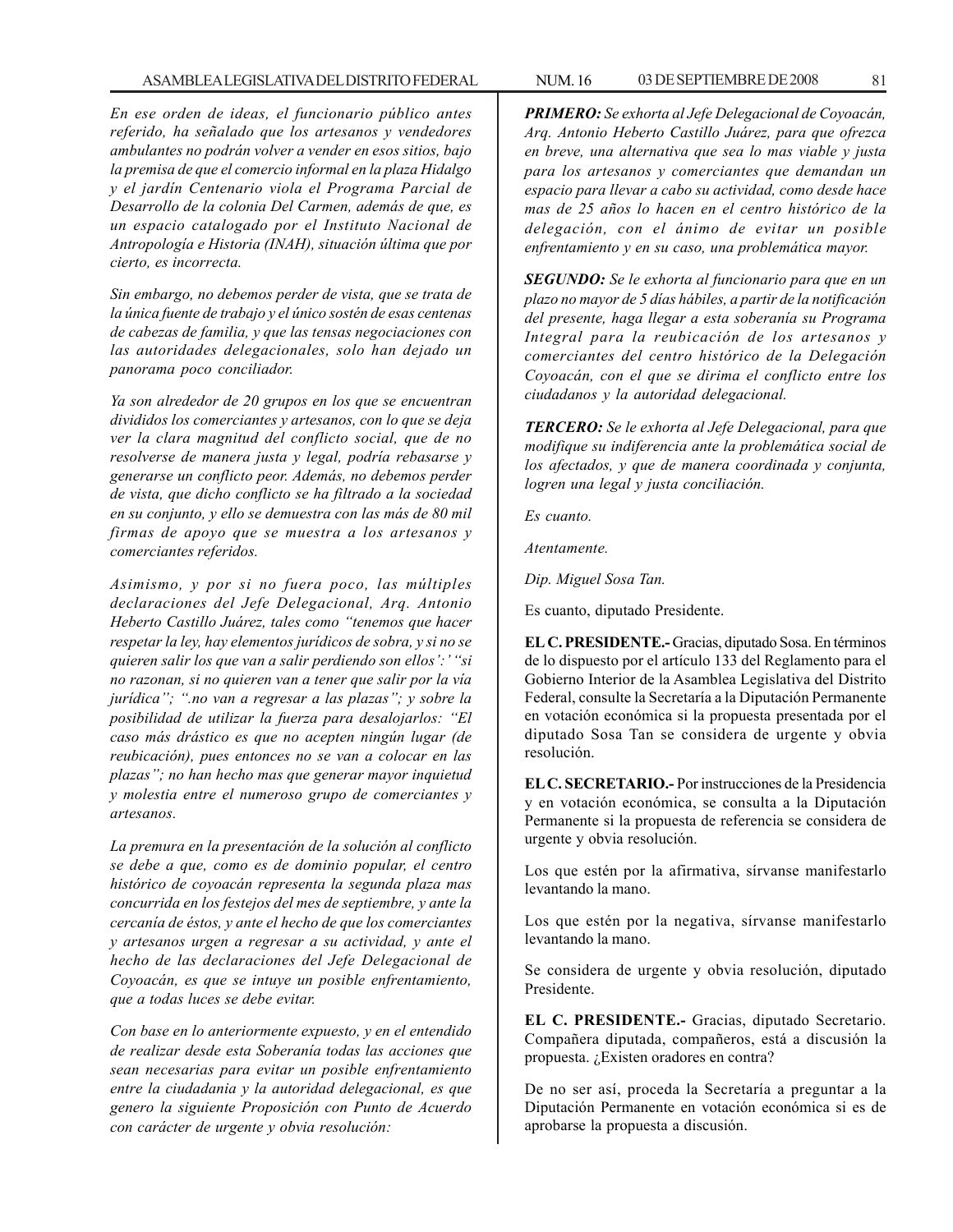### ASAMBLEA LEGISLATIVA DEL DISTRITO FEDERAL NUM. 16 03 DE SEPTIEMBRE DE 2008 81

*En ese orden de ideas, el funcionario público antes referido, ha señalado que los artesanos y vendedores ambulantes no podrán volver a vender en esos sitios, bajo la premisa de que el comercio informal en la plaza Hidalgo y el jardín Centenario viola el Programa Parcial de Desarrollo de la colonia Del Carmen, además de que, es un espacio catalogado por el Instituto Nacional de Antropología e Historia (INAH), situación última que por cierto, es incorrecta.*

*Sin embargo, no debemos perder de vista, que se trata de la única fuente de trabajo y el único sostén de esas centenas de cabezas de familia, y que las tensas negociaciones con las autoridades delegacionales, solo han dejado un panorama poco conciliador.*

*Ya son alrededor de 20 grupos en los que se encuentran divididos los comerciantes y artesanos, con lo que se deja ver la clara magnitud del conflicto social, que de no resolverse de manera justa y legal, podría rebasarse y generarse un conflicto peor. Además, no debemos perder de vista, que dicho conflicto se ha filtrado a la sociedad en su conjunto, y ello se demuestra con las más de 80 mil firmas de apoyo que se muestra a los artesanos y comerciantes referidos.*

*Asimismo, y por si no fuera poco, las múltiples declaraciones del Jefe Delegacional, Arq. Antonio Heberto Castillo Juárez, tales como ''tenemos que hacer respetar la ley, hay elementos jurídicos de sobra, y si no se quieren salir los que van a salir perdiendo son ellos':' ''si no razonan, si no quieren van a tener que salir por la vía jurídica''; ''.no van a regresar a las plazas''; y sobre la posibilidad de utilizar la fuerza para desalojarlos: ''El caso más drástico es que no acepten ningún lugar (de reubicación), pues entonces no se van a colocar en las plazas''; no han hecho mas que generar mayor inquietud y molestia entre el numeroso grupo de comerciantes y artesanos.*

*La premura en la presentación de la solución al conflicto se debe a que, como es de dominio popular, el centro histórico de coyoacán representa la segunda plaza mas concurrida en los festejos del mes de septiembre, y ante la cercanía de éstos, y ante el hecho de que los comerciantes y artesanos urgen a regresar a su actividad, y ante el hecho de las declaraciones del Jefe Delegacional de Coyoacán, es que se intuye un posible enfrentamiento, que a todas luces se debe evitar.*

*Con base en lo anteriormente expuesto, y en el entendido de realizar desde esta Soberanía todas las acciones que sean necesarias para evitar un posible enfrentamiento entre la ciudadania y la autoridad delegacional, es que genero la siguiente Proposición con Punto de Acuerdo con carácter de urgente y obvia resolución:*

*PRIMERO: Se exhorta al Jefe Delegacional de Coyoacán, Arq. Antonio Heberto Castillo Juárez, para que ofrezca en breve, una alternativa que sea lo mas viable y justa para los artesanos y comerciantes que demandan un espacio para llevar a cabo su actividad, como desde hace mas de 25 años lo hacen en el centro histórico de la delegación, con el ánimo de evitar un posible enfrentamiento y en su caso, una problemática mayor.*

*SEGUNDO: Se le exhorta al funcionario para que en un plazo no mayor de 5 días hábiles, a partir de la notificación del presente, haga llegar a esta soberanía su Programa Integral para la reubicación de los artesanos y comerciantes del centro histórico de la Delegación Coyoacán, con el que se dirima el conflicto entre los ciudadanos y la autoridad delegacional.*

*TERCERO: Se le exhorta al Jefe Delegacional, para que modifique su indiferencia ante la problemática social de los afectados, y que de manera coordinada y conjunta, logren una legal y justa conciliación.*

*Es cuanto.*

*Atentamente.*

*Dip. Miguel Sosa Tan.*

Es cuanto, diputado Presidente.

**EL C. PRESIDENTE.-** Gracias, diputado Sosa. En términos de lo dispuesto por el artículo 133 del Reglamento para el Gobierno Interior de la Asamblea Legislativa del Distrito Federal, consulte la Secretaría a la Diputación Permanente en votación económica si la propuesta presentada por el diputado Sosa Tan se considera de urgente y obvia resolución.

**EL C. SECRETARIO.-** Por instrucciones de la Presidencia y en votación económica, se consulta a la Diputación Permanente si la propuesta de referencia se considera de urgente y obvia resolución.

Los que estén por la afirmativa, sírvanse manifestarlo levantando la mano.

Los que estén por la negativa, sírvanse manifestarlo levantando la mano.

Se considera de urgente y obvia resolución, diputado Presidente.

**EL C. PRESIDENTE.-** Gracias, diputado Secretario. Compañera diputada, compañeros, está a discusión la propuesta. ¿Existen oradores en contra?

De no ser así, proceda la Secretaría a preguntar a la Diputación Permanente en votación económica si es de aprobarse la propuesta a discusión.